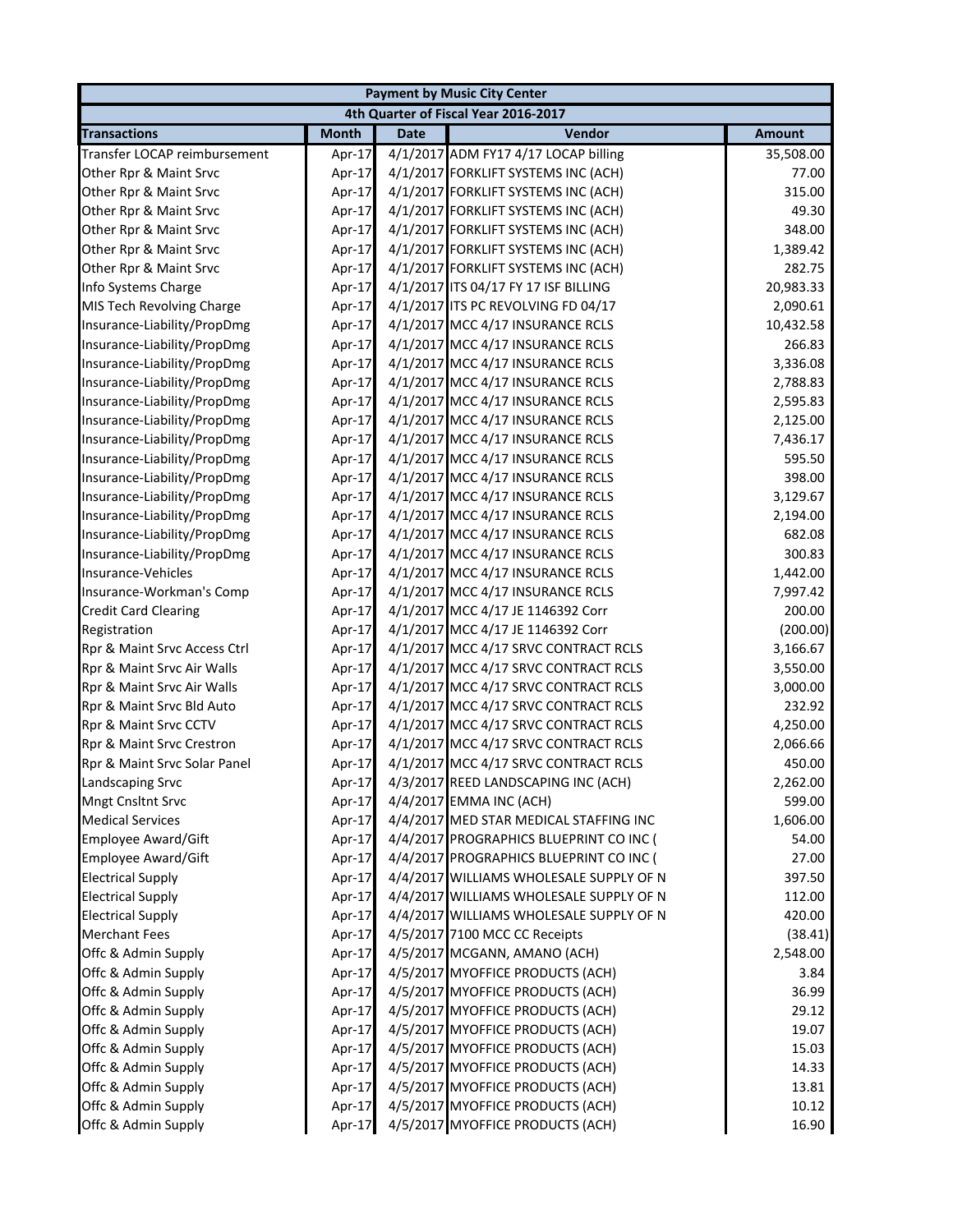|                              |              |             | <b>Payment by Music City Center</b>     |               |
|------------------------------|--------------|-------------|-----------------------------------------|---------------|
|                              |              |             | 4th Quarter of Fiscal Year 2016-2017    |               |
| <b>Transactions</b>          | <b>Month</b> | <b>Date</b> | Vendor                                  | <b>Amount</b> |
| Transfer LOCAP reimbursement | Apr-17       |             | 4/1/2017 ADM FY17 4/17 LOCAP billing    | 35,508.00     |
| Other Rpr & Maint Srvc       | Apr-17       |             | 4/1/2017 FORKLIFT SYSTEMS INC (ACH)     | 77.00         |
| Other Rpr & Maint Srvc       | Apr-17       |             | 4/1/2017 FORKLIFT SYSTEMS INC (ACH)     | 315.00        |
| Other Rpr & Maint Srvc       | Apr-17       |             | 4/1/2017 FORKLIFT SYSTEMS INC (ACH)     | 49.30         |
| Other Rpr & Maint Srvc       | Apr-17       |             | 4/1/2017 FORKLIFT SYSTEMS INC (ACH)     | 348.00        |
| Other Rpr & Maint Srvc       | Apr-17       |             | 4/1/2017 FORKLIFT SYSTEMS INC (ACH)     | 1,389.42      |
| Other Rpr & Maint Srvc       | Apr-17       |             | 4/1/2017 FORKLIFT SYSTEMS INC (ACH)     | 282.75        |
| Info Systems Charge          | Apr-17       |             | 4/1/2017 ITS 04/17 FY 17 ISF BILLING    | 20,983.33     |
| MIS Tech Revolving Charge    | Apr-17       |             | 4/1/2017 ITS PC REVOLVING FD 04/17      | 2,090.61      |
| Insurance-Liability/PropDmg  | Apr-17       |             | 4/1/2017 MCC 4/17 INSURANCE RCLS        | 10,432.58     |
| Insurance-Liability/PropDmg  | Apr-17       |             | 4/1/2017 MCC 4/17 INSURANCE RCLS        | 266.83        |
| Insurance-Liability/PropDmg  | Apr-17       |             | 4/1/2017 MCC 4/17 INSURANCE RCLS        | 3,336.08      |
| Insurance-Liability/PropDmg  | Apr-17       |             | 4/1/2017 MCC 4/17 INSURANCE RCLS        | 2,788.83      |
| Insurance-Liability/PropDmg  | Apr-17       |             | 4/1/2017 MCC 4/17 INSURANCE RCLS        | 2,595.83      |
| Insurance-Liability/PropDmg  | Apr-17       |             | 4/1/2017 MCC 4/17 INSURANCE RCLS        | 2,125.00      |
| Insurance-Liability/PropDmg  | Apr-17       |             | 4/1/2017 MCC 4/17 INSURANCE RCLS        | 7,436.17      |
| Insurance-Liability/PropDmg  | Apr-17       |             | 4/1/2017 MCC 4/17 INSURANCE RCLS        | 595.50        |
| Insurance-Liability/PropDmg  | Apr-17       |             | 4/1/2017 MCC 4/17 INSURANCE RCLS        | 398.00        |
| Insurance-Liability/PropDmg  | Apr-17       |             | 4/1/2017 MCC 4/17 INSURANCE RCLS        | 3,129.67      |
| Insurance-Liability/PropDmg  | Apr-17       |             | 4/1/2017 MCC 4/17 INSURANCE RCLS        | 2,194.00      |
| Insurance-Liability/PropDmg  | Apr-17       |             | 4/1/2017 MCC 4/17 INSURANCE RCLS        | 682.08        |
| Insurance-Liability/PropDmg  | Apr-17       |             | 4/1/2017 MCC 4/17 INSURANCE RCLS        | 300.83        |
| Insurance-Vehicles           | Apr-17       |             | 4/1/2017 MCC 4/17 INSURANCE RCLS        | 1,442.00      |
| Insurance-Workman's Comp     | Apr-17       |             | 4/1/2017 MCC 4/17 INSURANCE RCLS        | 7,997.42      |
| <b>Credit Card Clearing</b>  | Apr-17       |             | 4/1/2017 MCC 4/17 JE 1146392 Corr       | 200.00        |
| Registration                 | Apr-17       |             | 4/1/2017 MCC 4/17 JE 1146392 Corr       | (200.00)      |
| Rpr & Maint Srvc Access Ctrl | Apr-17       |             | 4/1/2017 MCC 4/17 SRVC CONTRACT RCLS    | 3,166.67      |
| Rpr & Maint Srvc Air Walls   | Apr-17       |             | 4/1/2017 MCC 4/17 SRVC CONTRACT RCLS    | 3,550.00      |
| Rpr & Maint Srvc Air Walls   | Apr-17       |             | 4/1/2017 MCC 4/17 SRVC CONTRACT RCLS    | 3,000.00      |
| Rpr & Maint Srvc Bld Auto    | Apr-17       |             | 4/1/2017 MCC 4/17 SRVC CONTRACT RCLS    | 232.92        |
| Rpr & Maint Srvc CCTV        | Apr-17       |             | 4/1/2017 MCC 4/17 SRVC CONTRACT RCLS    | 4,250.00      |
| Rpr & Maint Srvc Crestron    | Apr-17       |             | 4/1/2017 MCC 4/17 SRVC CONTRACT RCLS    | 2,066.66      |
| Rpr & Maint Srvc Solar Panel | Apr-17       |             | 4/1/2017 MCC 4/17 SRVC CONTRACT RCLS    | 450.00        |
| Landscaping Srvc             | Apr-17       |             | 4/3/2017 REED LANDSCAPING INC (ACH)     | 2,262.00      |
| Mngt Cnsltnt Srvc            | Apr-17       |             | 4/4/2017 EMMA INC (ACH)                 | 599.00        |
| <b>Medical Services</b>      | Apr-17       |             | 4/4/2017 MED STAR MEDICAL STAFFING INC  | 1,606.00      |
| <b>Employee Award/Gift</b>   | Apr-17       |             | 4/4/2017 PROGRAPHICS BLUEPRINT CO INC ( | 54.00         |
| Employee Award/Gift          | Apr-17       |             | 4/4/2017 PROGRAPHICS BLUEPRINT CO INC ( | 27.00         |
| <b>Electrical Supply</b>     | Apr-17       |             | 4/4/2017 WILLIAMS WHOLESALE SUPPLY OF N | 397.50        |
| <b>Electrical Supply</b>     | Apr-17       |             | 4/4/2017 WILLIAMS WHOLESALE SUPPLY OF N | 112.00        |
| <b>Electrical Supply</b>     | Apr-17       |             | 4/4/2017 WILLIAMS WHOLESALE SUPPLY OF N | 420.00        |
| <b>Merchant Fees</b>         | Apr-17       |             | 4/5/2017 7100 MCC CC Receipts           | (38.41)       |
| Offc & Admin Supply          | Apr-17       |             | 4/5/2017 MCGANN, AMANO (ACH)            | 2,548.00      |
| Offc & Admin Supply          | Apr-17       |             | 4/5/2017 MYOFFICE PRODUCTS (ACH)        | 3.84          |
| Offc & Admin Supply          | Apr-17       |             | 4/5/2017 MYOFFICE PRODUCTS (ACH)        | 36.99         |
| Offc & Admin Supply          | Apr-17       |             | 4/5/2017 MYOFFICE PRODUCTS (ACH)        | 29.12         |
| Offc & Admin Supply          | Apr-17       |             | 4/5/2017 MYOFFICE PRODUCTS (ACH)        | 19.07         |
| Offc & Admin Supply          | Apr-17       |             | 4/5/2017 MYOFFICE PRODUCTS (ACH)        | 15.03         |
| Offc & Admin Supply          | Apr-17       |             | 4/5/2017 MYOFFICE PRODUCTS (ACH)        | 14.33         |
| Offc & Admin Supply          | Apr-17       |             | 4/5/2017 MYOFFICE PRODUCTS (ACH)        | 13.81         |
| Offc & Admin Supply          | Apr-17       |             | 4/5/2017 MYOFFICE PRODUCTS (ACH)        | 10.12         |
| Offc & Admin Supply          | Apr-17       |             | 4/5/2017 MYOFFICE PRODUCTS (ACH)        | 16.90         |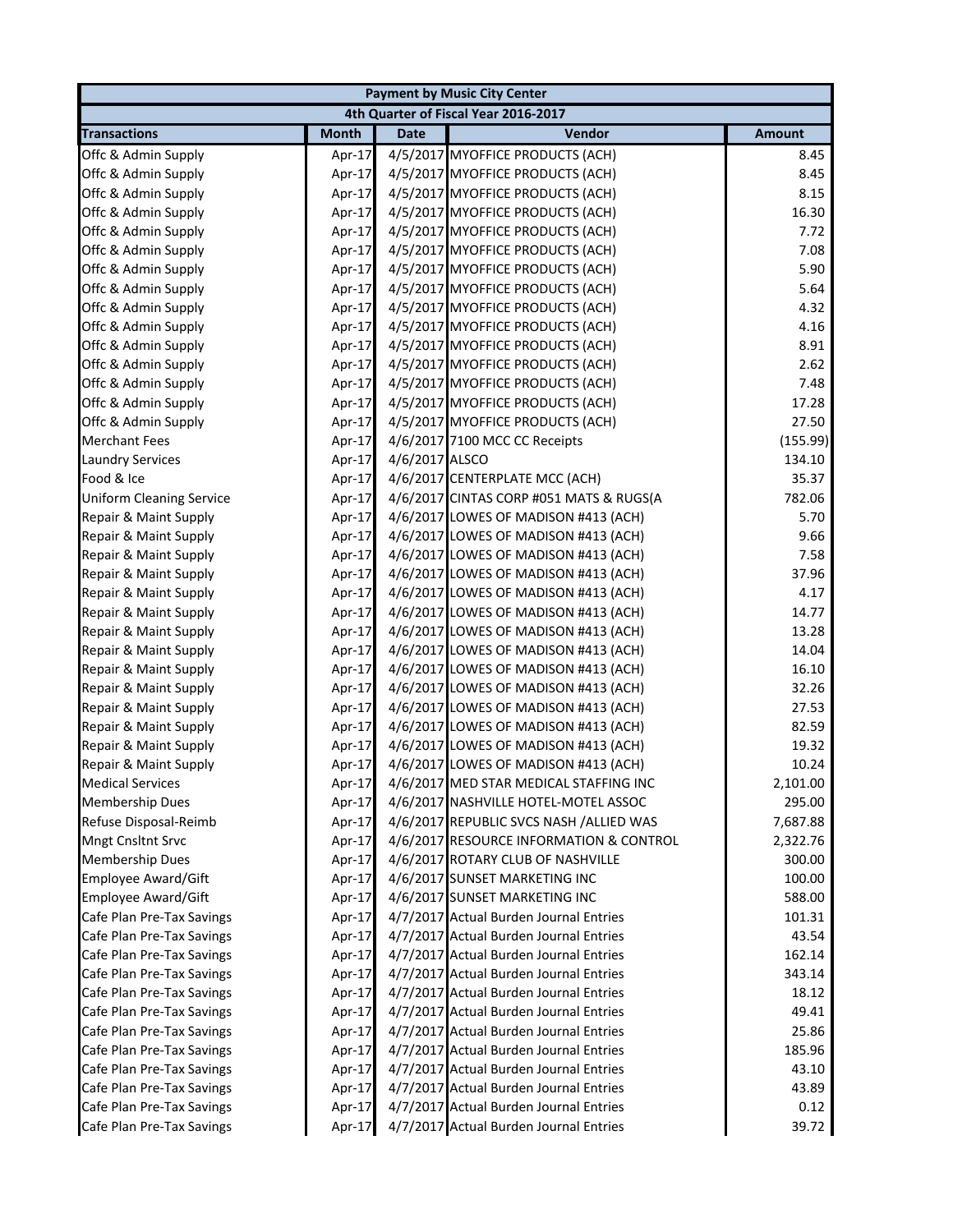|                                 |              |                | <b>Payment by Music City Center</b>     |               |
|---------------------------------|--------------|----------------|-----------------------------------------|---------------|
|                                 |              |                | 4th Quarter of Fiscal Year 2016-2017    |               |
| <b>Transactions</b>             | <b>Month</b> | <b>Date</b>    | Vendor                                  | <b>Amount</b> |
| Offc & Admin Supply             | Apr-17       |                | 4/5/2017 MYOFFICE PRODUCTS (ACH)        | 8.45          |
| Offc & Admin Supply             | Apr-17       |                | 4/5/2017 MYOFFICE PRODUCTS (ACH)        | 8.45          |
| Offc & Admin Supply             | Apr-17       |                | 4/5/2017 MYOFFICE PRODUCTS (ACH)        | 8.15          |
| Offc & Admin Supply             | Apr-17       |                | 4/5/2017 MYOFFICE PRODUCTS (ACH)        | 16.30         |
| Offc & Admin Supply             | Apr-17       |                | 4/5/2017 MYOFFICE PRODUCTS (ACH)        | 7.72          |
| Offc & Admin Supply             | Apr-17       |                | 4/5/2017 MYOFFICE PRODUCTS (ACH)        | 7.08          |
| Offc & Admin Supply             | Apr-17       |                | 4/5/2017 MYOFFICE PRODUCTS (ACH)        | 5.90          |
| Offc & Admin Supply             | Apr-17       |                | 4/5/2017 MYOFFICE PRODUCTS (ACH)        | 5.64          |
| Offc & Admin Supply             | Apr-17       |                | 4/5/2017 MYOFFICE PRODUCTS (ACH)        | 4.32          |
| Offc & Admin Supply             | Apr-17       |                | 4/5/2017 MYOFFICE PRODUCTS (ACH)        | 4.16          |
| Offc & Admin Supply             | Apr-17       |                | 4/5/2017 MYOFFICE PRODUCTS (ACH)        | 8.91          |
| Offc & Admin Supply             | Apr-17       |                | 4/5/2017 MYOFFICE PRODUCTS (ACH)        | 2.62          |
| Offc & Admin Supply             | Apr-17       |                | 4/5/2017 MYOFFICE PRODUCTS (ACH)        | 7.48          |
| Offc & Admin Supply             | Apr-17       |                | 4/5/2017 MYOFFICE PRODUCTS (ACH)        | 17.28         |
| Offc & Admin Supply             | Apr-17       |                | 4/5/2017 MYOFFICE PRODUCTS (ACH)        | 27.50         |
| <b>Merchant Fees</b>            | Apr-17       |                | 4/6/2017 7100 MCC CC Receipts           | (155.99)      |
| <b>Laundry Services</b>         | Apr-17       | 4/6/2017 ALSCO |                                         | 134.10        |
| Food & Ice                      | Apr-17       |                | 4/6/2017 CENTERPLATE MCC (ACH)          | 35.37         |
| <b>Uniform Cleaning Service</b> | Apr-17       |                | 4/6/2017 CINTAS CORP #051 MATS & RUGS(A | 782.06        |
| Repair & Maint Supply           | Apr-17       |                | 4/6/2017 LOWES OF MADISON #413 (ACH)    | 5.70          |
| Repair & Maint Supply           | Apr-17       |                | 4/6/2017 LOWES OF MADISON #413 (ACH)    | 9.66          |
| Repair & Maint Supply           | Apr-17       |                | 4/6/2017 LOWES OF MADISON #413 (ACH)    | 7.58          |
| Repair & Maint Supply           | Apr-17       |                | 4/6/2017 LOWES OF MADISON #413 (ACH)    | 37.96         |
| Repair & Maint Supply           | Apr-17       |                | 4/6/2017 LOWES OF MADISON #413 (ACH)    | 4.17          |
| Repair & Maint Supply           | Apr-17       |                | 4/6/2017 LOWES OF MADISON #413 (ACH)    | 14.77         |
| Repair & Maint Supply           | Apr-17       |                | 4/6/2017 LOWES OF MADISON #413 (ACH)    | 13.28         |
| Repair & Maint Supply           | Apr-17       |                | 4/6/2017 LOWES OF MADISON #413 (ACH)    | 14.04         |
| Repair & Maint Supply           | Apr-17       |                | 4/6/2017 LOWES OF MADISON #413 (ACH)    | 16.10         |
| Repair & Maint Supply           | Apr-17       |                | 4/6/2017 LOWES OF MADISON #413 (ACH)    | 32.26         |
| Repair & Maint Supply           | Apr-17       |                | 4/6/2017 LOWES OF MADISON #413 (ACH)    | 27.53         |
| Repair & Maint Supply           | Apr-17       |                | 4/6/2017 LOWES OF MADISON #413 (ACH)    | 82.59         |
| Repair & Maint Supply           | Apr-17       |                | 4/6/2017 LOWES OF MADISON #413 (ACH)    | 19.32         |
| Repair & Maint Supply           | Apr-17       |                | 4/6/2017 LOWES OF MADISON #413 (ACH)    | 10.24         |
| <b>Medical Services</b>         | Apr-17       |                | 4/6/2017 MED STAR MEDICAL STAFFING INC  | 2,101.00      |
| <b>Membership Dues</b>          | Apr-17       |                | 4/6/2017 NASHVILLE HOTEL-MOTEL ASSOC    | 295.00        |
| Refuse Disposal-Reimb           | Apr-17       |                | 4/6/2017 REPUBLIC SVCS NASH /ALLIED WAS | 7,687.88      |
| Mngt Cnsltnt Srvc               | Apr-17       |                | 4/6/2017 RESOURCE INFORMATION & CONTROL | 2,322.76      |
| <b>Membership Dues</b>          | Apr-17       |                | 4/6/2017 ROTARY CLUB OF NASHVILLE       | 300.00        |
| <b>Employee Award/Gift</b>      | Apr-17       |                | 4/6/2017 SUNSET MARKETING INC           | 100.00        |
| <b>Employee Award/Gift</b>      | Apr-17       |                | 4/6/2017 SUNSET MARKETING INC           | 588.00        |
| Cafe Plan Pre-Tax Savings       | Apr-17       |                | 4/7/2017 Actual Burden Journal Entries  | 101.31        |
| Cafe Plan Pre-Tax Savings       | Apr-17       |                | 4/7/2017 Actual Burden Journal Entries  | 43.54         |
| Cafe Plan Pre-Tax Savings       | Apr-17       |                | 4/7/2017 Actual Burden Journal Entries  | 162.14        |
| Cafe Plan Pre-Tax Savings       | Apr-17       |                | 4/7/2017 Actual Burden Journal Entries  | 343.14        |
| Cafe Plan Pre-Tax Savings       | Apr-17       |                | 4/7/2017 Actual Burden Journal Entries  | 18.12         |
| Cafe Plan Pre-Tax Savings       | Apr-17       |                | 4/7/2017 Actual Burden Journal Entries  | 49.41         |
| Cafe Plan Pre-Tax Savings       | Apr-17       |                | 4/7/2017 Actual Burden Journal Entries  | 25.86         |
| Cafe Plan Pre-Tax Savings       | Apr-17       |                | 4/7/2017 Actual Burden Journal Entries  | 185.96        |
| Cafe Plan Pre-Tax Savings       | Apr-17       |                | 4/7/2017 Actual Burden Journal Entries  | 43.10         |
| Cafe Plan Pre-Tax Savings       | Apr-17       |                | 4/7/2017 Actual Burden Journal Entries  | 43.89         |
| Cafe Plan Pre-Tax Savings       | Apr-17       |                | 4/7/2017 Actual Burden Journal Entries  | 0.12          |
| Cafe Plan Pre-Tax Savings       | Apr-17       |                | 4/7/2017 Actual Burden Journal Entries  | 39.72         |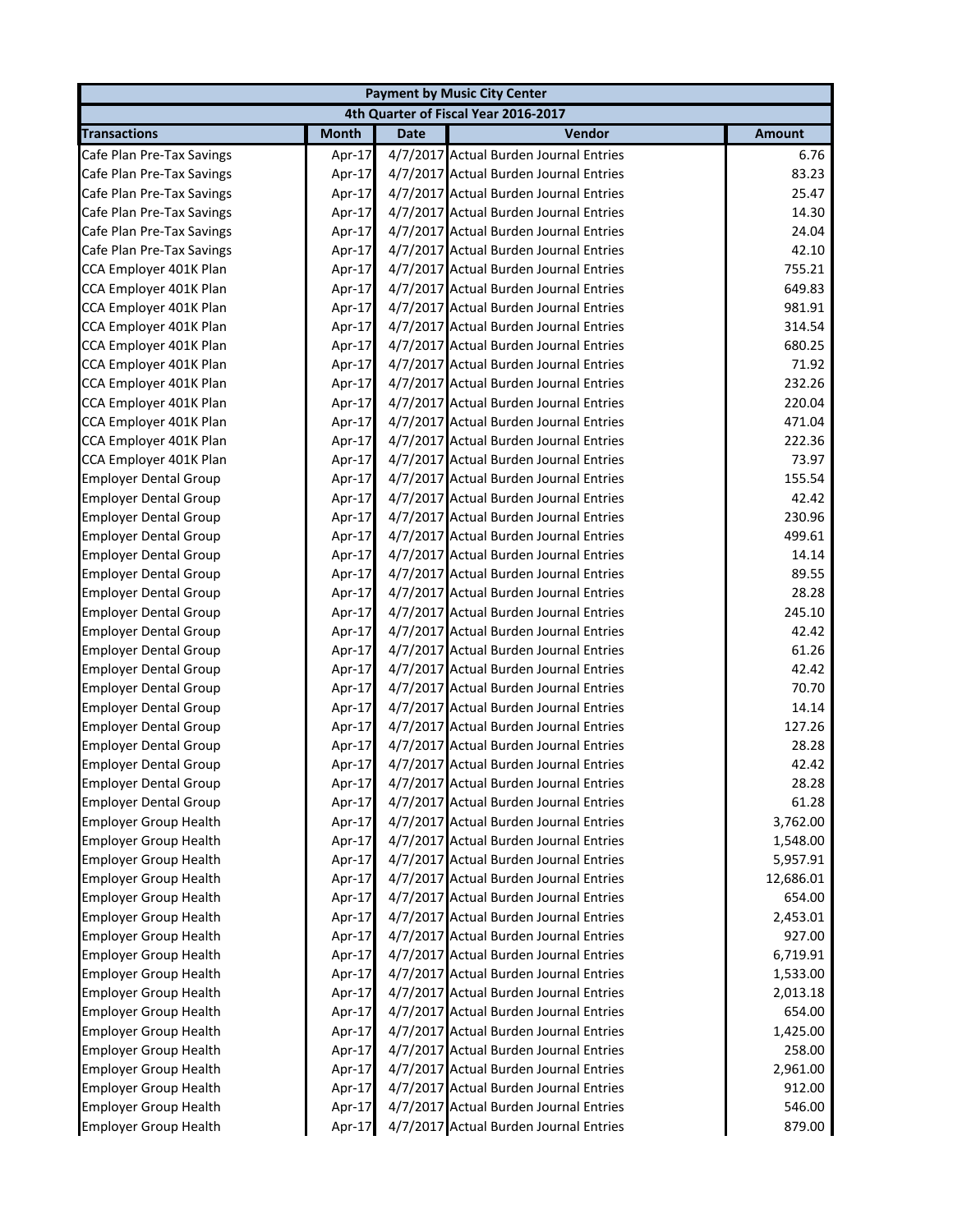|                              | <b>Payment by Music City Center</b> |             |                                        |               |  |
|------------------------------|-------------------------------------|-------------|----------------------------------------|---------------|--|
|                              |                                     |             | 4th Quarter of Fiscal Year 2016-2017   |               |  |
| <b>Transactions</b>          | <b>Month</b>                        | <b>Date</b> | Vendor                                 | <b>Amount</b> |  |
| Cafe Plan Pre-Tax Savings    | Apr-17                              |             | 4/7/2017 Actual Burden Journal Entries | 6.76          |  |
| Cafe Plan Pre-Tax Savings    | Apr-17                              |             | 4/7/2017 Actual Burden Journal Entries | 83.23         |  |
| Cafe Plan Pre-Tax Savings    | Apr-17                              |             | 4/7/2017 Actual Burden Journal Entries | 25.47         |  |
| Cafe Plan Pre-Tax Savings    | Apr-17                              |             | 4/7/2017 Actual Burden Journal Entries | 14.30         |  |
| Cafe Plan Pre-Tax Savings    | Apr-17                              |             | 4/7/2017 Actual Burden Journal Entries | 24.04         |  |
| Cafe Plan Pre-Tax Savings    | Apr-17                              |             | 4/7/2017 Actual Burden Journal Entries | 42.10         |  |
| CCA Employer 401K Plan       | Apr-17                              |             | 4/7/2017 Actual Burden Journal Entries | 755.21        |  |
| CCA Employer 401K Plan       | Apr-17                              |             | 4/7/2017 Actual Burden Journal Entries | 649.83        |  |
| CCA Employer 401K Plan       | Apr-17                              |             | 4/7/2017 Actual Burden Journal Entries | 981.91        |  |
| CCA Employer 401K Plan       | Apr-17                              |             | 4/7/2017 Actual Burden Journal Entries | 314.54        |  |
| CCA Employer 401K Plan       | Apr-17                              |             | 4/7/2017 Actual Burden Journal Entries | 680.25        |  |
| CCA Employer 401K Plan       | Apr-17                              |             | 4/7/2017 Actual Burden Journal Entries | 71.92         |  |
| CCA Employer 401K Plan       | Apr-17                              |             | 4/7/2017 Actual Burden Journal Entries | 232.26        |  |
| CCA Employer 401K Plan       | Apr-17                              |             | 4/7/2017 Actual Burden Journal Entries | 220.04        |  |
| CCA Employer 401K Plan       | Apr-17                              |             | 4/7/2017 Actual Burden Journal Entries | 471.04        |  |
| CCA Employer 401K Plan       | Apr-17                              |             | 4/7/2017 Actual Burden Journal Entries | 222.36        |  |
| CCA Employer 401K Plan       | Apr-17                              |             | 4/7/2017 Actual Burden Journal Entries | 73.97         |  |
| <b>Employer Dental Group</b> | Apr-17                              |             | 4/7/2017 Actual Burden Journal Entries | 155.54        |  |
| <b>Employer Dental Group</b> | Apr-17                              |             | 4/7/2017 Actual Burden Journal Entries | 42.42         |  |
| <b>Employer Dental Group</b> | Apr-17                              |             | 4/7/2017 Actual Burden Journal Entries | 230.96        |  |
| <b>Employer Dental Group</b> | Apr-17                              |             | 4/7/2017 Actual Burden Journal Entries | 499.61        |  |
| <b>Employer Dental Group</b> | Apr-17                              |             | 4/7/2017 Actual Burden Journal Entries | 14.14         |  |
| <b>Employer Dental Group</b> | Apr-17                              |             | 4/7/2017 Actual Burden Journal Entries | 89.55         |  |
| <b>Employer Dental Group</b> | Apr-17                              |             | 4/7/2017 Actual Burden Journal Entries | 28.28         |  |
| <b>Employer Dental Group</b> | Apr-17                              |             | 4/7/2017 Actual Burden Journal Entries | 245.10        |  |
| <b>Employer Dental Group</b> | Apr-17                              |             | 4/7/2017 Actual Burden Journal Entries | 42.42         |  |
| <b>Employer Dental Group</b> | Apr-17                              |             | 4/7/2017 Actual Burden Journal Entries | 61.26         |  |
| <b>Employer Dental Group</b> | Apr-17                              |             | 4/7/2017 Actual Burden Journal Entries | 42.42         |  |
| <b>Employer Dental Group</b> | Apr-17                              |             | 4/7/2017 Actual Burden Journal Entries | 70.70         |  |
| <b>Employer Dental Group</b> | Apr-17                              |             | 4/7/2017 Actual Burden Journal Entries | 14.14         |  |
| <b>Employer Dental Group</b> | Apr-17                              |             | 4/7/2017 Actual Burden Journal Entries | 127.26        |  |
| <b>Employer Dental Group</b> | Apr-17                              |             | 4/7/2017 Actual Burden Journal Entries | 28.28         |  |
| <b>Employer Dental Group</b> | Apr-17                              |             | 4/7/2017 Actual Burden Journal Entries | 42.42         |  |
| <b>Employer Dental Group</b> | Apr-17                              |             | 4/7/2017 Actual Burden Journal Entries | 28.28         |  |
| <b>Employer Dental Group</b> | Apr-17                              |             | 4/7/2017 Actual Burden Journal Entries | 61.28         |  |
| <b>Employer Group Health</b> | Apr-17                              |             | 4/7/2017 Actual Burden Journal Entries | 3,762.00      |  |
| <b>Employer Group Health</b> | Apr-17                              |             | 4/7/2017 Actual Burden Journal Entries | 1,548.00      |  |
| <b>Employer Group Health</b> | Apr-17                              |             | 4/7/2017 Actual Burden Journal Entries | 5,957.91      |  |
| <b>Employer Group Health</b> | Apr-17                              |             | 4/7/2017 Actual Burden Journal Entries | 12,686.01     |  |
| <b>Employer Group Health</b> | Apr-17                              |             | 4/7/2017 Actual Burden Journal Entries | 654.00        |  |
| <b>Employer Group Health</b> | Apr-17                              |             | 4/7/2017 Actual Burden Journal Entries | 2,453.01      |  |
| <b>Employer Group Health</b> | Apr-17                              |             | 4/7/2017 Actual Burden Journal Entries | 927.00        |  |
| <b>Employer Group Health</b> | Apr-17                              |             | 4/7/2017 Actual Burden Journal Entries | 6,719.91      |  |
| <b>Employer Group Health</b> | Apr-17                              |             | 4/7/2017 Actual Burden Journal Entries | 1,533.00      |  |
| <b>Employer Group Health</b> | Apr-17                              |             | 4/7/2017 Actual Burden Journal Entries | 2,013.18      |  |
| <b>Employer Group Health</b> | Apr-17                              |             | 4/7/2017 Actual Burden Journal Entries | 654.00        |  |
| <b>Employer Group Health</b> | Apr-17                              |             | 4/7/2017 Actual Burden Journal Entries | 1,425.00      |  |
| <b>Employer Group Health</b> | Apr-17                              |             | 4/7/2017 Actual Burden Journal Entries | 258.00        |  |
| <b>Employer Group Health</b> | Apr-17                              |             | 4/7/2017 Actual Burden Journal Entries | 2,961.00      |  |
| <b>Employer Group Health</b> | Apr-17                              |             | 4/7/2017 Actual Burden Journal Entries | 912.00        |  |
| <b>Employer Group Health</b> | Apr-17                              |             | 4/7/2017 Actual Burden Journal Entries | 546.00        |  |
| <b>Employer Group Health</b> | Apr-17                              |             | 4/7/2017 Actual Burden Journal Entries | 879.00        |  |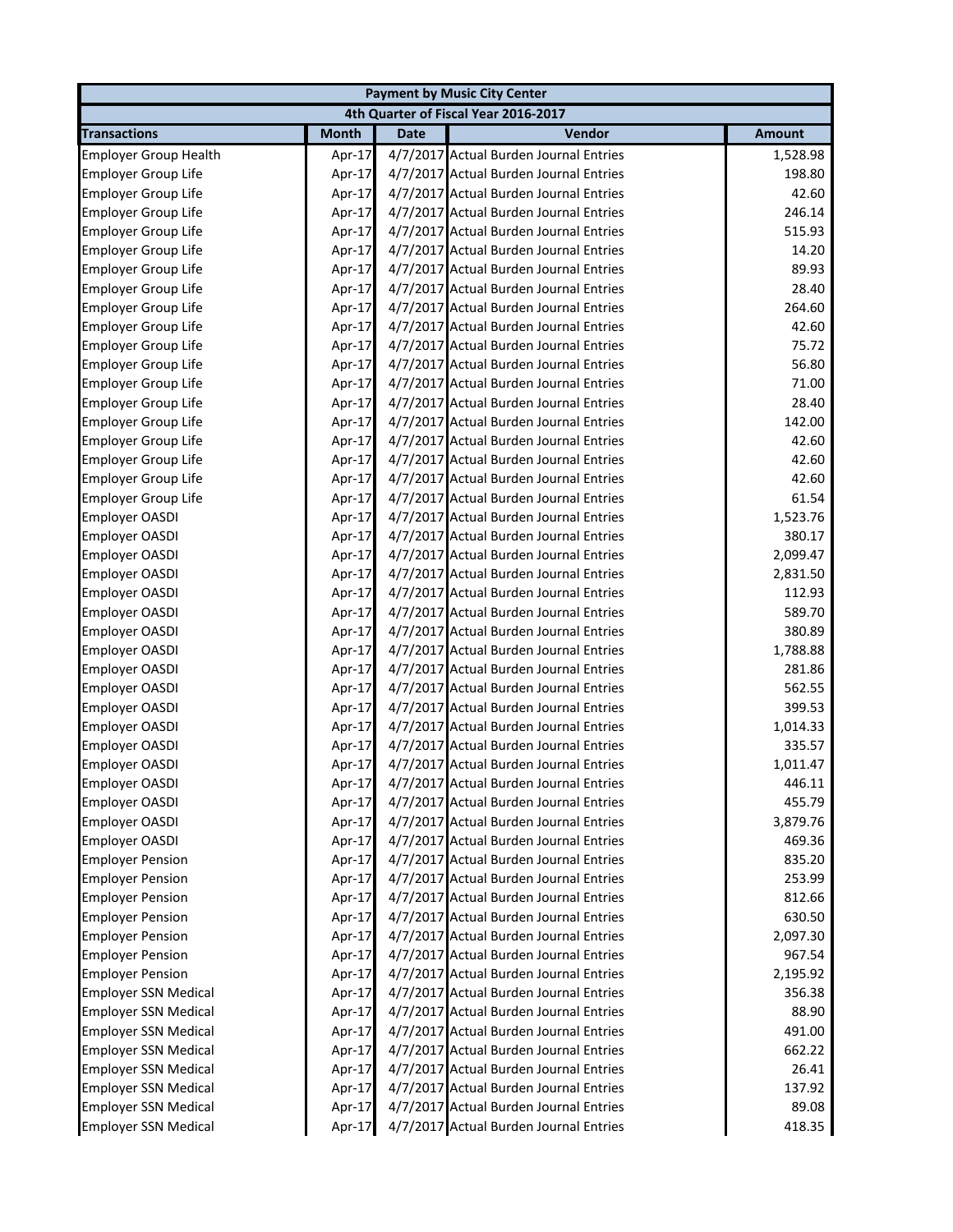|                              |              |             | <b>Payment by Music City Center</b>    |               |
|------------------------------|--------------|-------------|----------------------------------------|---------------|
|                              |              |             | 4th Quarter of Fiscal Year 2016-2017   |               |
| <b>Transactions</b>          | <b>Month</b> | <b>Date</b> | Vendor                                 | <b>Amount</b> |
| <b>Employer Group Health</b> | Apr-17       |             | 4/7/2017 Actual Burden Journal Entries | 1,528.98      |
| <b>Employer Group Life</b>   | Apr-17       |             | 4/7/2017 Actual Burden Journal Entries | 198.80        |
| <b>Employer Group Life</b>   | Apr-17       |             | 4/7/2017 Actual Burden Journal Entries | 42.60         |
| <b>Employer Group Life</b>   | Apr-17       |             | 4/7/2017 Actual Burden Journal Entries | 246.14        |
| <b>Employer Group Life</b>   | Apr-17       |             | 4/7/2017 Actual Burden Journal Entries | 515.93        |
| Employer Group Life          | Apr-17       |             | 4/7/2017 Actual Burden Journal Entries | 14.20         |
| <b>Employer Group Life</b>   | Apr-17       |             | 4/7/2017 Actual Burden Journal Entries | 89.93         |
| <b>Employer Group Life</b>   | Apr-17       |             | 4/7/2017 Actual Burden Journal Entries | 28.40         |
| Employer Group Life          | Apr-17       |             | 4/7/2017 Actual Burden Journal Entries | 264.60        |
| <b>Employer Group Life</b>   | Apr-17       |             | 4/7/2017 Actual Burden Journal Entries | 42.60         |
| <b>Employer Group Life</b>   | Apr-17       |             | 4/7/2017 Actual Burden Journal Entries | 75.72         |
| <b>Employer Group Life</b>   | Apr-17       |             | 4/7/2017 Actual Burden Journal Entries | 56.80         |
| <b>Employer Group Life</b>   | Apr-17       |             | 4/7/2017 Actual Burden Journal Entries | 71.00         |
| Employer Group Life          | Apr-17       |             | 4/7/2017 Actual Burden Journal Entries | 28.40         |
| <b>Employer Group Life</b>   | Apr-17       |             | 4/7/2017 Actual Burden Journal Entries | 142.00        |
| <b>Employer Group Life</b>   | Apr-17       |             | 4/7/2017 Actual Burden Journal Entries | 42.60         |
| <b>Employer Group Life</b>   | Apr-17       |             | 4/7/2017 Actual Burden Journal Entries | 42.60         |
| <b>Employer Group Life</b>   | Apr-17       |             | 4/7/2017 Actual Burden Journal Entries | 42.60         |
| <b>Employer Group Life</b>   | Apr-17       |             | 4/7/2017 Actual Burden Journal Entries | 61.54         |
| <b>Employer OASDI</b>        | Apr-17       |             | 4/7/2017 Actual Burden Journal Entries | 1,523.76      |
| <b>Employer OASDI</b>        | Apr-17       |             | 4/7/2017 Actual Burden Journal Entries | 380.17        |
| <b>Employer OASDI</b>        | Apr-17       |             | 4/7/2017 Actual Burden Journal Entries | 2,099.47      |
| <b>Employer OASDI</b>        | Apr-17       |             | 4/7/2017 Actual Burden Journal Entries | 2,831.50      |
| <b>Employer OASDI</b>        | Apr-17       |             | 4/7/2017 Actual Burden Journal Entries | 112.93        |
| <b>Employer OASDI</b>        | Apr-17       |             | 4/7/2017 Actual Burden Journal Entries | 589.70        |
| <b>Employer OASDI</b>        | Apr-17       |             | 4/7/2017 Actual Burden Journal Entries | 380.89        |
| <b>Employer OASDI</b>        | Apr-17       |             | 4/7/2017 Actual Burden Journal Entries | 1,788.88      |
| <b>Employer OASDI</b>        | Apr-17       |             | 4/7/2017 Actual Burden Journal Entries | 281.86        |
| <b>Employer OASDI</b>        | Apr-17       |             | 4/7/2017 Actual Burden Journal Entries | 562.55        |
| <b>Employer OASDI</b>        | Apr-17       |             | 4/7/2017 Actual Burden Journal Entries | 399.53        |
| <b>Employer OASDI</b>        | Apr-17       |             | 4/7/2017 Actual Burden Journal Entries | 1,014.33      |
| <b>Employer OASDI</b>        | Apr-17       |             | 4/7/2017 Actual Burden Journal Entries | 335.57        |
| Employer OASDI               | Apr-17       |             | 4/7/2017 Actual Burden Journal Entries | 1,011.47      |
| <b>Employer OASDI</b>        | Apr-17       |             | 4/7/2017 Actual Burden Journal Entries | 446.11        |
| <b>Employer OASDI</b>        | Apr-17       |             | 4/7/2017 Actual Burden Journal Entries | 455.79        |
| <b>Employer OASDI</b>        | Apr-17       |             | 4/7/2017 Actual Burden Journal Entries | 3,879.76      |
| <b>Employer OASDI</b>        | Apr-17       |             | 4/7/2017 Actual Burden Journal Entries | 469.36        |
| <b>Employer Pension</b>      | Apr-17       |             | 4/7/2017 Actual Burden Journal Entries | 835.20        |
| <b>Employer Pension</b>      | Apr-17       |             | 4/7/2017 Actual Burden Journal Entries | 253.99        |
| <b>Employer Pension</b>      | Apr-17       |             | 4/7/2017 Actual Burden Journal Entries | 812.66        |
| <b>Employer Pension</b>      | Apr-17       |             | 4/7/2017 Actual Burden Journal Entries | 630.50        |
| <b>Employer Pension</b>      | Apr-17       |             | 4/7/2017 Actual Burden Journal Entries | 2,097.30      |
| <b>Employer Pension</b>      | Apr-17       |             | 4/7/2017 Actual Burden Journal Entries | 967.54        |
| <b>Employer Pension</b>      | Apr-17       |             | 4/7/2017 Actual Burden Journal Entries | 2,195.92      |
| <b>Employer SSN Medical</b>  | Apr-17       |             | 4/7/2017 Actual Burden Journal Entries | 356.38        |
| <b>Employer SSN Medical</b>  | Apr-17       |             | 4/7/2017 Actual Burden Journal Entries | 88.90         |
| Employer SSN Medical         | Apr-17       |             | 4/7/2017 Actual Burden Journal Entries | 491.00        |
| <b>Employer SSN Medical</b>  | Apr-17       |             | 4/7/2017 Actual Burden Journal Entries | 662.22        |
| <b>Employer SSN Medical</b>  | Apr-17       |             | 4/7/2017 Actual Burden Journal Entries | 26.41         |
| <b>Employer SSN Medical</b>  | Apr-17       |             | 4/7/2017 Actual Burden Journal Entries | 137.92        |
| <b>Employer SSN Medical</b>  | Apr-17       |             | 4/7/2017 Actual Burden Journal Entries | 89.08         |
| <b>Employer SSN Medical</b>  | Apr-17       |             | 4/7/2017 Actual Burden Journal Entries | 418.35        |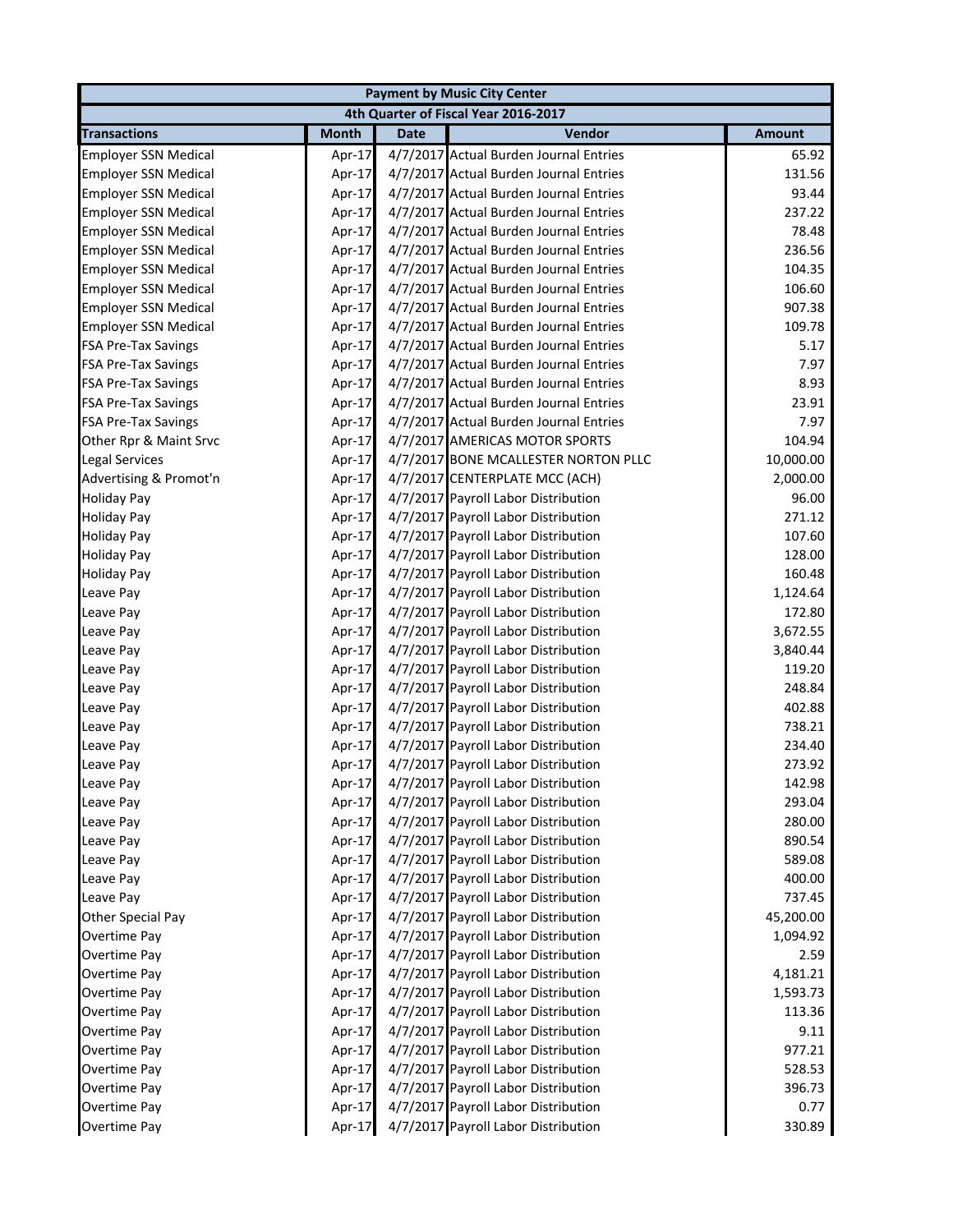| <b>Payment by Music City Center</b> |              |             |                                        |               |  |
|-------------------------------------|--------------|-------------|----------------------------------------|---------------|--|
|                                     |              |             | 4th Quarter of Fiscal Year 2016-2017   |               |  |
| <b>Transactions</b>                 | <b>Month</b> | <b>Date</b> | Vendor                                 | <b>Amount</b> |  |
| <b>Employer SSN Medical</b>         | Apr-17       |             | 4/7/2017 Actual Burden Journal Entries | 65.92         |  |
| <b>Employer SSN Medical</b>         | Apr-17       |             | 4/7/2017 Actual Burden Journal Entries | 131.56        |  |
| <b>Employer SSN Medical</b>         | Apr-17       |             | 4/7/2017 Actual Burden Journal Entries | 93.44         |  |
| <b>Employer SSN Medical</b>         | Apr-17       |             | 4/7/2017 Actual Burden Journal Entries | 237.22        |  |
| <b>Employer SSN Medical</b>         | Apr-17       |             | 4/7/2017 Actual Burden Journal Entries | 78.48         |  |
| <b>Employer SSN Medical</b>         | Apr-17       |             | 4/7/2017 Actual Burden Journal Entries | 236.56        |  |
| <b>Employer SSN Medical</b>         | Apr-17       |             | 4/7/2017 Actual Burden Journal Entries | 104.35        |  |
| <b>Employer SSN Medical</b>         | Apr-17       |             | 4/7/2017 Actual Burden Journal Entries | 106.60        |  |
| <b>Employer SSN Medical</b>         | Apr-17       |             | 4/7/2017 Actual Burden Journal Entries | 907.38        |  |
| <b>Employer SSN Medical</b>         | Apr-17       |             | 4/7/2017 Actual Burden Journal Entries | 109.78        |  |
| <b>FSA Pre-Tax Savings</b>          | Apr-17       |             | 4/7/2017 Actual Burden Journal Entries | 5.17          |  |
| <b>FSA Pre-Tax Savings</b>          | Apr-17       |             | 4/7/2017 Actual Burden Journal Entries | 7.97          |  |
| <b>FSA Pre-Tax Savings</b>          | Apr-17       |             | 4/7/2017 Actual Burden Journal Entries | 8.93          |  |
| <b>FSA Pre-Tax Savings</b>          | Apr-17       |             | 4/7/2017 Actual Burden Journal Entries | 23.91         |  |
| <b>FSA Pre-Tax Savings</b>          | Apr-17       |             | 4/7/2017 Actual Burden Journal Entries | 7.97          |  |
| Other Rpr & Maint Srvc              | Apr-17       |             | 4/7/2017 AMERICAS MOTOR SPORTS         | 104.94        |  |
| <b>Legal Services</b>               | Apr-17       |             | 4/7/2017 BONE MCALLESTER NORTON PLLC   | 10,000.00     |  |
| Advertising & Promot'n              | Apr-17       |             | 4/7/2017 CENTERPLATE MCC (ACH)         | 2,000.00      |  |
| <b>Holiday Pay</b>                  | Apr-17       |             | 4/7/2017 Payroll Labor Distribution    | 96.00         |  |
| <b>Holiday Pay</b>                  | Apr-17       |             | 4/7/2017 Payroll Labor Distribution    | 271.12        |  |
| <b>Holiday Pay</b>                  | Apr-17       |             | 4/7/2017 Payroll Labor Distribution    | 107.60        |  |
| <b>Holiday Pay</b>                  | Apr-17       |             | 4/7/2017 Payroll Labor Distribution    | 128.00        |  |
| <b>Holiday Pay</b>                  | Apr-17       |             | 4/7/2017 Payroll Labor Distribution    | 160.48        |  |
| Leave Pay                           | Apr-17       |             | 4/7/2017 Payroll Labor Distribution    | 1,124.64      |  |
| Leave Pay                           | Apr-17       |             | 4/7/2017 Payroll Labor Distribution    | 172.80        |  |
| Leave Pay                           | Apr-17       |             | 4/7/2017 Payroll Labor Distribution    | 3,672.55      |  |
| Leave Pay                           | Apr-17       |             | 4/7/2017 Payroll Labor Distribution    | 3,840.44      |  |
| Leave Pay                           | Apr-17       |             | 4/7/2017 Payroll Labor Distribution    | 119.20        |  |
| Leave Pay                           | Apr-17       |             | 4/7/2017 Payroll Labor Distribution    | 248.84        |  |
| Leave Pay                           | Apr-17       |             | 4/7/2017 Payroll Labor Distribution    | 402.88        |  |
| Leave Pay                           | Apr-17       |             | 4/7/2017 Payroll Labor Distribution    | 738.21        |  |
| Leave Pay                           | Apr-17       |             | 4/7/2017 Payroll Labor Distribution    | 234.40        |  |
| Leave Pay                           | Apr-17       |             | 4/7/2017 Payroll Labor Distribution    | 273.92        |  |
| Leave Pay                           | Apr-17       |             | 4/7/2017 Payroll Labor Distribution    | 142.98        |  |
| Leave Pay                           | Apr-17       |             | 4/7/2017 Payroll Labor Distribution    | 293.04        |  |
| Leave Pay                           | Apr-17       |             | 4/7/2017 Payroll Labor Distribution    | 280.00        |  |
| Leave Pay                           | Apr-17       |             | 4/7/2017 Payroll Labor Distribution    | 890.54        |  |
| Leave Pay                           | Apr-17       |             | 4/7/2017 Payroll Labor Distribution    | 589.08        |  |
| Leave Pay                           | Apr-17       |             | 4/7/2017 Payroll Labor Distribution    | 400.00        |  |
| Leave Pay                           | Apr-17       |             | 4/7/2017 Payroll Labor Distribution    | 737.45        |  |
| Other Special Pay                   | Apr-17       |             | 4/7/2017 Payroll Labor Distribution    | 45,200.00     |  |
| Overtime Pay                        | Apr-17       |             | 4/7/2017 Payroll Labor Distribution    | 1,094.92      |  |
| Overtime Pay                        | Apr-17       |             | 4/7/2017 Payroll Labor Distribution    | 2.59          |  |
| Overtime Pay                        | Apr-17       |             | 4/7/2017 Payroll Labor Distribution    | 4,181.21      |  |
| Overtime Pay                        | Apr-17       |             | 4/7/2017 Payroll Labor Distribution    | 1,593.73      |  |
| Overtime Pay                        | Apr-17       |             | 4/7/2017 Payroll Labor Distribution    | 113.36        |  |
| Overtime Pay                        | Apr-17       |             | 4/7/2017 Payroll Labor Distribution    | 9.11          |  |
| Overtime Pay                        | Apr-17       |             | 4/7/2017 Payroll Labor Distribution    | 977.21        |  |
| Overtime Pay                        | Apr-17       |             | 4/7/2017 Payroll Labor Distribution    | 528.53        |  |
| Overtime Pay                        | Apr-17       |             | 4/7/2017 Payroll Labor Distribution    | 396.73        |  |
| Overtime Pay                        | Apr-17       |             | 4/7/2017 Payroll Labor Distribution    | 0.77          |  |
| Overtime Pay                        | Apr-17       |             | 4/7/2017 Payroll Labor Distribution    | 330.89        |  |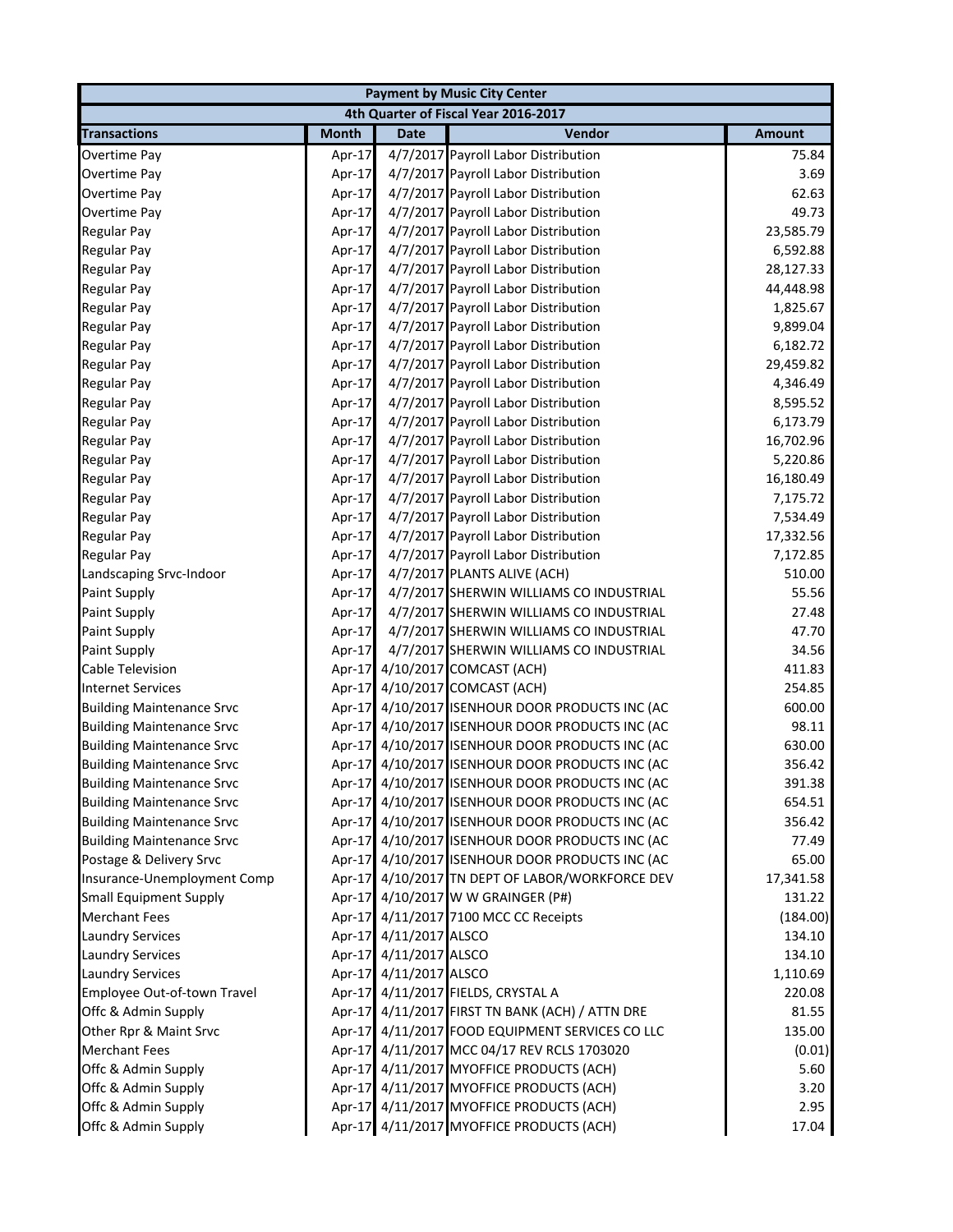| <b>Payment by Music City Center</b> |              |                        |                                                 |               |  |
|-------------------------------------|--------------|------------------------|-------------------------------------------------|---------------|--|
|                                     |              |                        | 4th Quarter of Fiscal Year 2016-2017            |               |  |
| <b>Transactions</b>                 | <b>Month</b> | <b>Date</b>            | Vendor                                          | <b>Amount</b> |  |
| Overtime Pay                        | Apr-17       |                        | 4/7/2017 Payroll Labor Distribution             | 75.84         |  |
| Overtime Pay                        | Apr-17       |                        | 4/7/2017 Payroll Labor Distribution             | 3.69          |  |
| Overtime Pay                        | Apr-17       |                        | 4/7/2017 Payroll Labor Distribution             | 62.63         |  |
| Overtime Pay                        | Apr-17       |                        | 4/7/2017 Payroll Labor Distribution             | 49.73         |  |
| <b>Regular Pay</b>                  | Apr-17       |                        | 4/7/2017 Payroll Labor Distribution             | 23,585.79     |  |
| <b>Regular Pay</b>                  | Apr-17       |                        | 4/7/2017 Payroll Labor Distribution             | 6,592.88      |  |
| <b>Regular Pay</b>                  | Apr-17       |                        | 4/7/2017 Payroll Labor Distribution             | 28,127.33     |  |
| <b>Regular Pay</b>                  | Apr-17       |                        | 4/7/2017 Payroll Labor Distribution             | 44,448.98     |  |
| <b>Regular Pay</b>                  | Apr-17       |                        | 4/7/2017 Payroll Labor Distribution             | 1,825.67      |  |
| <b>Regular Pay</b>                  | Apr-17       |                        | 4/7/2017 Payroll Labor Distribution             | 9,899.04      |  |
| <b>Regular Pay</b>                  | Apr-17       |                        | 4/7/2017 Payroll Labor Distribution             | 6,182.72      |  |
| <b>Regular Pay</b>                  | Apr-17       |                        | 4/7/2017 Payroll Labor Distribution             | 29,459.82     |  |
| <b>Regular Pay</b>                  | Apr-17       |                        | 4/7/2017 Payroll Labor Distribution             | 4,346.49      |  |
| <b>Regular Pay</b>                  | Apr-17       |                        | 4/7/2017 Payroll Labor Distribution             | 8,595.52      |  |
| <b>Regular Pay</b>                  | Apr-17       |                        | 4/7/2017 Payroll Labor Distribution             | 6,173.79      |  |
| <b>Regular Pay</b>                  | Apr-17       |                        | 4/7/2017 Payroll Labor Distribution             | 16,702.96     |  |
| <b>Regular Pay</b>                  | Apr-17       |                        | 4/7/2017 Payroll Labor Distribution             | 5,220.86      |  |
| <b>Regular Pay</b>                  | Apr-17       |                        | 4/7/2017 Payroll Labor Distribution             | 16,180.49     |  |
| <b>Regular Pay</b>                  | Apr-17       |                        | 4/7/2017 Payroll Labor Distribution             | 7,175.72      |  |
| <b>Regular Pay</b>                  | Apr-17       |                        | 4/7/2017 Payroll Labor Distribution             | 7,534.49      |  |
| <b>Regular Pay</b>                  | Apr-17       |                        | 4/7/2017 Payroll Labor Distribution             | 17,332.56     |  |
| <b>Regular Pay</b>                  | Apr-17       |                        | 4/7/2017 Payroll Labor Distribution             | 7,172.85      |  |
| Landscaping Srvc-Indoor             | Apr-17       |                        | 4/7/2017 PLANTS ALIVE (ACH)                     | 510.00        |  |
| <b>Paint Supply</b>                 | Apr-17       |                        | 4/7/2017 SHERWIN WILLIAMS CO INDUSTRIAL         | 55.56         |  |
| <b>Paint Supply</b>                 | Apr-17       |                        | 4/7/2017 SHERWIN WILLIAMS CO INDUSTRIAL         | 27.48         |  |
| <b>Paint Supply</b>                 | Apr-17       |                        | 4/7/2017 SHERWIN WILLIAMS CO INDUSTRIAL         | 47.70         |  |
| <b>Paint Supply</b>                 | Apr-17       |                        | 4/7/2017 SHERWIN WILLIAMS CO INDUSTRIAL         | 34.56         |  |
| <b>Cable Television</b>             | Apr-17       |                        | 4/10/2017 COMCAST (ACH)                         | 411.83        |  |
| <b>Internet Services</b>            | Apr-17       |                        | 4/10/2017 COMCAST (ACH)                         | 254.85        |  |
| <b>Building Maintenance Srvc</b>    | Apr-17       |                        | 4/10/2017 ISENHOUR DOOR PRODUCTS INC (AC        | 600.00        |  |
| <b>Building Maintenance Srvc</b>    |              |                        | Apr-17 4/10/2017 ISENHOUR DOOR PRODUCTS INC (AC | 98.11         |  |
| <b>Building Maintenance Srvc</b>    | Apr-17       |                        | 4/10/2017 ISENHOUR DOOR PRODUCTS INC (AC        | 630.00        |  |
| <b>Building Maintenance Srvc</b>    |              |                        | Apr-17 4/10/2017 ISENHOUR DOOR PRODUCTS INC (AC | 356.42        |  |
| <b>Building Maintenance Srvc</b>    |              |                        | Apr-17 4/10/2017 ISENHOUR DOOR PRODUCTS INC (AC | 391.38        |  |
| <b>Building Maintenance Srvc</b>    |              |                        | Apr-17 4/10/2017 ISENHOUR DOOR PRODUCTS INC (AC | 654.51        |  |
| <b>Building Maintenance Srvc</b>    |              |                        | Apr-17 4/10/2017 ISENHOUR DOOR PRODUCTS INC (AC | 356.42        |  |
| <b>Building Maintenance Srvc</b>    |              |                        | Apr-17 4/10/2017 ISENHOUR DOOR PRODUCTS INC (AC | 77.49         |  |
| Postage & Delivery Srvc             |              |                        | Apr-17 4/10/2017 ISENHOUR DOOR PRODUCTS INC (AC | 65.00         |  |
| Insurance-Unemployment Comp         |              |                        | Apr-17 4/10/2017 TN DEPT OF LABOR/WORKFORCE DEV | 17,341.58     |  |
| <b>Small Equipment Supply</b>       |              |                        | Apr-17 4/10/2017 W W GRAINGER (P#)              | 131.22        |  |
| <b>Merchant Fees</b>                |              |                        | Apr-17 4/11/2017 7100 MCC CC Receipts           | (184.00)      |  |
| <b>Laundry Services</b>             |              | Apr-17 4/11/2017 ALSCO |                                                 | 134.10        |  |
| <b>Laundry Services</b>             |              | Apr-17 4/11/2017 ALSCO |                                                 | 134.10        |  |
| <b>Laundry Services</b>             |              | Apr-17 4/11/2017 ALSCO |                                                 | 1,110.69      |  |
| Employee Out-of-town Travel         |              |                        | Apr-17 4/11/2017 FIELDS, CRYSTAL A              | 220.08        |  |
| Offc & Admin Supply                 |              |                        | Apr-17 4/11/2017 FIRST TN BANK (ACH) / ATTN DRE | 81.55         |  |
| Other Rpr & Maint Srvc              |              |                        | Apr-17 4/11/2017 FOOD EQUIPMENT SERVICES CO LLC | 135.00        |  |
| <b>Merchant Fees</b>                |              |                        | Apr-17 4/11/2017 MCC 04/17 REV RCLS 1703020     | (0.01)        |  |
| Offc & Admin Supply                 |              |                        | Apr-17 4/11/2017 MYOFFICE PRODUCTS (ACH)        | 5.60          |  |
| Offc & Admin Supply                 |              |                        | Apr-17 4/11/2017 MYOFFICE PRODUCTS (ACH)        | 3.20          |  |
| Offc & Admin Supply                 |              |                        | Apr-17 4/11/2017 MYOFFICE PRODUCTS (ACH)        | 2.95          |  |
| Offc & Admin Supply                 |              |                        | Apr-17 4/11/2017 MYOFFICE PRODUCTS (ACH)        | 17.04         |  |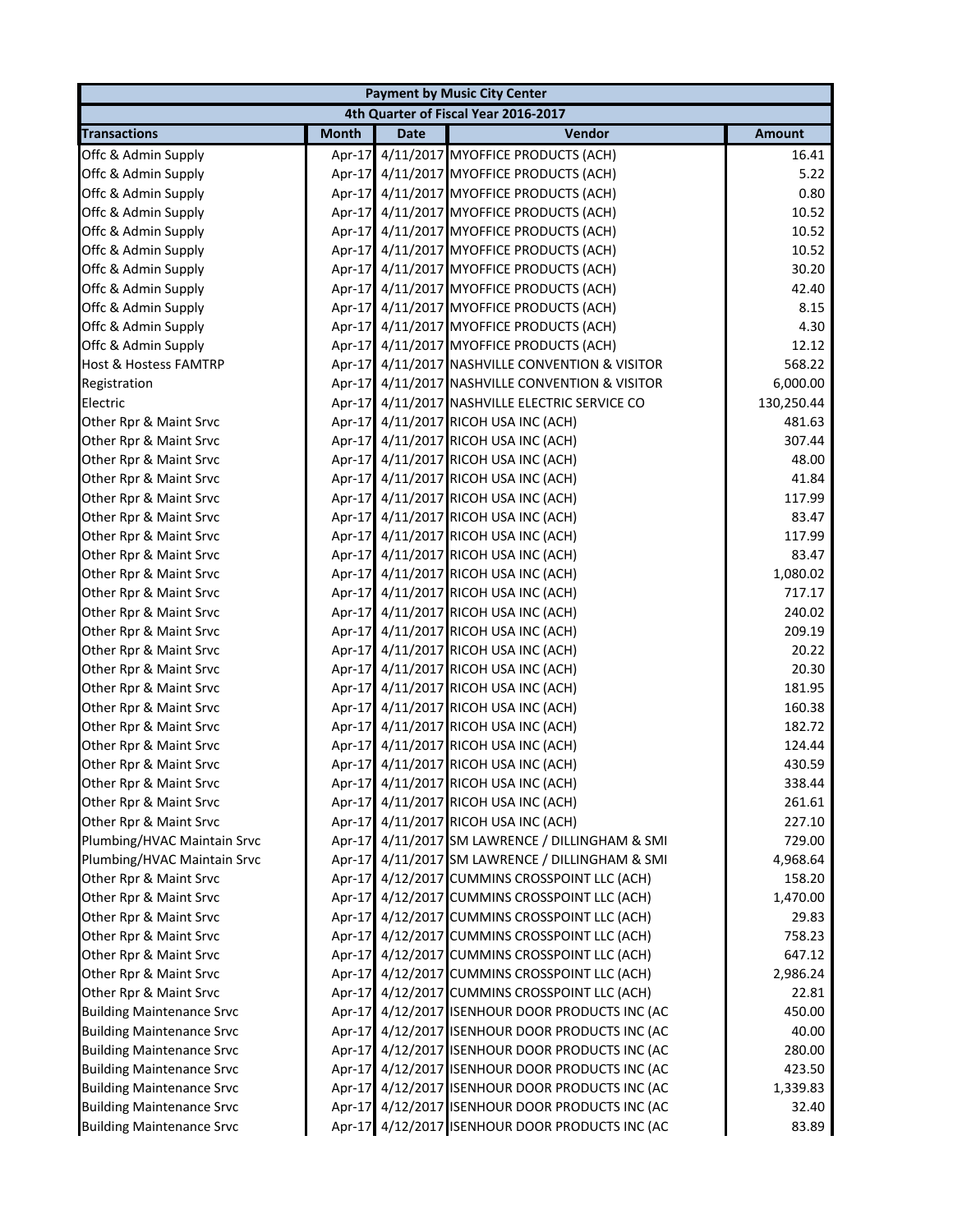|                                  |              |             | <b>Payment by Music City Center</b>             |               |
|----------------------------------|--------------|-------------|-------------------------------------------------|---------------|
|                                  |              |             | 4th Quarter of Fiscal Year 2016-2017            |               |
| <b>Transactions</b>              | <b>Month</b> | <b>Date</b> | Vendor                                          | <b>Amount</b> |
| Offc & Admin Supply              | Apr-17       |             | 4/11/2017 MYOFFICE PRODUCTS (ACH)               | 16.41         |
| Offc & Admin Supply              |              |             | Apr-17 4/11/2017 MYOFFICE PRODUCTS (ACH)        | 5.22          |
| Offc & Admin Supply              |              |             | Apr-17 4/11/2017 MYOFFICE PRODUCTS (ACH)        | 0.80          |
| Offc & Admin Supply              |              |             | Apr-17 4/11/2017 MYOFFICE PRODUCTS (ACH)        | 10.52         |
| Offc & Admin Supply              |              |             | Apr-17 4/11/2017 MYOFFICE PRODUCTS (ACH)        | 10.52         |
| Offc & Admin Supply              |              |             | Apr-17 4/11/2017 MYOFFICE PRODUCTS (ACH)        | 10.52         |
| Offc & Admin Supply              |              |             | Apr-17 4/11/2017 MYOFFICE PRODUCTS (ACH)        | 30.20         |
| Offc & Admin Supply              |              |             | Apr-17 4/11/2017 MYOFFICE PRODUCTS (ACH)        | 42.40         |
| Offc & Admin Supply              |              |             | Apr-17 4/11/2017 MYOFFICE PRODUCTS (ACH)        | 8.15          |
| Offc & Admin Supply              |              |             | Apr-17 4/11/2017 MYOFFICE PRODUCTS (ACH)        | 4.30          |
| Offc & Admin Supply              |              |             | Apr-17 4/11/2017 MYOFFICE PRODUCTS (ACH)        | 12.12         |
| <b>Host &amp; Hostess FAMTRP</b> |              |             | Apr-17 4/11/2017 NASHVILLE CONVENTION & VISITOR | 568.22        |
| Registration                     |              |             | Apr-17 4/11/2017 NASHVILLE CONVENTION & VISITOR | 6,000.00      |
| Electric                         |              |             | Apr-17 4/11/2017 NASHVILLE ELECTRIC SERVICE CO  | 130,250.44    |
| Other Rpr & Maint Srvc           |              |             | Apr-17 4/11/2017 RICOH USA INC (ACH)            | 481.63        |
| Other Rpr & Maint Srvc           |              |             | Apr-17 4/11/2017 RICOH USA INC (ACH)            | 307.44        |
| Other Rpr & Maint Srvc           |              |             | Apr-17 4/11/2017 RICOH USA INC (ACH)            | 48.00         |
| Other Rpr & Maint Srvc           |              |             | Apr-17 4/11/2017 RICOH USA INC (ACH)            | 41.84         |
| Other Rpr & Maint Srvc           |              |             | Apr-17 4/11/2017 RICOH USA INC (ACH)            | 117.99        |
| Other Rpr & Maint Srvc           |              |             | Apr-17 4/11/2017 RICOH USA INC (ACH)            | 83.47         |
| Other Rpr & Maint Srvc           |              |             | Apr-17 4/11/2017 RICOH USA INC (ACH)            | 117.99        |
| Other Rpr & Maint Srvc           |              |             | Apr-17 4/11/2017 RICOH USA INC (ACH)            | 83.47         |
| Other Rpr & Maint Srvc           |              |             | Apr-17 4/11/2017 RICOH USA INC (ACH)            | 1,080.02      |
| Other Rpr & Maint Srvc           |              |             | Apr-17 4/11/2017 RICOH USA INC (ACH)            | 717.17        |
| Other Rpr & Maint Srvc           |              |             | Apr-17 4/11/2017 RICOH USA INC (ACH)            | 240.02        |
| Other Rpr & Maint Srvc           |              |             | Apr-17 4/11/2017 RICOH USA INC (ACH)            | 209.19        |
| Other Rpr & Maint Srvc           |              |             | Apr-17 4/11/2017 RICOH USA INC (ACH)            | 20.22         |
| Other Rpr & Maint Srvc           |              |             | Apr-17 4/11/2017 RICOH USA INC (ACH)            | 20.30         |
| Other Rpr & Maint Srvc           |              |             | Apr-17 4/11/2017 RICOH USA INC (ACH)            | 181.95        |
| Other Rpr & Maint Srvc           |              |             | Apr-17 4/11/2017 RICOH USA INC (ACH)            | 160.38        |
| Other Rpr & Maint Srvc           |              |             | Apr-17 4/11/2017 RICOH USA INC (ACH)            | 182.72        |
| Other Rpr & Maint Srvc           |              |             | Apr-17 4/11/2017 RICOH USA INC (ACH)            | 124.44        |
| Other Rpr & Maint Srvc           |              |             | Apr-17 4/11/2017 RICOH USA INC (ACH)            | 430.59        |
| Other Rpr & Maint Srvc           |              |             | Apr-17 4/11/2017 RICOH USA INC (ACH)            | 338.44        |
| Other Rpr & Maint Srvc           |              |             | Apr-17 4/11/2017 RICOH USA INC (ACH)            | 261.61        |
| Other Rpr & Maint Srvc           |              |             | Apr-17 4/11/2017 RICOH USA INC (ACH)            | 227.10        |
| Plumbing/HVAC Maintain Srvc      |              |             | Apr-17 4/11/2017 SM LAWRENCE / DILLINGHAM & SMI | 729.00        |
| Plumbing/HVAC Maintain Srvc      |              |             | Apr-17 4/11/2017 SM LAWRENCE / DILLINGHAM & SMI | 4,968.64      |
| Other Rpr & Maint Srvc           |              |             | Apr-17 4/12/2017 CUMMINS CROSSPOINT LLC (ACH)   | 158.20        |
| Other Rpr & Maint Srvc           |              |             | Apr-17 4/12/2017 CUMMINS CROSSPOINT LLC (ACH)   | 1,470.00      |
| Other Rpr & Maint Srvc           |              |             | Apr-17 4/12/2017 CUMMINS CROSSPOINT LLC (ACH)   | 29.83         |
| Other Rpr & Maint Srvc           |              |             | Apr-17 4/12/2017 CUMMINS CROSSPOINT LLC (ACH)   | 758.23        |
| Other Rpr & Maint Srvc           |              |             | Apr-17 4/12/2017 CUMMINS CROSSPOINT LLC (ACH)   | 647.12        |
| Other Rpr & Maint Srvc           |              |             | Apr-17 4/12/2017 CUMMINS CROSSPOINT LLC (ACH)   | 2,986.24      |
| Other Rpr & Maint Srvc           |              |             | Apr-17 4/12/2017 CUMMINS CROSSPOINT LLC (ACH)   | 22.81         |
| <b>Building Maintenance Srvc</b> |              |             | Apr-17 4/12/2017 ISENHOUR DOOR PRODUCTS INC (AC | 450.00        |
| <b>Building Maintenance Srvc</b> |              |             | Apr-17 4/12/2017 ISENHOUR DOOR PRODUCTS INC (AC | 40.00         |
| <b>Building Maintenance Srvc</b> |              |             | Apr-17 4/12/2017 ISENHOUR DOOR PRODUCTS INC (AC | 280.00        |
| <b>Building Maintenance Srvc</b> |              |             | Apr-17 4/12/2017 ISENHOUR DOOR PRODUCTS INC (AC | 423.50        |
| <b>Building Maintenance Srvc</b> |              |             | Apr-17 4/12/2017 ISENHOUR DOOR PRODUCTS INC (AC | 1,339.83      |
| <b>Building Maintenance Srvc</b> |              |             | Apr-17 4/12/2017 ISENHOUR DOOR PRODUCTS INC (AC | 32.40         |
| <b>Building Maintenance Srvc</b> |              |             | Apr-17 4/12/2017 ISENHOUR DOOR PRODUCTS INC (AC | 83.89         |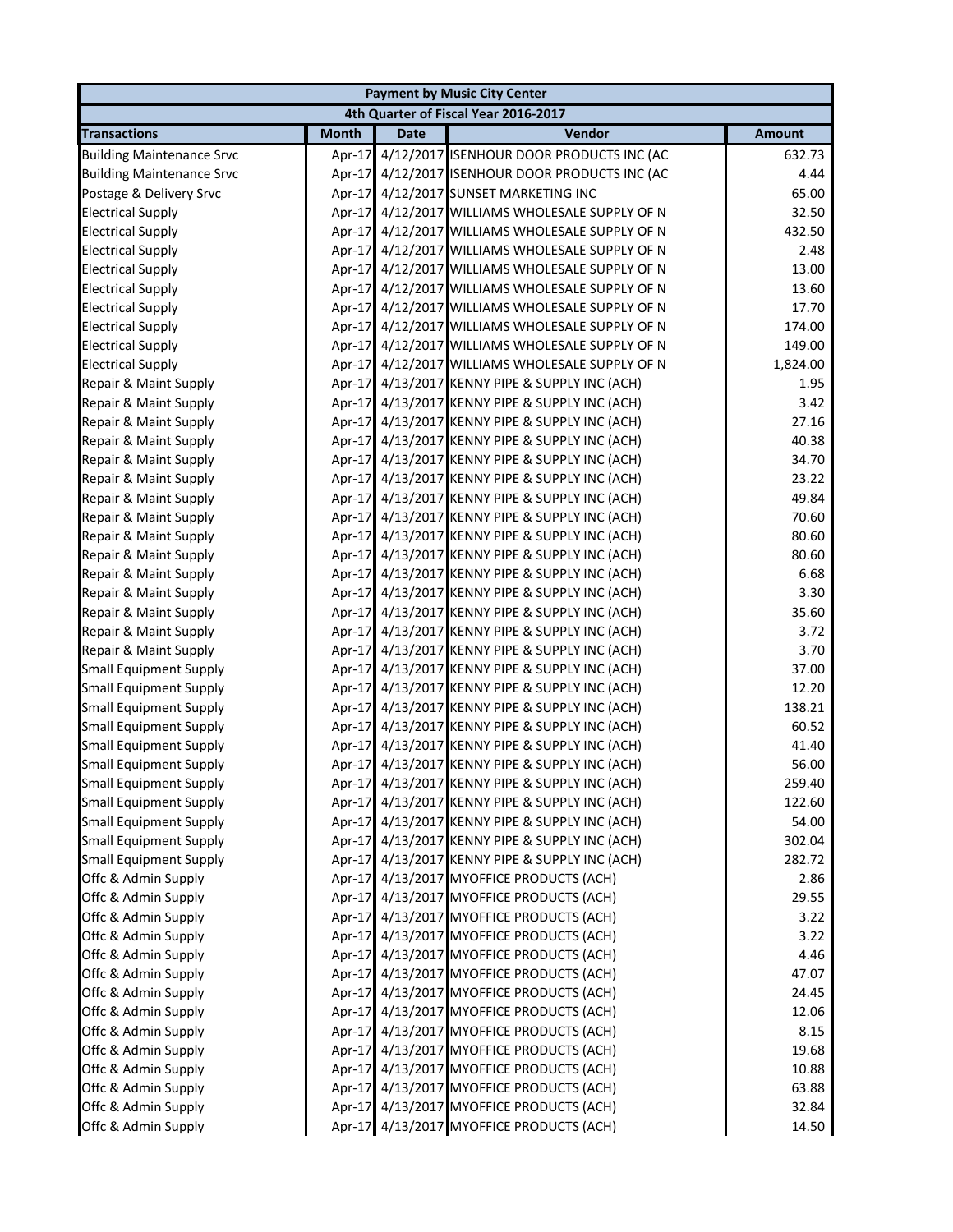|                                  |              |             | <b>Payment by Music City Center</b>             |               |
|----------------------------------|--------------|-------------|-------------------------------------------------|---------------|
|                                  |              |             | 4th Quarter of Fiscal Year 2016-2017            |               |
| <b>Transactions</b>              | <b>Month</b> | <b>Date</b> | Vendor                                          | <b>Amount</b> |
| <b>Building Maintenance Srvc</b> |              |             | Apr-17 4/12/2017 ISENHOUR DOOR PRODUCTS INC (AC | 632.73        |
| <b>Building Maintenance Srvc</b> |              |             | Apr-17 4/12/2017 ISENHOUR DOOR PRODUCTS INC (AC | 4.44          |
| Postage & Delivery Srvc          |              |             | Apr-17 4/12/2017 SUNSET MARKETING INC           | 65.00         |
| <b>Electrical Supply</b>         |              |             | Apr-17 4/12/2017 WILLIAMS WHOLESALE SUPPLY OF N | 32.50         |
| <b>Electrical Supply</b>         |              |             | Apr-17 4/12/2017 WILLIAMS WHOLESALE SUPPLY OF N | 432.50        |
| <b>Electrical Supply</b>         |              |             | Apr-17 4/12/2017 WILLIAMS WHOLESALE SUPPLY OF N | 2.48          |
| <b>Electrical Supply</b>         |              |             | Apr-17 4/12/2017 WILLIAMS WHOLESALE SUPPLY OF N | 13.00         |
| <b>Electrical Supply</b>         |              |             | Apr-17 4/12/2017 WILLIAMS WHOLESALE SUPPLY OF N | 13.60         |
| <b>Electrical Supply</b>         |              |             | Apr-17 4/12/2017 WILLIAMS WHOLESALE SUPPLY OF N | 17.70         |
| <b>Electrical Supply</b>         |              |             | Apr-17 4/12/2017 WILLIAMS WHOLESALE SUPPLY OF N | 174.00        |
| <b>Electrical Supply</b>         |              |             | Apr-17 4/12/2017 WILLIAMS WHOLESALE SUPPLY OF N | 149.00        |
| <b>Electrical Supply</b>         |              |             | Apr-17 4/12/2017 WILLIAMS WHOLESALE SUPPLY OF N | 1,824.00      |
| Repair & Maint Supply            |              |             | Apr-17 4/13/2017 KENNY PIPE & SUPPLY INC (ACH)  | 1.95          |
| Repair & Maint Supply            |              |             | Apr-17 4/13/2017 KENNY PIPE & SUPPLY INC (ACH)  | 3.42          |
| Repair & Maint Supply            |              |             | Apr-17 4/13/2017 KENNY PIPE & SUPPLY INC (ACH)  | 27.16         |
| Repair & Maint Supply            |              |             | Apr-17 4/13/2017 KENNY PIPE & SUPPLY INC (ACH)  | 40.38         |
| Repair & Maint Supply            |              |             | Apr-17 4/13/2017 KENNY PIPE & SUPPLY INC (ACH)  | 34.70         |
| Repair & Maint Supply            |              |             | Apr-17 4/13/2017 KENNY PIPE & SUPPLY INC (ACH)  | 23.22         |
| Repair & Maint Supply            |              |             | Apr-17 4/13/2017 KENNY PIPE & SUPPLY INC (ACH)  | 49.84         |
| Repair & Maint Supply            |              |             | Apr-17 4/13/2017 KENNY PIPE & SUPPLY INC (ACH)  | 70.60         |
| Repair & Maint Supply            |              |             | Apr-17 4/13/2017 KENNY PIPE & SUPPLY INC (ACH)  | 80.60         |
| Repair & Maint Supply            |              |             | Apr-17 4/13/2017 KENNY PIPE & SUPPLY INC (ACH)  | 80.60         |
| Repair & Maint Supply            |              |             | Apr-17 4/13/2017 KENNY PIPE & SUPPLY INC (ACH)  | 6.68          |
| Repair & Maint Supply            |              |             | Apr-17 4/13/2017 KENNY PIPE & SUPPLY INC (ACH)  | 3.30          |
| Repair & Maint Supply            |              |             | Apr-17 4/13/2017 KENNY PIPE & SUPPLY INC (ACH)  | 35.60         |
| Repair & Maint Supply            |              |             | Apr-17 4/13/2017 KENNY PIPE & SUPPLY INC (ACH)  | 3.72          |
| Repair & Maint Supply            |              |             | Apr-17 4/13/2017 KENNY PIPE & SUPPLY INC (ACH)  | 3.70          |
| <b>Small Equipment Supply</b>    |              |             | Apr-17 4/13/2017 KENNY PIPE & SUPPLY INC (ACH)  | 37.00         |
| <b>Small Equipment Supply</b>    |              |             | Apr-17 4/13/2017 KENNY PIPE & SUPPLY INC (ACH)  | 12.20         |
| <b>Small Equipment Supply</b>    |              |             | Apr-17 4/13/2017 KENNY PIPE & SUPPLY INC (ACH)  | 138.21        |
| <b>Small Equipment Supply</b>    |              |             | Apr-17 4/13/2017 KENNY PIPE & SUPPLY INC (ACH)  | 60.52         |
| <b>Small Equipment Supply</b>    |              |             | Apr-17 4/13/2017 KENNY PIPE & SUPPLY INC (ACH)  | 41.40         |
| <b>Small Equipment Supply</b>    |              |             | Apr-17 4/13/2017 KENNY PIPE & SUPPLY INC (ACH)  | 56.00         |
| Small Equipment Supply           |              |             | Apr-17 4/13/2017 KENNY PIPE & SUPPLY INC (ACH)  | 259.40        |
| <b>Small Equipment Supply</b>    |              |             | Apr-17 4/13/2017 KENNY PIPE & SUPPLY INC (ACH)  | 122.60        |
| <b>Small Equipment Supply</b>    |              |             | Apr-17 4/13/2017 KENNY PIPE & SUPPLY INC (ACH)  | 54.00         |
| <b>Small Equipment Supply</b>    |              |             | Apr-17 4/13/2017 KENNY PIPE & SUPPLY INC (ACH)  | 302.04        |
| <b>Small Equipment Supply</b>    |              |             | Apr-17 4/13/2017 KENNY PIPE & SUPPLY INC (ACH)  | 282.72        |
| Offc & Admin Supply              |              |             | Apr-17 4/13/2017 MYOFFICE PRODUCTS (ACH)        | 2.86          |
| Offc & Admin Supply              |              |             | Apr-17 4/13/2017 MYOFFICE PRODUCTS (ACH)        | 29.55         |
| Offc & Admin Supply              |              |             | Apr-17 4/13/2017 MYOFFICE PRODUCTS (ACH)        | 3.22          |
| Offc & Admin Supply              |              |             | Apr-17 4/13/2017 MYOFFICE PRODUCTS (ACH)        | 3.22          |
| Offc & Admin Supply              |              |             | Apr-17 4/13/2017 MYOFFICE PRODUCTS (ACH)        | 4.46          |
| Offc & Admin Supply              |              |             | Apr-17 4/13/2017 MYOFFICE PRODUCTS (ACH)        | 47.07         |
| Offc & Admin Supply              |              |             | Apr-17 4/13/2017 MYOFFICE PRODUCTS (ACH)        | 24.45         |
| Offc & Admin Supply              |              |             | Apr-17 4/13/2017 MYOFFICE PRODUCTS (ACH)        | 12.06         |
| Offc & Admin Supply              |              |             | Apr-17 4/13/2017 MYOFFICE PRODUCTS (ACH)        | 8.15          |
| Offc & Admin Supply              |              |             | Apr-17 4/13/2017 MYOFFICE PRODUCTS (ACH)        | 19.68         |
| Offc & Admin Supply              |              |             | Apr-17 4/13/2017 MYOFFICE PRODUCTS (ACH)        | 10.88         |
| Offc & Admin Supply              |              |             | Apr-17 4/13/2017 MYOFFICE PRODUCTS (ACH)        | 63.88         |
| Offc & Admin Supply              |              |             | Apr-17 4/13/2017 MYOFFICE PRODUCTS (ACH)        | 32.84         |
| Offc & Admin Supply              |              |             | Apr-17 4/13/2017 MYOFFICE PRODUCTS (ACH)        | 14.50         |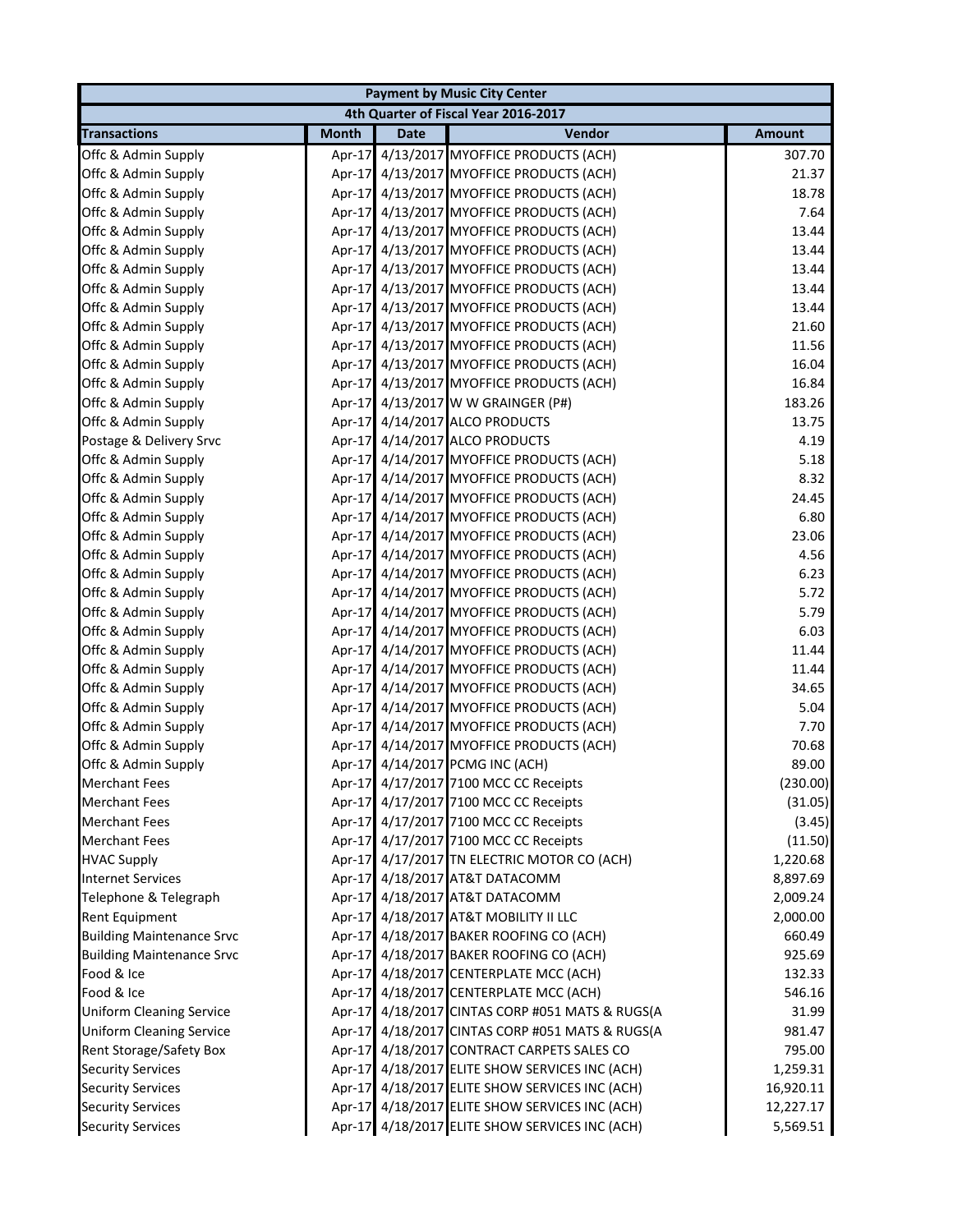|                                  |              |             | <b>Payment by Music City Center</b>             |               |
|----------------------------------|--------------|-------------|-------------------------------------------------|---------------|
|                                  |              |             | 4th Quarter of Fiscal Year 2016-2017            |               |
| <b>Transactions</b>              | <b>Month</b> | <b>Date</b> | Vendor                                          | <b>Amount</b> |
| Offc & Admin Supply              | Apr- $17$    |             | 4/13/2017 MYOFFICE PRODUCTS (ACH)               | 307.70        |
| Offc & Admin Supply              |              |             | Apr-17 4/13/2017 MYOFFICE PRODUCTS (ACH)        | 21.37         |
| Offc & Admin Supply              |              |             | Apr-17 4/13/2017 MYOFFICE PRODUCTS (ACH)        | 18.78         |
| Offc & Admin Supply              |              |             | Apr-17 4/13/2017 MYOFFICE PRODUCTS (ACH)        | 7.64          |
| Offc & Admin Supply              |              |             | Apr-17 4/13/2017 MYOFFICE PRODUCTS (ACH)        | 13.44         |
| Offc & Admin Supply              |              |             | Apr-17 4/13/2017 MYOFFICE PRODUCTS (ACH)        | 13.44         |
| Offc & Admin Supply              |              |             | Apr-17 4/13/2017 MYOFFICE PRODUCTS (ACH)        | 13.44         |
| Offc & Admin Supply              |              |             | Apr-17 4/13/2017 MYOFFICE PRODUCTS (ACH)        | 13.44         |
| Offc & Admin Supply              |              |             | Apr-17 4/13/2017 MYOFFICE PRODUCTS (ACH)        | 13.44         |
| Offc & Admin Supply              |              |             | Apr-17 4/13/2017 MYOFFICE PRODUCTS (ACH)        | 21.60         |
| Offc & Admin Supply              |              |             | Apr-17 4/13/2017 MYOFFICE PRODUCTS (ACH)        | 11.56         |
| Offc & Admin Supply              |              |             | Apr-17 4/13/2017 MYOFFICE PRODUCTS (ACH)        | 16.04         |
| Offc & Admin Supply              |              |             | Apr-17 4/13/2017 MYOFFICE PRODUCTS (ACH)        | 16.84         |
| Offc & Admin Supply              |              |             | Apr-17 4/13/2017 W W GRAINGER (P#)              | 183.26        |
| Offc & Admin Supply              |              |             | Apr-17 4/14/2017 ALCO PRODUCTS                  | 13.75         |
| Postage & Delivery Srvc          |              |             | Apr-17 4/14/2017 ALCO PRODUCTS                  | 4.19          |
| Offc & Admin Supply              |              |             | Apr-17 4/14/2017 MYOFFICE PRODUCTS (ACH)        | 5.18          |
| Offc & Admin Supply              |              |             | Apr-17 4/14/2017 MYOFFICE PRODUCTS (ACH)        | 8.32          |
| Offc & Admin Supply              |              |             | Apr-17 4/14/2017 MYOFFICE PRODUCTS (ACH)        | 24.45         |
| Offc & Admin Supply              |              |             | Apr-17 4/14/2017 MYOFFICE PRODUCTS (ACH)        | 6.80          |
| Offc & Admin Supply              |              |             | Apr-17 4/14/2017 MYOFFICE PRODUCTS (ACH)        | 23.06         |
| Offc & Admin Supply              |              |             | Apr-17 4/14/2017 MYOFFICE PRODUCTS (ACH)        | 4.56          |
| Offc & Admin Supply              |              |             | Apr-17 4/14/2017 MYOFFICE PRODUCTS (ACH)        | 6.23          |
| Offc & Admin Supply              |              |             | Apr-17 4/14/2017 MYOFFICE PRODUCTS (ACH)        | 5.72          |
| Offc & Admin Supply              |              |             | Apr-17 4/14/2017 MYOFFICE PRODUCTS (ACH)        | 5.79          |
| Offc & Admin Supply              |              |             | Apr-17 4/14/2017 MYOFFICE PRODUCTS (ACH)        | 6.03          |
| Offc & Admin Supply              |              |             | Apr-17 4/14/2017 MYOFFICE PRODUCTS (ACH)        | 11.44         |
| Offc & Admin Supply              |              |             | Apr-17 4/14/2017 MYOFFICE PRODUCTS (ACH)        | 11.44         |
| Offc & Admin Supply              |              |             | Apr-17 4/14/2017 MYOFFICE PRODUCTS (ACH)        | 34.65         |
| Offc & Admin Supply              |              |             | Apr-17 4/14/2017 MYOFFICE PRODUCTS (ACH)        | 5.04          |
| Offc & Admin Supply              |              |             | Apr-17 4/14/2017 MYOFFICE PRODUCTS (ACH)        | 7.70          |
| Offc & Admin Supply              |              |             | Apr-17 4/14/2017 MYOFFICE PRODUCTS (ACH)        | 70.68         |
| Offc & Admin Supply              |              |             | Apr-17 4/14/2017 PCMG INC (ACH)                 | 89.00         |
| <b>Merchant Fees</b>             |              |             | Apr-17 4/17/2017 7100 MCC CC Receipts           | (230.00)      |
| <b>Merchant Fees</b>             |              |             | Apr-17 4/17/2017 7100 MCC CC Receipts           | (31.05)       |
| <b>Merchant Fees</b>             |              |             | Apr-17 4/17/2017 7100 MCC CC Receipts           | (3.45)        |
| <b>Merchant Fees</b>             |              |             | Apr-17 4/17/2017 7100 MCC CC Receipts           | (11.50)       |
| <b>HVAC Supply</b>               |              |             | Apr-17 4/17/2017 TN ELECTRIC MOTOR CO (ACH)     | 1,220.68      |
| <b>Internet Services</b>         |              |             | Apr-17 4/18/2017 AT&T DATACOMM                  | 8,897.69      |
| Telephone & Telegraph            |              |             | Apr-17 4/18/2017 AT&T DATACOMM                  | 2,009.24      |
| Rent Equipment                   |              |             | Apr-17 4/18/2017 AT&T MOBILITY II LLC           | 2,000.00      |
| <b>Building Maintenance Srvc</b> |              |             | Apr-17 4/18/2017 BAKER ROOFING CO (ACH)         | 660.49        |
| <b>Building Maintenance Srvc</b> |              |             | Apr-17 4/18/2017 BAKER ROOFING CO (ACH)         | 925.69        |
| Food & Ice                       |              |             | Apr-17 4/18/2017 CENTERPLATE MCC (ACH)          | 132.33        |
| Food & Ice                       |              |             | Apr-17 4/18/2017 CENTERPLATE MCC (ACH)          | 546.16        |
| <b>Uniform Cleaning Service</b>  |              |             | Apr-17 4/18/2017 CINTAS CORP #051 MATS & RUGS(A | 31.99         |
| <b>Uniform Cleaning Service</b>  |              |             | Apr-17 4/18/2017 CINTAS CORP #051 MATS & RUGS(A | 981.47        |
| Rent Storage/Safety Box          |              |             | Apr-17 4/18/2017 CONTRACT CARPETS SALES CO      | 795.00        |
| <b>Security Services</b>         |              |             | Apr-17 4/18/2017 ELITE SHOW SERVICES INC (ACH)  | 1,259.31      |
| <b>Security Services</b>         |              |             | Apr-17 4/18/2017 ELITE SHOW SERVICES INC (ACH)  | 16,920.11     |
| <b>Security Services</b>         |              |             | Apr-17 4/18/2017 ELITE SHOW SERVICES INC (ACH)  | 12,227.17     |
| <b>Security Services</b>         |              |             | Apr-17 4/18/2017 ELITE SHOW SERVICES INC (ACH)  | 5,569.51      |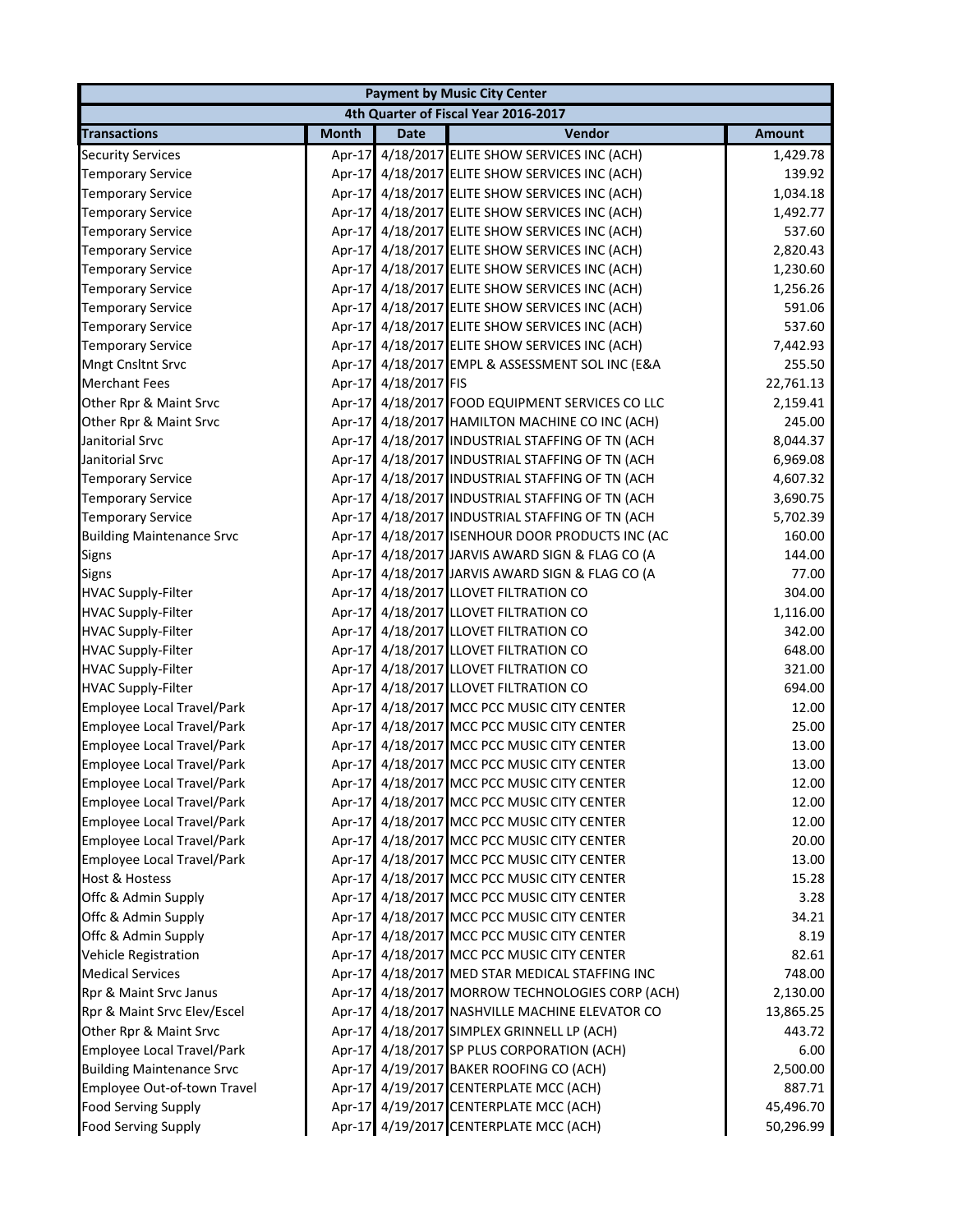| <b>Payment by Music City Center</b> |              |                      |                                                 |               |  |
|-------------------------------------|--------------|----------------------|-------------------------------------------------|---------------|--|
|                                     |              |                      | 4th Quarter of Fiscal Year 2016-2017            |               |  |
| <b>Transactions</b>                 | <b>Month</b> | <b>Date</b>          | Vendor                                          | <b>Amount</b> |  |
| <b>Security Services</b>            |              |                      | Apr-17 4/18/2017 ELITE SHOW SERVICES INC (ACH)  | 1,429.78      |  |
| <b>Temporary Service</b>            |              |                      | Apr-17 4/18/2017 ELITE SHOW SERVICES INC (ACH)  | 139.92        |  |
| <b>Temporary Service</b>            |              |                      | Apr-17 4/18/2017 ELITE SHOW SERVICES INC (ACH)  | 1,034.18      |  |
| <b>Temporary Service</b>            |              |                      | Apr-17 4/18/2017 ELITE SHOW SERVICES INC (ACH)  | 1,492.77      |  |
| <b>Temporary Service</b>            |              |                      | Apr-17 4/18/2017 ELITE SHOW SERVICES INC (ACH)  | 537.60        |  |
| <b>Temporary Service</b>            |              |                      | Apr-17 4/18/2017 ELITE SHOW SERVICES INC (ACH)  | 2,820.43      |  |
| <b>Temporary Service</b>            |              |                      | Apr-17 4/18/2017 ELITE SHOW SERVICES INC (ACH)  | 1,230.60      |  |
| <b>Temporary Service</b>            |              |                      | Apr-17 4/18/2017 ELITE SHOW SERVICES INC (ACH)  | 1,256.26      |  |
| <b>Temporary Service</b>            |              |                      | Apr-17 4/18/2017 ELITE SHOW SERVICES INC (ACH)  | 591.06        |  |
| <b>Temporary Service</b>            |              |                      | Apr-17 4/18/2017 ELITE SHOW SERVICES INC (ACH)  | 537.60        |  |
| <b>Temporary Service</b>            |              |                      | Apr-17 4/18/2017 ELITE SHOW SERVICES INC (ACH)  | 7,442.93      |  |
| Mngt Cnsltnt Srvc                   |              |                      | Apr-17 4/18/2017 EMPL & ASSESSMENT SOL INC (E&A | 255.50        |  |
| <b>Merchant Fees</b>                |              | Apr-17 4/18/2017 FIS |                                                 | 22,761.13     |  |
| Other Rpr & Maint Srvc              |              |                      | Apr-17 4/18/2017 FOOD EQUIPMENT SERVICES CO LLC | 2,159.41      |  |
| Other Rpr & Maint Srvc              |              |                      | Apr-17 4/18/2017 HAMILTON MACHINE CO INC (ACH)  | 245.00        |  |
| Janitorial Srvc                     |              |                      | Apr-17 4/18/2017 INDUSTRIAL STAFFING OF TN (ACH | 8,044.37      |  |
| Janitorial Srvc                     |              |                      | Apr-17 4/18/2017 INDUSTRIAL STAFFING OF TN (ACH | 6,969.08      |  |
| <b>Temporary Service</b>            |              |                      | Apr-17 4/18/2017 INDUSTRIAL STAFFING OF TN (ACH | 4,607.32      |  |
| <b>Temporary Service</b>            |              |                      | Apr-17 4/18/2017 INDUSTRIAL STAFFING OF TN (ACH | 3,690.75      |  |
| <b>Temporary Service</b>            |              |                      | Apr-17 4/18/2017 INDUSTRIAL STAFFING OF TN (ACH | 5,702.39      |  |
| <b>Building Maintenance Srvc</b>    |              |                      | Apr-17 4/18/2017 ISENHOUR DOOR PRODUCTS INC (AC | 160.00        |  |
| Signs                               |              |                      | Apr-17 4/18/2017 JARVIS AWARD SIGN & FLAG CO (A | 144.00        |  |
| Signs                               |              |                      | Apr-17 4/18/2017 JARVIS AWARD SIGN & FLAG CO (A | 77.00         |  |
| <b>HVAC Supply-Filter</b>           |              |                      | Apr-17 4/18/2017 LLOVET FILTRATION CO           | 304.00        |  |
| <b>HVAC Supply-Filter</b>           |              |                      | Apr-17 4/18/2017 LLOVET FILTRATION CO           | 1,116.00      |  |
| <b>HVAC Supply-Filter</b>           |              |                      | Apr-17 4/18/2017 LLOVET FILTRATION CO           | 342.00        |  |
| <b>HVAC Supply-Filter</b>           |              |                      | Apr-17 4/18/2017 LLOVET FILTRATION CO           | 648.00        |  |
| <b>HVAC Supply-Filter</b>           |              |                      | Apr-17 4/18/2017 LLOVET FILTRATION CO           | 321.00        |  |
| <b>HVAC Supply-Filter</b>           |              |                      | Apr-17 4/18/2017 LLOVET FILTRATION CO           | 694.00        |  |
| <b>Employee Local Travel/Park</b>   |              |                      | Apr-17 4/18/2017 MCC PCC MUSIC CITY CENTER      | 12.00         |  |
| <b>Employee Local Travel/Park</b>   |              |                      | Apr-17 4/18/2017 MCC PCC MUSIC CITY CENTER      | 25.00         |  |
| <b>Employee Local Travel/Park</b>   |              |                      | Apr-17 4/18/2017 MCC PCC MUSIC CITY CENTER      | 13.00         |  |
| <b>Employee Local Travel/Park</b>   |              |                      | Apr-17 4/18/2017 MCC PCC MUSIC CITY CENTER      | 13.00         |  |
| Employee Local Travel/Park          |              |                      | Apr-17 4/18/2017 MCC PCC MUSIC CITY CENTER      | 12.00         |  |
| Employee Local Travel/Park          |              |                      | Apr-17 4/18/2017 MCC PCC MUSIC CITY CENTER      | 12.00         |  |
| <b>Employee Local Travel/Park</b>   |              |                      | Apr-17 4/18/2017 MCC PCC MUSIC CITY CENTER      | 12.00         |  |
| <b>Employee Local Travel/Park</b>   |              |                      | Apr-17 4/18/2017 MCC PCC MUSIC CITY CENTER      | 20.00         |  |
| <b>Employee Local Travel/Park</b>   |              |                      | Apr-17 4/18/2017 MCC PCC MUSIC CITY CENTER      | 13.00         |  |
| Host & Hostess                      |              |                      | Apr-17 4/18/2017 MCC PCC MUSIC CITY CENTER      | 15.28         |  |
| Offc & Admin Supply                 |              |                      | Apr-17 4/18/2017 MCC PCC MUSIC CITY CENTER      | 3.28          |  |
| Offc & Admin Supply                 |              |                      | Apr-17 4/18/2017 MCC PCC MUSIC CITY CENTER      | 34.21         |  |
| Offc & Admin Supply                 |              |                      | Apr-17 4/18/2017 MCC PCC MUSIC CITY CENTER      | 8.19          |  |
| <b>Vehicle Registration</b>         |              |                      | Apr-17 4/18/2017 MCC PCC MUSIC CITY CENTER      | 82.61         |  |
| <b>Medical Services</b>             |              |                      | Apr-17 4/18/2017 MED STAR MEDICAL STAFFING INC  | 748.00        |  |
| Rpr & Maint Srvc Janus              |              |                      | Apr-17 4/18/2017 MORROW TECHNOLOGIES CORP (ACH) | 2,130.00      |  |
| Rpr & Maint Srvc Elev/Escel         |              |                      | Apr-17 4/18/2017 NASHVILLE MACHINE ELEVATOR CO  | 13,865.25     |  |
| Other Rpr & Maint Srvc              |              |                      | Apr-17 4/18/2017 SIMPLEX GRINNELL LP (ACH)      | 443.72        |  |
| <b>Employee Local Travel/Park</b>   |              |                      | Apr-17 4/18/2017 SP PLUS CORPORATION (ACH)      | 6.00          |  |
| <b>Building Maintenance Srvc</b>    |              |                      | Apr-17 4/19/2017 BAKER ROOFING CO (ACH)         | 2,500.00      |  |
| Employee Out-of-town Travel         |              |                      | Apr-17 4/19/2017 CENTERPLATE MCC (ACH)          | 887.71        |  |
| <b>Food Serving Supply</b>          |              |                      | Apr-17 4/19/2017 CENTERPLATE MCC (ACH)          | 45,496.70     |  |
| <b>Food Serving Supply</b>          |              |                      | Apr-17 4/19/2017 CENTERPLATE MCC (ACH)          | 50,296.99     |  |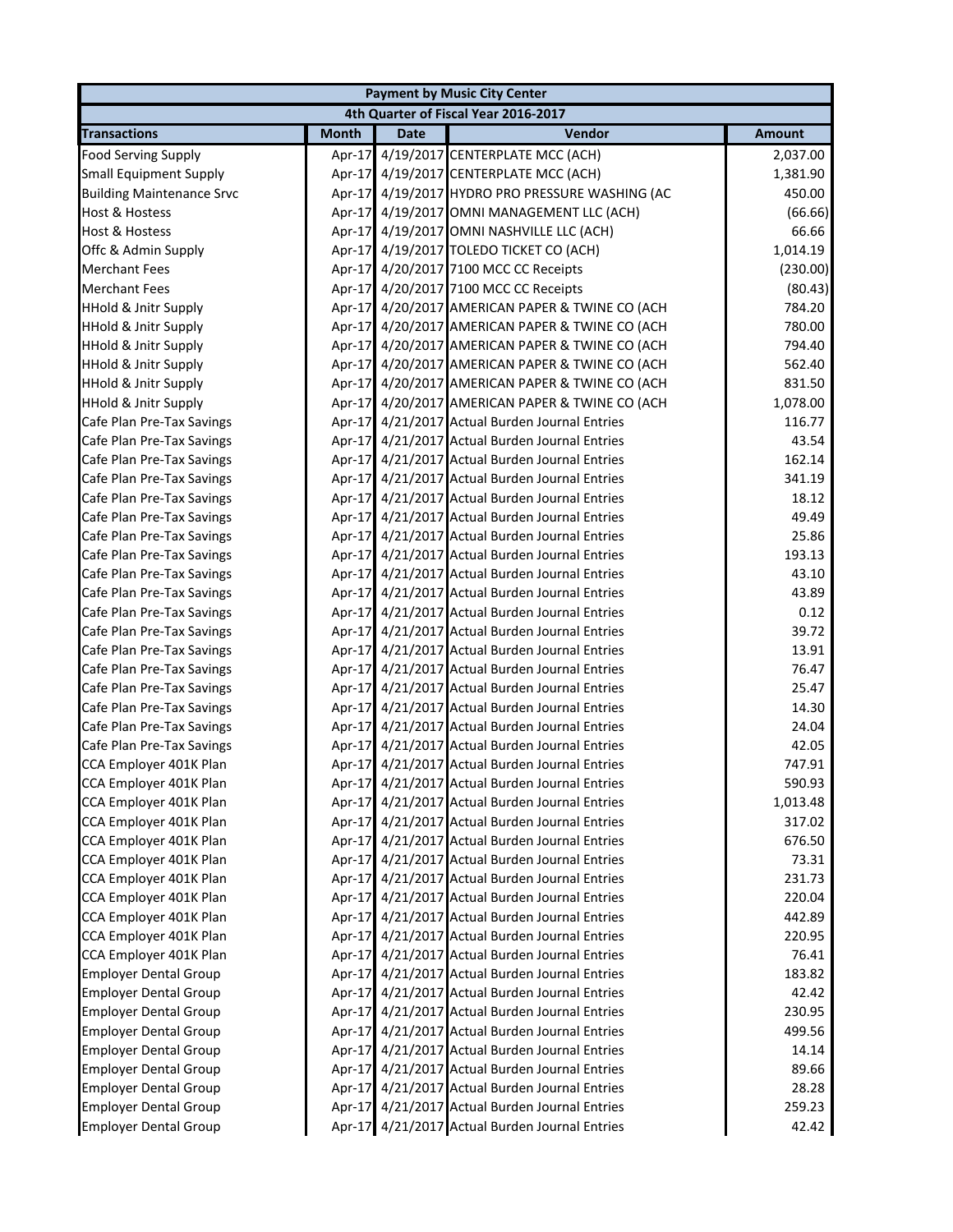|                                  |              |             | <b>Payment by Music City Center</b>             |               |
|----------------------------------|--------------|-------------|-------------------------------------------------|---------------|
|                                  |              |             | 4th Quarter of Fiscal Year 2016-2017            |               |
| <b>Transactions</b>              | <b>Month</b> | <b>Date</b> | Vendor                                          | <b>Amount</b> |
| <b>Food Serving Supply</b>       | Apr-17       |             | 4/19/2017 CENTERPLATE MCC (ACH)                 | 2,037.00      |
| <b>Small Equipment Supply</b>    |              |             | Apr-17 4/19/2017 CENTERPLATE MCC (ACH)          | 1,381.90      |
| <b>Building Maintenance Srvc</b> |              |             | Apr-17 4/19/2017 HYDRO PRO PRESSURE WASHING (AC | 450.00        |
| Host & Hostess                   |              |             | Apr-17 4/19/2017 OMNI MANAGEMENT LLC (ACH)      | (66.66)       |
| <b>Host &amp; Hostess</b>        |              |             | Apr-17 4/19/2017 OMNI NASHVILLE LLC (ACH)       | 66.66         |
| Offc & Admin Supply              |              |             | Apr-17 4/19/2017 TOLEDO TICKET CO (ACH)         | 1,014.19      |
| <b>Merchant Fees</b>             |              |             | Apr-17 4/20/2017 7100 MCC CC Receipts           | (230.00)      |
| <b>Merchant Fees</b>             |              |             | Apr-17 4/20/2017 7100 MCC CC Receipts           | (80.43)       |
| <b>HHold &amp; Jnitr Supply</b>  |              |             | Apr-17 4/20/2017 AMERICAN PAPER & TWINE CO (ACH | 784.20        |
| <b>HHold &amp; Jnitr Supply</b>  |              |             | Apr-17 4/20/2017 AMERICAN PAPER & TWINE CO (ACH | 780.00        |
| <b>HHold &amp; Jnitr Supply</b>  |              |             | Apr-17 4/20/2017 AMERICAN PAPER & TWINE CO (ACH | 794.40        |
| <b>HHold &amp; Jnitr Supply</b>  |              |             | Apr-17 4/20/2017 AMERICAN PAPER & TWINE CO (ACH | 562.40        |
| <b>HHold &amp; Jnitr Supply</b>  |              |             | Apr-17 4/20/2017 AMERICAN PAPER & TWINE CO (ACH | 831.50        |
| <b>HHold &amp; Jnitr Supply</b>  |              |             | Apr-17 4/20/2017 AMERICAN PAPER & TWINE CO (ACH | 1,078.00      |
| Cafe Plan Pre-Tax Savings        |              |             | Apr-17 4/21/2017 Actual Burden Journal Entries  | 116.77        |
| Cafe Plan Pre-Tax Savings        |              |             | Apr-17 4/21/2017 Actual Burden Journal Entries  | 43.54         |
| Cafe Plan Pre-Tax Savings        |              |             | Apr-17 4/21/2017 Actual Burden Journal Entries  | 162.14        |
| Cafe Plan Pre-Tax Savings        |              |             | Apr-17 4/21/2017 Actual Burden Journal Entries  | 341.19        |
| Cafe Plan Pre-Tax Savings        |              |             | Apr-17 4/21/2017 Actual Burden Journal Entries  | 18.12         |
| Cafe Plan Pre-Tax Savings        |              |             | Apr-17 4/21/2017 Actual Burden Journal Entries  | 49.49         |
| Cafe Plan Pre-Tax Savings        |              |             | Apr-17 4/21/2017 Actual Burden Journal Entries  | 25.86         |
| Cafe Plan Pre-Tax Savings        |              |             | Apr-17 4/21/2017 Actual Burden Journal Entries  | 193.13        |
| Cafe Plan Pre-Tax Savings        |              |             | Apr-17 4/21/2017 Actual Burden Journal Entries  | 43.10         |
| Cafe Plan Pre-Tax Savings        |              |             | Apr-17 4/21/2017 Actual Burden Journal Entries  | 43.89         |
| Cafe Plan Pre-Tax Savings        |              |             | Apr-17 4/21/2017 Actual Burden Journal Entries  | 0.12          |
| Cafe Plan Pre-Tax Savings        |              |             | Apr-17 4/21/2017 Actual Burden Journal Entries  | 39.72         |
| Cafe Plan Pre-Tax Savings        |              |             | Apr-17 4/21/2017 Actual Burden Journal Entries  | 13.91         |
| Cafe Plan Pre-Tax Savings        |              |             | Apr-17 4/21/2017 Actual Burden Journal Entries  | 76.47         |
| Cafe Plan Pre-Tax Savings        |              |             | Apr-17 4/21/2017 Actual Burden Journal Entries  | 25.47         |
| Cafe Plan Pre-Tax Savings        |              |             | Apr-17 4/21/2017 Actual Burden Journal Entries  | 14.30         |
| Cafe Plan Pre-Tax Savings        |              |             | Apr-17 4/21/2017 Actual Burden Journal Entries  | 24.04         |
| Cafe Plan Pre-Tax Savings        |              |             | Apr-17 4/21/2017 Actual Burden Journal Entries  | 42.05         |
| CCA Employer 401K Plan           |              |             | Apr-17 4/21/2017 Actual Burden Journal Entries  | 747.91        |
| CCA Employer 401K Plan           |              |             | Apr-17 4/21/2017 Actual Burden Journal Entries  | 590.93        |
| CCA Employer 401K Plan           |              |             | Apr-17 4/21/2017 Actual Burden Journal Entries  | 1,013.48      |
| CCA Employer 401K Plan           |              |             | Apr-17 4/21/2017 Actual Burden Journal Entries  | 317.02        |
| CCA Employer 401K Plan           |              |             | Apr-17 4/21/2017 Actual Burden Journal Entries  | 676.50        |
| CCA Employer 401K Plan           |              |             | Apr-17 4/21/2017 Actual Burden Journal Entries  | 73.31         |
| CCA Employer 401K Plan           |              |             | Apr-17 4/21/2017 Actual Burden Journal Entries  | 231.73        |
| CCA Employer 401K Plan           |              |             | Apr-17 4/21/2017 Actual Burden Journal Entries  | 220.04        |
| CCA Employer 401K Plan           |              |             | Apr-17 4/21/2017 Actual Burden Journal Entries  | 442.89        |
| CCA Employer 401K Plan           |              |             | Apr-17 4/21/2017 Actual Burden Journal Entries  | 220.95        |
| CCA Employer 401K Plan           |              |             | Apr-17 4/21/2017 Actual Burden Journal Entries  | 76.41         |
| <b>Employer Dental Group</b>     |              |             | Apr-17 4/21/2017 Actual Burden Journal Entries  | 183.82        |
| <b>Employer Dental Group</b>     |              |             | Apr-17 4/21/2017 Actual Burden Journal Entries  | 42.42         |
| <b>Employer Dental Group</b>     |              |             | Apr-17 4/21/2017 Actual Burden Journal Entries  | 230.95        |
| <b>Employer Dental Group</b>     |              |             | Apr-17 4/21/2017 Actual Burden Journal Entries  | 499.56        |
| <b>Employer Dental Group</b>     |              |             | Apr-17 4/21/2017 Actual Burden Journal Entries  | 14.14         |
| <b>Employer Dental Group</b>     |              |             | Apr-17 4/21/2017 Actual Burden Journal Entries  | 89.66         |
| <b>Employer Dental Group</b>     |              |             | Apr-17 4/21/2017 Actual Burden Journal Entries  | 28.28         |
| <b>Employer Dental Group</b>     |              |             | Apr-17 4/21/2017 Actual Burden Journal Entries  | 259.23        |
| <b>Employer Dental Group</b>     |              |             | Apr-17 4/21/2017 Actual Burden Journal Entries  | 42.42         |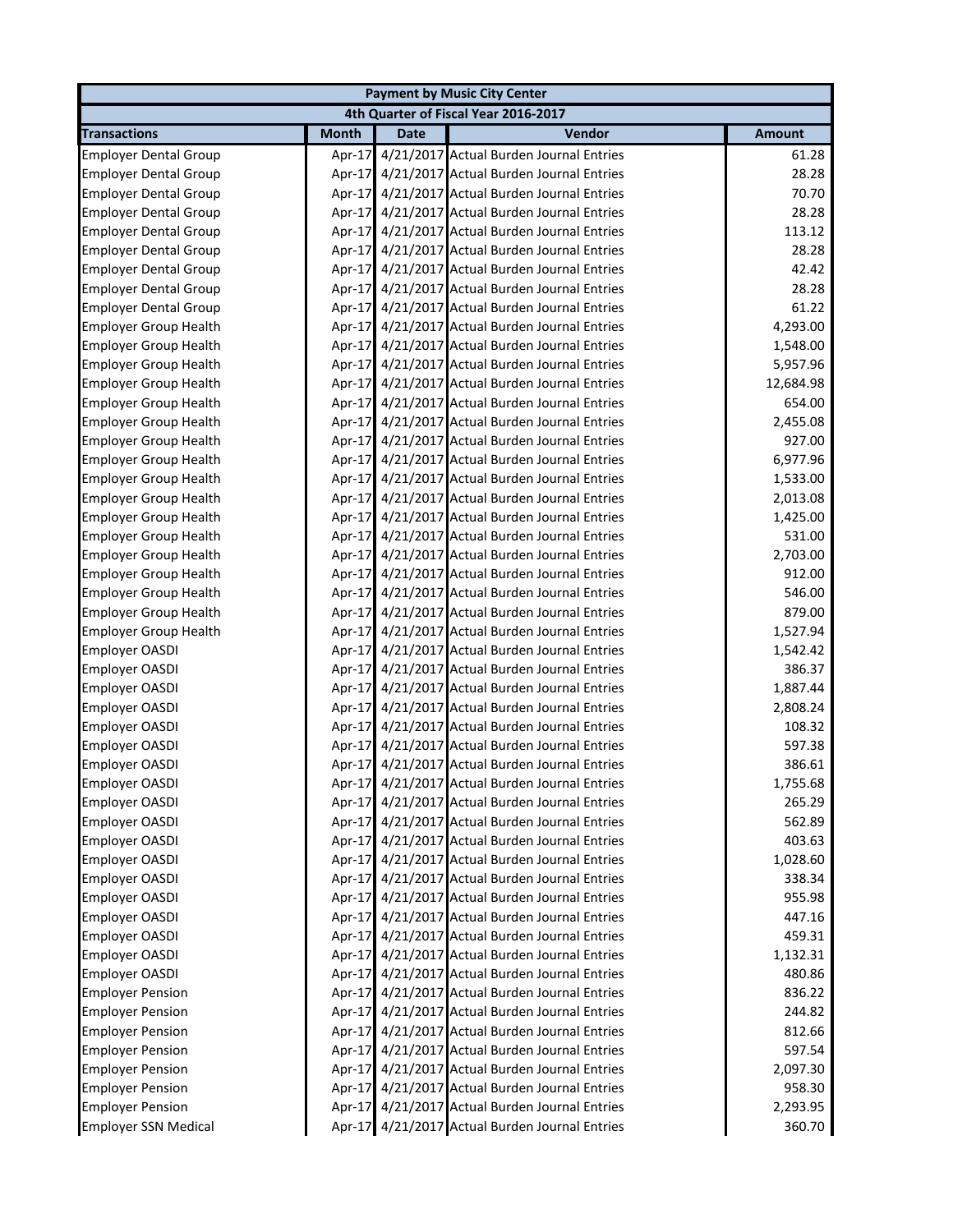| 4th Quarter of Fiscal Year 2016-2017<br><b>Month</b><br>Vendor<br><b>Transactions</b><br><b>Amount</b><br><b>Date</b><br>61.28<br>Employer Dental Group<br>4/21/2017 Actual Burden Journal Entries<br>Apr-17<br>Apr-17 4/21/2017 Actual Burden Journal Entries<br>28.28<br><b>Employer Dental Group</b><br>Apr-17 4/21/2017 Actual Burden Journal Entries<br>70.70<br><b>Employer Dental Group</b><br>4/21/2017 Actual Burden Journal Entries<br>28.28<br><b>Employer Dental Group</b><br>$Apr-17$<br>4/21/2017 Actual Burden Journal Entries<br>113.12<br><b>Employer Dental Group</b><br>$Apr-17$<br>Apr-17 4/21/2017 Actual Burden Journal Entries<br>28.28<br><b>Employer Dental Group</b><br>4/21/2017 Actual Burden Journal Entries<br>42.42<br><b>Employer Dental Group</b><br>$Apr-17$<br>4/21/2017 Actual Burden Journal Entries<br>28.28<br><b>Employer Dental Group</b><br>Apr-17<br>Apr-17 4/21/2017 Actual Burden Journal Entries<br>61.22<br><b>Employer Dental Group</b><br>Apr-17 4/21/2017 Actual Burden Journal Entries<br>4,293.00<br><b>Employer Group Health</b><br>Apr-17 4/21/2017 Actual Burden Journal Entries<br>1,548.00<br><b>Employer Group Health</b><br>Apr-17 4/21/2017 Actual Burden Journal Entries<br>5,957.96<br><b>Employer Group Health</b><br>Apr-17 4/21/2017 Actual Burden Journal Entries<br><b>Employer Group Health</b><br>12,684.98<br>Apr-17 4/21/2017 Actual Burden Journal Entries<br>654.00<br><b>Employer Group Health</b><br>Apr-17 4/21/2017 Actual Burden Journal Entries<br>2,455.08<br><b>Employer Group Health</b><br>Apr-17 4/21/2017 Actual Burden Journal Entries<br><b>Employer Group Health</b><br>927.00<br>Apr-17 4/21/2017 Actual Burden Journal Entries<br><b>Employer Group Health</b><br>6,977.96<br>Apr-17 4/21/2017 Actual Burden Journal Entries<br><b>Employer Group Health</b><br>1,533.00<br>Apr-17 4/21/2017 Actual Burden Journal Entries<br><b>Employer Group Health</b><br>2,013.08<br>Apr-17 4/21/2017 Actual Burden Journal Entries<br><b>Employer Group Health</b><br>1,425.00<br>Apr-17 4/21/2017 Actual Burden Journal Entries<br>531.00<br><b>Employer Group Health</b><br>Apr-17 4/21/2017 Actual Burden Journal Entries<br>2,703.00<br><b>Employer Group Health</b><br>Apr-17 4/21/2017 Actual Burden Journal Entries<br>912.00<br><b>Employer Group Health</b><br>Apr-17 4/21/2017 Actual Burden Journal Entries<br>546.00<br><b>Employer Group Health</b><br>Apr-17 4/21/2017 Actual Burden Journal Entries<br>879.00<br><b>Employer Group Health</b><br>Apr-17 4/21/2017 Actual Burden Journal Entries<br><b>Employer Group Health</b><br>1,527.94<br>Apr-17 4/21/2017 Actual Burden Journal Entries<br><b>Employer OASDI</b><br>1,542.42<br>Apr-17 4/21/2017 Actual Burden Journal Entries<br>386.37<br><b>Employer OASDI</b><br>Apr-17 4/21/2017 Actual Burden Journal Entries<br>Employer OASDI<br>1,887.44<br>Apr-17 4/21/2017 Actual Burden Journal Entries<br><b>Employer OASDI</b><br>2,808.24<br>Apr-17 4/21/2017 Actual Burden Journal Entries<br>108.32<br><b>Employer OASDI</b><br>Apr-17 4/21/2017 Actual Burden Journal Entries<br>597.38<br><b>Employer OASDI</b><br>Apr-17 4/21/2017 Actual Burden Journal Entries<br><b>Employer OASDI</b><br>386.61<br>Apr-17 4/21/2017 Actual Burden Journal Entries<br>1,755.68<br><b>Employer OASDI</b><br>Apr-17 4/21/2017 Actual Burden Journal Entries<br><b>Employer OASDI</b><br>265.29<br>Apr-17 4/21/2017 Actual Burden Journal Entries<br>Employer OASDI<br>562.89<br>Apr-17 4/21/2017 Actual Burden Journal Entries<br><b>Employer OASDI</b><br>403.63<br>Apr-17 4/21/2017 Actual Burden Journal Entries<br><b>Employer OASDI</b><br>1,028.60<br><b>Employer OASDI</b><br>Apr-17 4/21/2017 Actual Burden Journal Entries<br>338.34<br>Apr-17 4/21/2017 Actual Burden Journal Entries<br>955.98<br><b>Employer OASDI</b> |                       |  |  | <b>Payment by Music City Center</b> |        |  |  |
|------------------------------------------------------------------------------------------------------------------------------------------------------------------------------------------------------------------------------------------------------------------------------------------------------------------------------------------------------------------------------------------------------------------------------------------------------------------------------------------------------------------------------------------------------------------------------------------------------------------------------------------------------------------------------------------------------------------------------------------------------------------------------------------------------------------------------------------------------------------------------------------------------------------------------------------------------------------------------------------------------------------------------------------------------------------------------------------------------------------------------------------------------------------------------------------------------------------------------------------------------------------------------------------------------------------------------------------------------------------------------------------------------------------------------------------------------------------------------------------------------------------------------------------------------------------------------------------------------------------------------------------------------------------------------------------------------------------------------------------------------------------------------------------------------------------------------------------------------------------------------------------------------------------------------------------------------------------------------------------------------------------------------------------------------------------------------------------------------------------------------------------------------------------------------------------------------------------------------------------------------------------------------------------------------------------------------------------------------------------------------------------------------------------------------------------------------------------------------------------------------------------------------------------------------------------------------------------------------------------------------------------------------------------------------------------------------------------------------------------------------------------------------------------------------------------------------------------------------------------------------------------------------------------------------------------------------------------------------------------------------------------------------------------------------------------------------------------------------------------------------------------------------------------------------------------------------------------------------------------------------------------------------------------------------------------------------------------------------------------------------------------------------------------------------------------------------------------------------------------------------------------------------------------------------------------------------------------------------------------------------------------------------------------------------------------------------------------------------------------------------------------------------------------------------------------------------------------------------------------------------|-----------------------|--|--|-------------------------------------|--------|--|--|
|                                                                                                                                                                                                                                                                                                                                                                                                                                                                                                                                                                                                                                                                                                                                                                                                                                                                                                                                                                                                                                                                                                                                                                                                                                                                                                                                                                                                                                                                                                                                                                                                                                                                                                                                                                                                                                                                                                                                                                                                                                                                                                                                                                                                                                                                                                                                                                                                                                                                                                                                                                                                                                                                                                                                                                                                                                                                                                                                                                                                                                                                                                                                                                                                                                                                                                                                                                                                                                                                                                                                                                                                                                                                                                                                                                                                                                                                              |                       |  |  |                                     |        |  |  |
|                                                                                                                                                                                                                                                                                                                                                                                                                                                                                                                                                                                                                                                                                                                                                                                                                                                                                                                                                                                                                                                                                                                                                                                                                                                                                                                                                                                                                                                                                                                                                                                                                                                                                                                                                                                                                                                                                                                                                                                                                                                                                                                                                                                                                                                                                                                                                                                                                                                                                                                                                                                                                                                                                                                                                                                                                                                                                                                                                                                                                                                                                                                                                                                                                                                                                                                                                                                                                                                                                                                                                                                                                                                                                                                                                                                                                                                                              |                       |  |  |                                     |        |  |  |
|                                                                                                                                                                                                                                                                                                                                                                                                                                                                                                                                                                                                                                                                                                                                                                                                                                                                                                                                                                                                                                                                                                                                                                                                                                                                                                                                                                                                                                                                                                                                                                                                                                                                                                                                                                                                                                                                                                                                                                                                                                                                                                                                                                                                                                                                                                                                                                                                                                                                                                                                                                                                                                                                                                                                                                                                                                                                                                                                                                                                                                                                                                                                                                                                                                                                                                                                                                                                                                                                                                                                                                                                                                                                                                                                                                                                                                                                              |                       |  |  |                                     |        |  |  |
|                                                                                                                                                                                                                                                                                                                                                                                                                                                                                                                                                                                                                                                                                                                                                                                                                                                                                                                                                                                                                                                                                                                                                                                                                                                                                                                                                                                                                                                                                                                                                                                                                                                                                                                                                                                                                                                                                                                                                                                                                                                                                                                                                                                                                                                                                                                                                                                                                                                                                                                                                                                                                                                                                                                                                                                                                                                                                                                                                                                                                                                                                                                                                                                                                                                                                                                                                                                                                                                                                                                                                                                                                                                                                                                                                                                                                                                                              |                       |  |  |                                     |        |  |  |
|                                                                                                                                                                                                                                                                                                                                                                                                                                                                                                                                                                                                                                                                                                                                                                                                                                                                                                                                                                                                                                                                                                                                                                                                                                                                                                                                                                                                                                                                                                                                                                                                                                                                                                                                                                                                                                                                                                                                                                                                                                                                                                                                                                                                                                                                                                                                                                                                                                                                                                                                                                                                                                                                                                                                                                                                                                                                                                                                                                                                                                                                                                                                                                                                                                                                                                                                                                                                                                                                                                                                                                                                                                                                                                                                                                                                                                                                              |                       |  |  |                                     |        |  |  |
|                                                                                                                                                                                                                                                                                                                                                                                                                                                                                                                                                                                                                                                                                                                                                                                                                                                                                                                                                                                                                                                                                                                                                                                                                                                                                                                                                                                                                                                                                                                                                                                                                                                                                                                                                                                                                                                                                                                                                                                                                                                                                                                                                                                                                                                                                                                                                                                                                                                                                                                                                                                                                                                                                                                                                                                                                                                                                                                                                                                                                                                                                                                                                                                                                                                                                                                                                                                                                                                                                                                                                                                                                                                                                                                                                                                                                                                                              |                       |  |  |                                     |        |  |  |
|                                                                                                                                                                                                                                                                                                                                                                                                                                                                                                                                                                                                                                                                                                                                                                                                                                                                                                                                                                                                                                                                                                                                                                                                                                                                                                                                                                                                                                                                                                                                                                                                                                                                                                                                                                                                                                                                                                                                                                                                                                                                                                                                                                                                                                                                                                                                                                                                                                                                                                                                                                                                                                                                                                                                                                                                                                                                                                                                                                                                                                                                                                                                                                                                                                                                                                                                                                                                                                                                                                                                                                                                                                                                                                                                                                                                                                                                              |                       |  |  |                                     |        |  |  |
|                                                                                                                                                                                                                                                                                                                                                                                                                                                                                                                                                                                                                                                                                                                                                                                                                                                                                                                                                                                                                                                                                                                                                                                                                                                                                                                                                                                                                                                                                                                                                                                                                                                                                                                                                                                                                                                                                                                                                                                                                                                                                                                                                                                                                                                                                                                                                                                                                                                                                                                                                                                                                                                                                                                                                                                                                                                                                                                                                                                                                                                                                                                                                                                                                                                                                                                                                                                                                                                                                                                                                                                                                                                                                                                                                                                                                                                                              |                       |  |  |                                     |        |  |  |
|                                                                                                                                                                                                                                                                                                                                                                                                                                                                                                                                                                                                                                                                                                                                                                                                                                                                                                                                                                                                                                                                                                                                                                                                                                                                                                                                                                                                                                                                                                                                                                                                                                                                                                                                                                                                                                                                                                                                                                                                                                                                                                                                                                                                                                                                                                                                                                                                                                                                                                                                                                                                                                                                                                                                                                                                                                                                                                                                                                                                                                                                                                                                                                                                                                                                                                                                                                                                                                                                                                                                                                                                                                                                                                                                                                                                                                                                              |                       |  |  |                                     |        |  |  |
|                                                                                                                                                                                                                                                                                                                                                                                                                                                                                                                                                                                                                                                                                                                                                                                                                                                                                                                                                                                                                                                                                                                                                                                                                                                                                                                                                                                                                                                                                                                                                                                                                                                                                                                                                                                                                                                                                                                                                                                                                                                                                                                                                                                                                                                                                                                                                                                                                                                                                                                                                                                                                                                                                                                                                                                                                                                                                                                                                                                                                                                                                                                                                                                                                                                                                                                                                                                                                                                                                                                                                                                                                                                                                                                                                                                                                                                                              |                       |  |  |                                     |        |  |  |
|                                                                                                                                                                                                                                                                                                                                                                                                                                                                                                                                                                                                                                                                                                                                                                                                                                                                                                                                                                                                                                                                                                                                                                                                                                                                                                                                                                                                                                                                                                                                                                                                                                                                                                                                                                                                                                                                                                                                                                                                                                                                                                                                                                                                                                                                                                                                                                                                                                                                                                                                                                                                                                                                                                                                                                                                                                                                                                                                                                                                                                                                                                                                                                                                                                                                                                                                                                                                                                                                                                                                                                                                                                                                                                                                                                                                                                                                              |                       |  |  |                                     |        |  |  |
|                                                                                                                                                                                                                                                                                                                                                                                                                                                                                                                                                                                                                                                                                                                                                                                                                                                                                                                                                                                                                                                                                                                                                                                                                                                                                                                                                                                                                                                                                                                                                                                                                                                                                                                                                                                                                                                                                                                                                                                                                                                                                                                                                                                                                                                                                                                                                                                                                                                                                                                                                                                                                                                                                                                                                                                                                                                                                                                                                                                                                                                                                                                                                                                                                                                                                                                                                                                                                                                                                                                                                                                                                                                                                                                                                                                                                                                                              |                       |  |  |                                     |        |  |  |
|                                                                                                                                                                                                                                                                                                                                                                                                                                                                                                                                                                                                                                                                                                                                                                                                                                                                                                                                                                                                                                                                                                                                                                                                                                                                                                                                                                                                                                                                                                                                                                                                                                                                                                                                                                                                                                                                                                                                                                                                                                                                                                                                                                                                                                                                                                                                                                                                                                                                                                                                                                                                                                                                                                                                                                                                                                                                                                                                                                                                                                                                                                                                                                                                                                                                                                                                                                                                                                                                                                                                                                                                                                                                                                                                                                                                                                                                              |                       |  |  |                                     |        |  |  |
|                                                                                                                                                                                                                                                                                                                                                                                                                                                                                                                                                                                                                                                                                                                                                                                                                                                                                                                                                                                                                                                                                                                                                                                                                                                                                                                                                                                                                                                                                                                                                                                                                                                                                                                                                                                                                                                                                                                                                                                                                                                                                                                                                                                                                                                                                                                                                                                                                                                                                                                                                                                                                                                                                                                                                                                                                                                                                                                                                                                                                                                                                                                                                                                                                                                                                                                                                                                                                                                                                                                                                                                                                                                                                                                                                                                                                                                                              |                       |  |  |                                     |        |  |  |
|                                                                                                                                                                                                                                                                                                                                                                                                                                                                                                                                                                                                                                                                                                                                                                                                                                                                                                                                                                                                                                                                                                                                                                                                                                                                                                                                                                                                                                                                                                                                                                                                                                                                                                                                                                                                                                                                                                                                                                                                                                                                                                                                                                                                                                                                                                                                                                                                                                                                                                                                                                                                                                                                                                                                                                                                                                                                                                                                                                                                                                                                                                                                                                                                                                                                                                                                                                                                                                                                                                                                                                                                                                                                                                                                                                                                                                                                              |                       |  |  |                                     |        |  |  |
|                                                                                                                                                                                                                                                                                                                                                                                                                                                                                                                                                                                                                                                                                                                                                                                                                                                                                                                                                                                                                                                                                                                                                                                                                                                                                                                                                                                                                                                                                                                                                                                                                                                                                                                                                                                                                                                                                                                                                                                                                                                                                                                                                                                                                                                                                                                                                                                                                                                                                                                                                                                                                                                                                                                                                                                                                                                                                                                                                                                                                                                                                                                                                                                                                                                                                                                                                                                                                                                                                                                                                                                                                                                                                                                                                                                                                                                                              |                       |  |  |                                     |        |  |  |
|                                                                                                                                                                                                                                                                                                                                                                                                                                                                                                                                                                                                                                                                                                                                                                                                                                                                                                                                                                                                                                                                                                                                                                                                                                                                                                                                                                                                                                                                                                                                                                                                                                                                                                                                                                                                                                                                                                                                                                                                                                                                                                                                                                                                                                                                                                                                                                                                                                                                                                                                                                                                                                                                                                                                                                                                                                                                                                                                                                                                                                                                                                                                                                                                                                                                                                                                                                                                                                                                                                                                                                                                                                                                                                                                                                                                                                                                              |                       |  |  |                                     |        |  |  |
|                                                                                                                                                                                                                                                                                                                                                                                                                                                                                                                                                                                                                                                                                                                                                                                                                                                                                                                                                                                                                                                                                                                                                                                                                                                                                                                                                                                                                                                                                                                                                                                                                                                                                                                                                                                                                                                                                                                                                                                                                                                                                                                                                                                                                                                                                                                                                                                                                                                                                                                                                                                                                                                                                                                                                                                                                                                                                                                                                                                                                                                                                                                                                                                                                                                                                                                                                                                                                                                                                                                                                                                                                                                                                                                                                                                                                                                                              |                       |  |  |                                     |        |  |  |
|                                                                                                                                                                                                                                                                                                                                                                                                                                                                                                                                                                                                                                                                                                                                                                                                                                                                                                                                                                                                                                                                                                                                                                                                                                                                                                                                                                                                                                                                                                                                                                                                                                                                                                                                                                                                                                                                                                                                                                                                                                                                                                                                                                                                                                                                                                                                                                                                                                                                                                                                                                                                                                                                                                                                                                                                                                                                                                                                                                                                                                                                                                                                                                                                                                                                                                                                                                                                                                                                                                                                                                                                                                                                                                                                                                                                                                                                              |                       |  |  |                                     |        |  |  |
|                                                                                                                                                                                                                                                                                                                                                                                                                                                                                                                                                                                                                                                                                                                                                                                                                                                                                                                                                                                                                                                                                                                                                                                                                                                                                                                                                                                                                                                                                                                                                                                                                                                                                                                                                                                                                                                                                                                                                                                                                                                                                                                                                                                                                                                                                                                                                                                                                                                                                                                                                                                                                                                                                                                                                                                                                                                                                                                                                                                                                                                                                                                                                                                                                                                                                                                                                                                                                                                                                                                                                                                                                                                                                                                                                                                                                                                                              |                       |  |  |                                     |        |  |  |
|                                                                                                                                                                                                                                                                                                                                                                                                                                                                                                                                                                                                                                                                                                                                                                                                                                                                                                                                                                                                                                                                                                                                                                                                                                                                                                                                                                                                                                                                                                                                                                                                                                                                                                                                                                                                                                                                                                                                                                                                                                                                                                                                                                                                                                                                                                                                                                                                                                                                                                                                                                                                                                                                                                                                                                                                                                                                                                                                                                                                                                                                                                                                                                                                                                                                                                                                                                                                                                                                                                                                                                                                                                                                                                                                                                                                                                                                              |                       |  |  |                                     |        |  |  |
|                                                                                                                                                                                                                                                                                                                                                                                                                                                                                                                                                                                                                                                                                                                                                                                                                                                                                                                                                                                                                                                                                                                                                                                                                                                                                                                                                                                                                                                                                                                                                                                                                                                                                                                                                                                                                                                                                                                                                                                                                                                                                                                                                                                                                                                                                                                                                                                                                                                                                                                                                                                                                                                                                                                                                                                                                                                                                                                                                                                                                                                                                                                                                                                                                                                                                                                                                                                                                                                                                                                                                                                                                                                                                                                                                                                                                                                                              |                       |  |  |                                     |        |  |  |
|                                                                                                                                                                                                                                                                                                                                                                                                                                                                                                                                                                                                                                                                                                                                                                                                                                                                                                                                                                                                                                                                                                                                                                                                                                                                                                                                                                                                                                                                                                                                                                                                                                                                                                                                                                                                                                                                                                                                                                                                                                                                                                                                                                                                                                                                                                                                                                                                                                                                                                                                                                                                                                                                                                                                                                                                                                                                                                                                                                                                                                                                                                                                                                                                                                                                                                                                                                                                                                                                                                                                                                                                                                                                                                                                                                                                                                                                              |                       |  |  |                                     |        |  |  |
|                                                                                                                                                                                                                                                                                                                                                                                                                                                                                                                                                                                                                                                                                                                                                                                                                                                                                                                                                                                                                                                                                                                                                                                                                                                                                                                                                                                                                                                                                                                                                                                                                                                                                                                                                                                                                                                                                                                                                                                                                                                                                                                                                                                                                                                                                                                                                                                                                                                                                                                                                                                                                                                                                                                                                                                                                                                                                                                                                                                                                                                                                                                                                                                                                                                                                                                                                                                                                                                                                                                                                                                                                                                                                                                                                                                                                                                                              |                       |  |  |                                     |        |  |  |
|                                                                                                                                                                                                                                                                                                                                                                                                                                                                                                                                                                                                                                                                                                                                                                                                                                                                                                                                                                                                                                                                                                                                                                                                                                                                                                                                                                                                                                                                                                                                                                                                                                                                                                                                                                                                                                                                                                                                                                                                                                                                                                                                                                                                                                                                                                                                                                                                                                                                                                                                                                                                                                                                                                                                                                                                                                                                                                                                                                                                                                                                                                                                                                                                                                                                                                                                                                                                                                                                                                                                                                                                                                                                                                                                                                                                                                                                              |                       |  |  |                                     |        |  |  |
|                                                                                                                                                                                                                                                                                                                                                                                                                                                                                                                                                                                                                                                                                                                                                                                                                                                                                                                                                                                                                                                                                                                                                                                                                                                                                                                                                                                                                                                                                                                                                                                                                                                                                                                                                                                                                                                                                                                                                                                                                                                                                                                                                                                                                                                                                                                                                                                                                                                                                                                                                                                                                                                                                                                                                                                                                                                                                                                                                                                                                                                                                                                                                                                                                                                                                                                                                                                                                                                                                                                                                                                                                                                                                                                                                                                                                                                                              |                       |  |  |                                     |        |  |  |
|                                                                                                                                                                                                                                                                                                                                                                                                                                                                                                                                                                                                                                                                                                                                                                                                                                                                                                                                                                                                                                                                                                                                                                                                                                                                                                                                                                                                                                                                                                                                                                                                                                                                                                                                                                                                                                                                                                                                                                                                                                                                                                                                                                                                                                                                                                                                                                                                                                                                                                                                                                                                                                                                                                                                                                                                                                                                                                                                                                                                                                                                                                                                                                                                                                                                                                                                                                                                                                                                                                                                                                                                                                                                                                                                                                                                                                                                              |                       |  |  |                                     |        |  |  |
|                                                                                                                                                                                                                                                                                                                                                                                                                                                                                                                                                                                                                                                                                                                                                                                                                                                                                                                                                                                                                                                                                                                                                                                                                                                                                                                                                                                                                                                                                                                                                                                                                                                                                                                                                                                                                                                                                                                                                                                                                                                                                                                                                                                                                                                                                                                                                                                                                                                                                                                                                                                                                                                                                                                                                                                                                                                                                                                                                                                                                                                                                                                                                                                                                                                                                                                                                                                                                                                                                                                                                                                                                                                                                                                                                                                                                                                                              |                       |  |  |                                     |        |  |  |
|                                                                                                                                                                                                                                                                                                                                                                                                                                                                                                                                                                                                                                                                                                                                                                                                                                                                                                                                                                                                                                                                                                                                                                                                                                                                                                                                                                                                                                                                                                                                                                                                                                                                                                                                                                                                                                                                                                                                                                                                                                                                                                                                                                                                                                                                                                                                                                                                                                                                                                                                                                                                                                                                                                                                                                                                                                                                                                                                                                                                                                                                                                                                                                                                                                                                                                                                                                                                                                                                                                                                                                                                                                                                                                                                                                                                                                                                              |                       |  |  |                                     |        |  |  |
|                                                                                                                                                                                                                                                                                                                                                                                                                                                                                                                                                                                                                                                                                                                                                                                                                                                                                                                                                                                                                                                                                                                                                                                                                                                                                                                                                                                                                                                                                                                                                                                                                                                                                                                                                                                                                                                                                                                                                                                                                                                                                                                                                                                                                                                                                                                                                                                                                                                                                                                                                                                                                                                                                                                                                                                                                                                                                                                                                                                                                                                                                                                                                                                                                                                                                                                                                                                                                                                                                                                                                                                                                                                                                                                                                                                                                                                                              |                       |  |  |                                     |        |  |  |
|                                                                                                                                                                                                                                                                                                                                                                                                                                                                                                                                                                                                                                                                                                                                                                                                                                                                                                                                                                                                                                                                                                                                                                                                                                                                                                                                                                                                                                                                                                                                                                                                                                                                                                                                                                                                                                                                                                                                                                                                                                                                                                                                                                                                                                                                                                                                                                                                                                                                                                                                                                                                                                                                                                                                                                                                                                                                                                                                                                                                                                                                                                                                                                                                                                                                                                                                                                                                                                                                                                                                                                                                                                                                                                                                                                                                                                                                              |                       |  |  |                                     |        |  |  |
|                                                                                                                                                                                                                                                                                                                                                                                                                                                                                                                                                                                                                                                                                                                                                                                                                                                                                                                                                                                                                                                                                                                                                                                                                                                                                                                                                                                                                                                                                                                                                                                                                                                                                                                                                                                                                                                                                                                                                                                                                                                                                                                                                                                                                                                                                                                                                                                                                                                                                                                                                                                                                                                                                                                                                                                                                                                                                                                                                                                                                                                                                                                                                                                                                                                                                                                                                                                                                                                                                                                                                                                                                                                                                                                                                                                                                                                                              |                       |  |  |                                     |        |  |  |
|                                                                                                                                                                                                                                                                                                                                                                                                                                                                                                                                                                                                                                                                                                                                                                                                                                                                                                                                                                                                                                                                                                                                                                                                                                                                                                                                                                                                                                                                                                                                                                                                                                                                                                                                                                                                                                                                                                                                                                                                                                                                                                                                                                                                                                                                                                                                                                                                                                                                                                                                                                                                                                                                                                                                                                                                                                                                                                                                                                                                                                                                                                                                                                                                                                                                                                                                                                                                                                                                                                                                                                                                                                                                                                                                                                                                                                                                              |                       |  |  |                                     |        |  |  |
|                                                                                                                                                                                                                                                                                                                                                                                                                                                                                                                                                                                                                                                                                                                                                                                                                                                                                                                                                                                                                                                                                                                                                                                                                                                                                                                                                                                                                                                                                                                                                                                                                                                                                                                                                                                                                                                                                                                                                                                                                                                                                                                                                                                                                                                                                                                                                                                                                                                                                                                                                                                                                                                                                                                                                                                                                                                                                                                                                                                                                                                                                                                                                                                                                                                                                                                                                                                                                                                                                                                                                                                                                                                                                                                                                                                                                                                                              |                       |  |  |                                     |        |  |  |
|                                                                                                                                                                                                                                                                                                                                                                                                                                                                                                                                                                                                                                                                                                                                                                                                                                                                                                                                                                                                                                                                                                                                                                                                                                                                                                                                                                                                                                                                                                                                                                                                                                                                                                                                                                                                                                                                                                                                                                                                                                                                                                                                                                                                                                                                                                                                                                                                                                                                                                                                                                                                                                                                                                                                                                                                                                                                                                                                                                                                                                                                                                                                                                                                                                                                                                                                                                                                                                                                                                                                                                                                                                                                                                                                                                                                                                                                              |                       |  |  |                                     |        |  |  |
|                                                                                                                                                                                                                                                                                                                                                                                                                                                                                                                                                                                                                                                                                                                                                                                                                                                                                                                                                                                                                                                                                                                                                                                                                                                                                                                                                                                                                                                                                                                                                                                                                                                                                                                                                                                                                                                                                                                                                                                                                                                                                                                                                                                                                                                                                                                                                                                                                                                                                                                                                                                                                                                                                                                                                                                                                                                                                                                                                                                                                                                                                                                                                                                                                                                                                                                                                                                                                                                                                                                                                                                                                                                                                                                                                                                                                                                                              |                       |  |  |                                     |        |  |  |
|                                                                                                                                                                                                                                                                                                                                                                                                                                                                                                                                                                                                                                                                                                                                                                                                                                                                                                                                                                                                                                                                                                                                                                                                                                                                                                                                                                                                                                                                                                                                                                                                                                                                                                                                                                                                                                                                                                                                                                                                                                                                                                                                                                                                                                                                                                                                                                                                                                                                                                                                                                                                                                                                                                                                                                                                                                                                                                                                                                                                                                                                                                                                                                                                                                                                                                                                                                                                                                                                                                                                                                                                                                                                                                                                                                                                                                                                              |                       |  |  |                                     |        |  |  |
|                                                                                                                                                                                                                                                                                                                                                                                                                                                                                                                                                                                                                                                                                                                                                                                                                                                                                                                                                                                                                                                                                                                                                                                                                                                                                                                                                                                                                                                                                                                                                                                                                                                                                                                                                                                                                                                                                                                                                                                                                                                                                                                                                                                                                                                                                                                                                                                                                                                                                                                                                                                                                                                                                                                                                                                                                                                                                                                                                                                                                                                                                                                                                                                                                                                                                                                                                                                                                                                                                                                                                                                                                                                                                                                                                                                                                                                                              |                       |  |  |                                     |        |  |  |
|                                                                                                                                                                                                                                                                                                                                                                                                                                                                                                                                                                                                                                                                                                                                                                                                                                                                                                                                                                                                                                                                                                                                                                                                                                                                                                                                                                                                                                                                                                                                                                                                                                                                                                                                                                                                                                                                                                                                                                                                                                                                                                                                                                                                                                                                                                                                                                                                                                                                                                                                                                                                                                                                                                                                                                                                                                                                                                                                                                                                                                                                                                                                                                                                                                                                                                                                                                                                                                                                                                                                                                                                                                                                                                                                                                                                                                                                              |                       |  |  |                                     |        |  |  |
|                                                                                                                                                                                                                                                                                                                                                                                                                                                                                                                                                                                                                                                                                                                                                                                                                                                                                                                                                                                                                                                                                                                                                                                                                                                                                                                                                                                                                                                                                                                                                                                                                                                                                                                                                                                                                                                                                                                                                                                                                                                                                                                                                                                                                                                                                                                                                                                                                                                                                                                                                                                                                                                                                                                                                                                                                                                                                                                                                                                                                                                                                                                                                                                                                                                                                                                                                                                                                                                                                                                                                                                                                                                                                                                                                                                                                                                                              |                       |  |  |                                     |        |  |  |
|                                                                                                                                                                                                                                                                                                                                                                                                                                                                                                                                                                                                                                                                                                                                                                                                                                                                                                                                                                                                                                                                                                                                                                                                                                                                                                                                                                                                                                                                                                                                                                                                                                                                                                                                                                                                                                                                                                                                                                                                                                                                                                                                                                                                                                                                                                                                                                                                                                                                                                                                                                                                                                                                                                                                                                                                                                                                                                                                                                                                                                                                                                                                                                                                                                                                                                                                                                                                                                                                                                                                                                                                                                                                                                                                                                                                                                                                              |                       |  |  |                                     |        |  |  |
|                                                                                                                                                                                                                                                                                                                                                                                                                                                                                                                                                                                                                                                                                                                                                                                                                                                                                                                                                                                                                                                                                                                                                                                                                                                                                                                                                                                                                                                                                                                                                                                                                                                                                                                                                                                                                                                                                                                                                                                                                                                                                                                                                                                                                                                                                                                                                                                                                                                                                                                                                                                                                                                                                                                                                                                                                                                                                                                                                                                                                                                                                                                                                                                                                                                                                                                                                                                                                                                                                                                                                                                                                                                                                                                                                                                                                                                                              |                       |  |  |                                     |        |  |  |
| Apr-17 4/21/2017 Actual Burden Journal Entries                                                                                                                                                                                                                                                                                                                                                                                                                                                                                                                                                                                                                                                                                                                                                                                                                                                                                                                                                                                                                                                                                                                                                                                                                                                                                                                                                                                                                                                                                                                                                                                                                                                                                                                                                                                                                                                                                                                                                                                                                                                                                                                                                                                                                                                                                                                                                                                                                                                                                                                                                                                                                                                                                                                                                                                                                                                                                                                                                                                                                                                                                                                                                                                                                                                                                                                                                                                                                                                                                                                                                                                                                                                                                                                                                                                                                               | <b>Employer OASDI</b> |  |  |                                     | 447.16 |  |  |
| Apr-17 4/21/2017 Actual Burden Journal Entries<br>459.31<br>Employer OASDI                                                                                                                                                                                                                                                                                                                                                                                                                                                                                                                                                                                                                                                                                                                                                                                                                                                                                                                                                                                                                                                                                                                                                                                                                                                                                                                                                                                                                                                                                                                                                                                                                                                                                                                                                                                                                                                                                                                                                                                                                                                                                                                                                                                                                                                                                                                                                                                                                                                                                                                                                                                                                                                                                                                                                                                                                                                                                                                                                                                                                                                                                                                                                                                                                                                                                                                                                                                                                                                                                                                                                                                                                                                                                                                                                                                                   |                       |  |  |                                     |        |  |  |
| Apr-17 4/21/2017 Actual Burden Journal Entries<br>Employer OASDI<br>1,132.31                                                                                                                                                                                                                                                                                                                                                                                                                                                                                                                                                                                                                                                                                                                                                                                                                                                                                                                                                                                                                                                                                                                                                                                                                                                                                                                                                                                                                                                                                                                                                                                                                                                                                                                                                                                                                                                                                                                                                                                                                                                                                                                                                                                                                                                                                                                                                                                                                                                                                                                                                                                                                                                                                                                                                                                                                                                                                                                                                                                                                                                                                                                                                                                                                                                                                                                                                                                                                                                                                                                                                                                                                                                                                                                                                                                                 |                       |  |  |                                     |        |  |  |
| Apr-17 4/21/2017 Actual Burden Journal Entries<br>480.86<br><b>Employer OASDI</b>                                                                                                                                                                                                                                                                                                                                                                                                                                                                                                                                                                                                                                                                                                                                                                                                                                                                                                                                                                                                                                                                                                                                                                                                                                                                                                                                                                                                                                                                                                                                                                                                                                                                                                                                                                                                                                                                                                                                                                                                                                                                                                                                                                                                                                                                                                                                                                                                                                                                                                                                                                                                                                                                                                                                                                                                                                                                                                                                                                                                                                                                                                                                                                                                                                                                                                                                                                                                                                                                                                                                                                                                                                                                                                                                                                                            |                       |  |  |                                     |        |  |  |
| Apr-17 4/21/2017 Actual Burden Journal Entries<br>836.22<br><b>Employer Pension</b>                                                                                                                                                                                                                                                                                                                                                                                                                                                                                                                                                                                                                                                                                                                                                                                                                                                                                                                                                                                                                                                                                                                                                                                                                                                                                                                                                                                                                                                                                                                                                                                                                                                                                                                                                                                                                                                                                                                                                                                                                                                                                                                                                                                                                                                                                                                                                                                                                                                                                                                                                                                                                                                                                                                                                                                                                                                                                                                                                                                                                                                                                                                                                                                                                                                                                                                                                                                                                                                                                                                                                                                                                                                                                                                                                                                          |                       |  |  |                                     |        |  |  |
| Apr-17 4/21/2017 Actual Burden Journal Entries<br><b>Employer Pension</b><br>244.82                                                                                                                                                                                                                                                                                                                                                                                                                                                                                                                                                                                                                                                                                                                                                                                                                                                                                                                                                                                                                                                                                                                                                                                                                                                                                                                                                                                                                                                                                                                                                                                                                                                                                                                                                                                                                                                                                                                                                                                                                                                                                                                                                                                                                                                                                                                                                                                                                                                                                                                                                                                                                                                                                                                                                                                                                                                                                                                                                                                                                                                                                                                                                                                                                                                                                                                                                                                                                                                                                                                                                                                                                                                                                                                                                                                          |                       |  |  |                                     |        |  |  |
| Apr-17 4/21/2017 Actual Burden Journal Entries<br>812.66<br><b>Employer Pension</b>                                                                                                                                                                                                                                                                                                                                                                                                                                                                                                                                                                                                                                                                                                                                                                                                                                                                                                                                                                                                                                                                                                                                                                                                                                                                                                                                                                                                                                                                                                                                                                                                                                                                                                                                                                                                                                                                                                                                                                                                                                                                                                                                                                                                                                                                                                                                                                                                                                                                                                                                                                                                                                                                                                                                                                                                                                                                                                                                                                                                                                                                                                                                                                                                                                                                                                                                                                                                                                                                                                                                                                                                                                                                                                                                                                                          |                       |  |  |                                     |        |  |  |
| Apr-17 4/21/2017 Actual Burden Journal Entries<br>597.54<br><b>Employer Pension</b>                                                                                                                                                                                                                                                                                                                                                                                                                                                                                                                                                                                                                                                                                                                                                                                                                                                                                                                                                                                                                                                                                                                                                                                                                                                                                                                                                                                                                                                                                                                                                                                                                                                                                                                                                                                                                                                                                                                                                                                                                                                                                                                                                                                                                                                                                                                                                                                                                                                                                                                                                                                                                                                                                                                                                                                                                                                                                                                                                                                                                                                                                                                                                                                                                                                                                                                                                                                                                                                                                                                                                                                                                                                                                                                                                                                          |                       |  |  |                                     |        |  |  |
| Apr-17 4/21/2017 Actual Burden Journal Entries<br>2,097.30<br><b>Employer Pension</b>                                                                                                                                                                                                                                                                                                                                                                                                                                                                                                                                                                                                                                                                                                                                                                                                                                                                                                                                                                                                                                                                                                                                                                                                                                                                                                                                                                                                                                                                                                                                                                                                                                                                                                                                                                                                                                                                                                                                                                                                                                                                                                                                                                                                                                                                                                                                                                                                                                                                                                                                                                                                                                                                                                                                                                                                                                                                                                                                                                                                                                                                                                                                                                                                                                                                                                                                                                                                                                                                                                                                                                                                                                                                                                                                                                                        |                       |  |  |                                     |        |  |  |
| Apr-17 4/21/2017 Actual Burden Journal Entries<br><b>Employer Pension</b><br>958.30                                                                                                                                                                                                                                                                                                                                                                                                                                                                                                                                                                                                                                                                                                                                                                                                                                                                                                                                                                                                                                                                                                                                                                                                                                                                                                                                                                                                                                                                                                                                                                                                                                                                                                                                                                                                                                                                                                                                                                                                                                                                                                                                                                                                                                                                                                                                                                                                                                                                                                                                                                                                                                                                                                                                                                                                                                                                                                                                                                                                                                                                                                                                                                                                                                                                                                                                                                                                                                                                                                                                                                                                                                                                                                                                                                                          |                       |  |  |                                     |        |  |  |
| Apr-17 4/21/2017 Actual Burden Journal Entries<br><b>Employer Pension</b><br>2,293.95                                                                                                                                                                                                                                                                                                                                                                                                                                                                                                                                                                                                                                                                                                                                                                                                                                                                                                                                                                                                                                                                                                                                                                                                                                                                                                                                                                                                                                                                                                                                                                                                                                                                                                                                                                                                                                                                                                                                                                                                                                                                                                                                                                                                                                                                                                                                                                                                                                                                                                                                                                                                                                                                                                                                                                                                                                                                                                                                                                                                                                                                                                                                                                                                                                                                                                                                                                                                                                                                                                                                                                                                                                                                                                                                                                                        |                       |  |  |                                     |        |  |  |
| <b>Employer SSN Medical</b><br>Apr-17 4/21/2017 Actual Burden Journal Entries<br>360.70                                                                                                                                                                                                                                                                                                                                                                                                                                                                                                                                                                                                                                                                                                                                                                                                                                                                                                                                                                                                                                                                                                                                                                                                                                                                                                                                                                                                                                                                                                                                                                                                                                                                                                                                                                                                                                                                                                                                                                                                                                                                                                                                                                                                                                                                                                                                                                                                                                                                                                                                                                                                                                                                                                                                                                                                                                                                                                                                                                                                                                                                                                                                                                                                                                                                                                                                                                                                                                                                                                                                                                                                                                                                                                                                                                                      |                       |  |  |                                     |        |  |  |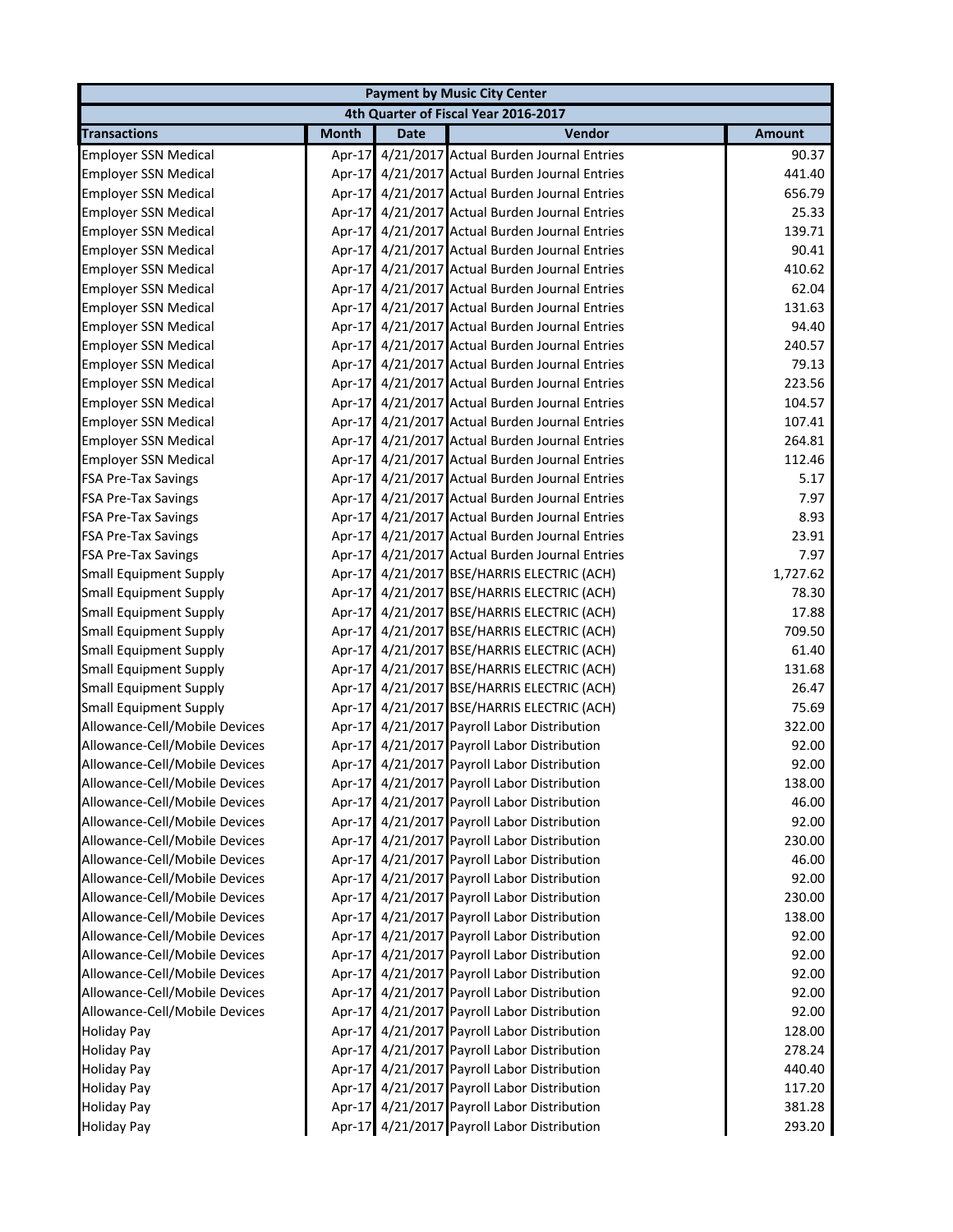|                               |              |             | <b>Payment by Music City Center</b>            |               |
|-------------------------------|--------------|-------------|------------------------------------------------|---------------|
|                               |              |             | 4th Quarter of Fiscal Year 2016-2017           |               |
| <b>Transactions</b>           | <b>Month</b> | <b>Date</b> | Vendor                                         | <b>Amount</b> |
| <b>Employer SSN Medical</b>   | Apr-17       |             | 4/21/2017 Actual Burden Journal Entries        | 90.37         |
| <b>Employer SSN Medical</b>   |              |             | Apr-17 4/21/2017 Actual Burden Journal Entries | 441.40        |
| <b>Employer SSN Medical</b>   | Apr-17       |             | 4/21/2017 Actual Burden Journal Entries        | 656.79        |
| <b>Employer SSN Medical</b>   | Apr-17       |             | 4/21/2017 Actual Burden Journal Entries        | 25.33         |
| <b>Employer SSN Medical</b>   | Apr-17       |             | 4/21/2017 Actual Burden Journal Entries        | 139.71        |
| <b>Employer SSN Medical</b>   | Apr-17       |             | 4/21/2017 Actual Burden Journal Entries        | 90.41         |
| <b>Employer SSN Medical</b>   | Apr-17       |             | 4/21/2017 Actual Burden Journal Entries        | 410.62        |
| <b>Employer SSN Medical</b>   | Apr-17       |             | 4/21/2017 Actual Burden Journal Entries        | 62.04         |
| <b>Employer SSN Medical</b>   | Apr-17       |             | 4/21/2017 Actual Burden Journal Entries        | 131.63        |
| <b>Employer SSN Medical</b>   | Apr-17       |             | 4/21/2017 Actual Burden Journal Entries        | 94.40         |
| <b>Employer SSN Medical</b>   | Apr-17       |             | 4/21/2017 Actual Burden Journal Entries        | 240.57        |
| <b>Employer SSN Medical</b>   | Apr-17       |             | 4/21/2017 Actual Burden Journal Entries        | 79.13         |
| <b>Employer SSN Medical</b>   | Apr-17       |             | 4/21/2017 Actual Burden Journal Entries        | 223.56        |
| <b>Employer SSN Medical</b>   | Apr-17       |             | 4/21/2017 Actual Burden Journal Entries        | 104.57        |
| <b>Employer SSN Medical</b>   |              |             | Apr-17 4/21/2017 Actual Burden Journal Entries | 107.41        |
| <b>Employer SSN Medical</b>   | Apr-17       |             | 4/21/2017 Actual Burden Journal Entries        | 264.81        |
| <b>Employer SSN Medical</b>   |              |             | Apr-17 4/21/2017 Actual Burden Journal Entries | 112.46        |
| <b>FSA Pre-Tax Savings</b>    | Apr-17       |             | 4/21/2017 Actual Burden Journal Entries        | 5.17          |
| <b>FSA Pre-Tax Savings</b>    | Apr-17       |             | 4/21/2017 Actual Burden Journal Entries        | 7.97          |
| <b>FSA Pre-Tax Savings</b>    |              |             | Apr-17 4/21/2017 Actual Burden Journal Entries | 8.93          |
| <b>FSA Pre-Tax Savings</b>    |              |             | Apr-17 4/21/2017 Actual Burden Journal Entries | 23.91         |
| <b>FSA Pre-Tax Savings</b>    |              |             | Apr-17 4/21/2017 Actual Burden Journal Entries | 7.97          |
| <b>Small Equipment Supply</b> |              |             | Apr-17 4/21/2017 BSE/HARRIS ELECTRIC (ACH)     | 1,727.62      |
| <b>Small Equipment Supply</b> |              |             | Apr-17 4/21/2017 BSE/HARRIS ELECTRIC (ACH)     | 78.30         |
| <b>Small Equipment Supply</b> |              |             | Apr-17 4/21/2017 BSE/HARRIS ELECTRIC (ACH)     | 17.88         |
| <b>Small Equipment Supply</b> |              |             | Apr-17 4/21/2017 BSE/HARRIS ELECTRIC (ACH)     | 709.50        |
| <b>Small Equipment Supply</b> |              |             | Apr-17 4/21/2017 BSE/HARRIS ELECTRIC (ACH)     | 61.40         |
| <b>Small Equipment Supply</b> |              |             | Apr-17 4/21/2017 BSE/HARRIS ELECTRIC (ACH)     | 131.68        |
| <b>Small Equipment Supply</b> |              |             | Apr-17 4/21/2017 BSE/HARRIS ELECTRIC (ACH)     | 26.47         |
| <b>Small Equipment Supply</b> | Apr-17       |             | 4/21/2017 BSE/HARRIS ELECTRIC (ACH)            | 75.69         |
| Allowance-Cell/Mobile Devices | Apr-17       |             | 4/21/2017 Payroll Labor Distribution           | 322.00        |
| Allowance-Cell/Mobile Devices |              |             | Apr-17 4/21/2017 Payroll Labor Distribution    | 92.00         |
| Allowance-Cell/Mobile Devices |              |             | Apr-17 4/21/2017 Payroll Labor Distribution    | 92.00         |
| Allowance-Cell/Mobile Devices |              |             | Apr-17 4/21/2017 Payroll Labor Distribution    | 138.00        |
| Allowance-Cell/Mobile Devices |              |             | Apr-17 4/21/2017 Payroll Labor Distribution    | 46.00         |
| Allowance-Cell/Mobile Devices |              |             | Apr-17 4/21/2017 Payroll Labor Distribution    | 92.00         |
| Allowance-Cell/Mobile Devices |              |             | Apr-17 4/21/2017 Payroll Labor Distribution    | 230.00        |
| Allowance-Cell/Mobile Devices |              |             | Apr-17 4/21/2017 Payroll Labor Distribution    | 46.00         |
| Allowance-Cell/Mobile Devices |              |             | Apr-17 4/21/2017 Payroll Labor Distribution    | 92.00         |
| Allowance-Cell/Mobile Devices |              |             | Apr-17 4/21/2017 Payroll Labor Distribution    | 230.00        |
| Allowance-Cell/Mobile Devices |              |             | Apr-17 4/21/2017 Payroll Labor Distribution    | 138.00        |
| Allowance-Cell/Mobile Devices |              |             | Apr-17 4/21/2017 Payroll Labor Distribution    | 92.00         |
| Allowance-Cell/Mobile Devices |              |             | Apr-17 4/21/2017 Payroll Labor Distribution    | 92.00         |
| Allowance-Cell/Mobile Devices | Apr-17       |             | 4/21/2017 Payroll Labor Distribution           | 92.00         |
| Allowance-Cell/Mobile Devices |              |             | Apr-17 4/21/2017 Payroll Labor Distribution    | 92.00         |
| Allowance-Cell/Mobile Devices |              |             | Apr-17 4/21/2017 Payroll Labor Distribution    | 92.00         |
| <b>Holiday Pay</b>            |              |             | Apr-17 4/21/2017 Payroll Labor Distribution    | 128.00        |
| <b>Holiday Pay</b>            |              |             | Apr-17 4/21/2017 Payroll Labor Distribution    | 278.24        |
| <b>Holiday Pay</b>            |              |             | Apr-17 4/21/2017 Payroll Labor Distribution    | 440.40        |
| <b>Holiday Pay</b>            |              |             | Apr-17 4/21/2017 Payroll Labor Distribution    | 117.20        |
| <b>Holiday Pay</b>            |              |             | Apr-17 4/21/2017 Payroll Labor Distribution    | 381.28        |
| <b>Holiday Pay</b>            |              |             | Apr-17 4/21/2017 Payroll Labor Distribution    | 293.20        |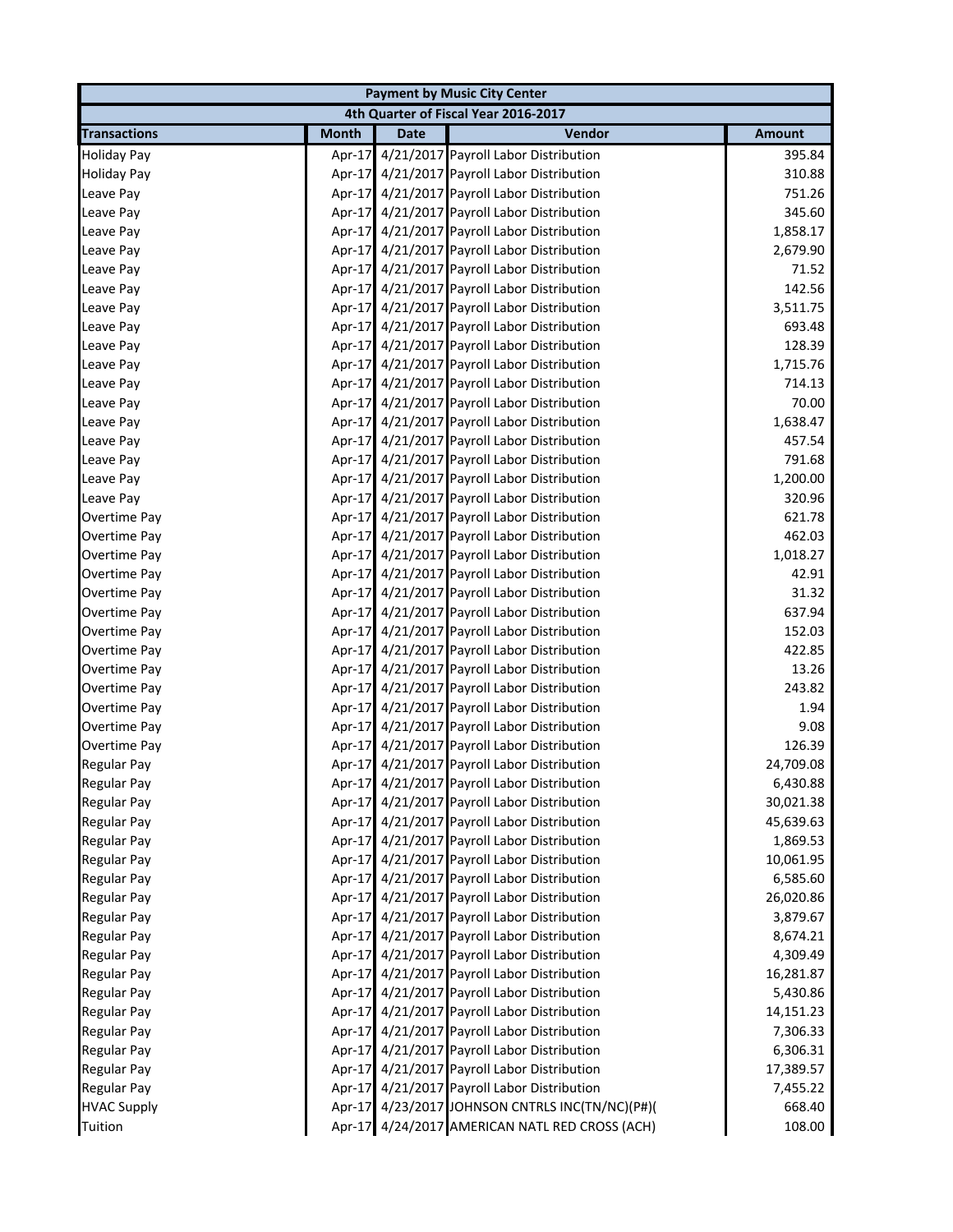| <b>Payment by Music City Center</b> |              |             |                                                 |               |  |
|-------------------------------------|--------------|-------------|-------------------------------------------------|---------------|--|
|                                     |              |             | 4th Quarter of Fiscal Year 2016-2017            |               |  |
| <b>Transactions</b>                 | <b>Month</b> | <b>Date</b> | Vendor                                          | <b>Amount</b> |  |
| <b>Holiday Pay</b>                  |              |             | Apr-17 4/21/2017 Payroll Labor Distribution     | 395.84        |  |
| <b>Holiday Pay</b>                  |              |             | Apr-17 4/21/2017 Payroll Labor Distribution     | 310.88        |  |
| Leave Pay                           |              |             | Apr-17 4/21/2017 Payroll Labor Distribution     | 751.26        |  |
| Leave Pay                           |              |             | Apr-17 4/21/2017 Payroll Labor Distribution     | 345.60        |  |
| Leave Pay                           |              |             | Apr-17 4/21/2017 Payroll Labor Distribution     | 1,858.17      |  |
| Leave Pay                           |              |             | Apr-17 4/21/2017 Payroll Labor Distribution     | 2,679.90      |  |
| Leave Pay                           |              |             | Apr-17 4/21/2017 Payroll Labor Distribution     | 71.52         |  |
| Leave Pay                           |              |             | Apr-17 4/21/2017 Payroll Labor Distribution     | 142.56        |  |
| Leave Pay                           |              |             | Apr-17 4/21/2017 Payroll Labor Distribution     | 3,511.75      |  |
| Leave Pay                           |              |             | Apr-17 4/21/2017 Payroll Labor Distribution     | 693.48        |  |
| Leave Pay                           |              |             | Apr-17 4/21/2017 Payroll Labor Distribution     | 128.39        |  |
| Leave Pay                           |              |             | Apr-17 4/21/2017 Payroll Labor Distribution     | 1,715.76      |  |
| Leave Pay                           |              |             | Apr-17 4/21/2017 Payroll Labor Distribution     | 714.13        |  |
| Leave Pay                           |              |             | Apr-17 4/21/2017 Payroll Labor Distribution     | 70.00         |  |
| Leave Pay                           |              |             | Apr-17 4/21/2017 Payroll Labor Distribution     | 1,638.47      |  |
| Leave Pay                           |              |             | Apr-17 4/21/2017 Payroll Labor Distribution     | 457.54        |  |
| Leave Pay                           |              |             | Apr-17 4/21/2017 Payroll Labor Distribution     | 791.68        |  |
| Leave Pay                           |              |             | Apr-17 4/21/2017 Payroll Labor Distribution     | 1,200.00      |  |
| Leave Pay                           |              |             | Apr-17 4/21/2017 Payroll Labor Distribution     | 320.96        |  |
| Overtime Pay                        |              |             | Apr-17 4/21/2017 Payroll Labor Distribution     | 621.78        |  |
| Overtime Pay                        |              |             | Apr-17 4/21/2017 Payroll Labor Distribution     | 462.03        |  |
| Overtime Pay                        |              |             | Apr-17 4/21/2017 Payroll Labor Distribution     | 1,018.27      |  |
| Overtime Pay                        |              |             | Apr-17 4/21/2017 Payroll Labor Distribution     | 42.91         |  |
| Overtime Pay                        |              |             | Apr-17 4/21/2017 Payroll Labor Distribution     | 31.32         |  |
| Overtime Pay                        |              |             | Apr-17 4/21/2017 Payroll Labor Distribution     | 637.94        |  |
| Overtime Pay                        |              |             | Apr-17 4/21/2017 Payroll Labor Distribution     | 152.03        |  |
| Overtime Pay                        |              |             | Apr-17 4/21/2017 Payroll Labor Distribution     | 422.85        |  |
| Overtime Pay                        |              |             | Apr-17 4/21/2017 Payroll Labor Distribution     | 13.26         |  |
| Overtime Pay                        |              |             | Apr-17 4/21/2017 Payroll Labor Distribution     | 243.82        |  |
| Overtime Pay                        |              |             | Apr-17 4/21/2017 Payroll Labor Distribution     | 1.94          |  |
| Overtime Pay                        |              |             | Apr-17 4/21/2017 Payroll Labor Distribution     | 9.08          |  |
| Overtime Pay                        |              |             | Apr-17 4/21/2017 Payroll Labor Distribution     | 126.39        |  |
| <b>Regular Pay</b>                  |              |             | Apr-17 4/21/2017 Payroll Labor Distribution     | 24,709.08     |  |
| <b>Regular Pay</b>                  |              |             | Apr-17 4/21/2017 Payroll Labor Distribution     | 6,430.88      |  |
| <b>Regular Pay</b>                  |              |             | Apr-17 4/21/2017 Payroll Labor Distribution     | 30,021.38     |  |
| <b>Regular Pay</b>                  |              |             | Apr-17 4/21/2017 Payroll Labor Distribution     | 45,639.63     |  |
| <b>Regular Pay</b>                  |              |             | Apr-17 4/21/2017 Payroll Labor Distribution     | 1,869.53      |  |
| <b>Regular Pay</b>                  |              |             | Apr-17 4/21/2017 Payroll Labor Distribution     | 10,061.95     |  |
| <b>Regular Pay</b>                  |              |             | Apr-17 4/21/2017 Payroll Labor Distribution     | 6,585.60      |  |
| <b>Regular Pay</b>                  |              |             | Apr-17 4/21/2017 Payroll Labor Distribution     | 26,020.86     |  |
| <b>Regular Pay</b>                  |              |             | Apr-17 4/21/2017 Payroll Labor Distribution     | 3,879.67      |  |
| <b>Regular Pay</b>                  |              |             | Apr-17 4/21/2017 Payroll Labor Distribution     | 8,674.21      |  |
| <b>Regular Pay</b>                  |              |             | Apr-17 4/21/2017 Payroll Labor Distribution     | 4,309.49      |  |
| <b>Regular Pay</b>                  |              |             | Apr-17 4/21/2017 Payroll Labor Distribution     | 16,281.87     |  |
| <b>Regular Pay</b>                  |              |             | Apr-17 4/21/2017 Payroll Labor Distribution     | 5,430.86      |  |
| <b>Regular Pay</b>                  |              |             | Apr-17 4/21/2017 Payroll Labor Distribution     | 14,151.23     |  |
| <b>Regular Pay</b>                  |              |             | Apr-17 4/21/2017 Payroll Labor Distribution     | 7,306.33      |  |
| <b>Regular Pay</b>                  |              |             | Apr-17 4/21/2017 Payroll Labor Distribution     | 6,306.31      |  |
| <b>Regular Pay</b>                  |              |             | Apr-17 4/21/2017 Payroll Labor Distribution     | 17,389.57     |  |
| <b>Regular Pay</b>                  |              |             | Apr-17 4/21/2017 Payroll Labor Distribution     | 7,455.22      |  |
| <b>HVAC Supply</b>                  |              |             | Apr-17 4/23/2017 JOHNSON CNTRLS INC(TN/NC)(P#)( | 668.40        |  |
| Tuition                             |              |             | Apr-17 4/24/2017 AMERICAN NATL RED CROSS (ACH)  | 108.00        |  |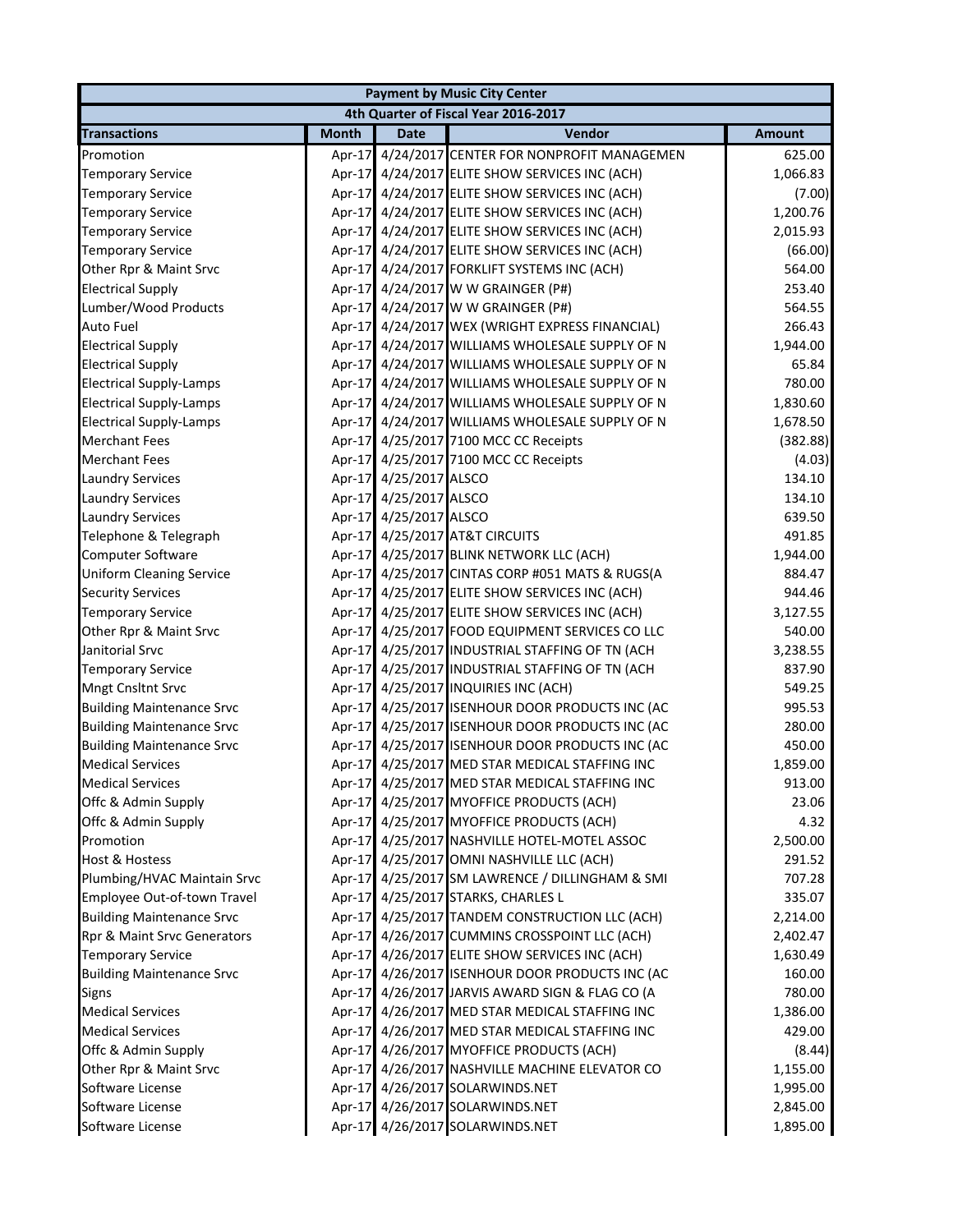|                                  |              |                        | <b>Payment by Music City Center</b>             |               |
|----------------------------------|--------------|------------------------|-------------------------------------------------|---------------|
|                                  |              |                        | 4th Quarter of Fiscal Year 2016-2017            |               |
| <b>Transactions</b>              | <b>Month</b> | <b>Date</b>            | Vendor                                          | <b>Amount</b> |
| Promotion                        |              |                        | Apr-17 4/24/2017 CENTER FOR NONPROFIT MANAGEMEN | 625.00        |
| <b>Temporary Service</b>         |              |                        | Apr-17 4/24/2017 ELITE SHOW SERVICES INC (ACH)  | 1,066.83      |
| <b>Temporary Service</b>         |              |                        | Apr-17 4/24/2017 ELITE SHOW SERVICES INC (ACH)  | (7.00)        |
| <b>Temporary Service</b>         |              |                        | Apr-17 4/24/2017 ELITE SHOW SERVICES INC (ACH)  | 1,200.76      |
| <b>Temporary Service</b>         |              |                        | Apr-17 4/24/2017 ELITE SHOW SERVICES INC (ACH)  | 2,015.93      |
| <b>Temporary Service</b>         |              |                        | Apr-17 4/24/2017 ELITE SHOW SERVICES INC (ACH)  | (66.00)       |
| Other Rpr & Maint Srvc           |              |                        | Apr-17 4/24/2017 FORKLIFT SYSTEMS INC (ACH)     | 564.00        |
| <b>Electrical Supply</b>         |              |                        | Apr-17 4/24/2017 W W GRAINGER (P#)              | 253.40        |
| Lumber/Wood Products             |              |                        | Apr-17 4/24/2017 W W GRAINGER (P#)              | 564.55        |
| Auto Fuel                        |              |                        | Apr-17 4/24/2017 WEX (WRIGHT EXPRESS FINANCIAL) | 266.43        |
| <b>Electrical Supply</b>         |              |                        | Apr-17 4/24/2017 WILLIAMS WHOLESALE SUPPLY OF N | 1,944.00      |
| <b>Electrical Supply</b>         |              |                        | Apr-17 4/24/2017 WILLIAMS WHOLESALE SUPPLY OF N | 65.84         |
| <b>Electrical Supply-Lamps</b>   |              |                        | Apr-17 4/24/2017 WILLIAMS WHOLESALE SUPPLY OF N | 780.00        |
| <b>Electrical Supply-Lamps</b>   |              |                        | Apr-17 4/24/2017 WILLIAMS WHOLESALE SUPPLY OF N | 1,830.60      |
| <b>Electrical Supply-Lamps</b>   |              |                        | Apr-17 4/24/2017 WILLIAMS WHOLESALE SUPPLY OF N | 1,678.50      |
| <b>Merchant Fees</b>             |              |                        | Apr-17 4/25/2017 7100 MCC CC Receipts           | (382.88)      |
| <b>Merchant Fees</b>             |              |                        | Apr-17 4/25/2017 7100 MCC CC Receipts           | (4.03)        |
| <b>Laundry Services</b>          |              | Apr-17 4/25/2017 ALSCO |                                                 | 134.10        |
| <b>Laundry Services</b>          |              | Apr-17 4/25/2017 ALSCO |                                                 | 134.10        |
| <b>Laundry Services</b>          |              | Apr-17 4/25/2017 ALSCO |                                                 | 639.50        |
| Telephone & Telegraph            |              |                        | Apr-17 4/25/2017 AT&T CIRCUITS                  | 491.85        |
| Computer Software                |              |                        | Apr-17 4/25/2017 BLINK NETWORK LLC (ACH)        | 1,944.00      |
| <b>Uniform Cleaning Service</b>  |              |                        | Apr-17 4/25/2017 CINTAS CORP #051 MATS & RUGS(A | 884.47        |
| <b>Security Services</b>         |              |                        | Apr-17 4/25/2017 ELITE SHOW SERVICES INC (ACH)  | 944.46        |
| <b>Temporary Service</b>         |              |                        | Apr-17 4/25/2017 ELITE SHOW SERVICES INC (ACH)  | 3,127.55      |
| Other Rpr & Maint Srvc           |              |                        | Apr-17 4/25/2017 FOOD EQUIPMENT SERVICES CO LLC | 540.00        |
| Janitorial Srvc                  |              |                        | Apr-17 4/25/2017 INDUSTRIAL STAFFING OF TN (ACH | 3,238.55      |
| <b>Temporary Service</b>         |              |                        | Apr-17 4/25/2017 INDUSTRIAL STAFFING OF TN (ACH | 837.90        |
| <b>Mngt Cnsltnt Srvc</b>         |              |                        | Apr-17 4/25/2017 INQUIRIES INC (ACH)            | 549.25        |
| <b>Building Maintenance Srvc</b> |              |                        | Apr-17 4/25/2017 ISENHOUR DOOR PRODUCTS INC (AC | 995.53        |
| <b>Building Maintenance Srvc</b> |              |                        | Apr-17 4/25/2017 ISENHOUR DOOR PRODUCTS INC (AC | 280.00        |
| <b>Building Maintenance Srvc</b> |              |                        | Apr-17 4/25/2017 ISENHOUR DOOR PRODUCTS INC (AC | 450.00        |
| <b>Medical Services</b>          |              |                        | Apr-17 4/25/2017 MED STAR MEDICAL STAFFING INC  | 1,859.00      |
| <b>Medical Services</b>          |              |                        | Apr-17 4/25/2017 MED STAR MEDICAL STAFFING INC  | 913.00        |
| Offc & Admin Supply              |              |                        | Apr-17 4/25/2017 MYOFFICE PRODUCTS (ACH)        | 23.06         |
| Offc & Admin Supply              |              |                        | Apr-17 4/25/2017 MYOFFICE PRODUCTS (ACH)        | 4.32          |
| Promotion                        |              |                        | Apr-17 4/25/2017 NASHVILLE HOTEL-MOTEL ASSOC    | 2,500.00      |
| <b>Host &amp; Hostess</b>        |              |                        | Apr-17 4/25/2017 OMNI NASHVILLE LLC (ACH)       | 291.52        |
| Plumbing/HVAC Maintain Srvc      |              |                        | Apr-17 4/25/2017 SM LAWRENCE / DILLINGHAM & SMI | 707.28        |
| Employee Out-of-town Travel      |              |                        | Apr-17 4/25/2017 STARKS, CHARLES L              | 335.07        |
| <b>Building Maintenance Srvc</b> |              |                        | Apr-17 4/25/2017 TANDEM CONSTRUCTION LLC (ACH)  | 2,214.00      |
| Rpr & Maint Srvc Generators      |              |                        | Apr-17 4/26/2017 CUMMINS CROSSPOINT LLC (ACH)   | 2,402.47      |
| <b>Temporary Service</b>         |              |                        | Apr-17 4/26/2017 ELITE SHOW SERVICES INC (ACH)  | 1,630.49      |
| <b>Building Maintenance Srvc</b> |              |                        | Apr-17 4/26/2017 ISENHOUR DOOR PRODUCTS INC (AC | 160.00        |
| <b>Signs</b>                     |              |                        | Apr-17 4/26/2017 JARVIS AWARD SIGN & FLAG CO (A | 780.00        |
| <b>Medical Services</b>          |              |                        | Apr-17 4/26/2017 MED STAR MEDICAL STAFFING INC  | 1,386.00      |
| <b>Medical Services</b>          |              |                        | Apr-17 4/26/2017 MED STAR MEDICAL STAFFING INC  | 429.00        |
| Offc & Admin Supply              |              |                        | Apr-17 4/26/2017 MYOFFICE PRODUCTS (ACH)        | (8.44)        |
| Other Rpr & Maint Srvc           |              |                        | Apr-17 4/26/2017 NASHVILLE MACHINE ELEVATOR CO  | 1,155.00      |
| Software License                 |              |                        | Apr-17 4/26/2017 SOLARWINDS.NET                 | 1,995.00      |
| Software License                 |              |                        | Apr-17 4/26/2017 SOLARWINDS.NET                 | 2,845.00      |
| Software License                 |              |                        | Apr-17 4/26/2017 SOLARWINDS.NET                 | 1,895.00      |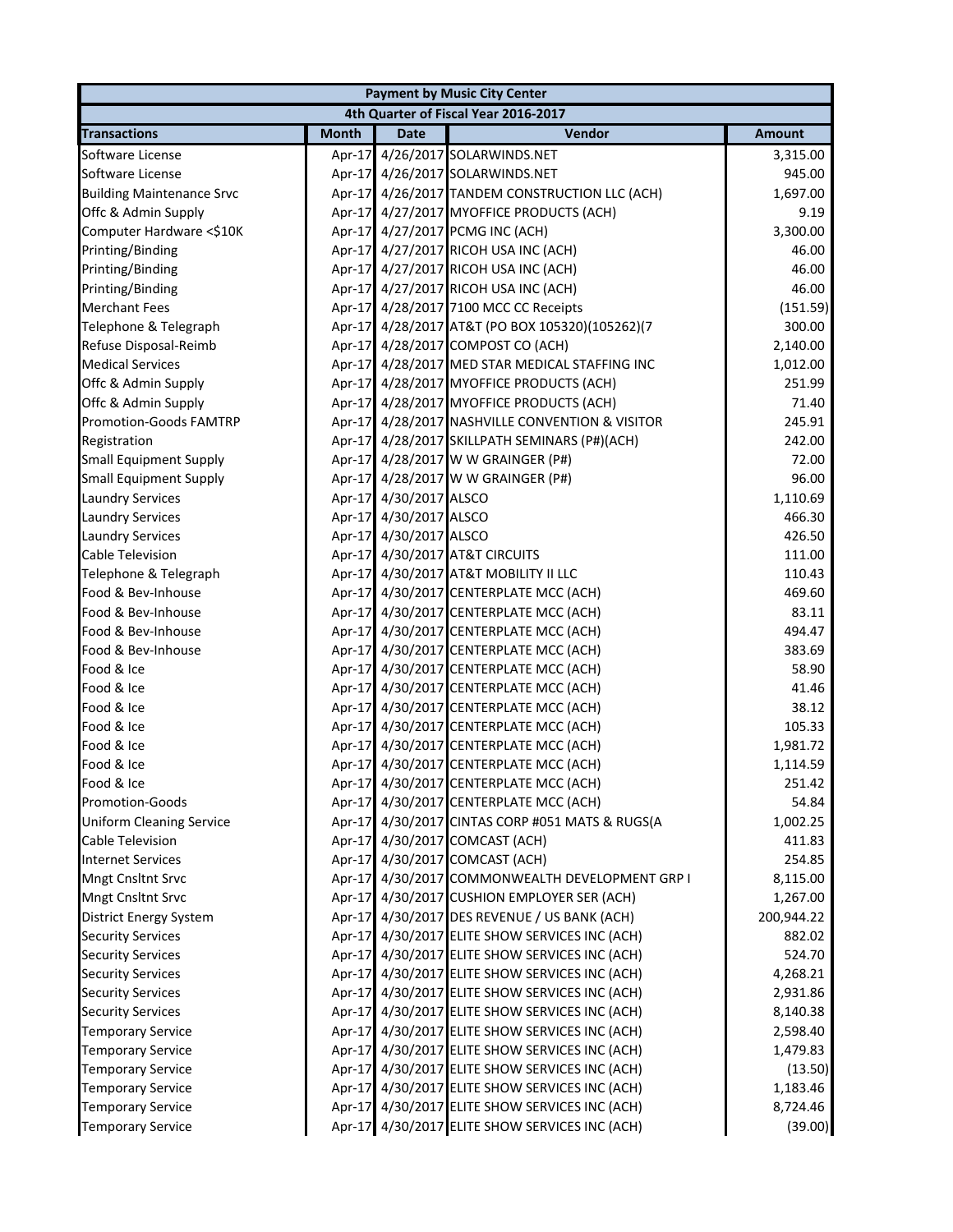|                                  |              |                        | <b>Payment by Music City Center</b>             |            |
|----------------------------------|--------------|------------------------|-------------------------------------------------|------------|
|                                  |              |                        | 4th Quarter of Fiscal Year 2016-2017            |            |
| <b>Transactions</b>              | <b>Month</b> | <b>Date</b>            | Vendor                                          | Amount     |
| Software License                 |              |                        | Apr-17 4/26/2017 SOLARWINDS.NET                 | 3,315.00   |
| Software License                 |              |                        | Apr-17 4/26/2017 SOLARWINDS.NET                 | 945.00     |
| <b>Building Maintenance Srvc</b> |              |                        | Apr-17 4/26/2017 TANDEM CONSTRUCTION LLC (ACH)  | 1,697.00   |
| Offc & Admin Supply              |              |                        | Apr-17 4/27/2017 MYOFFICE PRODUCTS (ACH)        | 9.19       |
| Computer Hardware <\$10K         |              |                        | Apr-17 4/27/2017 PCMG INC (ACH)                 | 3,300.00   |
| Printing/Binding                 |              |                        | Apr-17 4/27/2017 RICOH USA INC (ACH)            | 46.00      |
| Printing/Binding                 |              |                        | Apr-17 4/27/2017 RICOH USA INC (ACH)            | 46.00      |
| Printing/Binding                 |              |                        | Apr-17 4/27/2017 RICOH USA INC (ACH)            | 46.00      |
| <b>Merchant Fees</b>             |              |                        | Apr-17 4/28/2017 7100 MCC CC Receipts           | (151.59)   |
| Telephone & Telegraph            |              |                        | Apr-17 4/28/2017 AT&T (PO BOX 105320)(105262)(7 | 300.00     |
| Refuse Disposal-Reimb            |              |                        | Apr-17 4/28/2017 COMPOST CO (ACH)               | 2,140.00   |
| <b>Medical Services</b>          |              |                        | Apr-17 4/28/2017 MED STAR MEDICAL STAFFING INC  | 1,012.00   |
| Offc & Admin Supply              |              |                        | Apr-17 4/28/2017 MYOFFICE PRODUCTS (ACH)        | 251.99     |
| Offc & Admin Supply              |              |                        | Apr-17 4/28/2017 MYOFFICE PRODUCTS (ACH)        | 71.40      |
| <b>Promotion-Goods FAMTRP</b>    |              |                        | Apr-17 4/28/2017 NASHVILLE CONVENTION & VISITOR | 245.91     |
| Registration                     |              |                        | Apr-17 4/28/2017 SKILLPATH SEMINARS (P#)(ACH)   | 242.00     |
| <b>Small Equipment Supply</b>    |              |                        | Apr-17 4/28/2017 W W GRAINGER (P#)              | 72.00      |
| <b>Small Equipment Supply</b>    |              |                        | Apr-17 4/28/2017 W W GRAINGER (P#)              | 96.00      |
| <b>Laundry Services</b>          |              | Apr-17 4/30/2017 ALSCO |                                                 | 1,110.69   |
| <b>Laundry Services</b>          |              | Apr-17 4/30/2017 ALSCO |                                                 | 466.30     |
| <b>Laundry Services</b>          |              | Apr-17 4/30/2017 ALSCO |                                                 | 426.50     |
| <b>Cable Television</b>          |              |                        | Apr-17 4/30/2017 AT&T CIRCUITS                  | 111.00     |
| Telephone & Telegraph            |              |                        | Apr-17 4/30/2017 AT&T MOBILITY II LLC           | 110.43     |
| Food & Bev-Inhouse               |              |                        | Apr-17 4/30/2017 CENTERPLATE MCC (ACH)          | 469.60     |
| Food & Bev-Inhouse               |              |                        | Apr-17 4/30/2017 CENTERPLATE MCC (ACH)          | 83.11      |
| Food & Bev-Inhouse               |              |                        | Apr-17 4/30/2017 CENTERPLATE MCC (ACH)          | 494.47     |
| Food & Bev-Inhouse               |              |                        | Apr-17 4/30/2017 CENTERPLATE MCC (ACH)          | 383.69     |
| Food & Ice                       |              |                        | Apr-17 4/30/2017 CENTERPLATE MCC (ACH)          | 58.90      |
| Food & Ice                       |              |                        | Apr-17 4/30/2017 CENTERPLATE MCC (ACH)          | 41.46      |
| Food & Ice                       |              |                        | Apr-17 4/30/2017 CENTERPLATE MCC (ACH)          | 38.12      |
| Food & Ice                       |              |                        | Apr-17 4/30/2017 CENTERPLATE MCC (ACH)          | 105.33     |
| Food & Ice                       |              |                        | Apr-17 4/30/2017 CENTERPLATE MCC (ACH)          | 1,981.72   |
| Food & Ice                       |              |                        | Apr-17 4/30/2017 CENTERPLATE MCC (ACH)          | 1,114.59   |
| Food & Ice                       |              |                        | Apr-17 4/30/2017 CENTERPLATE MCC (ACH)          | 251.42     |
| Promotion-Goods                  |              |                        | Apr-17 4/30/2017 CENTERPLATE MCC (ACH)          | 54.84      |
| <b>Uniform Cleaning Service</b>  |              |                        | Apr-17 4/30/2017 CINTAS CORP #051 MATS & RUGS(A | 1,002.25   |
| <b>Cable Television</b>          |              |                        | Apr-17 4/30/2017 COMCAST (ACH)                  | 411.83     |
| <b>Internet Services</b>         |              |                        | Apr-17 4/30/2017 COMCAST (ACH)                  | 254.85     |
| Mngt Cnsltnt Srvc                |              |                        | Apr-17 4/30/2017 COMMONWEALTH DEVELOPMENT GRP I | 8,115.00   |
| Mngt Cnsltnt Srvc                |              |                        | Apr-17 4/30/2017 CUSHION EMPLOYER SER (ACH)     | 1,267.00   |
| District Energy System           |              |                        | Apr-17 4/30/2017 DES REVENUE / US BANK (ACH)    | 200,944.22 |
| <b>Security Services</b>         |              |                        | Apr-17 4/30/2017 ELITE SHOW SERVICES INC (ACH)  | 882.02     |
| <b>Security Services</b>         |              |                        | Apr-17 4/30/2017 ELITE SHOW SERVICES INC (ACH)  | 524.70     |
| <b>Security Services</b>         |              |                        | Apr-17 4/30/2017 ELITE SHOW SERVICES INC (ACH)  | 4,268.21   |
| <b>Security Services</b>         |              |                        | Apr-17 4/30/2017 ELITE SHOW SERVICES INC (ACH)  | 2,931.86   |
| <b>Security Services</b>         |              |                        | Apr-17 4/30/2017 ELITE SHOW SERVICES INC (ACH)  | 8,140.38   |
| <b>Temporary Service</b>         |              |                        | Apr-17 4/30/2017 ELITE SHOW SERVICES INC (ACH)  | 2,598.40   |
| <b>Temporary Service</b>         |              |                        | Apr-17 4/30/2017 ELITE SHOW SERVICES INC (ACH)  | 1,479.83   |
| <b>Temporary Service</b>         |              |                        | Apr-17 4/30/2017 ELITE SHOW SERVICES INC (ACH)  | (13.50)    |
| <b>Temporary Service</b>         |              |                        | Apr-17 4/30/2017 ELITE SHOW SERVICES INC (ACH)  | 1,183.46   |
| <b>Temporary Service</b>         |              |                        | Apr-17 4/30/2017 ELITE SHOW SERVICES INC (ACH)  | 8,724.46   |
| <b>Temporary Service</b>         |              |                        | Apr-17 4/30/2017 ELITE SHOW SERVICES INC (ACH)  | (39.00)    |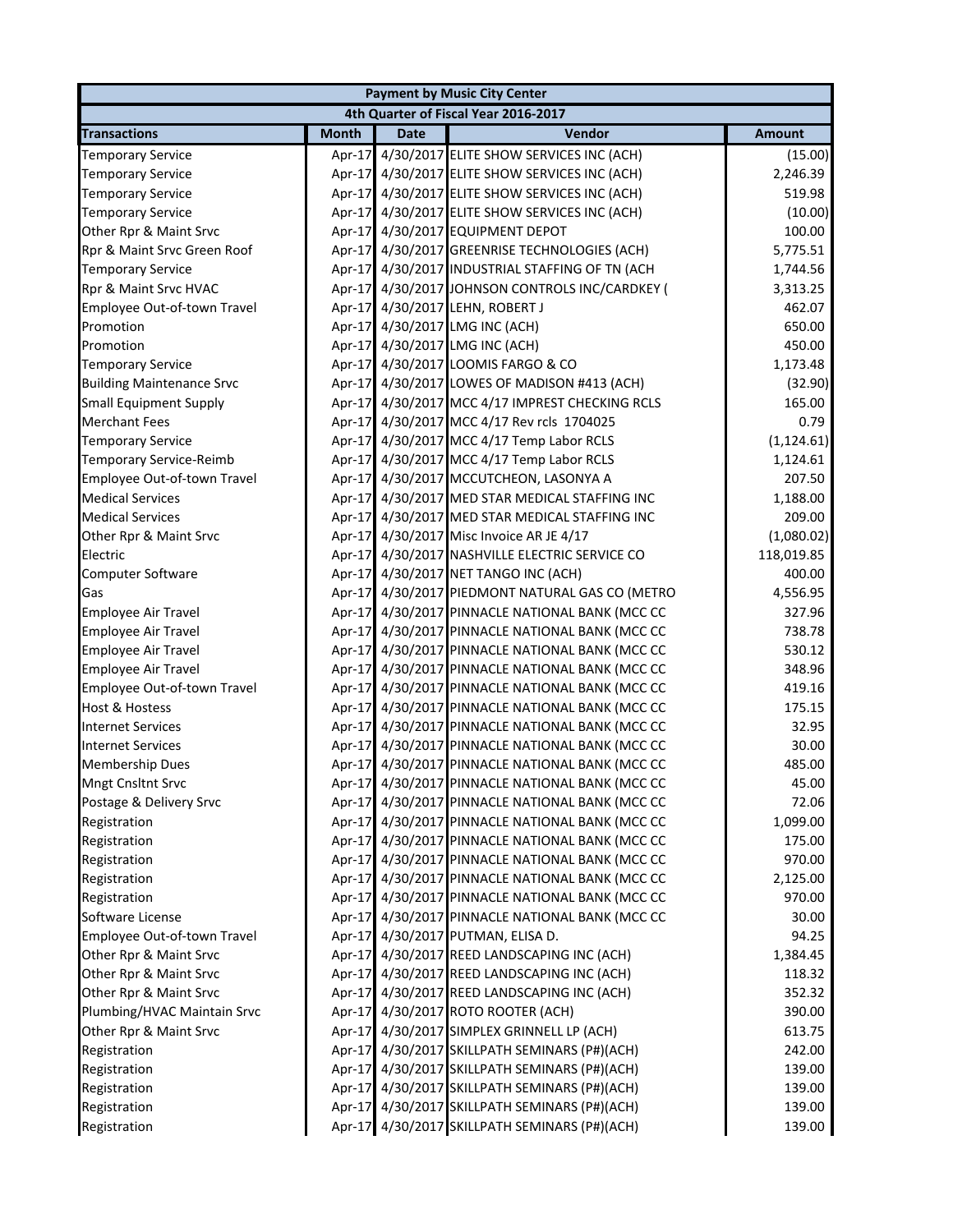|                                  |              |             | <b>Payment by Music City Center</b>             |               |
|----------------------------------|--------------|-------------|-------------------------------------------------|---------------|
|                                  |              |             | 4th Quarter of Fiscal Year 2016-2017            |               |
| <b>Transactions</b>              | <b>Month</b> | <b>Date</b> | Vendor                                          | <b>Amount</b> |
| <b>Temporary Service</b>         | $Apr-17$     |             | 4/30/2017 ELITE SHOW SERVICES INC (ACH)         | (15.00)       |
| <b>Temporary Service</b>         |              |             | Apr-17 4/30/2017 ELITE SHOW SERVICES INC (ACH)  | 2,246.39      |
| <b>Temporary Service</b>         |              |             | Apr-17 4/30/2017 ELITE SHOW SERVICES INC (ACH)  | 519.98        |
| <b>Temporary Service</b>         | $Apr-17$     |             | 4/30/2017 ELITE SHOW SERVICES INC (ACH)         | (10.00)       |
| Other Rpr & Maint Srvc           | Apr-17       |             | 4/30/2017 EQUIPMENT DEPOT                       | 100.00        |
| Rpr & Maint Srvc Green Roof      |              |             | Apr-17 4/30/2017 GREENRISE TECHNOLOGIES (ACH)   | 5,775.51      |
| <b>Temporary Service</b>         |              |             | Apr-17 4/30/2017 INDUSTRIAL STAFFING OF TN (ACH | 1,744.56      |
| Rpr & Maint Srvc HVAC            |              |             | Apr-17 4/30/2017 JOHNSON CONTROLS INC/CARDKEY ( | 3,313.25      |
| Employee Out-of-town Travel      |              |             | Apr-17 4/30/2017 LEHN, ROBERT J                 | 462.07        |
| Promotion                        |              |             | Apr-17 4/30/2017 LMG INC (ACH)                  | 650.00        |
| Promotion                        |              |             | Apr-17 4/30/2017 LMG INC (ACH)                  | 450.00        |
| <b>Temporary Service</b>         |              |             | Apr-17 4/30/2017 LOOMIS FARGO & CO              | 1,173.48      |
| <b>Building Maintenance Srvc</b> |              |             | Apr-17 4/30/2017 LOWES OF MADISON #413 (ACH)    | (32.90)       |
| <b>Small Equipment Supply</b>    |              |             | Apr-17 4/30/2017 MCC 4/17 IMPREST CHECKING RCLS | 165.00        |
| <b>Merchant Fees</b>             |              |             | Apr-17 4/30/2017 MCC 4/17 Rev rcls 1704025      | 0.79          |
| <b>Temporary Service</b>         |              |             | Apr-17 4/30/2017 MCC 4/17 Temp Labor RCLS       | (1, 124.61)   |
| Temporary Service-Reimb          |              |             | Apr-17 4/30/2017 MCC 4/17 Temp Labor RCLS       | 1,124.61      |
| Employee Out-of-town Travel      |              |             | Apr-17 4/30/2017 MCCUTCHEON, LASONYA A          | 207.50        |
| <b>Medical Services</b>          |              |             | Apr-17 4/30/2017 MED STAR MEDICAL STAFFING INC  | 1,188.00      |
| <b>Medical Services</b>          |              |             | Apr-17 4/30/2017 MED STAR MEDICAL STAFFING INC  | 209.00        |
| Other Rpr & Maint Srvc           |              |             | Apr-17 4/30/2017 Misc Invoice AR JE 4/17        | (1,080.02)    |
| Electric                         |              |             | Apr-17 4/30/2017 NASHVILLE ELECTRIC SERVICE CO  | 118,019.85    |
| Computer Software                |              |             | Apr-17 4/30/2017 NET TANGO INC (ACH)            | 400.00        |
| Gas                              |              |             | Apr-17 4/30/2017 PIEDMONT NATURAL GAS CO (METRO | 4,556.95      |
| Employee Air Travel              |              |             | Apr-17 4/30/2017 PINNACLE NATIONAL BANK (MCC CC | 327.96        |
| <b>Employee Air Travel</b>       |              |             | Apr-17 4/30/2017 PINNACLE NATIONAL BANK (MCC CC | 738.78        |
| <b>Employee Air Travel</b>       |              |             | Apr-17 4/30/2017 PINNACLE NATIONAL BANK (MCC CC | 530.12        |
| <b>Employee Air Travel</b>       |              |             | Apr-17 4/30/2017 PINNACLE NATIONAL BANK (MCC CC | 348.96        |
| Employee Out-of-town Travel      |              |             | Apr-17 4/30/2017 PINNACLE NATIONAL BANK (MCC CC | 419.16        |
| <b>Host &amp; Hostess</b>        |              |             | Apr-17 4/30/2017 PINNACLE NATIONAL BANK (MCC CC | 175.15        |
| <b>Internet Services</b>         |              |             | Apr-17 4/30/2017 PINNACLE NATIONAL BANK (MCC CC | 32.95         |
| <b>Internet Services</b>         |              |             | Apr-17 4/30/2017 PINNACLE NATIONAL BANK (MCC CC | 30.00         |
| <b>Membership Dues</b>           |              |             | Apr-17 4/30/2017 PINNACLE NATIONAL BANK (MCC CC | 485.00        |
| <b>Mngt Cnsltnt Srvc</b>         |              |             | Apr-17 4/30/2017 PINNACLE NATIONAL BANK (MCC CC | 45.00         |
| Postage & Delivery Srvc          | Apr-17       |             | 4/30/2017 PINNACLE NATIONAL BANK (MCC CC        | 72.06         |
| Registration                     |              |             | Apr-17 4/30/2017 PINNACLE NATIONAL BANK (MCC CC | 1,099.00      |
| Registration                     |              |             | Apr-17 4/30/2017 PINNACLE NATIONAL BANK (MCC CC | 175.00        |
| Registration                     |              |             | Apr-17 4/30/2017 PINNACLE NATIONAL BANK (MCC CC | 970.00        |
| Registration                     |              |             | Apr-17 4/30/2017 PINNACLE NATIONAL BANK (MCC CC | 2,125.00      |
| Registration                     |              |             | Apr-17 4/30/2017 PINNACLE NATIONAL BANK (MCC CC | 970.00        |
| Software License                 |              |             | Apr-17 4/30/2017 PINNACLE NATIONAL BANK (MCC CC | 30.00         |
| Employee Out-of-town Travel      |              |             | Apr-17 4/30/2017 PUTMAN, ELISA D.               | 94.25         |
| Other Rpr & Maint Srvc           |              |             | Apr-17 4/30/2017 REED LANDSCAPING INC (ACH)     | 1,384.45      |
| Other Rpr & Maint Srvc           |              |             | Apr-17 4/30/2017 REED LANDSCAPING INC (ACH)     | 118.32        |
| Other Rpr & Maint Srvc           |              |             | Apr-17 4/30/2017 REED LANDSCAPING INC (ACH)     | 352.32        |
| Plumbing/HVAC Maintain Srvc      |              |             | Apr-17 4/30/2017 ROTO ROOTER (ACH)              | 390.00        |
| Other Rpr & Maint Srvc           |              |             | Apr-17 4/30/2017 SIMPLEX GRINNELL LP (ACH)      | 613.75        |
| Registration                     |              |             | Apr-17 4/30/2017 SKILLPATH SEMINARS (P#)(ACH)   | 242.00        |
| Registration                     |              |             | Apr-17 4/30/2017 SKILLPATH SEMINARS (P#)(ACH)   | 139.00        |
| Registration                     |              |             | Apr-17 4/30/2017 SKILLPATH SEMINARS (P#)(ACH)   | 139.00        |
| Registration                     |              |             | Apr-17 4/30/2017 SKILLPATH SEMINARS (P#)(ACH)   | 139.00        |
| Registration                     |              |             | Apr-17 4/30/2017 SKILLPATH SEMINARS (P#)(ACH)   | 139.00        |
|                                  |              |             |                                                 |               |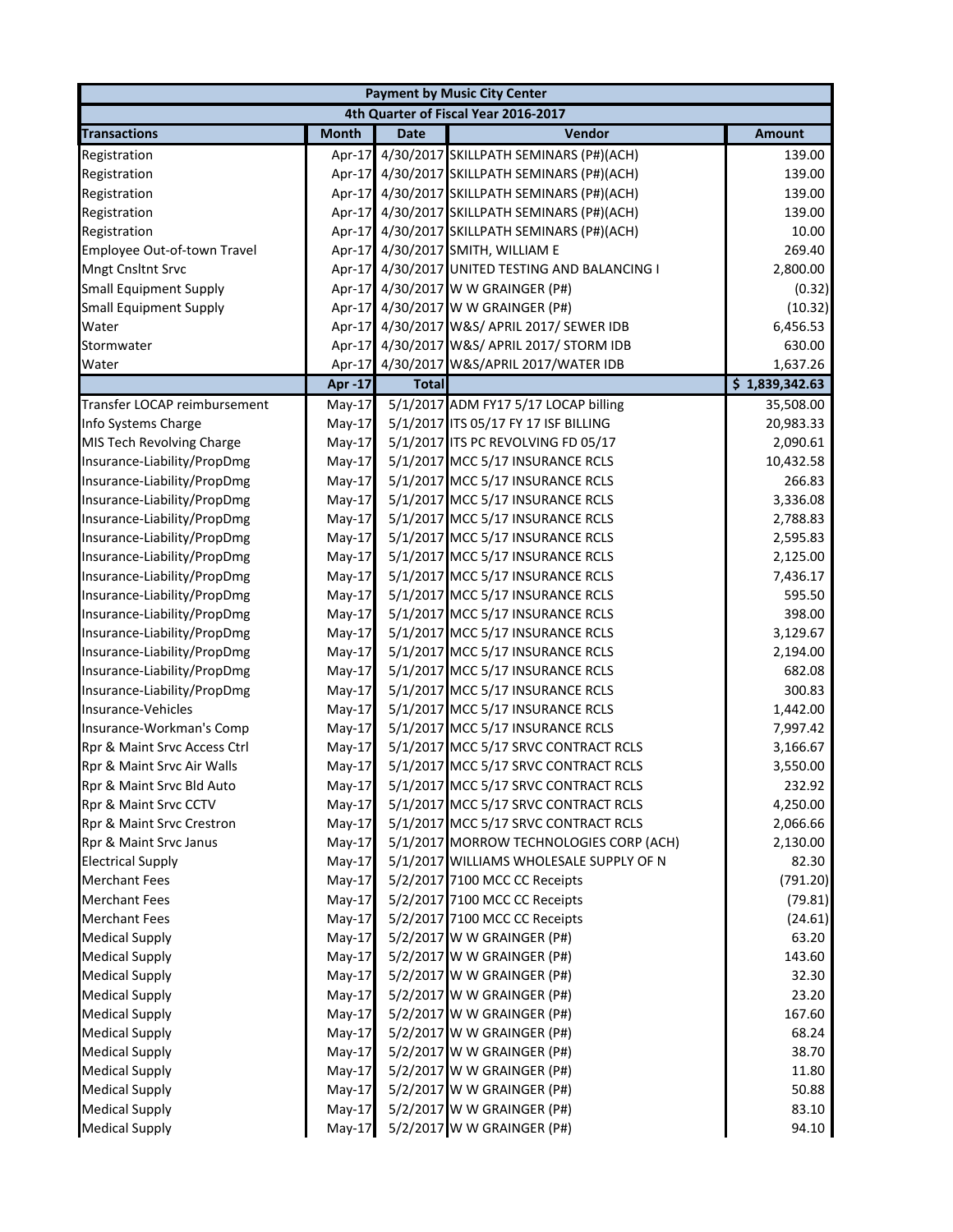|                               |               |              | <b>Payment by Music City Center</b>      |                |
|-------------------------------|---------------|--------------|------------------------------------------|----------------|
|                               |               |              | 4th Quarter of Fiscal Year 2016-2017     |                |
| <b>Transactions</b>           | <b>Month</b>  | <b>Date</b>  | Vendor                                   | <b>Amount</b>  |
| Registration                  | Apr-17        |              | 4/30/2017 SKILLPATH SEMINARS (P#)(ACH)   | 139.00         |
| Registration                  | Apr-17        |              | 4/30/2017 SKILLPATH SEMINARS (P#)(ACH)   | 139.00         |
| Registration                  | Apr-17        |              | 4/30/2017 SKILLPATH SEMINARS (P#)(ACH)   | 139.00         |
| Registration                  | Apr-17        |              | 4/30/2017 SKILLPATH SEMINARS (P#)(ACH)   | 139.00         |
| Registration                  | Apr-17        |              | 4/30/2017 SKILLPATH SEMINARS (P#)(ACH)   | 10.00          |
| Employee Out-of-town Travel   | Apr-17        |              | 4/30/2017 SMITH, WILLIAM E               | 269.40         |
| Mngt Cnsltnt Srvc             | Apr-17        |              | 4/30/2017 UNITED TESTING AND BALANCING I | 2,800.00       |
| <b>Small Equipment Supply</b> | Apr-17        |              | 4/30/2017 W W GRAINGER (P#)              | (0.32)         |
| <b>Small Equipment Supply</b> | Apr-17        |              | 4/30/2017 W W GRAINGER (P#)              | (10.32)        |
| Water                         | Apr-17        |              | 4/30/2017 W&S/ APRIL 2017/ SEWER IDB     | 6,456.53       |
| Stormwater                    | Apr-17        |              | 4/30/2017 W&S/ APRIL 2017/ STORM IDB     | 630.00         |
| Water                         | Apr-17        |              | 4/30/2017 W&S/APRIL 2017/WATER IDB       | 1,637.26       |
|                               | <b>Apr-17</b> | <b>Total</b> |                                          | \$1,839,342.63 |
| Transfer LOCAP reimbursement  | $May-17$      |              | 5/1/2017 ADM FY17 5/17 LOCAP billing     | 35,508.00      |
| Info Systems Charge           | $May-17$      |              | 5/1/2017 ITS 05/17 FY 17 ISF BILLING     | 20,983.33      |
| MIS Tech Revolving Charge     | $May-17$      |              | 5/1/2017 ITS PC REVOLVING FD 05/17       | 2,090.61       |
| Insurance-Liability/PropDmg   | $May-17$      |              | 5/1/2017 MCC 5/17 INSURANCE RCLS         | 10,432.58      |
| Insurance-Liability/PropDmg   | $May-17$      |              | 5/1/2017 MCC 5/17 INSURANCE RCLS         | 266.83         |
| Insurance-Liability/PropDmg   | $May-17$      |              | 5/1/2017 MCC 5/17 INSURANCE RCLS         | 3,336.08       |
| Insurance-Liability/PropDmg   | $May-17$      |              | 5/1/2017 MCC 5/17 INSURANCE RCLS         | 2,788.83       |
| Insurance-Liability/PropDmg   | May-17        |              | 5/1/2017 MCC 5/17 INSURANCE RCLS         | 2,595.83       |
| Insurance-Liability/PropDmg   | $May-17$      |              | 5/1/2017 MCC 5/17 INSURANCE RCLS         | 2,125.00       |
| Insurance-Liability/PropDmg   | $May-17$      |              | 5/1/2017 MCC 5/17 INSURANCE RCLS         | 7,436.17       |
| Insurance-Liability/PropDmg   | $May-17$      |              | 5/1/2017 MCC 5/17 INSURANCE RCLS         | 595.50         |
| Insurance-Liability/PropDmg   | $May-17$      |              | 5/1/2017 MCC 5/17 INSURANCE RCLS         | 398.00         |
| Insurance-Liability/PropDmg   | $May-17$      |              | 5/1/2017 MCC 5/17 INSURANCE RCLS         | 3,129.67       |
| Insurance-Liability/PropDmg   | $May-17$      |              | 5/1/2017 MCC 5/17 INSURANCE RCLS         | 2,194.00       |
| Insurance-Liability/PropDmg   | $May-17$      |              | 5/1/2017 MCC 5/17 INSURANCE RCLS         | 682.08         |
| Insurance-Liability/PropDmg   | $May-17$      |              | 5/1/2017 MCC 5/17 INSURANCE RCLS         | 300.83         |
| Insurance-Vehicles            | $May-17$      |              | 5/1/2017 MCC 5/17 INSURANCE RCLS         | 1,442.00       |
| Insurance-Workman's Comp      | $May-17$      |              | 5/1/2017 MCC 5/17 INSURANCE RCLS         | 7,997.42       |
| Rpr & Maint Srvc Access Ctrl  | $May-17$      |              | 5/1/2017 MCC 5/17 SRVC CONTRACT RCLS     | 3,166.67       |
| Rpr & Maint Srvc Air Walls    | May-17        |              | 5/1/2017 MCC 5/17 SRVC CONTRACT RCLS     | 3,550.00       |
| Rpr & Maint Srvc Bld Auto     | $May-17$      |              | 5/1/2017 MCC 5/17 SRVC CONTRACT RCLS     | 232.92         |
| Rpr & Maint Srvc CCTV         | May-17        |              | 5/1/2017 MCC 5/17 SRVC CONTRACT RCLS     | 4,250.00       |
| Rpr & Maint Srvc Crestron     | May-17        |              | 5/1/2017 MCC 5/17 SRVC CONTRACT RCLS     | 2,066.66       |
| Rpr & Maint Srvc Janus        | May-17        |              | 5/1/2017 MORROW TECHNOLOGIES CORP (ACH)  | 2,130.00       |
| <b>Electrical Supply</b>      | May-17        |              | 5/1/2017 WILLIAMS WHOLESALE SUPPLY OF N  | 82.30          |
| <b>Merchant Fees</b>          | $May-17$      |              | 5/2/2017 7100 MCC CC Receipts            | (791.20)       |
| <b>Merchant Fees</b>          | $May-17$      |              | 5/2/2017 7100 MCC CC Receipts            | (79.81)        |
| <b>Merchant Fees</b>          | $May-17$      |              | 5/2/2017 7100 MCC CC Receipts            | (24.61)        |
| <b>Medical Supply</b>         | $May-17$      |              | 5/2/2017 W W GRAINGER (P#)               | 63.20          |
| <b>Medical Supply</b>         | $May-17$      |              | 5/2/2017 W W GRAINGER (P#)               | 143.60         |
| <b>Medical Supply</b>         | $May-17$      |              | 5/2/2017 W W GRAINGER (P#)               | 32.30          |
| <b>Medical Supply</b>         | $May-17$      |              | 5/2/2017 W W GRAINGER (P#)               | 23.20          |
| <b>Medical Supply</b>         | $May-17$      |              | 5/2/2017 W W GRAINGER (P#)               | 167.60         |
| <b>Medical Supply</b>         | May-17        |              | 5/2/2017 W W GRAINGER (P#)               | 68.24          |
| <b>Medical Supply</b>         | $May-17$      |              | 5/2/2017 W W GRAINGER (P#)               | 38.70          |
| <b>Medical Supply</b>         | May-17        |              | 5/2/2017 W W GRAINGER (P#)               | 11.80          |
| <b>Medical Supply</b>         | $May-17$      |              | 5/2/2017 W W GRAINGER (P#)               | 50.88          |
| <b>Medical Supply</b>         | May-17        |              | 5/2/2017 W W GRAINGER (P#)               | 83.10          |
| <b>Medical Supply</b>         | May-17        |              | 5/2/2017 W W GRAINGER (P#)               | 94.10          |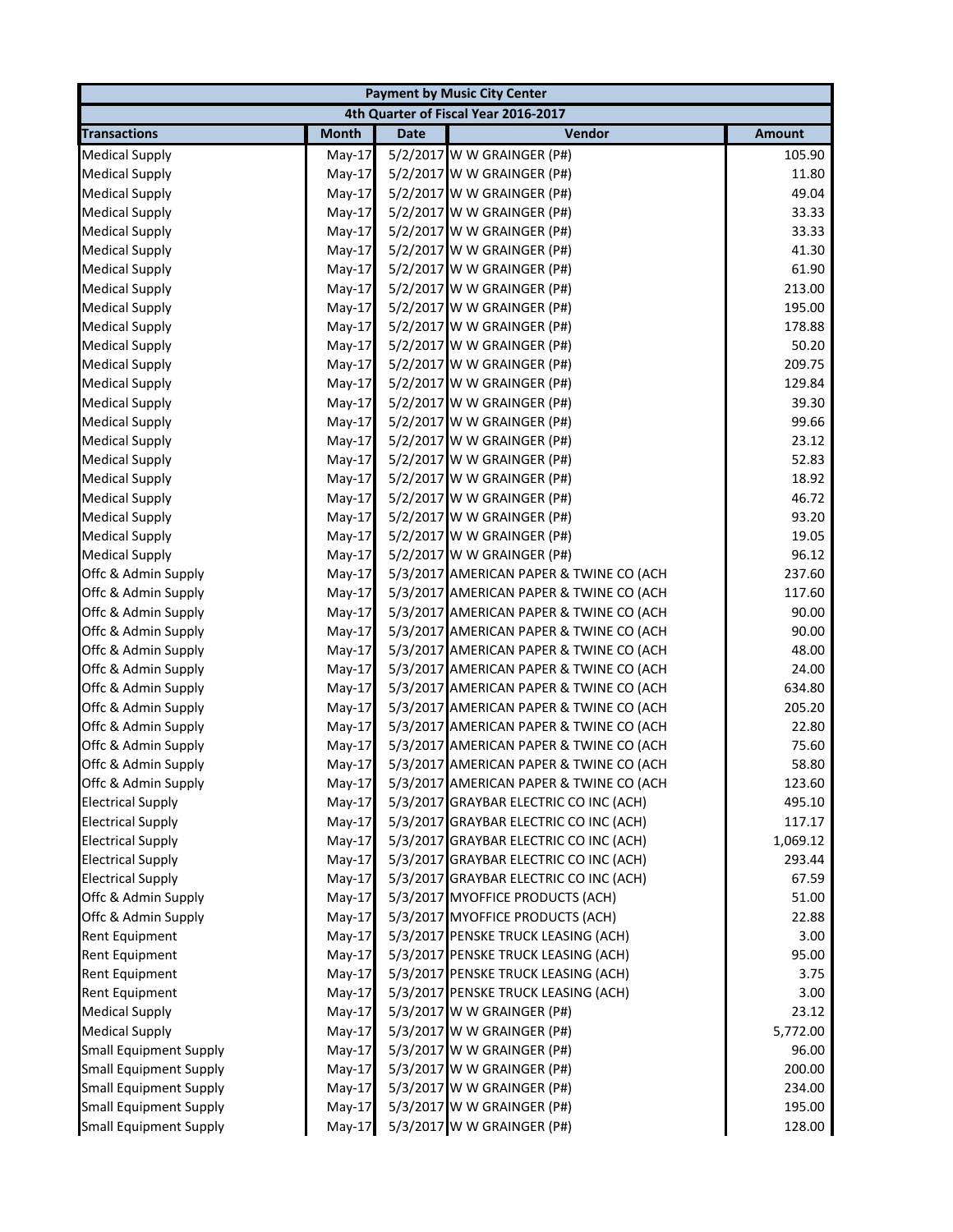|                               |              |             | <b>Payment by Music City Center</b>     |               |
|-------------------------------|--------------|-------------|-----------------------------------------|---------------|
|                               |              |             | 4th Quarter of Fiscal Year 2016-2017    |               |
| <b>Transactions</b>           | <b>Month</b> | <b>Date</b> | Vendor                                  | <b>Amount</b> |
| <b>Medical Supply</b>         | $May-17$     |             | 5/2/2017 W W GRAINGER (P#)              | 105.90        |
| <b>Medical Supply</b>         | May-17       |             | 5/2/2017 W W GRAINGER (P#)              | 11.80         |
| <b>Medical Supply</b>         | $May-17$     |             | 5/2/2017 W W GRAINGER (P#)              | 49.04         |
| <b>Medical Supply</b>         | May-17       |             | 5/2/2017 W W GRAINGER (P#)              | 33.33         |
| <b>Medical Supply</b>         | May-17       |             | 5/2/2017 W W GRAINGER (P#)              | 33.33         |
| <b>Medical Supply</b>         | May-17       |             | 5/2/2017 W W GRAINGER (P#)              | 41.30         |
| <b>Medical Supply</b>         | May-17       |             | 5/2/2017 W W GRAINGER (P#)              | 61.90         |
| <b>Medical Supply</b>         | May-17       |             | 5/2/2017 W W GRAINGER (P#)              | 213.00        |
| <b>Medical Supply</b>         | May-17       |             | 5/2/2017 W W GRAINGER (P#)              | 195.00        |
| <b>Medical Supply</b>         | May-17       |             | 5/2/2017 W W GRAINGER (P#)              | 178.88        |
| <b>Medical Supply</b>         | May-17       |             | 5/2/2017 W W GRAINGER (P#)              | 50.20         |
| <b>Medical Supply</b>         | May-17       |             | 5/2/2017 W W GRAINGER (P#)              | 209.75        |
| <b>Medical Supply</b>         | $May-17$     |             | 5/2/2017 W W GRAINGER (P#)              | 129.84        |
| <b>Medical Supply</b>         | $May-17$     |             | 5/2/2017 W W GRAINGER (P#)              | 39.30         |
| <b>Medical Supply</b>         | May-17       |             | 5/2/2017 W W GRAINGER (P#)              | 99.66         |
| <b>Medical Supply</b>         | $May-17$     |             | 5/2/2017 W W GRAINGER (P#)              | 23.12         |
| <b>Medical Supply</b>         | May-17       |             | 5/2/2017 W W GRAINGER (P#)              | 52.83         |
| <b>Medical Supply</b>         | $May-17$     |             | 5/2/2017 W W GRAINGER (P#)              | 18.92         |
| <b>Medical Supply</b>         | $May-17$     |             | 5/2/2017 W W GRAINGER (P#)              | 46.72         |
| <b>Medical Supply</b>         | May-17       |             | 5/2/2017 W W GRAINGER (P#)              | 93.20         |
| <b>Medical Supply</b>         | $May-17$     |             | 5/2/2017 W W GRAINGER (P#)              | 19.05         |
| <b>Medical Supply</b>         | $May-17$     |             | 5/2/2017 W W GRAINGER (P#)              | 96.12         |
| Offc & Admin Supply           | $May-17$     |             | 5/3/2017 AMERICAN PAPER & TWINE CO (ACH | 237.60        |
| Offc & Admin Supply           | $May-17$     |             | 5/3/2017 AMERICAN PAPER & TWINE CO (ACH | 117.60        |
| Offc & Admin Supply           | $May-17$     |             | 5/3/2017 AMERICAN PAPER & TWINE CO (ACH | 90.00         |
| Offc & Admin Supply           | $May-17$     |             | 5/3/2017 AMERICAN PAPER & TWINE CO (ACH | 90.00         |
| Offc & Admin Supply           | May-17       |             | 5/3/2017 AMERICAN PAPER & TWINE CO (ACH | 48.00         |
| Offc & Admin Supply           | $May-17$     |             | 5/3/2017 AMERICAN PAPER & TWINE CO (ACH | 24.00         |
| Offc & Admin Supply           | May-17       |             | 5/3/2017 AMERICAN PAPER & TWINE CO (ACH | 634.80        |
| Offc & Admin Supply           | May-17       |             | 5/3/2017 AMERICAN PAPER & TWINE CO (ACH | 205.20        |
| Offc & Admin Supply           | May-17       |             | 5/3/2017 AMERICAN PAPER & TWINE CO (ACH | 22.80         |
| Offc & Admin Supply           | May-17       |             | 5/3/2017 AMERICAN PAPER & TWINE CO (ACH | 75.60         |
| Offc & Admin Supply           | May-17       |             | 5/3/2017 AMERICAN PAPER & TWINE CO (ACH | 58.80         |
| Offc & Admin Supply           | $May-17$     |             | 5/3/2017 AMERICAN PAPER & TWINE CO (ACH | 123.60        |
| <b>Electrical Supply</b>      | May-17       |             | 5/3/2017 GRAYBAR ELECTRIC CO INC (ACH)  | 495.10        |
| <b>Electrical Supply</b>      | $May-17$     |             | 5/3/2017 GRAYBAR ELECTRIC CO INC (ACH)  | 117.17        |
| <b>Electrical Supply</b>      | May-17       |             | 5/3/2017 GRAYBAR ELECTRIC CO INC (ACH)  | 1,069.12      |
| <b>Electrical Supply</b>      | $May-17$     |             | 5/3/2017 GRAYBAR ELECTRIC CO INC (ACH)  | 293.44        |
| <b>Electrical Supply</b>      | $May-17$     |             | 5/3/2017 GRAYBAR ELECTRIC CO INC (ACH)  | 67.59         |
| Offc & Admin Supply           | May-17       |             | 5/3/2017 MYOFFICE PRODUCTS (ACH)        | 51.00         |
| Offc & Admin Supply           | $May-17$     |             | 5/3/2017 MYOFFICE PRODUCTS (ACH)        | 22.88         |
| Rent Equipment                | May-17       |             | 5/3/2017 PENSKE TRUCK LEASING (ACH)     | 3.00          |
| <b>Rent Equipment</b>         | $May-17$     |             | 5/3/2017 PENSKE TRUCK LEASING (ACH)     | 95.00         |
| <b>Rent Equipment</b>         | $May-17$     |             | 5/3/2017 PENSKE TRUCK LEASING (ACH)     | 3.75          |
| <b>Rent Equipment</b>         | $May-17$     |             | 5/3/2017 PENSKE TRUCK LEASING (ACH)     | 3.00          |
| <b>Medical Supply</b>         | $May-17$     |             | 5/3/2017 W W GRAINGER (P#)              | 23.12         |
| <b>Medical Supply</b>         | $May-17$     |             | 5/3/2017 W W GRAINGER (P#)              | 5,772.00      |
| <b>Small Equipment Supply</b> | $May-17$     |             | 5/3/2017 W W GRAINGER (P#)              | 96.00         |
| <b>Small Equipment Supply</b> | $May-17$     |             | 5/3/2017 W W GRAINGER (P#)              | 200.00        |
| <b>Small Equipment Supply</b> | $May-17$     |             | 5/3/2017 W W GRAINGER (P#)              | 234.00        |
| <b>Small Equipment Supply</b> | $May-17$     |             | 5/3/2017 W W GRAINGER (P#)              | 195.00        |
| <b>Small Equipment Supply</b> | $May-17$     |             | 5/3/2017 W W GRAINGER (P#)              | 128.00        |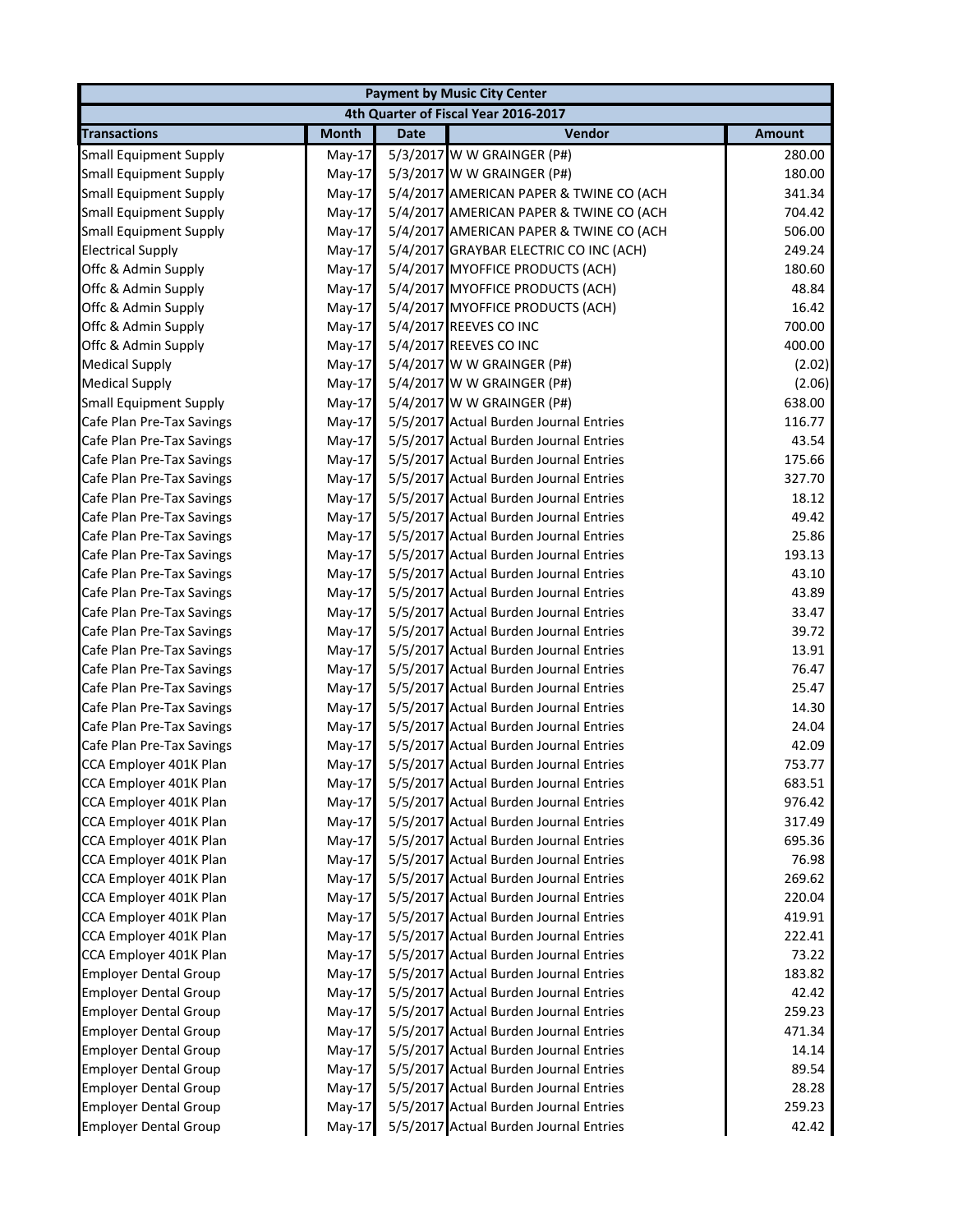|                               |              |             | <b>Payment by Music City Center</b>     |               |
|-------------------------------|--------------|-------------|-----------------------------------------|---------------|
|                               |              |             | 4th Quarter of Fiscal Year 2016-2017    |               |
| <b>Transactions</b>           | <b>Month</b> | <b>Date</b> | Vendor                                  | <b>Amount</b> |
| <b>Small Equipment Supply</b> | $May-17$     |             | 5/3/2017 W W GRAINGER (P#)              | 280.00        |
| <b>Small Equipment Supply</b> | $May-17$     |             | 5/3/2017 W W GRAINGER (P#)              | 180.00        |
| <b>Small Equipment Supply</b> | $May-17$     |             | 5/4/2017 AMERICAN PAPER & TWINE CO (ACH | 341.34        |
| <b>Small Equipment Supply</b> | $May-17$     |             | 5/4/2017 AMERICAN PAPER & TWINE CO (ACH | 704.42        |
| <b>Small Equipment Supply</b> | $May-17$     |             | 5/4/2017 AMERICAN PAPER & TWINE CO (ACH | 506.00        |
| <b>Electrical Supply</b>      | $May-17$     |             | 5/4/2017 GRAYBAR ELECTRIC CO INC (ACH)  | 249.24        |
| Offc & Admin Supply           | $May-17$     |             | 5/4/2017 MYOFFICE PRODUCTS (ACH)        | 180.60        |
| Offc & Admin Supply           | $May-17$     |             | 5/4/2017 MYOFFICE PRODUCTS (ACH)        | 48.84         |
| Offc & Admin Supply           | $May-17$     |             | 5/4/2017 MYOFFICE PRODUCTS (ACH)        | 16.42         |
| Offc & Admin Supply           | $May-17$     |             | 5/4/2017 REEVES CO INC                  | 700.00        |
| Offc & Admin Supply           | $May-17$     |             | 5/4/2017 REEVES CO INC                  | 400.00        |
| <b>Medical Supply</b>         | $May-17$     |             | 5/4/2017 W W GRAINGER (P#)              | (2.02)        |
| <b>Medical Supply</b>         | $May-17$     |             | 5/4/2017 W W GRAINGER (P#)              | (2.06)        |
| <b>Small Equipment Supply</b> | $May-17$     |             | 5/4/2017 W W GRAINGER (P#)              | 638.00        |
| Cafe Plan Pre-Tax Savings     | $May-17$     |             | 5/5/2017 Actual Burden Journal Entries  | 116.77        |
| Cafe Plan Pre-Tax Savings     | $May-17$     |             | 5/5/2017 Actual Burden Journal Entries  | 43.54         |
| Cafe Plan Pre-Tax Savings     | $May-17$     |             | 5/5/2017 Actual Burden Journal Entries  | 175.66        |
| Cafe Plan Pre-Tax Savings     | $May-17$     |             | 5/5/2017 Actual Burden Journal Entries  | 327.70        |
| Cafe Plan Pre-Tax Savings     | $May-17$     |             | 5/5/2017 Actual Burden Journal Entries  | 18.12         |
| Cafe Plan Pre-Tax Savings     | $May-17$     |             | 5/5/2017 Actual Burden Journal Entries  | 49.42         |
| Cafe Plan Pre-Tax Savings     | $May-17$     |             | 5/5/2017 Actual Burden Journal Entries  | 25.86         |
| Cafe Plan Pre-Tax Savings     | $May-17$     |             | 5/5/2017 Actual Burden Journal Entries  | 193.13        |
| Cafe Plan Pre-Tax Savings     | $May-17$     |             | 5/5/2017 Actual Burden Journal Entries  | 43.10         |
| Cafe Plan Pre-Tax Savings     | $May-17$     |             | 5/5/2017 Actual Burden Journal Entries  | 43.89         |
| Cafe Plan Pre-Tax Savings     | $May-17$     |             | 5/5/2017 Actual Burden Journal Entries  | 33.47         |
| Cafe Plan Pre-Tax Savings     | $May-17$     |             | 5/5/2017 Actual Burden Journal Entries  | 39.72         |
| Cafe Plan Pre-Tax Savings     | $May-17$     |             | 5/5/2017 Actual Burden Journal Entries  | 13.91         |
| Cafe Plan Pre-Tax Savings     | $May-17$     |             | 5/5/2017 Actual Burden Journal Entries  | 76.47         |
| Cafe Plan Pre-Tax Savings     | $May-17$     |             | 5/5/2017 Actual Burden Journal Entries  | 25.47         |
| Cafe Plan Pre-Tax Savings     | $May-17$     |             | 5/5/2017 Actual Burden Journal Entries  | 14.30         |
| Cafe Plan Pre-Tax Savings     | $May-17$     |             | 5/5/2017 Actual Burden Journal Entries  | 24.04         |
| Cafe Plan Pre-Tax Savings     | $May-17$     |             | 5/5/2017 Actual Burden Journal Entries  | 42.09         |
| CCA Employer 401K Plan        | $May-17$     |             | 5/5/2017 Actual Burden Journal Entries  | 753.77        |
| CCA Employer 401K Plan        | $May-17$     |             | 5/5/2017 Actual Burden Journal Entries  | 683.51        |
| CCA Employer 401K Plan        | May-17       |             | 5/5/2017 Actual Burden Journal Entries  | 976.42        |
| CCA Employer 401K Plan        | May-17       |             | 5/5/2017 Actual Burden Journal Entries  | 317.49        |
| CCA Employer 401K Plan        | $May-17$     |             | 5/5/2017 Actual Burden Journal Entries  | 695.36        |
| CCA Employer 401K Plan        | $May-17$     |             | 5/5/2017 Actual Burden Journal Entries  | 76.98         |
| CCA Employer 401K Plan        | $May-17$     |             | 5/5/2017 Actual Burden Journal Entries  | 269.62        |
| CCA Employer 401K Plan        | $May-17$     |             | 5/5/2017 Actual Burden Journal Entries  | 220.04        |
| CCA Employer 401K Plan        | $May-17$     |             | 5/5/2017 Actual Burden Journal Entries  | 419.91        |
| CCA Employer 401K Plan        | $May-17$     |             | 5/5/2017 Actual Burden Journal Entries  | 222.41        |
| CCA Employer 401K Plan        | $May-17$     |             | 5/5/2017 Actual Burden Journal Entries  | 73.22         |
| <b>Employer Dental Group</b>  | $May-17$     |             | 5/5/2017 Actual Burden Journal Entries  | 183.82        |
| <b>Employer Dental Group</b>  | $May-17$     |             | 5/5/2017 Actual Burden Journal Entries  | 42.42         |
| <b>Employer Dental Group</b>  | $May-17$     |             | 5/5/2017 Actual Burden Journal Entries  | 259.23        |
| <b>Employer Dental Group</b>  | $May-17$     |             | 5/5/2017 Actual Burden Journal Entries  | 471.34        |
| <b>Employer Dental Group</b>  | $May-17$     |             | 5/5/2017 Actual Burden Journal Entries  | 14.14         |
| <b>Employer Dental Group</b>  | $May-17$     |             | 5/5/2017 Actual Burden Journal Entries  | 89.54         |
| <b>Employer Dental Group</b>  | $May-17$     |             | 5/5/2017 Actual Burden Journal Entries  | 28.28         |
| <b>Employer Dental Group</b>  | $May-17$     |             | 5/5/2017 Actual Burden Journal Entries  | 259.23        |
| <b>Employer Dental Group</b>  | $May-17$     |             | 5/5/2017 Actual Burden Journal Entries  | 42.42         |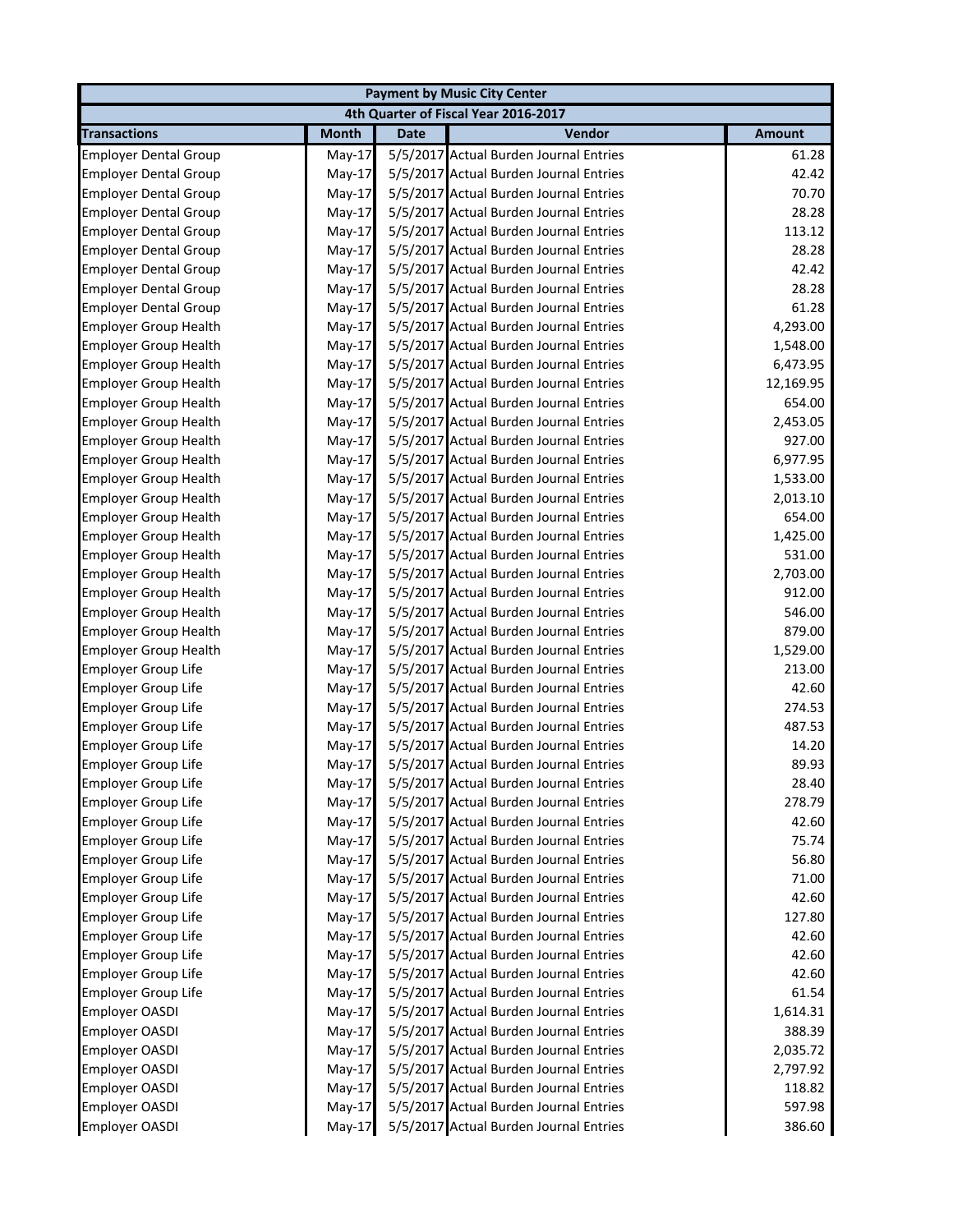|                              |              |             | <b>Payment by Music City Center</b>    |               |
|------------------------------|--------------|-------------|----------------------------------------|---------------|
|                              |              |             | 4th Quarter of Fiscal Year 2016-2017   |               |
| <b>Transactions</b>          | <b>Month</b> | <b>Date</b> | Vendor                                 | <b>Amount</b> |
| <b>Employer Dental Group</b> | $May-17$     |             | 5/5/2017 Actual Burden Journal Entries | 61.28         |
| <b>Employer Dental Group</b> | $May-17$     |             | 5/5/2017 Actual Burden Journal Entries | 42.42         |
| <b>Employer Dental Group</b> | $May-17$     |             | 5/5/2017 Actual Burden Journal Entries | 70.70         |
| <b>Employer Dental Group</b> | $May-17$     |             | 5/5/2017 Actual Burden Journal Entries | 28.28         |
| <b>Employer Dental Group</b> | $May-17$     |             | 5/5/2017 Actual Burden Journal Entries | 113.12        |
| <b>Employer Dental Group</b> | $May-17$     |             | 5/5/2017 Actual Burden Journal Entries | 28.28         |
| <b>Employer Dental Group</b> | May-17       |             | 5/5/2017 Actual Burden Journal Entries | 42.42         |
| <b>Employer Dental Group</b> | $May-17$     |             | 5/5/2017 Actual Burden Journal Entries | 28.28         |
| <b>Employer Dental Group</b> | $May-17$     |             | 5/5/2017 Actual Burden Journal Entries | 61.28         |
| <b>Employer Group Health</b> | May-17       |             | 5/5/2017 Actual Burden Journal Entries | 4,293.00      |
| <b>Employer Group Health</b> | $May-17$     |             | 5/5/2017 Actual Burden Journal Entries | 1,548.00      |
| <b>Employer Group Health</b> | May-17       |             | 5/5/2017 Actual Burden Journal Entries | 6,473.95      |
| <b>Employer Group Health</b> | May-17       |             | 5/5/2017 Actual Burden Journal Entries | 12,169.95     |
| <b>Employer Group Health</b> | $May-17$     |             | 5/5/2017 Actual Burden Journal Entries | 654.00        |
| <b>Employer Group Health</b> | May-17       |             | 5/5/2017 Actual Burden Journal Entries | 2,453.05      |
| <b>Employer Group Health</b> | May-17       |             | 5/5/2017 Actual Burden Journal Entries | 927.00        |
| <b>Employer Group Health</b> | May-17       |             | 5/5/2017 Actual Burden Journal Entries | 6,977.95      |
| <b>Employer Group Health</b> | $May-17$     |             | 5/5/2017 Actual Burden Journal Entries | 1,533.00      |
| <b>Employer Group Health</b> | $May-17$     |             | 5/5/2017 Actual Burden Journal Entries | 2,013.10      |
| <b>Employer Group Health</b> | May-17       |             | 5/5/2017 Actual Burden Journal Entries | 654.00        |
| <b>Employer Group Health</b> | May-17       |             | 5/5/2017 Actual Burden Journal Entries | 1,425.00      |
| <b>Employer Group Health</b> | $May-17$     |             | 5/5/2017 Actual Burden Journal Entries | 531.00        |
| <b>Employer Group Health</b> | May-17       |             | 5/5/2017 Actual Burden Journal Entries | 2,703.00      |
| <b>Employer Group Health</b> | $May-17$     |             | 5/5/2017 Actual Burden Journal Entries | 912.00        |
| <b>Employer Group Health</b> | $May-17$     |             | 5/5/2017 Actual Burden Journal Entries | 546.00        |
| <b>Employer Group Health</b> | $May-17$     |             | 5/5/2017 Actual Burden Journal Entries | 879.00        |
| <b>Employer Group Health</b> | $May-17$     |             | 5/5/2017 Actual Burden Journal Entries | 1,529.00      |
| <b>Employer Group Life</b>   | $May-17$     |             | 5/5/2017 Actual Burden Journal Entries | 213.00        |
| <b>Employer Group Life</b>   | $May-17$     |             | 5/5/2017 Actual Burden Journal Entries | 42.60         |
| <b>Employer Group Life</b>   | $May-17$     |             | 5/5/2017 Actual Burden Journal Entries | 274.53        |
| <b>Employer Group Life</b>   | $May-17$     |             | 5/5/2017 Actual Burden Journal Entries | 487.53        |
| <b>Employer Group Life</b>   | $May-17$     |             | 5/5/2017 Actual Burden Journal Entries | 14.20         |
| <b>Employer Group Life</b>   | May-17       |             | 5/5/2017 Actual Burden Journal Entries | 89.93         |
| <b>Employer Group Life</b>   | $May-17$     |             | 5/5/2017 Actual Burden Journal Entries | 28.40         |
| <b>Employer Group Life</b>   | May-17       |             | 5/5/2017 Actual Burden Journal Entries | 278.79        |
| <b>Employer Group Life</b>   | $May-17$     |             | 5/5/2017 Actual Burden Journal Entries | 42.60         |
| Employer Group Life          | May-17       |             | 5/5/2017 Actual Burden Journal Entries | 75.74         |
| <b>Employer Group Life</b>   | $May-17$     |             | 5/5/2017 Actual Burden Journal Entries | 56.80         |
| <b>Employer Group Life</b>   | $May-17$     |             | 5/5/2017 Actual Burden Journal Entries | 71.00         |
| <b>Employer Group Life</b>   | $May-17$     |             | 5/5/2017 Actual Burden Journal Entries | 42.60         |
| Employer Group Life          | $May-17$     |             | 5/5/2017 Actual Burden Journal Entries | 127.80        |
| Employer Group Life          | $May-17$     |             | 5/5/2017 Actual Burden Journal Entries | 42.60         |
| <b>Employer Group Life</b>   | $May-17$     |             | 5/5/2017 Actual Burden Journal Entries | 42.60         |
| Employer Group Life          | $May-17$     |             | 5/5/2017 Actual Burden Journal Entries | 42.60         |
| <b>Employer Group Life</b>   | $May-17$     |             | 5/5/2017 Actual Burden Journal Entries | 61.54         |
| <b>Employer OASDI</b>        | $May-17$     |             | 5/5/2017 Actual Burden Journal Entries | 1,614.31      |
| <b>Employer OASDI</b>        | $May-17$     |             | 5/5/2017 Actual Burden Journal Entries | 388.39        |
| <b>Employer OASDI</b>        | $May-17$     |             | 5/5/2017 Actual Burden Journal Entries | 2,035.72      |
| <b>Employer OASDI</b>        | $May-17$     |             | 5/5/2017 Actual Burden Journal Entries | 2,797.92      |
| <b>Employer OASDI</b>        | $May-17$     |             | 5/5/2017 Actual Burden Journal Entries | 118.82        |
| <b>Employer OASDI</b>        | $May-17$     |             | 5/5/2017 Actual Burden Journal Entries | 597.98        |
| <b>Employer OASDI</b>        | $May-17$     |             | 5/5/2017 Actual Burden Journal Entries | 386.60        |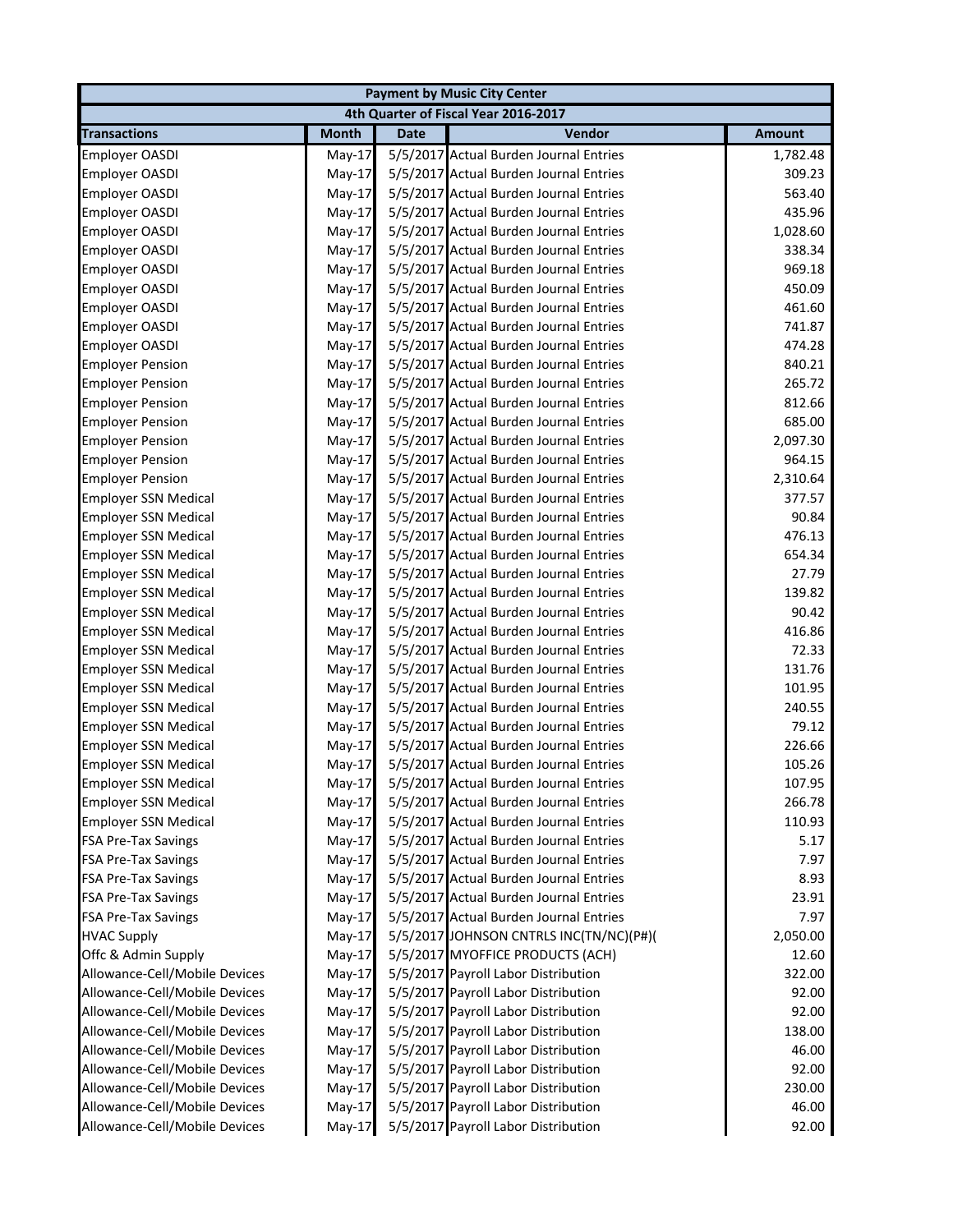|                               |              |             | <b>Payment by Music City Center</b>     |               |
|-------------------------------|--------------|-------------|-----------------------------------------|---------------|
|                               |              |             | 4th Quarter of Fiscal Year 2016-2017    |               |
| <b>Transactions</b>           | <b>Month</b> | <b>Date</b> | Vendor                                  | <b>Amount</b> |
| <b>Employer OASDI</b>         | $May-17$     |             | 5/5/2017 Actual Burden Journal Entries  | 1,782.48      |
| Employer OASDI                | $May-17$     |             | 5/5/2017 Actual Burden Journal Entries  | 309.23        |
| <b>Employer OASDI</b>         | $May-17$     |             | 5/5/2017 Actual Burden Journal Entries  | 563.40        |
| Employer OASDI                | $May-17$     |             | 5/5/2017 Actual Burden Journal Entries  | 435.96        |
| Employer OASDI                | $May-17$     |             | 5/5/2017 Actual Burden Journal Entries  | 1,028.60      |
| <b>Employer OASDI</b>         | May-17       |             | 5/5/2017 Actual Burden Journal Entries  | 338.34        |
| <b>Employer OASDI</b>         | May-17       |             | 5/5/2017 Actual Burden Journal Entries  | 969.18        |
| Employer OASDI                | $May-17$     |             | 5/5/2017 Actual Burden Journal Entries  | 450.09        |
| <b>Employer OASDI</b>         | May-17       |             | 5/5/2017 Actual Burden Journal Entries  | 461.60        |
| Employer OASDI                | $May-17$     |             | 5/5/2017 Actual Burden Journal Entries  | 741.87        |
| <b>Employer OASDI</b>         | $May-17$     |             | 5/5/2017 Actual Burden Journal Entries  | 474.28        |
| <b>Employer Pension</b>       | $May-17$     |             | 5/5/2017 Actual Burden Journal Entries  | 840.21        |
| <b>Employer Pension</b>       | $May-17$     |             | 5/5/2017 Actual Burden Journal Entries  | 265.72        |
| <b>Employer Pension</b>       | $May-17$     |             | 5/5/2017 Actual Burden Journal Entries  | 812.66        |
| <b>Employer Pension</b>       | May-17       |             | 5/5/2017 Actual Burden Journal Entries  | 685.00        |
| <b>Employer Pension</b>       | $May-17$     |             | 5/5/2017 Actual Burden Journal Entries  | 2,097.30      |
| <b>Employer Pension</b>       | May-17       |             | 5/5/2017 Actual Burden Journal Entries  | 964.15        |
| <b>Employer Pension</b>       | $May-17$     |             | 5/5/2017 Actual Burden Journal Entries  | 2,310.64      |
| <b>Employer SSN Medical</b>   | $May-17$     |             | 5/5/2017 Actual Burden Journal Entries  | 377.57        |
| <b>Employer SSN Medical</b>   | May-17       |             | 5/5/2017 Actual Burden Journal Entries  | 90.84         |
| <b>Employer SSN Medical</b>   | $May-17$     |             | 5/5/2017 Actual Burden Journal Entries  | 476.13        |
| <b>Employer SSN Medical</b>   | $May-17$     |             | 5/5/2017 Actual Burden Journal Entries  | 654.34        |
| <b>Employer SSN Medical</b>   | $May-17$     |             | 5/5/2017 Actual Burden Journal Entries  | 27.79         |
| <b>Employer SSN Medical</b>   | $May-17$     |             | 5/5/2017 Actual Burden Journal Entries  | 139.82        |
| <b>Employer SSN Medical</b>   | $May-17$     |             | 5/5/2017 Actual Burden Journal Entries  | 90.42         |
| <b>Employer SSN Medical</b>   | $May-17$     |             | 5/5/2017 Actual Burden Journal Entries  | 416.86        |
| <b>Employer SSN Medical</b>   | $May-17$     |             | 5/5/2017 Actual Burden Journal Entries  | 72.33         |
| <b>Employer SSN Medical</b>   | $May-17$     |             | 5/5/2017 Actual Burden Journal Entries  | 131.76        |
| <b>Employer SSN Medical</b>   | $May-17$     |             | 5/5/2017 Actual Burden Journal Entries  | 101.95        |
| <b>Employer SSN Medical</b>   | $May-17$     |             | 5/5/2017 Actual Burden Journal Entries  | 240.55        |
| <b>Employer SSN Medical</b>   | $May-17$     |             | 5/5/2017 Actual Burden Journal Entries  | 79.12         |
| <b>Employer SSN Medical</b>   | May-17       |             | 5/5/2017 Actual Burden Journal Entries  | 226.66        |
| <b>Employer SSN Medical</b>   | $May-17$     |             | 5/5/2017 Actual Burden Journal Entries  | 105.26        |
| <b>Employer SSN Medical</b>   | $May-17$     |             | 5/5/2017 Actual Burden Journal Entries  | 107.95        |
| <b>Employer SSN Medical</b>   | May-17       |             | 5/5/2017 Actual Burden Journal Entries  | 266.78        |
| <b>Employer SSN Medical</b>   | $May-17$     |             | 5/5/2017 Actual Burden Journal Entries  | 110.93        |
| <b>FSA Pre-Tax Savings</b>    | May-17       |             | 5/5/2017 Actual Burden Journal Entries  | 5.17          |
| <b>FSA Pre-Tax Savings</b>    | $May-17$     |             | 5/5/2017 Actual Burden Journal Entries  | 7.97          |
| <b>FSA Pre-Tax Savings</b>    | $May-17$     |             | 5/5/2017 Actual Burden Journal Entries  | 8.93          |
| FSA Pre-Tax Savings           | May-17       |             | 5/5/2017 Actual Burden Journal Entries  | 23.91         |
| <b>FSA Pre-Tax Savings</b>    | $May-17$     |             | 5/5/2017 Actual Burden Journal Entries  | 7.97          |
| <b>HVAC Supply</b>            | May-17       |             | 5/5/2017 JOHNSON CNTRLS INC(TN/NC)(P#)( | 2,050.00      |
| Offc & Admin Supply           | $May-17$     |             | 5/5/2017 MYOFFICE PRODUCTS (ACH)        | 12.60         |
| Allowance-Cell/Mobile Devices | $May-17$     |             | 5/5/2017 Payroll Labor Distribution     | 322.00        |
| Allowance-Cell/Mobile Devices | $May-17$     |             | 5/5/2017 Payroll Labor Distribution     | 92.00         |
| Allowance-Cell/Mobile Devices | $May-17$     |             | 5/5/2017 Payroll Labor Distribution     | 92.00         |
| Allowance-Cell/Mobile Devices | $May-17$     |             | 5/5/2017 Payroll Labor Distribution     | 138.00        |
| Allowance-Cell/Mobile Devices | $May-17$     |             | 5/5/2017 Payroll Labor Distribution     | 46.00         |
| Allowance-Cell/Mobile Devices | $May-17$     |             | 5/5/2017 Payroll Labor Distribution     | 92.00         |
| Allowance-Cell/Mobile Devices | $May-17$     |             | 5/5/2017 Payroll Labor Distribution     | 230.00        |
| Allowance-Cell/Mobile Devices | $May-17$     |             | 5/5/2017 Payroll Labor Distribution     | 46.00         |
| Allowance-Cell/Mobile Devices | May-17       |             | 5/5/2017 Payroll Labor Distribution     | 92.00         |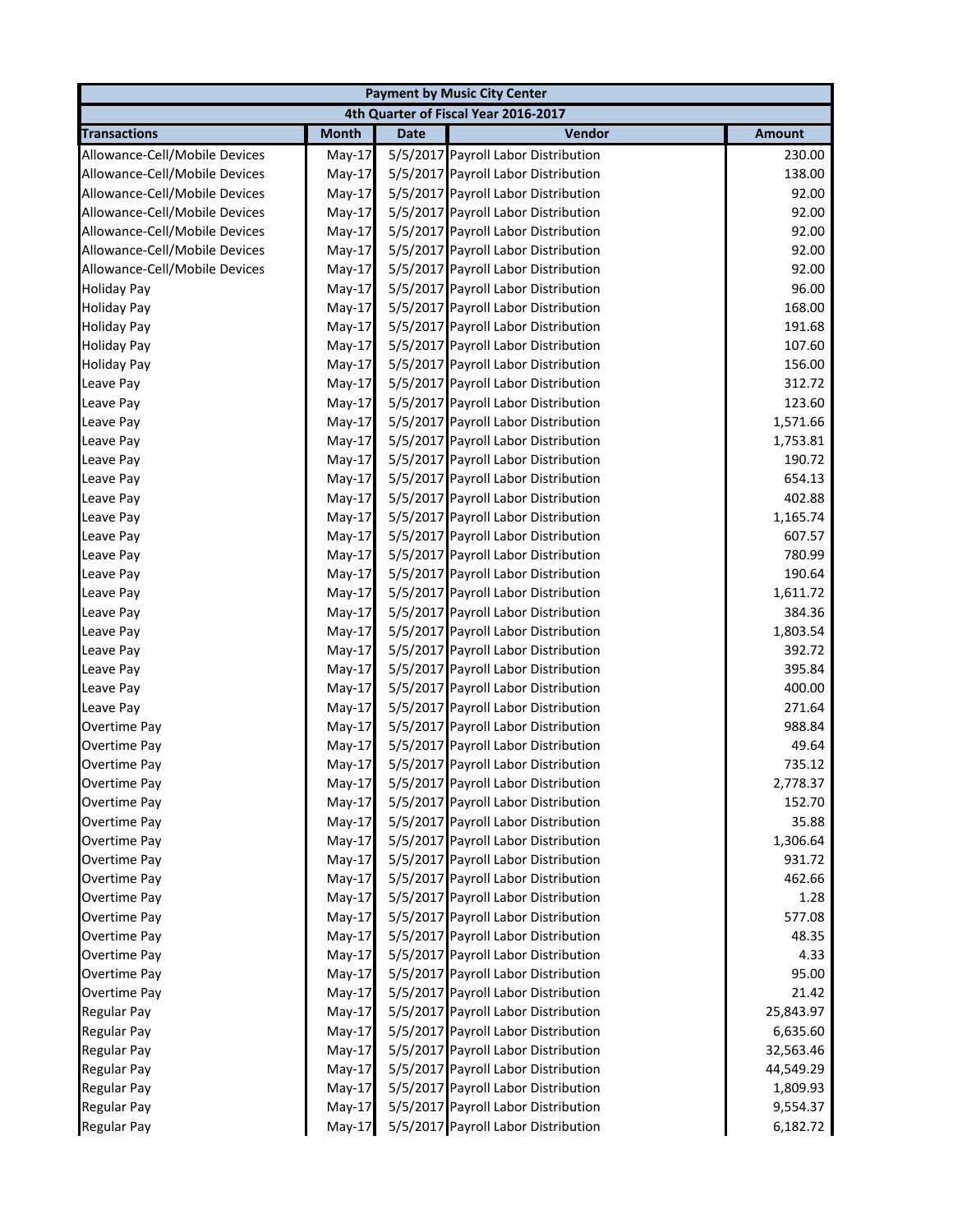|                               |              |             | <b>Payment by Music City Center</b>  |               |
|-------------------------------|--------------|-------------|--------------------------------------|---------------|
|                               |              |             | 4th Quarter of Fiscal Year 2016-2017 |               |
| <b>Transactions</b>           | <b>Month</b> | <b>Date</b> | Vendor                               | <b>Amount</b> |
| Allowance-Cell/Mobile Devices | May-17       |             | 5/5/2017 Payroll Labor Distribution  | 230.00        |
| Allowance-Cell/Mobile Devices | May-17       |             | 5/5/2017 Payroll Labor Distribution  | 138.00        |
| Allowance-Cell/Mobile Devices | $May-17$     |             | 5/5/2017 Payroll Labor Distribution  | 92.00         |
| Allowance-Cell/Mobile Devices | $May-17$     |             | 5/5/2017 Payroll Labor Distribution  | 92.00         |
| Allowance-Cell/Mobile Devices | May-17       |             | 5/5/2017 Payroll Labor Distribution  | 92.00         |
| Allowance-Cell/Mobile Devices | May-17       |             | 5/5/2017 Payroll Labor Distribution  | 92.00         |
| Allowance-Cell/Mobile Devices | May-17       |             | 5/5/2017 Payroll Labor Distribution  | 92.00         |
| <b>Holiday Pay</b>            | $May-17$     |             | 5/5/2017 Payroll Labor Distribution  | 96.00         |
| <b>Holiday Pay</b>            | May-17       |             | 5/5/2017 Payroll Labor Distribution  | 168.00        |
| <b>Holiday Pay</b>            | May-17       |             | 5/5/2017 Payroll Labor Distribution  | 191.68        |
| <b>Holiday Pay</b>            | $May-17$     |             | 5/5/2017 Payroll Labor Distribution  | 107.60        |
| <b>Holiday Pay</b>            | May-17       |             | 5/5/2017 Payroll Labor Distribution  | 156.00        |
| Leave Pay                     | May-17       |             | 5/5/2017 Payroll Labor Distribution  | 312.72        |
| Leave Pay                     | $May-17$     |             | 5/5/2017 Payroll Labor Distribution  | 123.60        |
| Leave Pay                     | $May-17$     |             | 5/5/2017 Payroll Labor Distribution  | 1,571.66      |
| Leave Pay                     | $May-17$     |             | 5/5/2017 Payroll Labor Distribution  | 1,753.81      |
| Leave Pay                     | $May-17$     |             | 5/5/2017 Payroll Labor Distribution  | 190.72        |
| Leave Pay                     | $May-17$     |             | 5/5/2017 Payroll Labor Distribution  | 654.13        |
| Leave Pay                     | $May-17$     |             | 5/5/2017 Payroll Labor Distribution  | 402.88        |
| Leave Pay                     | May-17       |             | 5/5/2017 Payroll Labor Distribution  | 1,165.74      |
| Leave Pay                     | $May-17$     |             | 5/5/2017 Payroll Labor Distribution  | 607.57        |
| Leave Pay                     | $May-17$     |             | 5/5/2017 Payroll Labor Distribution  | 780.99        |
| Leave Pay                     | $May-17$     |             | 5/5/2017 Payroll Labor Distribution  | 190.64        |
| Leave Pay                     | $May-17$     |             | 5/5/2017 Payroll Labor Distribution  | 1,611.72      |
| Leave Pay                     | $May-17$     |             | 5/5/2017 Payroll Labor Distribution  | 384.36        |
| Leave Pay                     | May-17       |             | 5/5/2017 Payroll Labor Distribution  | 1,803.54      |
| Leave Pay                     | $May-17$     |             | 5/5/2017 Payroll Labor Distribution  | 392.72        |
| Leave Pay                     | $May-17$     |             | 5/5/2017 Payroll Labor Distribution  | 395.84        |
| Leave Pay                     | $May-17$     |             | 5/5/2017 Payroll Labor Distribution  | 400.00        |
| Leave Pay                     | $May-17$     |             | 5/5/2017 Payroll Labor Distribution  | 271.64        |
| Overtime Pay                  | May-17       |             | 5/5/2017 Payroll Labor Distribution  | 988.84        |
| Overtime Pay                  | May-17       |             | 5/5/2017 Payroll Labor Distribution  | 49.64         |
| Overtime Pay                  | $May-17$     |             | 5/5/2017 Payroll Labor Distribution  | 735.12        |
| Overtime Pay                  | $May-17$     |             | 5/5/2017 Payroll Labor Distribution  | 2,778.37      |
| Overtime Pay                  | May-17       |             | 5/5/2017 Payroll Labor Distribution  | 152.70        |
| Overtime Pay                  | $May-17$     |             | 5/5/2017 Payroll Labor Distribution  | 35.88         |
| Overtime Pay                  | May-17       |             | 5/5/2017 Payroll Labor Distribution  | 1,306.64      |
| Overtime Pay                  | $May-17$     |             | 5/5/2017 Payroll Labor Distribution  | 931.72        |
| Overtime Pay                  | $May-17$     |             | 5/5/2017 Payroll Labor Distribution  | 462.66        |
| Overtime Pay                  | $May-17$     |             | 5/5/2017 Payroll Labor Distribution  | 1.28          |
| Overtime Pay                  | $May-17$     |             | 5/5/2017 Payroll Labor Distribution  | 577.08        |
| Overtime Pay                  | $May-17$     |             | 5/5/2017 Payroll Labor Distribution  | 48.35         |
| Overtime Pay                  | $May-17$     |             | 5/5/2017 Payroll Labor Distribution  | 4.33          |
| Overtime Pay                  | $May-17$     |             | 5/5/2017 Payroll Labor Distribution  | 95.00         |
| Overtime Pay                  | $May-17$     |             | 5/5/2017 Payroll Labor Distribution  | 21.42         |
| Regular Pay                   | $May-17$     |             | 5/5/2017 Payroll Labor Distribution  | 25,843.97     |
| Regular Pay                   | $May-17$     |             | 5/5/2017 Payroll Labor Distribution  | 6,635.60      |
| Regular Pay                   | $May-17$     |             | 5/5/2017 Payroll Labor Distribution  | 32,563.46     |
| Regular Pay                   | $May-17$     |             | 5/5/2017 Payroll Labor Distribution  | 44,549.29     |
| <b>Regular Pay</b>            | $May-17$     |             | 5/5/2017 Payroll Labor Distribution  | 1,809.93      |
| <b>Regular Pay</b>            | $May-17$     |             | 5/5/2017 Payroll Labor Distribution  | 9,554.37      |
| Regular Pay                   | $May-17$     |             | 5/5/2017 Payroll Labor Distribution  | 6,182.72      |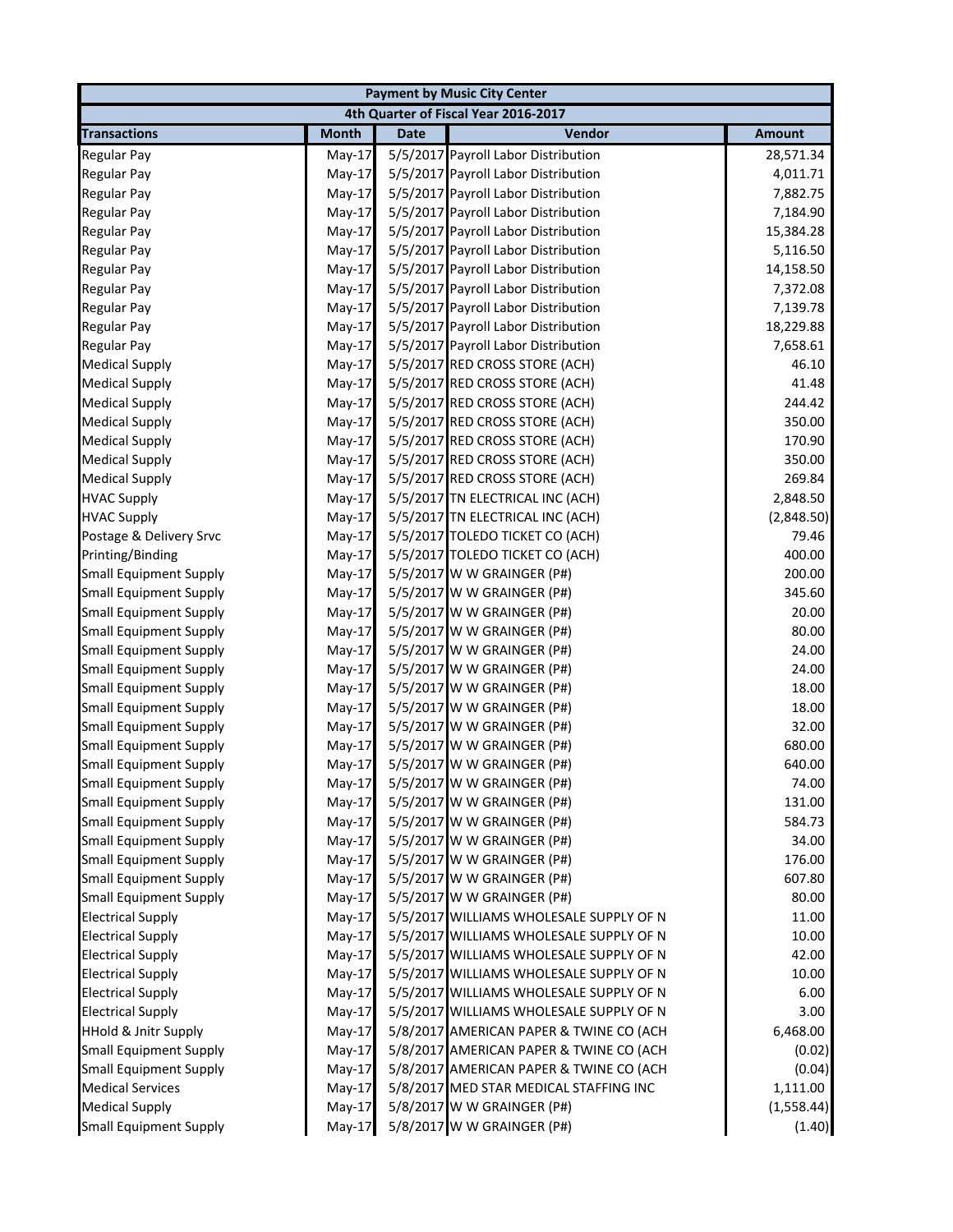| <b>Payment by Music City Center</b> |              |             |                                         |               |  |
|-------------------------------------|--------------|-------------|-----------------------------------------|---------------|--|
|                                     |              |             | 4th Quarter of Fiscal Year 2016-2017    |               |  |
| <b>Transactions</b>                 | <b>Month</b> | <b>Date</b> | Vendor                                  | <b>Amount</b> |  |
| <b>Regular Pay</b>                  | May-17       |             | 5/5/2017 Payroll Labor Distribution     | 28,571.34     |  |
| <b>Regular Pay</b>                  | May-17       |             | 5/5/2017 Payroll Labor Distribution     | 4,011.71      |  |
| <b>Regular Pay</b>                  | $May-17$     |             | 5/5/2017 Payroll Labor Distribution     | 7,882.75      |  |
| <b>Regular Pay</b>                  | May-17       |             | 5/5/2017 Payroll Labor Distribution     | 7,184.90      |  |
| Regular Pay                         | May-17       |             | 5/5/2017 Payroll Labor Distribution     | 15,384.28     |  |
| <b>Regular Pay</b>                  | $May-17$     |             | 5/5/2017 Payroll Labor Distribution     | 5,116.50      |  |
| <b>Regular Pay</b>                  | May-17       |             | 5/5/2017 Payroll Labor Distribution     | 14,158.50     |  |
| <b>Regular Pay</b>                  | $May-17$     |             | 5/5/2017 Payroll Labor Distribution     | 7,372.08      |  |
| <b>Regular Pay</b>                  | May-17       |             | 5/5/2017 Payroll Labor Distribution     | 7,139.78      |  |
| <b>Regular Pay</b>                  | May-17       |             | 5/5/2017 Payroll Labor Distribution     | 18,229.88     |  |
| <b>Regular Pay</b>                  | $May-17$     |             | 5/5/2017 Payroll Labor Distribution     | 7,658.61      |  |
| <b>Medical Supply</b>               | May-17       |             | 5/5/2017 RED CROSS STORE (ACH)          | 46.10         |  |
| <b>Medical Supply</b>               | May-17       |             | 5/5/2017 RED CROSS STORE (ACH)          | 41.48         |  |
| <b>Medical Supply</b>               | $May-17$     |             | 5/5/2017 RED CROSS STORE (ACH)          | 244.42        |  |
| <b>Medical Supply</b>               | May-17       |             | 5/5/2017 RED CROSS STORE (ACH)          | 350.00        |  |
| <b>Medical Supply</b>               | $May-17$     |             | 5/5/2017 RED CROSS STORE (ACH)          | 170.90        |  |
| <b>Medical Supply</b>               | May-17       |             | 5/5/2017 RED CROSS STORE (ACH)          | 350.00        |  |
| <b>Medical Supply</b>               | May-17       |             | 5/5/2017 RED CROSS STORE (ACH)          | 269.84        |  |
| <b>HVAC Supply</b>                  | $May-17$     |             | 5/5/2017 TN ELECTRICAL INC (ACH)        | 2,848.50      |  |
| <b>HVAC Supply</b>                  | May-17       |             | 5/5/2017 TN ELECTRICAL INC (ACH)        | (2,848.50)    |  |
| Postage & Delivery Srvc             | $May-17$     |             | 5/5/2017 TOLEDO TICKET CO (ACH)         | 79.46         |  |
| Printing/Binding                    | $May-17$     |             | 5/5/2017 TOLEDO TICKET CO (ACH)         | 400.00        |  |
| <b>Small Equipment Supply</b>       | May-17       |             | 5/5/2017 W W GRAINGER (P#)              | 200.00        |  |
| <b>Small Equipment Supply</b>       | May-17       |             | 5/5/2017 W W GRAINGER (P#)              | 345.60        |  |
| <b>Small Equipment Supply</b>       | May-17       |             | 5/5/2017 W W GRAINGER (P#)              | 20.00         |  |
| <b>Small Equipment Supply</b>       | May-17       |             | 5/5/2017 W W GRAINGER (P#)              | 80.00         |  |
| <b>Small Equipment Supply</b>       | May-17       |             | 5/5/2017 W W GRAINGER (P#)              | 24.00         |  |
| <b>Small Equipment Supply</b>       | May-17       |             | 5/5/2017 W W GRAINGER (P#)              | 24.00         |  |
| <b>Small Equipment Supply</b>       | May-17       |             | 5/5/2017 W W GRAINGER (P#)              | 18.00         |  |
| <b>Small Equipment Supply</b>       | May-17       |             | 5/5/2017 W W GRAINGER (P#)              | 18.00         |  |
| <b>Small Equipment Supply</b>       | $May-17$     |             | 5/5/2017 W W GRAINGER (P#)              | 32.00         |  |
| <b>Small Equipment Supply</b>       | May-17       |             | 5/5/2017 W W GRAINGER (P#)              | 680.00        |  |
| <b>Small Equipment Supply</b>       | May-17       |             | 5/5/2017 W W GRAINGER (P#)              | 640.00        |  |
| <b>Small Equipment Supply</b>       | $May-17$     |             | 5/5/2017 W W GRAINGER (P#)              | 74.00         |  |
| <b>Small Equipment Supply</b>       | May-17       |             | 5/5/2017 W W GRAINGER (P#)              | 131.00        |  |
| <b>Small Equipment Supply</b>       | $May-17$     |             | 5/5/2017 W W GRAINGER (P#)              | 584.73        |  |
| <b>Small Equipment Supply</b>       | May-17       |             | 5/5/2017 W W GRAINGER (P#)              | 34.00         |  |
| <b>Small Equipment Supply</b>       | May-17       |             | 5/5/2017 W W GRAINGER (P#)              | 176.00        |  |
| <b>Small Equipment Supply</b>       | $May-17$     |             | 5/5/2017 W W GRAINGER (P#)              | 607.80        |  |
| <b>Small Equipment Supply</b>       | $May-17$     |             | 5/5/2017 W W GRAINGER (P#)              | 80.00         |  |
| <b>Electrical Supply</b>            | $May-17$     |             | 5/5/2017 WILLIAMS WHOLESALE SUPPLY OF N | 11.00         |  |
| <b>Electrical Supply</b>            | May-17       |             | 5/5/2017 WILLIAMS WHOLESALE SUPPLY OF N | 10.00         |  |
| <b>Electrical Supply</b>            | May-17       |             | 5/5/2017 WILLIAMS WHOLESALE SUPPLY OF N | 42.00         |  |
| <b>Electrical Supply</b>            | $May-17$     |             | 5/5/2017 WILLIAMS WHOLESALE SUPPLY OF N | 10.00         |  |
| <b>Electrical Supply</b>            | $May-17$     |             | 5/5/2017 WILLIAMS WHOLESALE SUPPLY OF N | 6.00          |  |
| <b>Electrical Supply</b>            | $May-17$     |             | 5/5/2017 WILLIAMS WHOLESALE SUPPLY OF N | 3.00          |  |
| <b>HHold &amp; Jnitr Supply</b>     | $May-17$     |             | 5/8/2017 AMERICAN PAPER & TWINE CO (ACH | 6,468.00      |  |
| <b>Small Equipment Supply</b>       | $May-17$     |             | 5/8/2017 AMERICAN PAPER & TWINE CO (ACH | (0.02)        |  |
| <b>Small Equipment Supply</b>       | $May-17$     |             | 5/8/2017 AMERICAN PAPER & TWINE CO (ACH | (0.04)        |  |
| <b>Medical Services</b>             | $May-17$     |             | 5/8/2017 MED STAR MEDICAL STAFFING INC  | 1,111.00      |  |
| <b>Medical Supply</b>               | $May-17$     |             | 5/8/2017 W W GRAINGER (P#)              | (1,558.44)    |  |
| <b>Small Equipment Supply</b>       | $May-17$     |             | 5/8/2017 W W GRAINGER (P#)              | (1.40)        |  |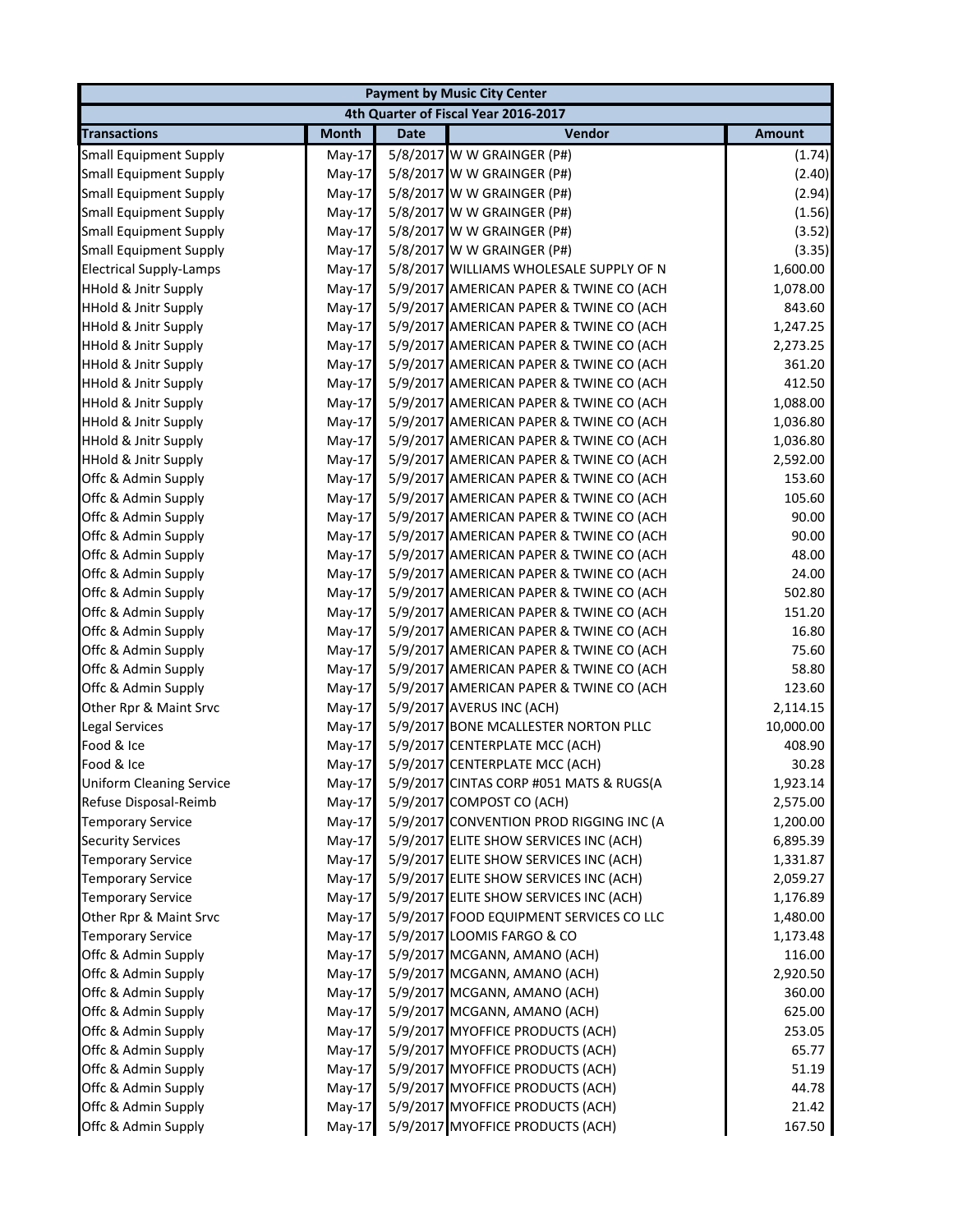|                                 |              |             | <b>Payment by Music City Center</b>     |               |
|---------------------------------|--------------|-------------|-----------------------------------------|---------------|
|                                 |              |             | 4th Quarter of Fiscal Year 2016-2017    |               |
| <b>Transactions</b>             | <b>Month</b> | <b>Date</b> | Vendor                                  | <b>Amount</b> |
| <b>Small Equipment Supply</b>   | $May-17$     |             | 5/8/2017 W W GRAINGER (P#)              | (1.74)        |
| <b>Small Equipment Supply</b>   | May-17       |             | 5/8/2017 W W GRAINGER (P#)              | (2.40)        |
| <b>Small Equipment Supply</b>   | $May-17$     |             | 5/8/2017 W W GRAINGER (P#)              | (2.94)        |
| <b>Small Equipment Supply</b>   | May-17       |             | 5/8/2017 W W GRAINGER (P#)              | (1.56)        |
| <b>Small Equipment Supply</b>   | May-17       |             | 5/8/2017 W W GRAINGER (P#)              | (3.52)        |
| <b>Small Equipment Supply</b>   | May-17       |             | 5/8/2017 W W GRAINGER (P#)              | (3.35)        |
| <b>Electrical Supply-Lamps</b>  | May-17       |             | 5/8/2017 WILLIAMS WHOLESALE SUPPLY OF N | 1,600.00      |
| <b>HHold &amp; Jnitr Supply</b> | May-17       |             | 5/9/2017 AMERICAN PAPER & TWINE CO (ACH | 1,078.00      |
| <b>HHold &amp; Jnitr Supply</b> | May-17       |             | 5/9/2017 AMERICAN PAPER & TWINE CO (ACH | 843.60        |
| <b>HHold &amp; Jnitr Supply</b> | May-17       |             | 5/9/2017 AMERICAN PAPER & TWINE CO (ACH | 1,247.25      |
| <b>HHold &amp; Jnitr Supply</b> | May-17       |             | 5/9/2017 AMERICAN PAPER & TWINE CO (ACH | 2,273.25      |
| <b>HHold &amp; Jnitr Supply</b> | May-17       |             | 5/9/2017 AMERICAN PAPER & TWINE CO (ACH | 361.20        |
| <b>HHold &amp; Jnitr Supply</b> | May-17       |             | 5/9/2017 AMERICAN PAPER & TWINE CO (ACH | 412.50        |
| <b>HHold &amp; Jnitr Supply</b> | $May-17$     |             | 5/9/2017 AMERICAN PAPER & TWINE CO (ACH | 1,088.00      |
| <b>HHold &amp; Jnitr Supply</b> | May-17       |             | 5/9/2017 AMERICAN PAPER & TWINE CO (ACH | 1,036.80      |
| <b>HHold &amp; Jnitr Supply</b> | $May-17$     |             | 5/9/2017 AMERICAN PAPER & TWINE CO (ACH | 1,036.80      |
| <b>HHold &amp; Jnitr Supply</b> | May-17       |             | 5/9/2017 AMERICAN PAPER & TWINE CO (ACH | 2,592.00      |
| Offc & Admin Supply             | $May-17$     |             | 5/9/2017 AMERICAN PAPER & TWINE CO (ACH | 153.60        |
| Offc & Admin Supply             | $May-17$     |             | 5/9/2017 AMERICAN PAPER & TWINE CO (ACH | 105.60        |
| Offc & Admin Supply             | $May-17$     |             | 5/9/2017 AMERICAN PAPER & TWINE CO (ACH | 90.00         |
| Offc & Admin Supply             | $May-17$     |             | 5/9/2017 AMERICAN PAPER & TWINE CO (ACH | 90.00         |
| Offc & Admin Supply             | $May-17$     |             | 5/9/2017 AMERICAN PAPER & TWINE CO (ACH | 48.00         |
| Offc & Admin Supply             | May-17       |             | 5/9/2017 AMERICAN PAPER & TWINE CO (ACH | 24.00         |
| Offc & Admin Supply             | $May-17$     |             | 5/9/2017 AMERICAN PAPER & TWINE CO (ACH | 502.80        |
| Offc & Admin Supply             | $May-17$     |             | 5/9/2017 AMERICAN PAPER & TWINE CO (ACH | 151.20        |
| Offc & Admin Supply             | $May-17$     |             | 5/9/2017 AMERICAN PAPER & TWINE CO (ACH | 16.80         |
| Offc & Admin Supply             | $May-17$     |             | 5/9/2017 AMERICAN PAPER & TWINE CO (ACH | 75.60         |
| Offc & Admin Supply             | $May-17$     |             | 5/9/2017 AMERICAN PAPER & TWINE CO (ACH | 58.80         |
| Offc & Admin Supply             | May-17       |             | 5/9/2017 AMERICAN PAPER & TWINE CO (ACH | 123.60        |
| Other Rpr & Maint Srvc          | May-17       |             | 5/9/2017 AVERUS INC (ACH)               | 2,114.15      |
| Legal Services                  | $May-17$     |             | 5/9/2017 BONE MCALLESTER NORTON PLLC    | 10,000.00     |
| Food & Ice                      | May-17       |             | 5/9/2017 CENTERPLATE MCC (ACH)          | 408.90        |
| Food & Ice                      | $May-17$     |             | 5/9/2017 CENTERPLATE MCC (ACH)          | 30.28         |
| <b>Uniform Cleaning Service</b> | $May-17$     |             | 5/9/2017 CINTAS CORP #051 MATS & RUGS(A | 1,923.14      |
| Refuse Disposal-Reimb           | $May-17$     |             | 5/9/2017 COMPOST CO (ACH)               | 2,575.00      |
| <b>Temporary Service</b>        | May-17       |             | 5/9/2017 CONVENTION PROD RIGGING INC (A | 1,200.00      |
| <b>Security Services</b>        | May-17       |             | 5/9/2017 ELITE SHOW SERVICES INC (ACH)  | 6,895.39      |
| <b>Temporary Service</b>        | $May-17$     |             | 5/9/2017 ELITE SHOW SERVICES INC (ACH)  | 1,331.87      |
| <b>Temporary Service</b>        | $May-17$     |             | 5/9/2017 ELITE SHOW SERVICES INC (ACH)  | 2,059.27      |
| <b>Temporary Service</b>        | May-17       |             | 5/9/2017 ELITE SHOW SERVICES INC (ACH)  | 1,176.89      |
| Other Rpr & Maint Srvc          | $May-17$     |             | 5/9/2017 FOOD EQUIPMENT SERVICES CO LLC | 1,480.00      |
| <b>Temporary Service</b>        | May-17       |             | 5/9/2017 LOOMIS FARGO & CO              | 1,173.48      |
| Offc & Admin Supply             | $May-17$     |             | 5/9/2017 MCGANN, AMANO (ACH)            | 116.00        |
| Offc & Admin Supply             | $May-17$     |             | 5/9/2017 MCGANN, AMANO (ACH)            | 2,920.50      |
| Offc & Admin Supply             | $May-17$     |             | 5/9/2017 MCGANN, AMANO (ACH)            | 360.00        |
| Offc & Admin Supply             | $May-17$     |             | 5/9/2017 MCGANN, AMANO (ACH)            | 625.00        |
| Offc & Admin Supply             | $May-17$     |             | 5/9/2017 MYOFFICE PRODUCTS (ACH)        | 253.05        |
| Offc & Admin Supply             | $May-17$     |             | 5/9/2017 MYOFFICE PRODUCTS (ACH)        | 65.77         |
| Offc & Admin Supply             | $May-17$     |             | 5/9/2017 MYOFFICE PRODUCTS (ACH)        | 51.19         |
| Offc & Admin Supply             | $May-17$     |             | 5/9/2017 MYOFFICE PRODUCTS (ACH)        | 44.78         |
| Offc & Admin Supply             | $May-17$     |             | 5/9/2017 MYOFFICE PRODUCTS (ACH)        | 21.42         |
| Offc & Admin Supply             | $May-17$     |             | 5/9/2017 MYOFFICE PRODUCTS (ACH)        | 167.50        |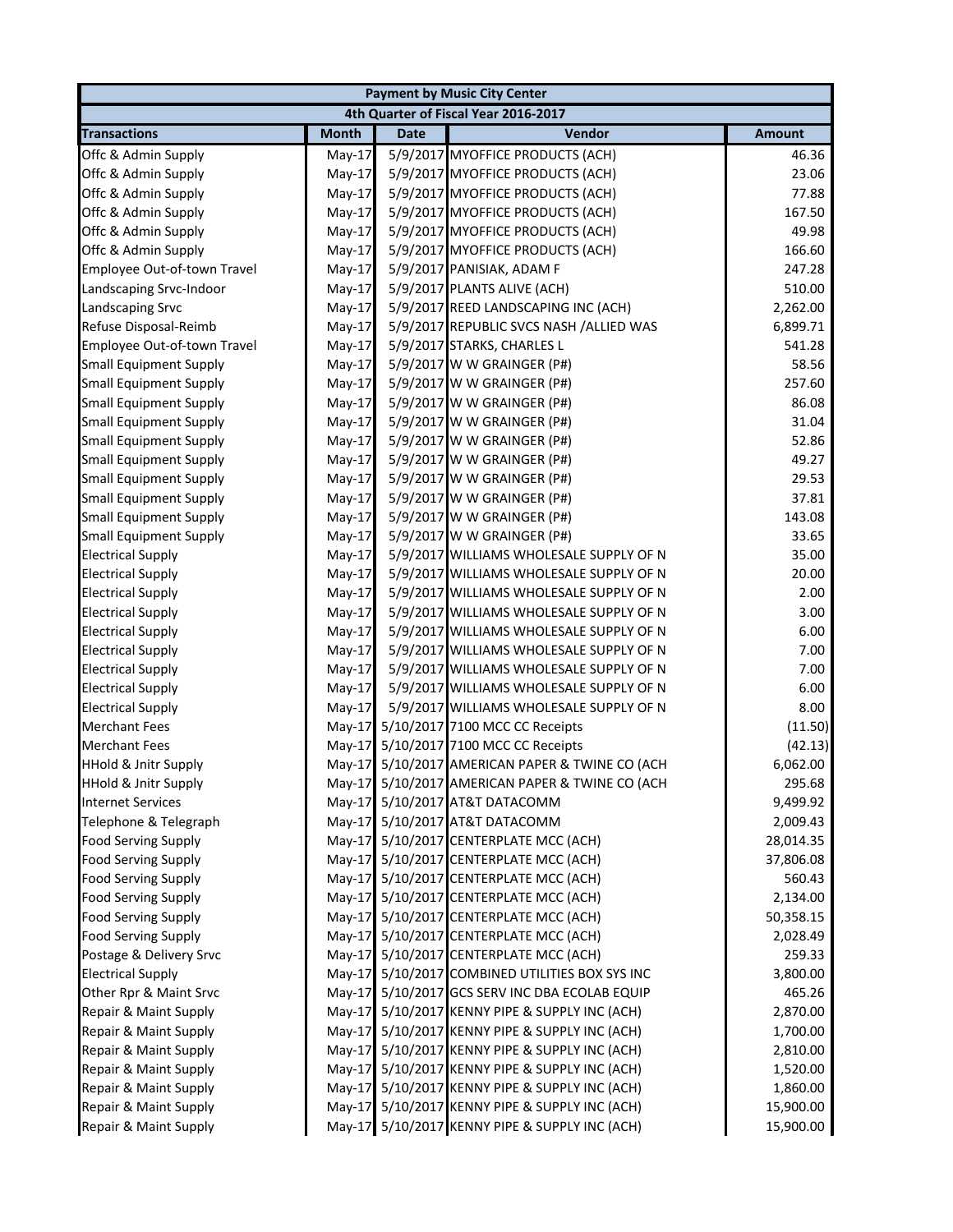|                                 |              |             | <b>Payment by Music City Center</b>             |               |
|---------------------------------|--------------|-------------|-------------------------------------------------|---------------|
|                                 |              |             | 4th Quarter of Fiscal Year 2016-2017            |               |
| <b>Transactions</b>             | <b>Month</b> | <b>Date</b> | Vendor                                          | <b>Amount</b> |
| Offc & Admin Supply             | May-17       |             | 5/9/2017 MYOFFICE PRODUCTS (ACH)                | 46.36         |
| Offc & Admin Supply             | May-17       |             | 5/9/2017 MYOFFICE PRODUCTS (ACH)                | 23.06         |
| Offc & Admin Supply             | $May-17$     |             | 5/9/2017 MYOFFICE PRODUCTS (ACH)                | 77.88         |
| Offc & Admin Supply             | $May-17$     |             | 5/9/2017 MYOFFICE PRODUCTS (ACH)                | 167.50        |
| Offc & Admin Supply             | $May-17$     |             | 5/9/2017 MYOFFICE PRODUCTS (ACH)                | 49.98         |
| Offc & Admin Supply             | $May-17$     |             | 5/9/2017 MYOFFICE PRODUCTS (ACH)                | 166.60        |
| Employee Out-of-town Travel     | May-17       |             | 5/9/2017 PANISIAK, ADAM F                       | 247.28        |
| Landscaping Srvc-Indoor         | $May-17$     |             | 5/9/2017 PLANTS ALIVE (ACH)                     | 510.00        |
| Landscaping Srvc                | May-17       |             | 5/9/2017 REED LANDSCAPING INC (ACH)             | 2,262.00      |
| Refuse Disposal-Reimb           | May-17       |             | 5/9/2017 REPUBLIC SVCS NASH /ALLIED WAS         | 6,899.71      |
| Employee Out-of-town Travel     | $May-17$     |             | 5/9/2017 STARKS, CHARLES L                      | 541.28        |
| <b>Small Equipment Supply</b>   | May-17       |             | 5/9/2017 W W GRAINGER (P#)                      | 58.56         |
| <b>Small Equipment Supply</b>   | May-17       |             | 5/9/2017 W W GRAINGER (P#)                      | 257.60        |
| <b>Small Equipment Supply</b>   | $May-17$     |             | 5/9/2017 W W GRAINGER (P#)                      | 86.08         |
| <b>Small Equipment Supply</b>   | May-17       |             | 5/9/2017 W W GRAINGER (P#)                      | 31.04         |
| <b>Small Equipment Supply</b>   | $May-17$     |             | 5/9/2017 W W GRAINGER (P#)                      | 52.86         |
| <b>Small Equipment Supply</b>   | May-17       |             | 5/9/2017 W W GRAINGER (P#)                      | 49.27         |
| <b>Small Equipment Supply</b>   | $May-17$     |             | 5/9/2017 W W GRAINGER (P#)                      | 29.53         |
| <b>Small Equipment Supply</b>   | $May-17$     |             | 5/9/2017 W W GRAINGER (P#)                      | 37.81         |
| <b>Small Equipment Supply</b>   | May-17       |             | 5/9/2017 W W GRAINGER (P#)                      | 143.08        |
| <b>Small Equipment Supply</b>   | $May-17$     |             | 5/9/2017 W W GRAINGER (P#)                      | 33.65         |
| <b>Electrical Supply</b>        | $May-17$     |             | 5/9/2017 WILLIAMS WHOLESALE SUPPLY OF N         | 35.00         |
| <b>Electrical Supply</b>        | $May-17$     |             | 5/9/2017 WILLIAMS WHOLESALE SUPPLY OF N         | 20.00         |
| <b>Electrical Supply</b>        | $May-17$     |             | 5/9/2017 WILLIAMS WHOLESALE SUPPLY OF N         | 2.00          |
| <b>Electrical Supply</b>        | $May-17$     |             | 5/9/2017 WILLIAMS WHOLESALE SUPPLY OF N         | 3.00          |
| <b>Electrical Supply</b>        | $May-17$     |             | 5/9/2017 WILLIAMS WHOLESALE SUPPLY OF N         | 6.00          |
| <b>Electrical Supply</b>        | $May-17$     |             | 5/9/2017 WILLIAMS WHOLESALE SUPPLY OF N         | 7.00          |
| <b>Electrical Supply</b>        | $May-17$     |             | 5/9/2017 WILLIAMS WHOLESALE SUPPLY OF N         | 7.00          |
| <b>Electrical Supply</b>        | $May-17$     |             | 5/9/2017 WILLIAMS WHOLESALE SUPPLY OF N         | 6.00          |
| <b>Electrical Supply</b>        | $May-17$     |             | 5/9/2017 WILLIAMS WHOLESALE SUPPLY OF N         | 8.00          |
| <b>Merchant Fees</b>            | $May-17$     |             | 5/10/2017 7100 MCC CC Receipts                  | (11.50)       |
| <b>Merchant Fees</b>            | May-17       |             | 5/10/2017 7100 MCC CC Receipts                  | (42.13)       |
| <b>HHold &amp; Jnitr Supply</b> | May-17       |             | 5/10/2017 AMERICAN PAPER & TWINE CO (ACH        | 6,062.00      |
| <b>HHold &amp; Jnitr Supply</b> |              |             | May-17 5/10/2017 AMERICAN PAPER & TWINE CO (ACH | 295.68        |
| <b>Internet Services</b>        | $May-17$     |             | 5/10/2017 AT&T DATACOMM                         | 9,499.92      |
| Telephone & Telegraph           | $May-17$     |             | 5/10/2017 AT&T DATACOMM                         | 2,009.43      |
| <b>Food Serving Supply</b>      | $May-17$     |             | 5/10/2017 CENTERPLATE MCC (ACH)                 | 28,014.35     |
| <b>Food Serving Supply</b>      | $May-17$     |             | 5/10/2017 CENTERPLATE MCC (ACH)                 | 37,806.08     |
| <b>Food Serving Supply</b>      | $May-17$     |             | 5/10/2017 CENTERPLATE MCC (ACH)                 | 560.43        |
| <b>Food Serving Supply</b>      | $May-17$     |             | 5/10/2017 CENTERPLATE MCC (ACH)                 | 2,134.00      |
| <b>Food Serving Supply</b>      | $May-17$     |             | 5/10/2017 CENTERPLATE MCC (ACH)                 | 50,358.15     |
| <b>Food Serving Supply</b>      | May-17       |             | 5/10/2017 CENTERPLATE MCC (ACH)                 | 2,028.49      |
| Postage & Delivery Srvc         | $May-17$     |             | 5/10/2017 CENTERPLATE MCC (ACH)                 | 259.33        |
| <b>Electrical Supply</b>        | $Mav-17$     |             | 5/10/2017 COMBINED UTILITIES BOX SYS INC        | 3,800.00      |
| Other Rpr & Maint Srvc          | $May-17$     |             | 5/10/2017 GCS SERV INC DBA ECOLAB EQUIP         | 465.26        |
| Repair & Maint Supply           | $May-17$     |             | 5/10/2017 KENNY PIPE & SUPPLY INC (ACH)         | 2,870.00      |
| Repair & Maint Supply           | $May-17$     |             | 5/10/2017 KENNY PIPE & SUPPLY INC (ACH)         | 1,700.00      |
| Repair & Maint Supply           | $May-17$     |             | 5/10/2017 KENNY PIPE & SUPPLY INC (ACH)         | 2,810.00      |
| Repair & Maint Supply           | $May-17$     |             | 5/10/2017 KENNY PIPE & SUPPLY INC (ACH)         | 1,520.00      |
| Repair & Maint Supply           | $May-17$     |             | 5/10/2017 KENNY PIPE & SUPPLY INC (ACH)         | 1,860.00      |
| Repair & Maint Supply           | $May-17$     |             | 5/10/2017 KENNY PIPE & SUPPLY INC (ACH)         | 15,900.00     |
| Repair & Maint Supply           |              |             | May-17 5/10/2017 KENNY PIPE & SUPPLY INC (ACH)  | 15,900.00     |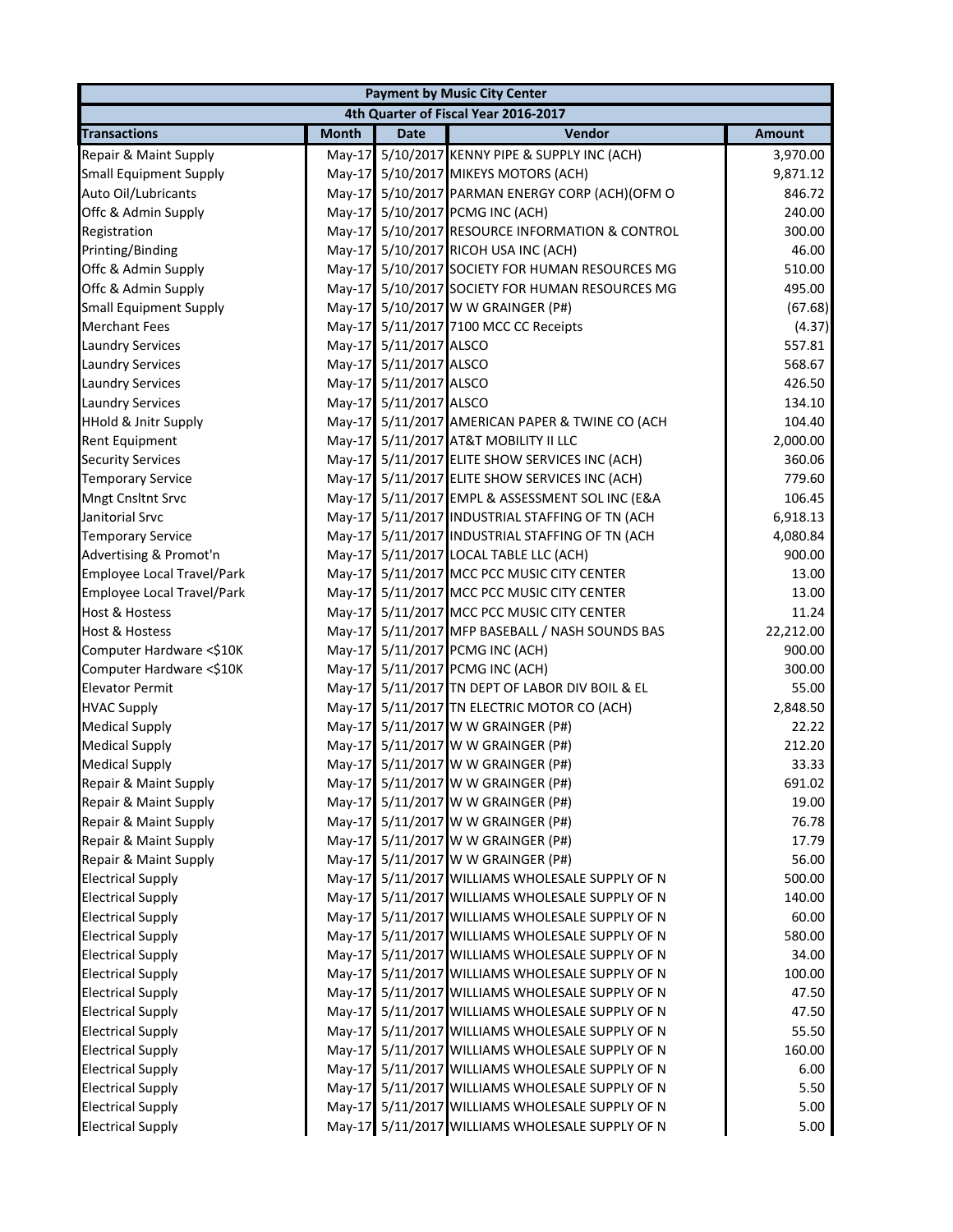| 4th Quarter of Fiscal Year 2016-2017<br>Vendor<br><b>Month</b><br><b>Date</b><br><b>Amount</b><br>Repair & Maint Supply<br>5/10/2017 KENNY PIPE & SUPPLY INC (ACH)<br>$May-17$<br>3,970.00<br>May-17 5/10/2017 MIKEYS MOTORS (ACH)<br>9,871.12<br>May-17 5/10/2017 PARMAN ENERGY CORP (ACH)(OFM O<br>846.72<br>May-17 5/10/2017 PCMG INC (ACH)<br>240.00<br>May-17 5/10/2017 RESOURCE INFORMATION & CONTROL<br>300.00<br>May-17 5/10/2017 RICOH USA INC (ACH)<br>46.00<br>Offc & Admin Supply<br>5/10/2017 SOCIETY FOR HUMAN RESOURCES MG<br>510.00<br>$May-17$<br>5/10/2017 SOCIETY FOR HUMAN RESOURCES MG<br>Offc & Admin Supply<br>495.00<br>$May-17$<br>5/10/2017 W W GRAINGER (P#)<br>(67.68)<br><b>Small Equipment Supply</b><br>$May-17$<br>May-17 5/11/2017 7100 MCC CC Receipts<br>(4.37)<br>May-17 5/11/2017 ALSCO<br>557.81<br><b>Laundry Services</b><br>May-17 5/11/2017 ALSCO<br><b>Laundry Services</b><br>568.67<br>May-17 5/11/2017 ALSCO<br><b>Laundry Services</b><br>426.50<br><b>Laundry Services</b><br>May-17 5/11/2017 ALSCO<br>134.10<br><b>HHold &amp; Jnitr Supply</b><br>104.40<br>May-17 5/11/2017 AMERICAN PAPER & TWINE CO (ACH<br>May-17 5/11/2017 AT&T MOBILITY II LLC<br><b>Rent Equipment</b><br>2,000.00<br><b>Security Services</b><br>May-17 5/11/2017 ELITE SHOW SERVICES INC (ACH)<br>360.06<br><b>Temporary Service</b><br>May-17 5/11/2017 ELITE SHOW SERVICES INC (ACH)<br>779.60<br><b>Mngt Cnsltnt Srvc</b><br>May-17 5/11/2017 EMPL & ASSESSMENT SOL INC (E&A<br>106.45<br>Janitorial Srvc<br>May-17 5/11/2017 INDUSTRIAL STAFFING OF TN (ACH<br>6,918.13<br>May-17 5/11/2017 INDUSTRIAL STAFFING OF TN (ACH<br><b>Temporary Service</b><br>4,080.84<br>May-17 5/11/2017 LOCAL TABLE LLC (ACH)<br>900.00<br>Advertising & Promot'n<br>May-17 5/11/2017 MCC PCC MUSIC CITY CENTER<br><b>Employee Local Travel/Park</b><br>13.00<br>May-17 5/11/2017 MCC PCC MUSIC CITY CENTER<br>13.00<br>Employee Local Travel/Park<br><b>Host &amp; Hostess</b><br>May-17 5/11/2017 MCC PCC MUSIC CITY CENTER<br>11.24<br><b>Host &amp; Hostess</b><br>May-17 5/11/2017 MFP BASEBALL / NASH SOUNDS BAS<br>22,212.00<br>May-17 5/11/2017 PCMG INC (ACH)<br>Computer Hardware <\$10K<br>900.00<br>May-17 5/11/2017 PCMG INC (ACH)<br>Computer Hardware <\$10K<br>300.00<br>May-17 5/11/2017 TN DEPT OF LABOR DIV BOIL & EL<br><b>Elevator Permit</b><br>55.00<br><b>HVAC Supply</b><br>May-17 5/11/2017 TN ELECTRIC MOTOR CO (ACH)<br>2,848.50<br>May-17 5/11/2017 W W GRAINGER (P#)<br>22.22<br><b>Medical Supply</b><br>May-17 5/11/2017 W W GRAINGER (P#)<br><b>Medical Supply</b><br>212.20<br>May-17 5/11/2017 W W GRAINGER (P#)<br><b>Medical Supply</b><br>33.33<br>May-17 5/11/2017 W W GRAINGER (P#)<br>691.02<br>Repair & Maint Supply<br>May-17 5/11/2017 W W GRAINGER (P#)<br>Repair & Maint Supply<br>19.00<br>May-17 5/11/2017 W W GRAINGER (P#)<br>76.78<br>Repair & Maint Supply<br>May-17 5/11/2017 W W GRAINGER (P#)<br>17.79<br>Repair & Maint Supply<br>May-17 5/11/2017 W W GRAINGER (P#)<br>56.00<br>Repair & Maint Supply<br>500.00<br><b>Electrical Supply</b><br>May-17 5/11/2017 WILLIAMS WHOLESALE SUPPLY OF N<br>May-17 5/11/2017 WILLIAMS WHOLESALE SUPPLY OF N<br>140.00<br><b>Electrical Supply</b><br><b>Electrical Supply</b><br>May-17 5/11/2017 WILLIAMS WHOLESALE SUPPLY OF N<br>60.00<br>580.00<br><b>Electrical Supply</b><br>May-17 5/11/2017 WILLIAMS WHOLESALE SUPPLY OF N<br><b>Electrical Supply</b><br>34.00<br>May-17 5/11/2017 WILLIAMS WHOLESALE SUPPLY OF N<br><b>Electrical Supply</b><br>May-17 5/11/2017 WILLIAMS WHOLESALE SUPPLY OF N<br>100.00<br><b>Electrical Supply</b><br>May-17 5/11/2017 WILLIAMS WHOLESALE SUPPLY OF N<br>47.50<br><b>Electrical Supply</b><br>May-17 5/11/2017 WILLIAMS WHOLESALE SUPPLY OF N<br>47.50<br><b>Electrical Supply</b><br>May-17 5/11/2017 WILLIAMS WHOLESALE SUPPLY OF N<br>55.50<br><b>Electrical Supply</b><br>May-17 5/11/2017 WILLIAMS WHOLESALE SUPPLY OF N<br>160.00<br><b>Electrical Supply</b><br>May-17 5/11/2017 WILLIAMS WHOLESALE SUPPLY OF N<br>6.00<br>May-17 5/11/2017 WILLIAMS WHOLESALE SUPPLY OF N<br>5.50<br><b>Electrical Supply</b><br>May-17 5/11/2017 WILLIAMS WHOLESALE SUPPLY OF N<br><b>Electrical Supply</b><br>5.00 |                               | <b>Payment by Music City Center</b> |  |  |      |  |  |
|-------------------------------------------------------------------------------------------------------------------------------------------------------------------------------------------------------------------------------------------------------------------------------------------------------------------------------------------------------------------------------------------------------------------------------------------------------------------------------------------------------------------------------------------------------------------------------------------------------------------------------------------------------------------------------------------------------------------------------------------------------------------------------------------------------------------------------------------------------------------------------------------------------------------------------------------------------------------------------------------------------------------------------------------------------------------------------------------------------------------------------------------------------------------------------------------------------------------------------------------------------------------------------------------------------------------------------------------------------------------------------------------------------------------------------------------------------------------------------------------------------------------------------------------------------------------------------------------------------------------------------------------------------------------------------------------------------------------------------------------------------------------------------------------------------------------------------------------------------------------------------------------------------------------------------------------------------------------------------------------------------------------------------------------------------------------------------------------------------------------------------------------------------------------------------------------------------------------------------------------------------------------------------------------------------------------------------------------------------------------------------------------------------------------------------------------------------------------------------------------------------------------------------------------------------------------------------------------------------------------------------------------------------------------------------------------------------------------------------------------------------------------------------------------------------------------------------------------------------------------------------------------------------------------------------------------------------------------------------------------------------------------------------------------------------------------------------------------------------------------------------------------------------------------------------------------------------------------------------------------------------------------------------------------------------------------------------------------------------------------------------------------------------------------------------------------------------------------------------------------------------------------------------------------------------------------------------------------------------------------------------------------------------------------------------------------------------------------------------------------------------------------------------------------------------------------------------------------------------------------------------------------------------------------------------------------------------------------------------------------------------------------------------------------------------------------------------------------------------------------------------------------------------------------------------------------------------------------------------------------------------------------------|-------------------------------|-------------------------------------|--|--|------|--|--|
|                                                                                                                                                                                                                                                                                                                                                                                                                                                                                                                                                                                                                                                                                                                                                                                                                                                                                                                                                                                                                                                                                                                                                                                                                                                                                                                                                                                                                                                                                                                                                                                                                                                                                                                                                                                                                                                                                                                                                                                                                                                                                                                                                                                                                                                                                                                                                                                                                                                                                                                                                                                                                                                                                                                                                                                                                                                                                                                                                                                                                                                                                                                                                                                                                                                                                                                                                                                                                                                                                                                                                                                                                                                                                                                                                                                                                                                                                                                                                                                                                                                                                                                                                                                                                                                                         |                               |                                     |  |  |      |  |  |
|                                                                                                                                                                                                                                                                                                                                                                                                                                                                                                                                                                                                                                                                                                                                                                                                                                                                                                                                                                                                                                                                                                                                                                                                                                                                                                                                                                                                                                                                                                                                                                                                                                                                                                                                                                                                                                                                                                                                                                                                                                                                                                                                                                                                                                                                                                                                                                                                                                                                                                                                                                                                                                                                                                                                                                                                                                                                                                                                                                                                                                                                                                                                                                                                                                                                                                                                                                                                                                                                                                                                                                                                                                                                                                                                                                                                                                                                                                                                                                                                                                                                                                                                                                                                                                                                         | <b>Transactions</b>           |                                     |  |  |      |  |  |
|                                                                                                                                                                                                                                                                                                                                                                                                                                                                                                                                                                                                                                                                                                                                                                                                                                                                                                                                                                                                                                                                                                                                                                                                                                                                                                                                                                                                                                                                                                                                                                                                                                                                                                                                                                                                                                                                                                                                                                                                                                                                                                                                                                                                                                                                                                                                                                                                                                                                                                                                                                                                                                                                                                                                                                                                                                                                                                                                                                                                                                                                                                                                                                                                                                                                                                                                                                                                                                                                                                                                                                                                                                                                                                                                                                                                                                                                                                                                                                                                                                                                                                                                                                                                                                                                         |                               |                                     |  |  |      |  |  |
|                                                                                                                                                                                                                                                                                                                                                                                                                                                                                                                                                                                                                                                                                                                                                                                                                                                                                                                                                                                                                                                                                                                                                                                                                                                                                                                                                                                                                                                                                                                                                                                                                                                                                                                                                                                                                                                                                                                                                                                                                                                                                                                                                                                                                                                                                                                                                                                                                                                                                                                                                                                                                                                                                                                                                                                                                                                                                                                                                                                                                                                                                                                                                                                                                                                                                                                                                                                                                                                                                                                                                                                                                                                                                                                                                                                                                                                                                                                                                                                                                                                                                                                                                                                                                                                                         | <b>Small Equipment Supply</b> |                                     |  |  |      |  |  |
|                                                                                                                                                                                                                                                                                                                                                                                                                                                                                                                                                                                                                                                                                                                                                                                                                                                                                                                                                                                                                                                                                                                                                                                                                                                                                                                                                                                                                                                                                                                                                                                                                                                                                                                                                                                                                                                                                                                                                                                                                                                                                                                                                                                                                                                                                                                                                                                                                                                                                                                                                                                                                                                                                                                                                                                                                                                                                                                                                                                                                                                                                                                                                                                                                                                                                                                                                                                                                                                                                                                                                                                                                                                                                                                                                                                                                                                                                                                                                                                                                                                                                                                                                                                                                                                                         | Auto Oil/Lubricants           |                                     |  |  |      |  |  |
|                                                                                                                                                                                                                                                                                                                                                                                                                                                                                                                                                                                                                                                                                                                                                                                                                                                                                                                                                                                                                                                                                                                                                                                                                                                                                                                                                                                                                                                                                                                                                                                                                                                                                                                                                                                                                                                                                                                                                                                                                                                                                                                                                                                                                                                                                                                                                                                                                                                                                                                                                                                                                                                                                                                                                                                                                                                                                                                                                                                                                                                                                                                                                                                                                                                                                                                                                                                                                                                                                                                                                                                                                                                                                                                                                                                                                                                                                                                                                                                                                                                                                                                                                                                                                                                                         | Offc & Admin Supply           |                                     |  |  |      |  |  |
|                                                                                                                                                                                                                                                                                                                                                                                                                                                                                                                                                                                                                                                                                                                                                                                                                                                                                                                                                                                                                                                                                                                                                                                                                                                                                                                                                                                                                                                                                                                                                                                                                                                                                                                                                                                                                                                                                                                                                                                                                                                                                                                                                                                                                                                                                                                                                                                                                                                                                                                                                                                                                                                                                                                                                                                                                                                                                                                                                                                                                                                                                                                                                                                                                                                                                                                                                                                                                                                                                                                                                                                                                                                                                                                                                                                                                                                                                                                                                                                                                                                                                                                                                                                                                                                                         | Registration                  |                                     |  |  |      |  |  |
|                                                                                                                                                                                                                                                                                                                                                                                                                                                                                                                                                                                                                                                                                                                                                                                                                                                                                                                                                                                                                                                                                                                                                                                                                                                                                                                                                                                                                                                                                                                                                                                                                                                                                                                                                                                                                                                                                                                                                                                                                                                                                                                                                                                                                                                                                                                                                                                                                                                                                                                                                                                                                                                                                                                                                                                                                                                                                                                                                                                                                                                                                                                                                                                                                                                                                                                                                                                                                                                                                                                                                                                                                                                                                                                                                                                                                                                                                                                                                                                                                                                                                                                                                                                                                                                                         | Printing/Binding              |                                     |  |  |      |  |  |
|                                                                                                                                                                                                                                                                                                                                                                                                                                                                                                                                                                                                                                                                                                                                                                                                                                                                                                                                                                                                                                                                                                                                                                                                                                                                                                                                                                                                                                                                                                                                                                                                                                                                                                                                                                                                                                                                                                                                                                                                                                                                                                                                                                                                                                                                                                                                                                                                                                                                                                                                                                                                                                                                                                                                                                                                                                                                                                                                                                                                                                                                                                                                                                                                                                                                                                                                                                                                                                                                                                                                                                                                                                                                                                                                                                                                                                                                                                                                                                                                                                                                                                                                                                                                                                                                         |                               |                                     |  |  |      |  |  |
|                                                                                                                                                                                                                                                                                                                                                                                                                                                                                                                                                                                                                                                                                                                                                                                                                                                                                                                                                                                                                                                                                                                                                                                                                                                                                                                                                                                                                                                                                                                                                                                                                                                                                                                                                                                                                                                                                                                                                                                                                                                                                                                                                                                                                                                                                                                                                                                                                                                                                                                                                                                                                                                                                                                                                                                                                                                                                                                                                                                                                                                                                                                                                                                                                                                                                                                                                                                                                                                                                                                                                                                                                                                                                                                                                                                                                                                                                                                                                                                                                                                                                                                                                                                                                                                                         |                               |                                     |  |  |      |  |  |
|                                                                                                                                                                                                                                                                                                                                                                                                                                                                                                                                                                                                                                                                                                                                                                                                                                                                                                                                                                                                                                                                                                                                                                                                                                                                                                                                                                                                                                                                                                                                                                                                                                                                                                                                                                                                                                                                                                                                                                                                                                                                                                                                                                                                                                                                                                                                                                                                                                                                                                                                                                                                                                                                                                                                                                                                                                                                                                                                                                                                                                                                                                                                                                                                                                                                                                                                                                                                                                                                                                                                                                                                                                                                                                                                                                                                                                                                                                                                                                                                                                                                                                                                                                                                                                                                         |                               |                                     |  |  |      |  |  |
|                                                                                                                                                                                                                                                                                                                                                                                                                                                                                                                                                                                                                                                                                                                                                                                                                                                                                                                                                                                                                                                                                                                                                                                                                                                                                                                                                                                                                                                                                                                                                                                                                                                                                                                                                                                                                                                                                                                                                                                                                                                                                                                                                                                                                                                                                                                                                                                                                                                                                                                                                                                                                                                                                                                                                                                                                                                                                                                                                                                                                                                                                                                                                                                                                                                                                                                                                                                                                                                                                                                                                                                                                                                                                                                                                                                                                                                                                                                                                                                                                                                                                                                                                                                                                                                                         | <b>Merchant Fees</b>          |                                     |  |  |      |  |  |
|                                                                                                                                                                                                                                                                                                                                                                                                                                                                                                                                                                                                                                                                                                                                                                                                                                                                                                                                                                                                                                                                                                                                                                                                                                                                                                                                                                                                                                                                                                                                                                                                                                                                                                                                                                                                                                                                                                                                                                                                                                                                                                                                                                                                                                                                                                                                                                                                                                                                                                                                                                                                                                                                                                                                                                                                                                                                                                                                                                                                                                                                                                                                                                                                                                                                                                                                                                                                                                                                                                                                                                                                                                                                                                                                                                                                                                                                                                                                                                                                                                                                                                                                                                                                                                                                         |                               |                                     |  |  |      |  |  |
|                                                                                                                                                                                                                                                                                                                                                                                                                                                                                                                                                                                                                                                                                                                                                                                                                                                                                                                                                                                                                                                                                                                                                                                                                                                                                                                                                                                                                                                                                                                                                                                                                                                                                                                                                                                                                                                                                                                                                                                                                                                                                                                                                                                                                                                                                                                                                                                                                                                                                                                                                                                                                                                                                                                                                                                                                                                                                                                                                                                                                                                                                                                                                                                                                                                                                                                                                                                                                                                                                                                                                                                                                                                                                                                                                                                                                                                                                                                                                                                                                                                                                                                                                                                                                                                                         |                               |                                     |  |  |      |  |  |
|                                                                                                                                                                                                                                                                                                                                                                                                                                                                                                                                                                                                                                                                                                                                                                                                                                                                                                                                                                                                                                                                                                                                                                                                                                                                                                                                                                                                                                                                                                                                                                                                                                                                                                                                                                                                                                                                                                                                                                                                                                                                                                                                                                                                                                                                                                                                                                                                                                                                                                                                                                                                                                                                                                                                                                                                                                                                                                                                                                                                                                                                                                                                                                                                                                                                                                                                                                                                                                                                                                                                                                                                                                                                                                                                                                                                                                                                                                                                                                                                                                                                                                                                                                                                                                                                         |                               |                                     |  |  |      |  |  |
|                                                                                                                                                                                                                                                                                                                                                                                                                                                                                                                                                                                                                                                                                                                                                                                                                                                                                                                                                                                                                                                                                                                                                                                                                                                                                                                                                                                                                                                                                                                                                                                                                                                                                                                                                                                                                                                                                                                                                                                                                                                                                                                                                                                                                                                                                                                                                                                                                                                                                                                                                                                                                                                                                                                                                                                                                                                                                                                                                                                                                                                                                                                                                                                                                                                                                                                                                                                                                                                                                                                                                                                                                                                                                                                                                                                                                                                                                                                                                                                                                                                                                                                                                                                                                                                                         |                               |                                     |  |  |      |  |  |
|                                                                                                                                                                                                                                                                                                                                                                                                                                                                                                                                                                                                                                                                                                                                                                                                                                                                                                                                                                                                                                                                                                                                                                                                                                                                                                                                                                                                                                                                                                                                                                                                                                                                                                                                                                                                                                                                                                                                                                                                                                                                                                                                                                                                                                                                                                                                                                                                                                                                                                                                                                                                                                                                                                                                                                                                                                                                                                                                                                                                                                                                                                                                                                                                                                                                                                                                                                                                                                                                                                                                                                                                                                                                                                                                                                                                                                                                                                                                                                                                                                                                                                                                                                                                                                                                         |                               |                                     |  |  |      |  |  |
|                                                                                                                                                                                                                                                                                                                                                                                                                                                                                                                                                                                                                                                                                                                                                                                                                                                                                                                                                                                                                                                                                                                                                                                                                                                                                                                                                                                                                                                                                                                                                                                                                                                                                                                                                                                                                                                                                                                                                                                                                                                                                                                                                                                                                                                                                                                                                                                                                                                                                                                                                                                                                                                                                                                                                                                                                                                                                                                                                                                                                                                                                                                                                                                                                                                                                                                                                                                                                                                                                                                                                                                                                                                                                                                                                                                                                                                                                                                                                                                                                                                                                                                                                                                                                                                                         |                               |                                     |  |  |      |  |  |
|                                                                                                                                                                                                                                                                                                                                                                                                                                                                                                                                                                                                                                                                                                                                                                                                                                                                                                                                                                                                                                                                                                                                                                                                                                                                                                                                                                                                                                                                                                                                                                                                                                                                                                                                                                                                                                                                                                                                                                                                                                                                                                                                                                                                                                                                                                                                                                                                                                                                                                                                                                                                                                                                                                                                                                                                                                                                                                                                                                                                                                                                                                                                                                                                                                                                                                                                                                                                                                                                                                                                                                                                                                                                                                                                                                                                                                                                                                                                                                                                                                                                                                                                                                                                                                                                         |                               |                                     |  |  |      |  |  |
|                                                                                                                                                                                                                                                                                                                                                                                                                                                                                                                                                                                                                                                                                                                                                                                                                                                                                                                                                                                                                                                                                                                                                                                                                                                                                                                                                                                                                                                                                                                                                                                                                                                                                                                                                                                                                                                                                                                                                                                                                                                                                                                                                                                                                                                                                                                                                                                                                                                                                                                                                                                                                                                                                                                                                                                                                                                                                                                                                                                                                                                                                                                                                                                                                                                                                                                                                                                                                                                                                                                                                                                                                                                                                                                                                                                                                                                                                                                                                                                                                                                                                                                                                                                                                                                                         |                               |                                     |  |  |      |  |  |
|                                                                                                                                                                                                                                                                                                                                                                                                                                                                                                                                                                                                                                                                                                                                                                                                                                                                                                                                                                                                                                                                                                                                                                                                                                                                                                                                                                                                                                                                                                                                                                                                                                                                                                                                                                                                                                                                                                                                                                                                                                                                                                                                                                                                                                                                                                                                                                                                                                                                                                                                                                                                                                                                                                                                                                                                                                                                                                                                                                                                                                                                                                                                                                                                                                                                                                                                                                                                                                                                                                                                                                                                                                                                                                                                                                                                                                                                                                                                                                                                                                                                                                                                                                                                                                                                         |                               |                                     |  |  |      |  |  |
|                                                                                                                                                                                                                                                                                                                                                                                                                                                                                                                                                                                                                                                                                                                                                                                                                                                                                                                                                                                                                                                                                                                                                                                                                                                                                                                                                                                                                                                                                                                                                                                                                                                                                                                                                                                                                                                                                                                                                                                                                                                                                                                                                                                                                                                                                                                                                                                                                                                                                                                                                                                                                                                                                                                                                                                                                                                                                                                                                                                                                                                                                                                                                                                                                                                                                                                                                                                                                                                                                                                                                                                                                                                                                                                                                                                                                                                                                                                                                                                                                                                                                                                                                                                                                                                                         |                               |                                     |  |  |      |  |  |
|                                                                                                                                                                                                                                                                                                                                                                                                                                                                                                                                                                                                                                                                                                                                                                                                                                                                                                                                                                                                                                                                                                                                                                                                                                                                                                                                                                                                                                                                                                                                                                                                                                                                                                                                                                                                                                                                                                                                                                                                                                                                                                                                                                                                                                                                                                                                                                                                                                                                                                                                                                                                                                                                                                                                                                                                                                                                                                                                                                                                                                                                                                                                                                                                                                                                                                                                                                                                                                                                                                                                                                                                                                                                                                                                                                                                                                                                                                                                                                                                                                                                                                                                                                                                                                                                         |                               |                                     |  |  |      |  |  |
|                                                                                                                                                                                                                                                                                                                                                                                                                                                                                                                                                                                                                                                                                                                                                                                                                                                                                                                                                                                                                                                                                                                                                                                                                                                                                                                                                                                                                                                                                                                                                                                                                                                                                                                                                                                                                                                                                                                                                                                                                                                                                                                                                                                                                                                                                                                                                                                                                                                                                                                                                                                                                                                                                                                                                                                                                                                                                                                                                                                                                                                                                                                                                                                                                                                                                                                                                                                                                                                                                                                                                                                                                                                                                                                                                                                                                                                                                                                                                                                                                                                                                                                                                                                                                                                                         |                               |                                     |  |  |      |  |  |
|                                                                                                                                                                                                                                                                                                                                                                                                                                                                                                                                                                                                                                                                                                                                                                                                                                                                                                                                                                                                                                                                                                                                                                                                                                                                                                                                                                                                                                                                                                                                                                                                                                                                                                                                                                                                                                                                                                                                                                                                                                                                                                                                                                                                                                                                                                                                                                                                                                                                                                                                                                                                                                                                                                                                                                                                                                                                                                                                                                                                                                                                                                                                                                                                                                                                                                                                                                                                                                                                                                                                                                                                                                                                                                                                                                                                                                                                                                                                                                                                                                                                                                                                                                                                                                                                         |                               |                                     |  |  |      |  |  |
|                                                                                                                                                                                                                                                                                                                                                                                                                                                                                                                                                                                                                                                                                                                                                                                                                                                                                                                                                                                                                                                                                                                                                                                                                                                                                                                                                                                                                                                                                                                                                                                                                                                                                                                                                                                                                                                                                                                                                                                                                                                                                                                                                                                                                                                                                                                                                                                                                                                                                                                                                                                                                                                                                                                                                                                                                                                                                                                                                                                                                                                                                                                                                                                                                                                                                                                                                                                                                                                                                                                                                                                                                                                                                                                                                                                                                                                                                                                                                                                                                                                                                                                                                                                                                                                                         |                               |                                     |  |  |      |  |  |
|                                                                                                                                                                                                                                                                                                                                                                                                                                                                                                                                                                                                                                                                                                                                                                                                                                                                                                                                                                                                                                                                                                                                                                                                                                                                                                                                                                                                                                                                                                                                                                                                                                                                                                                                                                                                                                                                                                                                                                                                                                                                                                                                                                                                                                                                                                                                                                                                                                                                                                                                                                                                                                                                                                                                                                                                                                                                                                                                                                                                                                                                                                                                                                                                                                                                                                                                                                                                                                                                                                                                                                                                                                                                                                                                                                                                                                                                                                                                                                                                                                                                                                                                                                                                                                                                         |                               |                                     |  |  |      |  |  |
|                                                                                                                                                                                                                                                                                                                                                                                                                                                                                                                                                                                                                                                                                                                                                                                                                                                                                                                                                                                                                                                                                                                                                                                                                                                                                                                                                                                                                                                                                                                                                                                                                                                                                                                                                                                                                                                                                                                                                                                                                                                                                                                                                                                                                                                                                                                                                                                                                                                                                                                                                                                                                                                                                                                                                                                                                                                                                                                                                                                                                                                                                                                                                                                                                                                                                                                                                                                                                                                                                                                                                                                                                                                                                                                                                                                                                                                                                                                                                                                                                                                                                                                                                                                                                                                                         |                               |                                     |  |  |      |  |  |
|                                                                                                                                                                                                                                                                                                                                                                                                                                                                                                                                                                                                                                                                                                                                                                                                                                                                                                                                                                                                                                                                                                                                                                                                                                                                                                                                                                                                                                                                                                                                                                                                                                                                                                                                                                                                                                                                                                                                                                                                                                                                                                                                                                                                                                                                                                                                                                                                                                                                                                                                                                                                                                                                                                                                                                                                                                                                                                                                                                                                                                                                                                                                                                                                                                                                                                                                                                                                                                                                                                                                                                                                                                                                                                                                                                                                                                                                                                                                                                                                                                                                                                                                                                                                                                                                         |                               |                                     |  |  |      |  |  |
|                                                                                                                                                                                                                                                                                                                                                                                                                                                                                                                                                                                                                                                                                                                                                                                                                                                                                                                                                                                                                                                                                                                                                                                                                                                                                                                                                                                                                                                                                                                                                                                                                                                                                                                                                                                                                                                                                                                                                                                                                                                                                                                                                                                                                                                                                                                                                                                                                                                                                                                                                                                                                                                                                                                                                                                                                                                                                                                                                                                                                                                                                                                                                                                                                                                                                                                                                                                                                                                                                                                                                                                                                                                                                                                                                                                                                                                                                                                                                                                                                                                                                                                                                                                                                                                                         |                               |                                     |  |  |      |  |  |
|                                                                                                                                                                                                                                                                                                                                                                                                                                                                                                                                                                                                                                                                                                                                                                                                                                                                                                                                                                                                                                                                                                                                                                                                                                                                                                                                                                                                                                                                                                                                                                                                                                                                                                                                                                                                                                                                                                                                                                                                                                                                                                                                                                                                                                                                                                                                                                                                                                                                                                                                                                                                                                                                                                                                                                                                                                                                                                                                                                                                                                                                                                                                                                                                                                                                                                                                                                                                                                                                                                                                                                                                                                                                                                                                                                                                                                                                                                                                                                                                                                                                                                                                                                                                                                                                         |                               |                                     |  |  |      |  |  |
|                                                                                                                                                                                                                                                                                                                                                                                                                                                                                                                                                                                                                                                                                                                                                                                                                                                                                                                                                                                                                                                                                                                                                                                                                                                                                                                                                                                                                                                                                                                                                                                                                                                                                                                                                                                                                                                                                                                                                                                                                                                                                                                                                                                                                                                                                                                                                                                                                                                                                                                                                                                                                                                                                                                                                                                                                                                                                                                                                                                                                                                                                                                                                                                                                                                                                                                                                                                                                                                                                                                                                                                                                                                                                                                                                                                                                                                                                                                                                                                                                                                                                                                                                                                                                                                                         |                               |                                     |  |  |      |  |  |
|                                                                                                                                                                                                                                                                                                                                                                                                                                                                                                                                                                                                                                                                                                                                                                                                                                                                                                                                                                                                                                                                                                                                                                                                                                                                                                                                                                                                                                                                                                                                                                                                                                                                                                                                                                                                                                                                                                                                                                                                                                                                                                                                                                                                                                                                                                                                                                                                                                                                                                                                                                                                                                                                                                                                                                                                                                                                                                                                                                                                                                                                                                                                                                                                                                                                                                                                                                                                                                                                                                                                                                                                                                                                                                                                                                                                                                                                                                                                                                                                                                                                                                                                                                                                                                                                         |                               |                                     |  |  |      |  |  |
|                                                                                                                                                                                                                                                                                                                                                                                                                                                                                                                                                                                                                                                                                                                                                                                                                                                                                                                                                                                                                                                                                                                                                                                                                                                                                                                                                                                                                                                                                                                                                                                                                                                                                                                                                                                                                                                                                                                                                                                                                                                                                                                                                                                                                                                                                                                                                                                                                                                                                                                                                                                                                                                                                                                                                                                                                                                                                                                                                                                                                                                                                                                                                                                                                                                                                                                                                                                                                                                                                                                                                                                                                                                                                                                                                                                                                                                                                                                                                                                                                                                                                                                                                                                                                                                                         |                               |                                     |  |  |      |  |  |
|                                                                                                                                                                                                                                                                                                                                                                                                                                                                                                                                                                                                                                                                                                                                                                                                                                                                                                                                                                                                                                                                                                                                                                                                                                                                                                                                                                                                                                                                                                                                                                                                                                                                                                                                                                                                                                                                                                                                                                                                                                                                                                                                                                                                                                                                                                                                                                                                                                                                                                                                                                                                                                                                                                                                                                                                                                                                                                                                                                                                                                                                                                                                                                                                                                                                                                                                                                                                                                                                                                                                                                                                                                                                                                                                                                                                                                                                                                                                                                                                                                                                                                                                                                                                                                                                         |                               |                                     |  |  |      |  |  |
|                                                                                                                                                                                                                                                                                                                                                                                                                                                                                                                                                                                                                                                                                                                                                                                                                                                                                                                                                                                                                                                                                                                                                                                                                                                                                                                                                                                                                                                                                                                                                                                                                                                                                                                                                                                                                                                                                                                                                                                                                                                                                                                                                                                                                                                                                                                                                                                                                                                                                                                                                                                                                                                                                                                                                                                                                                                                                                                                                                                                                                                                                                                                                                                                                                                                                                                                                                                                                                                                                                                                                                                                                                                                                                                                                                                                                                                                                                                                                                                                                                                                                                                                                                                                                                                                         |                               |                                     |  |  |      |  |  |
|                                                                                                                                                                                                                                                                                                                                                                                                                                                                                                                                                                                                                                                                                                                                                                                                                                                                                                                                                                                                                                                                                                                                                                                                                                                                                                                                                                                                                                                                                                                                                                                                                                                                                                                                                                                                                                                                                                                                                                                                                                                                                                                                                                                                                                                                                                                                                                                                                                                                                                                                                                                                                                                                                                                                                                                                                                                                                                                                                                                                                                                                                                                                                                                                                                                                                                                                                                                                                                                                                                                                                                                                                                                                                                                                                                                                                                                                                                                                                                                                                                                                                                                                                                                                                                                                         |                               |                                     |  |  |      |  |  |
|                                                                                                                                                                                                                                                                                                                                                                                                                                                                                                                                                                                                                                                                                                                                                                                                                                                                                                                                                                                                                                                                                                                                                                                                                                                                                                                                                                                                                                                                                                                                                                                                                                                                                                                                                                                                                                                                                                                                                                                                                                                                                                                                                                                                                                                                                                                                                                                                                                                                                                                                                                                                                                                                                                                                                                                                                                                                                                                                                                                                                                                                                                                                                                                                                                                                                                                                                                                                                                                                                                                                                                                                                                                                                                                                                                                                                                                                                                                                                                                                                                                                                                                                                                                                                                                                         |                               |                                     |  |  |      |  |  |
|                                                                                                                                                                                                                                                                                                                                                                                                                                                                                                                                                                                                                                                                                                                                                                                                                                                                                                                                                                                                                                                                                                                                                                                                                                                                                                                                                                                                                                                                                                                                                                                                                                                                                                                                                                                                                                                                                                                                                                                                                                                                                                                                                                                                                                                                                                                                                                                                                                                                                                                                                                                                                                                                                                                                                                                                                                                                                                                                                                                                                                                                                                                                                                                                                                                                                                                                                                                                                                                                                                                                                                                                                                                                                                                                                                                                                                                                                                                                                                                                                                                                                                                                                                                                                                                                         |                               |                                     |  |  |      |  |  |
|                                                                                                                                                                                                                                                                                                                                                                                                                                                                                                                                                                                                                                                                                                                                                                                                                                                                                                                                                                                                                                                                                                                                                                                                                                                                                                                                                                                                                                                                                                                                                                                                                                                                                                                                                                                                                                                                                                                                                                                                                                                                                                                                                                                                                                                                                                                                                                                                                                                                                                                                                                                                                                                                                                                                                                                                                                                                                                                                                                                                                                                                                                                                                                                                                                                                                                                                                                                                                                                                                                                                                                                                                                                                                                                                                                                                                                                                                                                                                                                                                                                                                                                                                                                                                                                                         |                               |                                     |  |  |      |  |  |
|                                                                                                                                                                                                                                                                                                                                                                                                                                                                                                                                                                                                                                                                                                                                                                                                                                                                                                                                                                                                                                                                                                                                                                                                                                                                                                                                                                                                                                                                                                                                                                                                                                                                                                                                                                                                                                                                                                                                                                                                                                                                                                                                                                                                                                                                                                                                                                                                                                                                                                                                                                                                                                                                                                                                                                                                                                                                                                                                                                                                                                                                                                                                                                                                                                                                                                                                                                                                                                                                                                                                                                                                                                                                                                                                                                                                                                                                                                                                                                                                                                                                                                                                                                                                                                                                         |                               |                                     |  |  |      |  |  |
|                                                                                                                                                                                                                                                                                                                                                                                                                                                                                                                                                                                                                                                                                                                                                                                                                                                                                                                                                                                                                                                                                                                                                                                                                                                                                                                                                                                                                                                                                                                                                                                                                                                                                                                                                                                                                                                                                                                                                                                                                                                                                                                                                                                                                                                                                                                                                                                                                                                                                                                                                                                                                                                                                                                                                                                                                                                                                                                                                                                                                                                                                                                                                                                                                                                                                                                                                                                                                                                                                                                                                                                                                                                                                                                                                                                                                                                                                                                                                                                                                                                                                                                                                                                                                                                                         |                               |                                     |  |  |      |  |  |
|                                                                                                                                                                                                                                                                                                                                                                                                                                                                                                                                                                                                                                                                                                                                                                                                                                                                                                                                                                                                                                                                                                                                                                                                                                                                                                                                                                                                                                                                                                                                                                                                                                                                                                                                                                                                                                                                                                                                                                                                                                                                                                                                                                                                                                                                                                                                                                                                                                                                                                                                                                                                                                                                                                                                                                                                                                                                                                                                                                                                                                                                                                                                                                                                                                                                                                                                                                                                                                                                                                                                                                                                                                                                                                                                                                                                                                                                                                                                                                                                                                                                                                                                                                                                                                                                         |                               |                                     |  |  |      |  |  |
|                                                                                                                                                                                                                                                                                                                                                                                                                                                                                                                                                                                                                                                                                                                                                                                                                                                                                                                                                                                                                                                                                                                                                                                                                                                                                                                                                                                                                                                                                                                                                                                                                                                                                                                                                                                                                                                                                                                                                                                                                                                                                                                                                                                                                                                                                                                                                                                                                                                                                                                                                                                                                                                                                                                                                                                                                                                                                                                                                                                                                                                                                                                                                                                                                                                                                                                                                                                                                                                                                                                                                                                                                                                                                                                                                                                                                                                                                                                                                                                                                                                                                                                                                                                                                                                                         |                               |                                     |  |  |      |  |  |
|                                                                                                                                                                                                                                                                                                                                                                                                                                                                                                                                                                                                                                                                                                                                                                                                                                                                                                                                                                                                                                                                                                                                                                                                                                                                                                                                                                                                                                                                                                                                                                                                                                                                                                                                                                                                                                                                                                                                                                                                                                                                                                                                                                                                                                                                                                                                                                                                                                                                                                                                                                                                                                                                                                                                                                                                                                                                                                                                                                                                                                                                                                                                                                                                                                                                                                                                                                                                                                                                                                                                                                                                                                                                                                                                                                                                                                                                                                                                                                                                                                                                                                                                                                                                                                                                         |                               |                                     |  |  |      |  |  |
|                                                                                                                                                                                                                                                                                                                                                                                                                                                                                                                                                                                                                                                                                                                                                                                                                                                                                                                                                                                                                                                                                                                                                                                                                                                                                                                                                                                                                                                                                                                                                                                                                                                                                                                                                                                                                                                                                                                                                                                                                                                                                                                                                                                                                                                                                                                                                                                                                                                                                                                                                                                                                                                                                                                                                                                                                                                                                                                                                                                                                                                                                                                                                                                                                                                                                                                                                                                                                                                                                                                                                                                                                                                                                                                                                                                                                                                                                                                                                                                                                                                                                                                                                                                                                                                                         |                               |                                     |  |  |      |  |  |
|                                                                                                                                                                                                                                                                                                                                                                                                                                                                                                                                                                                                                                                                                                                                                                                                                                                                                                                                                                                                                                                                                                                                                                                                                                                                                                                                                                                                                                                                                                                                                                                                                                                                                                                                                                                                                                                                                                                                                                                                                                                                                                                                                                                                                                                                                                                                                                                                                                                                                                                                                                                                                                                                                                                                                                                                                                                                                                                                                                                                                                                                                                                                                                                                                                                                                                                                                                                                                                                                                                                                                                                                                                                                                                                                                                                                                                                                                                                                                                                                                                                                                                                                                                                                                                                                         |                               |                                     |  |  |      |  |  |
|                                                                                                                                                                                                                                                                                                                                                                                                                                                                                                                                                                                                                                                                                                                                                                                                                                                                                                                                                                                                                                                                                                                                                                                                                                                                                                                                                                                                                                                                                                                                                                                                                                                                                                                                                                                                                                                                                                                                                                                                                                                                                                                                                                                                                                                                                                                                                                                                                                                                                                                                                                                                                                                                                                                                                                                                                                                                                                                                                                                                                                                                                                                                                                                                                                                                                                                                                                                                                                                                                                                                                                                                                                                                                                                                                                                                                                                                                                                                                                                                                                                                                                                                                                                                                                                                         |                               |                                     |  |  |      |  |  |
|                                                                                                                                                                                                                                                                                                                                                                                                                                                                                                                                                                                                                                                                                                                                                                                                                                                                                                                                                                                                                                                                                                                                                                                                                                                                                                                                                                                                                                                                                                                                                                                                                                                                                                                                                                                                                                                                                                                                                                                                                                                                                                                                                                                                                                                                                                                                                                                                                                                                                                                                                                                                                                                                                                                                                                                                                                                                                                                                                                                                                                                                                                                                                                                                                                                                                                                                                                                                                                                                                                                                                                                                                                                                                                                                                                                                                                                                                                                                                                                                                                                                                                                                                                                                                                                                         |                               |                                     |  |  |      |  |  |
|                                                                                                                                                                                                                                                                                                                                                                                                                                                                                                                                                                                                                                                                                                                                                                                                                                                                                                                                                                                                                                                                                                                                                                                                                                                                                                                                                                                                                                                                                                                                                                                                                                                                                                                                                                                                                                                                                                                                                                                                                                                                                                                                                                                                                                                                                                                                                                                                                                                                                                                                                                                                                                                                                                                                                                                                                                                                                                                                                                                                                                                                                                                                                                                                                                                                                                                                                                                                                                                                                                                                                                                                                                                                                                                                                                                                                                                                                                                                                                                                                                                                                                                                                                                                                                                                         |                               |                                     |  |  |      |  |  |
|                                                                                                                                                                                                                                                                                                                                                                                                                                                                                                                                                                                                                                                                                                                                                                                                                                                                                                                                                                                                                                                                                                                                                                                                                                                                                                                                                                                                                                                                                                                                                                                                                                                                                                                                                                                                                                                                                                                                                                                                                                                                                                                                                                                                                                                                                                                                                                                                                                                                                                                                                                                                                                                                                                                                                                                                                                                                                                                                                                                                                                                                                                                                                                                                                                                                                                                                                                                                                                                                                                                                                                                                                                                                                                                                                                                                                                                                                                                                                                                                                                                                                                                                                                                                                                                                         |                               |                                     |  |  |      |  |  |
|                                                                                                                                                                                                                                                                                                                                                                                                                                                                                                                                                                                                                                                                                                                                                                                                                                                                                                                                                                                                                                                                                                                                                                                                                                                                                                                                                                                                                                                                                                                                                                                                                                                                                                                                                                                                                                                                                                                                                                                                                                                                                                                                                                                                                                                                                                                                                                                                                                                                                                                                                                                                                                                                                                                                                                                                                                                                                                                                                                                                                                                                                                                                                                                                                                                                                                                                                                                                                                                                                                                                                                                                                                                                                                                                                                                                                                                                                                                                                                                                                                                                                                                                                                                                                                                                         |                               |                                     |  |  |      |  |  |
|                                                                                                                                                                                                                                                                                                                                                                                                                                                                                                                                                                                                                                                                                                                                                                                                                                                                                                                                                                                                                                                                                                                                                                                                                                                                                                                                                                                                                                                                                                                                                                                                                                                                                                                                                                                                                                                                                                                                                                                                                                                                                                                                                                                                                                                                                                                                                                                                                                                                                                                                                                                                                                                                                                                                                                                                                                                                                                                                                                                                                                                                                                                                                                                                                                                                                                                                                                                                                                                                                                                                                                                                                                                                                                                                                                                                                                                                                                                                                                                                                                                                                                                                                                                                                                                                         |                               |                                     |  |  |      |  |  |
| May-17 5/11/2017 WILLIAMS WHOLESALE SUPPLY OF N                                                                                                                                                                                                                                                                                                                                                                                                                                                                                                                                                                                                                                                                                                                                                                                                                                                                                                                                                                                                                                                                                                                                                                                                                                                                                                                                                                                                                                                                                                                                                                                                                                                                                                                                                                                                                                                                                                                                                                                                                                                                                                                                                                                                                                                                                                                                                                                                                                                                                                                                                                                                                                                                                                                                                                                                                                                                                                                                                                                                                                                                                                                                                                                                                                                                                                                                                                                                                                                                                                                                                                                                                                                                                                                                                                                                                                                                                                                                                                                                                                                                                                                                                                                                                         | <b>Electrical Supply</b>      |                                     |  |  | 5.00 |  |  |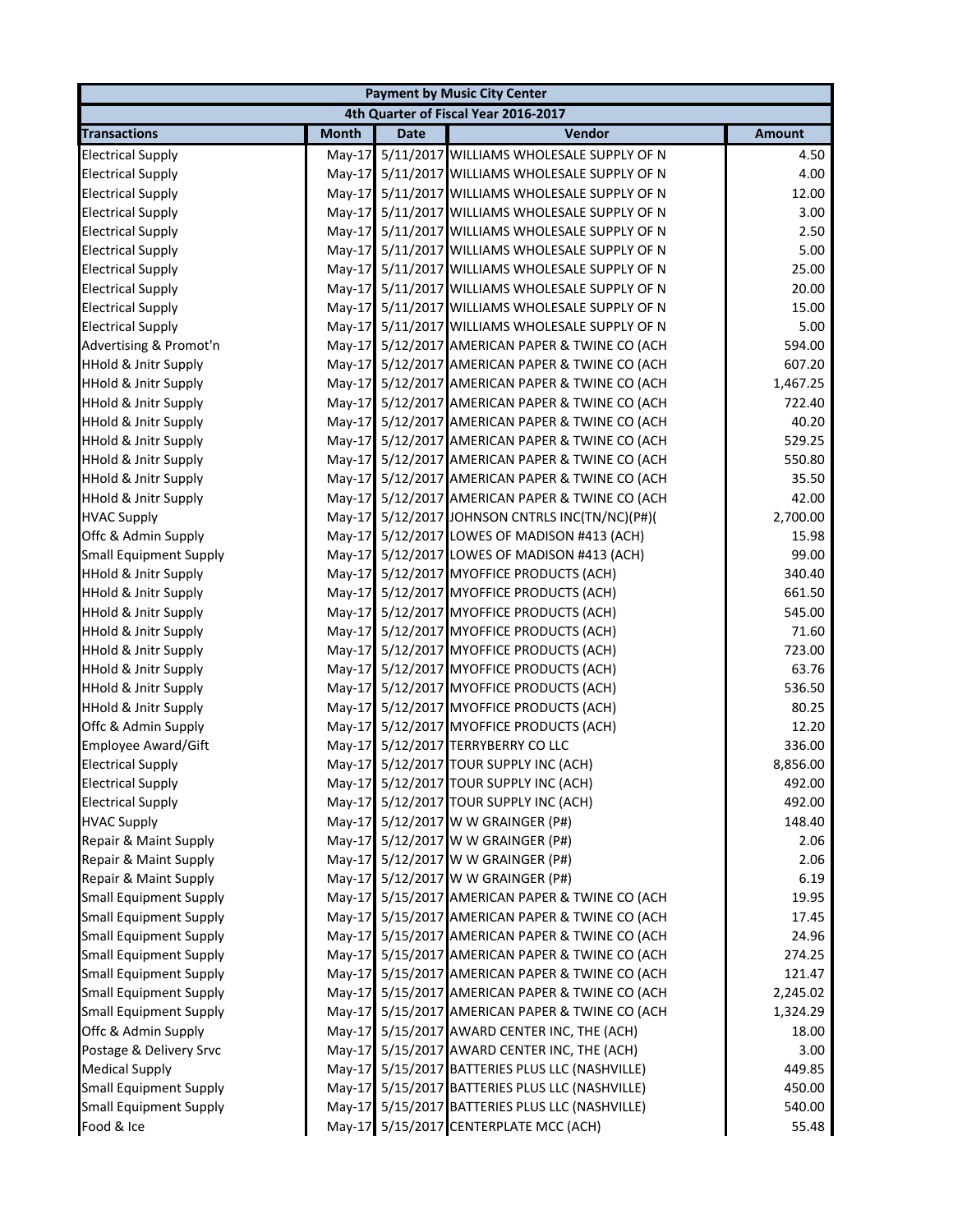| <b>Payment by Music City Center</b> |              |             |                                                 |               |  |
|-------------------------------------|--------------|-------------|-------------------------------------------------|---------------|--|
|                                     |              |             | 4th Quarter of Fiscal Year 2016-2017            |               |  |
| <b>Transactions</b>                 | <b>Month</b> | <b>Date</b> | Vendor                                          | <b>Amount</b> |  |
| <b>Electrical Supply</b>            | $May-17$     |             | 5/11/2017 WILLIAMS WHOLESALE SUPPLY OF N        | 4.50          |  |
| <b>Electrical Supply</b>            |              |             | May-17 5/11/2017 WILLIAMS WHOLESALE SUPPLY OF N | 4.00          |  |
| <b>Electrical Supply</b>            |              |             | May-17 5/11/2017 WILLIAMS WHOLESALE SUPPLY OF N | 12.00         |  |
| <b>Electrical Supply</b>            | $May-17$     |             | 5/11/2017 WILLIAMS WHOLESALE SUPPLY OF N        | 3.00          |  |
| <b>Electrical Supply</b>            | $May-17$     |             | 5/11/2017 WILLIAMS WHOLESALE SUPPLY OF N        | 2.50          |  |
| <b>Electrical Supply</b>            | $May-17$     |             | 5/11/2017 WILLIAMS WHOLESALE SUPPLY OF N        | 5.00          |  |
| <b>Electrical Supply</b>            | $May-17$     |             | 5/11/2017 WILLIAMS WHOLESALE SUPPLY OF N        | 25.00         |  |
| <b>Electrical Supply</b>            | $May-17$     |             | 5/11/2017 WILLIAMS WHOLESALE SUPPLY OF N        | 20.00         |  |
| <b>Electrical Supply</b>            |              |             | May-17 5/11/2017 WILLIAMS WHOLESALE SUPPLY OF N | 15.00         |  |
| <b>Electrical Supply</b>            |              |             | May-17 5/11/2017 WILLIAMS WHOLESALE SUPPLY OF N | 5.00          |  |
| Advertising & Promot'n              | $May-17$     |             | 5/12/2017 AMERICAN PAPER & TWINE CO (ACH        | 594.00        |  |
| <b>HHold &amp; Jnitr Supply</b>     | $May-17$     |             | 5/12/2017 AMERICAN PAPER & TWINE CO (ACH        | 607.20        |  |
| <b>HHold &amp; Jnitr Supply</b>     | $May-17$     |             | 5/12/2017 AMERICAN PAPER & TWINE CO (ACH        | 1,467.25      |  |
| <b>HHold &amp; Jnitr Supply</b>     | $May-17$     |             | 5/12/2017 AMERICAN PAPER & TWINE CO (ACH        | 722.40        |  |
| <b>HHold &amp; Jnitr Supply</b>     | $May-17$     |             | 5/12/2017 AMERICAN PAPER & TWINE CO (ACH        | 40.20         |  |
| <b>HHold &amp; Jnitr Supply</b>     | $May-17$     |             | 5/12/2017 AMERICAN PAPER & TWINE CO (ACH        | 529.25        |  |
| <b>HHold &amp; Jnitr Supply</b>     |              |             | May-17 5/12/2017 AMERICAN PAPER & TWINE CO (ACH | 550.80        |  |
| <b>HHold &amp; Jnitr Supply</b>     |              |             | May-17 5/12/2017 AMERICAN PAPER & TWINE CO (ACH | 35.50         |  |
| <b>HHold &amp; Jnitr Supply</b>     | $May-17$     |             | 5/12/2017 AMERICAN PAPER & TWINE CO (ACH        | 42.00         |  |
| <b>HVAC Supply</b>                  | $May-17$     |             | 5/12/2017 JOHNSON CNTRLS INC(TN/NC)(P#)(        | 2,700.00      |  |
| Offc & Admin Supply                 |              |             | May-17 5/12/2017 LOWES OF MADISON #413 (ACH)    | 15.98         |  |
| <b>Small Equipment Supply</b>       |              |             | May-17 5/12/2017 LOWES OF MADISON #413 (ACH)    | 99.00         |  |
| <b>HHold &amp; Jnitr Supply</b>     |              |             | May-17 5/12/2017 MYOFFICE PRODUCTS (ACH)        | 340.40        |  |
| <b>HHold &amp; Jnitr Supply</b>     |              |             | May-17 5/12/2017 MYOFFICE PRODUCTS (ACH)        | 661.50        |  |
| <b>HHold &amp; Jnitr Supply</b>     |              |             | May-17 5/12/2017 MYOFFICE PRODUCTS (ACH)        | 545.00        |  |
| <b>HHold &amp; Jnitr Supply</b>     |              |             | May-17 5/12/2017 MYOFFICE PRODUCTS (ACH)        | 71.60         |  |
| <b>HHold &amp; Jnitr Supply</b>     |              |             | May-17 5/12/2017 MYOFFICE PRODUCTS (ACH)        | 723.00        |  |
| <b>HHold &amp; Jnitr Supply</b>     |              |             | May-17 5/12/2017 MYOFFICE PRODUCTS (ACH)        | 63.76         |  |
| <b>HHold &amp; Jnitr Supply</b>     |              |             | May-17 5/12/2017 MYOFFICE PRODUCTS (ACH)        | 536.50        |  |
| <b>HHold &amp; Jnitr Supply</b>     | $May-17$     |             | 5/12/2017 MYOFFICE PRODUCTS (ACH)               | 80.25         |  |
| Offc & Admin Supply                 | $May-17$     |             | 5/12/2017 MYOFFICE PRODUCTS (ACH)               | 12.20         |  |
| <b>Employee Award/Gift</b>          | $May-17$     |             | 5/12/2017 TERRYBERRY CO LLC                     | 336.00        |  |
| <b>Electrical Supply</b>            |              |             | May-17 5/12/2017 TOUR SUPPLY INC (ACH)          | 8,856.00      |  |
| <b>Electrical Supply</b>            |              |             | May-17 5/12/2017 TOUR SUPPLY INC (ACH)          | 492.00        |  |
| <b>Electrical Supply</b>            |              |             | May-17 5/12/2017 TOUR SUPPLY INC (ACH)          | 492.00        |  |
| <b>HVAC Supply</b>                  |              |             | May-17 5/12/2017 W W GRAINGER (P#)              | 148.40        |  |
| Repair & Maint Supply               |              |             | May-17 5/12/2017 W W GRAINGER (P#)              | 2.06          |  |
| Repair & Maint Supply               |              |             | May-17 5/12/2017 W W GRAINGER (P#)              | 2.06          |  |
| Repair & Maint Supply               | $May-17$     |             | 5/12/2017 W W GRAINGER (P#)                     | 6.19          |  |
| <b>Small Equipment Supply</b>       |              |             | May-17 5/15/2017 AMERICAN PAPER & TWINE CO (ACH | 19.95         |  |
| <b>Small Equipment Supply</b>       | $May-17$     |             | 5/15/2017 AMERICAN PAPER & TWINE CO (ACH        | 17.45         |  |
| <b>Small Equipment Supply</b>       |              |             | May-17 5/15/2017 AMERICAN PAPER & TWINE CO (ACH | 24.96         |  |
| <b>Small Equipment Supply</b>       | $May-17$     |             | 5/15/2017 AMERICAN PAPER & TWINE CO (ACH        | 274.25        |  |
| <b>Small Equipment Supply</b>       | $May-17$     |             | 5/15/2017 AMERICAN PAPER & TWINE CO (ACH        | 121.47        |  |
| <b>Small Equipment Supply</b>       | $May-17$     |             | 5/15/2017 AMERICAN PAPER & TWINE CO (ACH        | 2,245.02      |  |
| <b>Small Equipment Supply</b>       | $May-17$     |             | 5/15/2017 AMERICAN PAPER & TWINE CO (ACH        | 1,324.29      |  |
| Offc & Admin Supply                 |              |             | May-17 5/15/2017 AWARD CENTER INC, THE (ACH)    | 18.00         |  |
| Postage & Delivery Srvc             |              |             | May-17 5/15/2017 AWARD CENTER INC, THE (ACH)    | 3.00          |  |
| <b>Medical Supply</b>               | $May-17$     |             | 5/15/2017 BATTERIES PLUS LLC (NASHVILLE)        | 449.85        |  |
| <b>Small Equipment Supply</b>       | $May-17$     |             | 5/15/2017 BATTERIES PLUS LLC (NASHVILLE)        | 450.00        |  |
| <b>Small Equipment Supply</b>       | $May-17$     |             | 5/15/2017 BATTERIES PLUS LLC (NASHVILLE)        | 540.00        |  |
| Food & Ice                          |              |             | May-17 5/15/2017 CENTERPLATE MCC (ACH)          | 55.48         |  |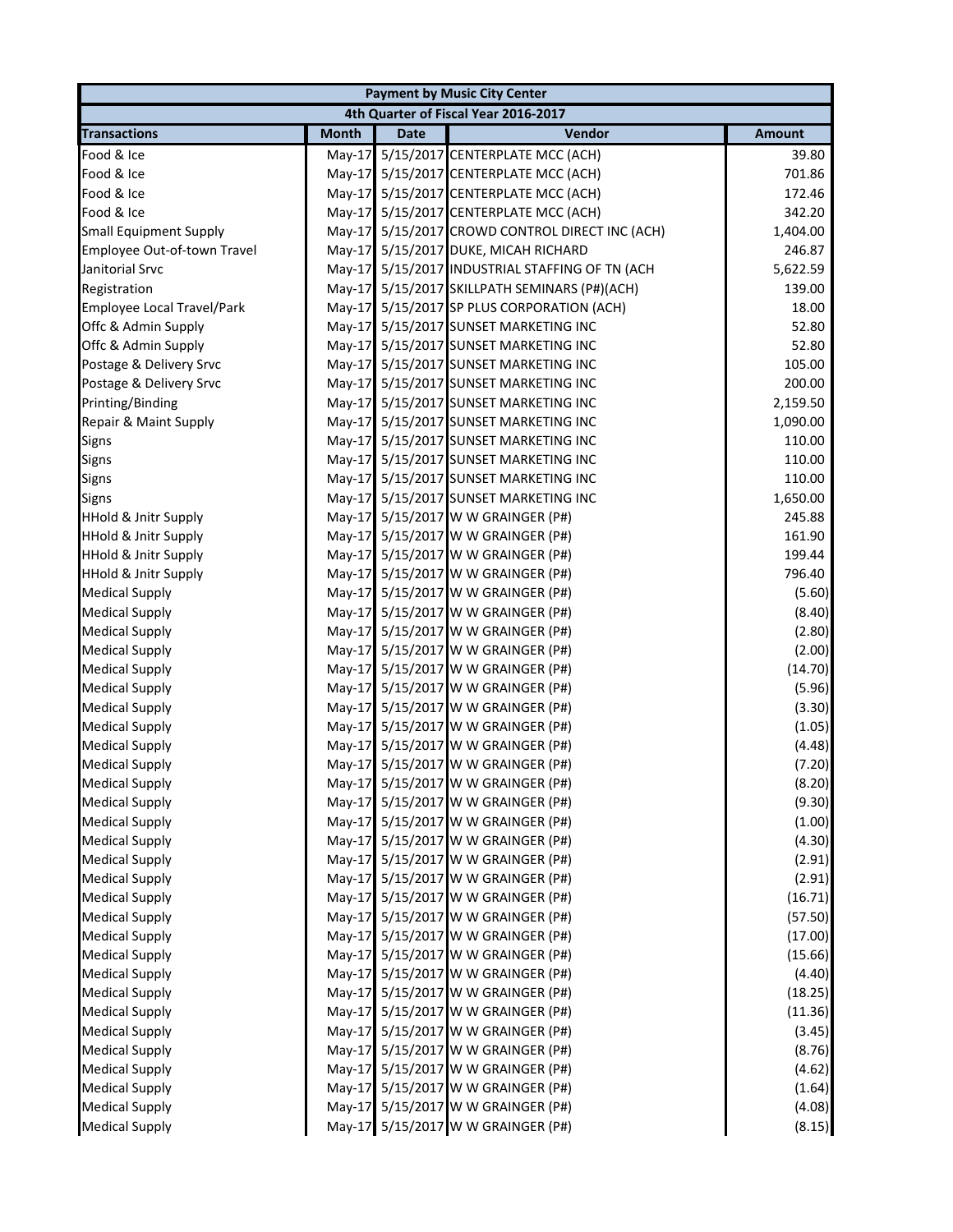|                                   |              |             | <b>Payment by Music City Center</b>        |               |
|-----------------------------------|--------------|-------------|--------------------------------------------|---------------|
|                                   |              |             | 4th Quarter of Fiscal Year 2016-2017       |               |
| <b>Transactions</b>               | <b>Month</b> | <b>Date</b> | Vendor                                     | <b>Amount</b> |
| Food & Ice                        | $May-17$     |             | 5/15/2017 CENTERPLATE MCC (ACH)            | 39.80         |
| Food & Ice                        |              |             | May-17 5/15/2017 CENTERPLATE MCC (ACH)     | 701.86        |
| Food & Ice                        |              |             | May-17 5/15/2017 CENTERPLATE MCC (ACH)     | 172.46        |
| Food & Ice                        |              |             | May-17 5/15/2017 CENTERPLATE MCC (ACH)     | 342.20        |
| <b>Small Equipment Supply</b>     | $May-17$     |             | 5/15/2017 CROWD CONTROL DIRECT INC (ACH)   | 1,404.00      |
| Employee Out-of-town Travel       | $May-17$     |             | 5/15/2017 DUKE, MICAH RICHARD              | 246.87        |
| Janitorial Srvc                   | May-17       |             | 5/15/2017 INDUSTRIAL STAFFING OF TN (ACH   | 5,622.59      |
| Registration                      | $May-17$     |             | 5/15/2017 SKILLPATH SEMINARS (P#)(ACH)     | 139.00        |
| <b>Employee Local Travel/Park</b> |              |             | May-17 5/15/2017 SP PLUS CORPORATION (ACH) | 18.00         |
| Offc & Admin Supply               |              |             | May-17 5/15/2017 SUNSET MARKETING INC      | 52.80         |
| Offc & Admin Supply               |              |             | May-17 5/15/2017 SUNSET MARKETING INC      | 52.80         |
| Postage & Delivery Srvc           |              |             | May-17 5/15/2017 SUNSET MARKETING INC      | 105.00        |
| Postage & Delivery Srvc           |              |             | May-17 5/15/2017 SUNSET MARKETING INC      | 200.00        |
| Printing/Binding                  |              |             | May-17 5/15/2017 SUNSET MARKETING INC      | 2,159.50      |
| Repair & Maint Supply             |              |             | May-17 5/15/2017 SUNSET MARKETING INC      | 1,090.00      |
| Signs                             |              |             | May-17 5/15/2017 SUNSET MARKETING INC      | 110.00        |
| Signs                             |              |             | May-17 5/15/2017 SUNSET MARKETING INC      | 110.00        |
| Signs                             |              |             | May-17 5/15/2017 SUNSET MARKETING INC      | 110.00        |
| <b>Signs</b>                      |              |             | May-17 5/15/2017 SUNSET MARKETING INC      | 1,650.00      |
| <b>HHold &amp; Jnitr Supply</b>   |              |             | May-17 5/15/2017 W W GRAINGER (P#)         | 245.88        |
| <b>HHold &amp; Jnitr Supply</b>   |              |             | May-17 5/15/2017 W W GRAINGER (P#)         | 161.90        |
| <b>HHold &amp; Jnitr Supply</b>   |              |             | May-17 5/15/2017 W W GRAINGER (P#)         | 199.44        |
| <b>HHold &amp; Jnitr Supply</b>   |              |             | May-17 5/15/2017 W W GRAINGER (P#)         | 796.40        |
| <b>Medical Supply</b>             |              |             | May-17 5/15/2017 W W GRAINGER (P#)         | (5.60)        |
| <b>Medical Supply</b>             |              |             | May-17 5/15/2017 W W GRAINGER (P#)         | (8.40)        |
| <b>Medical Supply</b>             |              |             | May-17 5/15/2017 W W GRAINGER (P#)         | (2.80)        |
| <b>Medical Supply</b>             |              |             | May-17 5/15/2017 W W GRAINGER (P#)         | (2.00)        |
| <b>Medical Supply</b>             |              |             | May-17 5/15/2017 W W GRAINGER (P#)         | (14.70)       |
| <b>Medical Supply</b>             |              |             | May-17 5/15/2017 W W GRAINGER (P#)         | (5.96)        |
| <b>Medical Supply</b>             |              |             | May-17 5/15/2017 W W GRAINGER (P#)         | (3.30)        |
| <b>Medical Supply</b>             |              |             | May-17 5/15/2017 W W GRAINGER (P#)         | (1.05)        |
| <b>Medical Supply</b>             |              |             | May-17 5/15/2017 W W GRAINGER (P#)         | (4.48)        |
| <b>Medical Supply</b>             |              |             | May-17 5/15/2017 W W GRAINGER (P#)         | (7.20)        |
| <b>Medical Supply</b>             |              |             | May-17 5/15/2017 W W GRAINGER (P#)         | (8.20)        |
| <b>Medical Supply</b>             |              |             | May-17 5/15/2017 W W GRAINGER (P#)         | (9.30)        |
| <b>Medical Supply</b>             |              |             | May-17 5/15/2017 W W GRAINGER (P#)         | (1.00)        |
| <b>Medical Supply</b>             |              |             | May-17 5/15/2017 W W GRAINGER (P#)         | (4.30)        |
| <b>Medical Supply</b>             |              |             | May-17 5/15/2017 W W GRAINGER (P#)         | (2.91)        |
| <b>Medical Supply</b>             |              |             | May-17 5/15/2017 W W GRAINGER (P#)         | (2.91)        |
| <b>Medical Supply</b>             |              |             | May-17 5/15/2017 W W GRAINGER (P#)         | (16.71)       |
| <b>Medical Supply</b>             |              |             | May-17 5/15/2017 W W GRAINGER (P#)         | (57.50)       |
| <b>Medical Supply</b>             |              |             | May-17 5/15/2017 W W GRAINGER (P#)         | (17.00)       |
| <b>Medical Supply</b>             |              |             | May-17 5/15/2017 W W GRAINGER (P#)         | (15.66)       |
| <b>Medical Supply</b>             |              |             | May-17 5/15/2017 W W GRAINGER (P#)         | (4.40)        |
| <b>Medical Supply</b>             |              |             | May-17 5/15/2017 W W GRAINGER (P#)         | (18.25)       |
| <b>Medical Supply</b>             |              |             | May-17 5/15/2017 W W GRAINGER (P#)         | (11.36)       |
| <b>Medical Supply</b>             |              |             | May-17 5/15/2017 W W GRAINGER (P#)         | (3.45)        |
| <b>Medical Supply</b>             |              |             | May-17 5/15/2017 W W GRAINGER (P#)         | (8.76)        |
| <b>Medical Supply</b>             |              |             | May-17 5/15/2017 W W GRAINGER (P#)         | (4.62)        |
| <b>Medical Supply</b>             |              |             | May-17 5/15/2017 W W GRAINGER (P#)         | (1.64)        |
| <b>Medical Supply</b>             |              |             | May-17 5/15/2017 W W GRAINGER (P#)         | (4.08)        |
| <b>Medical Supply</b>             |              |             | May-17 5/15/2017 W W GRAINGER (P#)         | (8.15)        |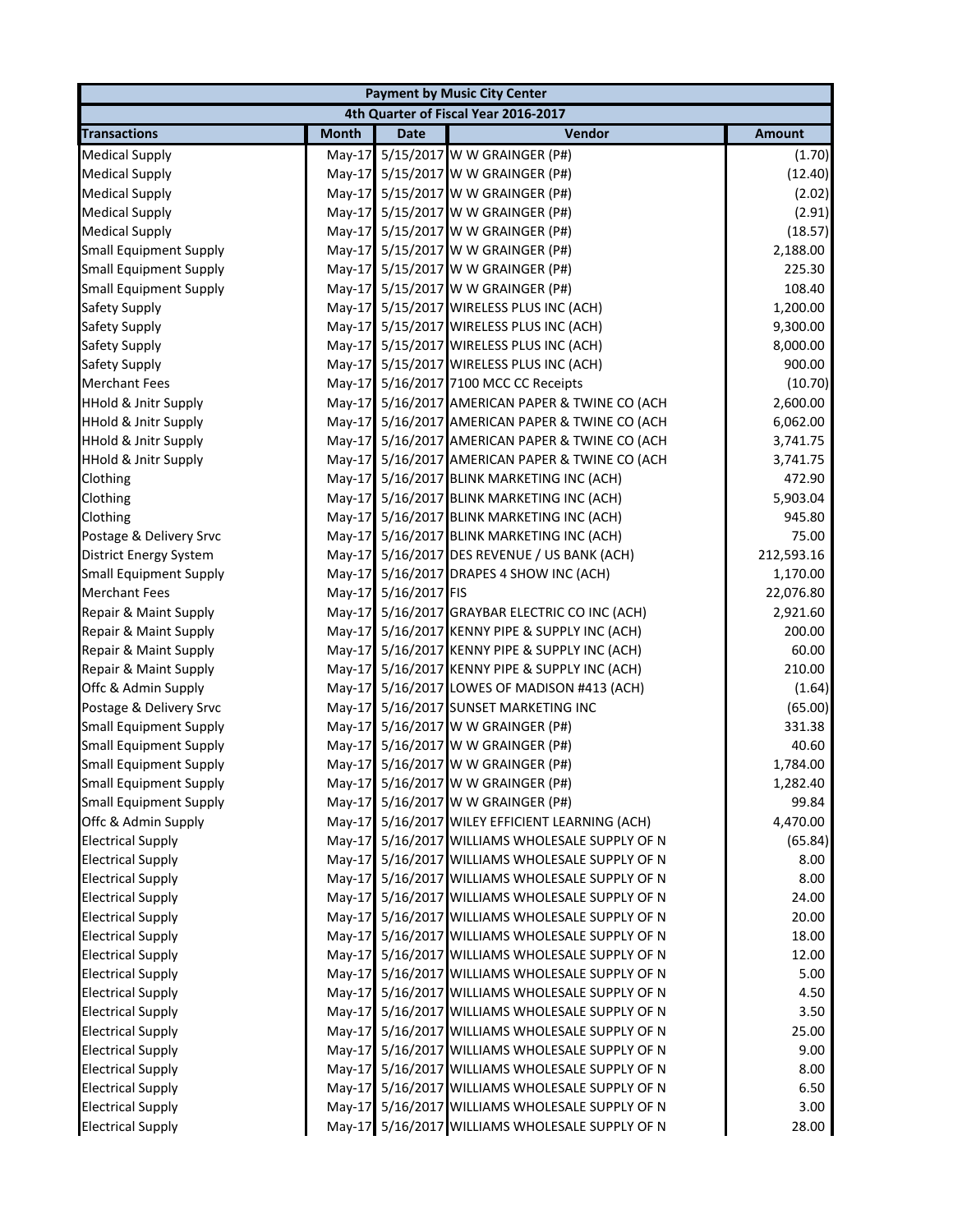| <b>Payment by Music City Center</b> |              |               |                                                 |               |  |
|-------------------------------------|--------------|---------------|-------------------------------------------------|---------------|--|
|                                     |              |               | 4th Quarter of Fiscal Year 2016-2017            |               |  |
| <b>Transactions</b>                 | <b>Month</b> | <b>Date</b>   | Vendor                                          | <b>Amount</b> |  |
| <b>Medical Supply</b>               | $May-17$     |               | 5/15/2017 W W GRAINGER (P#)                     | (1.70)        |  |
| <b>Medical Supply</b>               | $Mav-17$     |               | 5/15/2017 W W GRAINGER (P#)                     | (12.40)       |  |
| <b>Medical Supply</b>               | $May-17$     |               | 5/15/2017 W W GRAINGER (P#)                     | (2.02)        |  |
| <b>Medical Supply</b>               | May-17       |               | 5/15/2017 W W GRAINGER (P#)                     | (2.91)        |  |
| <b>Medical Supply</b>               | $May-17$     |               | 5/15/2017 W W GRAINGER (P#)                     | (18.57)       |  |
| <b>Small Equipment Supply</b>       | May-17       |               | 5/15/2017 W W GRAINGER (P#)                     | 2,188.00      |  |
| <b>Small Equipment Supply</b>       | $May-17$     |               | 5/15/2017 W W GRAINGER (P#)                     | 225.30        |  |
| <b>Small Equipment Supply</b>       | $May-17$     |               | 5/15/2017 W W GRAINGER (P#)                     | 108.40        |  |
| Safety Supply                       | May-17       |               | 5/15/2017 WIRELESS PLUS INC (ACH)               | 1,200.00      |  |
| Safety Supply                       | May-17       |               | 5/15/2017 WIRELESS PLUS INC (ACH)               | 9,300.00      |  |
| Safety Supply                       | $May-17$     |               | 5/15/2017 WIRELESS PLUS INC (ACH)               | 8,000.00      |  |
| Safety Supply                       | May-17       |               | 5/15/2017 WIRELESS PLUS INC (ACH)               | 900.00        |  |
| <b>Merchant Fees</b>                | $May-17$     |               | 5/16/2017 7100 MCC CC Receipts                  | (10.70)       |  |
| <b>HHold &amp; Jnitr Supply</b>     | $May-17$     |               | 5/16/2017 AMERICAN PAPER & TWINE CO (ACH        | 2,600.00      |  |
| <b>HHold &amp; Jnitr Supply</b>     | May-17       |               | 5/16/2017 AMERICAN PAPER & TWINE CO (ACH        | 6,062.00      |  |
| <b>HHold &amp; Jnitr Supply</b>     | $May-17$     |               | 5/16/2017 AMERICAN PAPER & TWINE CO (ACH        | 3,741.75      |  |
| <b>HHold &amp; Jnitr Supply</b>     | May-17       |               | 5/16/2017 AMERICAN PAPER & TWINE CO (ACH        | 3,741.75      |  |
| Clothing                            | $May-17$     |               | 5/16/2017 BLINK MARKETING INC (ACH)             | 472.90        |  |
| Clothing                            | $May-17$     |               | 5/16/2017 BLINK MARKETING INC (ACH)             | 5,903.04      |  |
| Clothing                            | $May-17$     |               | 5/16/2017 BLINK MARKETING INC (ACH)             | 945.80        |  |
| Postage & Delivery Srvc             | $May-17$     |               | 5/16/2017 BLINK MARKETING INC (ACH)             | 75.00         |  |
| <b>District Energy System</b>       | $May-17$     |               | 5/16/2017 DES REVENUE / US BANK (ACH)           | 212,593.16    |  |
| <b>Small Equipment Supply</b>       | May-17       |               | 5/16/2017 DRAPES 4 SHOW INC (ACH)               | 1,170.00      |  |
| <b>Merchant Fees</b>                | $May-17$     | 5/16/2017 FIS |                                                 | 22,076.80     |  |
| Repair & Maint Supply               | $May-17$     |               | 5/16/2017 GRAYBAR ELECTRIC CO INC (ACH)         | 2,921.60      |  |
| Repair & Maint Supply               | May-17       |               | 5/16/2017 KENNY PIPE & SUPPLY INC (ACH)         | 200.00        |  |
| Repair & Maint Supply               | $May-17$     |               | 5/16/2017 KENNY PIPE & SUPPLY INC (ACH)         | 60.00         |  |
| Repair & Maint Supply               | $May-17$     |               | 5/16/2017 KENNY PIPE & SUPPLY INC (ACH)         | 210.00        |  |
| Offc & Admin Supply                 | May-17       |               | 5/16/2017 LOWES OF MADISON #413 (ACH)           | (1.64)        |  |
| Postage & Delivery Srvc             | $May-17$     |               | 5/16/2017 SUNSET MARKETING INC                  | (65.00)       |  |
| <b>Small Equipment Supply</b>       | May-17       |               | 5/16/2017 W W GRAINGER (P#)                     | 331.38        |  |
| <b>Small Equipment Supply</b>       | $May-17$     |               | 5/16/2017 W W GRAINGER (P#)                     | 40.60         |  |
| <b>Small Equipment Supply</b>       |              |               | May-17 5/16/2017 W W GRAINGER (P#)              | 1,784.00      |  |
| <b>Small Equipment Supply</b>       |              |               | May-17 5/16/2017 W W GRAINGER (P#)              | 1,282.40      |  |
| <b>Small Equipment Supply</b>       |              |               | May-17 5/16/2017 W W GRAINGER (P#)              | 99.84         |  |
| Offc & Admin Supply                 | $May-17$     |               | 5/16/2017 WILEY EFFICIENT LEARNING (ACH)        | 4,470.00      |  |
| <b>Electrical Supply</b>            | May-17       |               | 5/16/2017 WILLIAMS WHOLESALE SUPPLY OF N        | (65.84)       |  |
| <b>Electrical Supply</b>            | $May-17$     |               | 5/16/2017 WILLIAMS WHOLESALE SUPPLY OF N        | 8.00          |  |
| <b>Electrical Supply</b>            | $Mav-17$     |               | 5/16/2017 WILLIAMS WHOLESALE SUPPLY OF N        | 8.00          |  |
| <b>Electrical Supply</b>            | $May-17$     |               | 5/16/2017 WILLIAMS WHOLESALE SUPPLY OF N        | 24.00         |  |
| <b>Electrical Supply</b>            | $May-17$     |               | 5/16/2017 WILLIAMS WHOLESALE SUPPLY OF N        | 20.00         |  |
| <b>Electrical Supply</b>            | $May-17$     |               | 5/16/2017 WILLIAMS WHOLESALE SUPPLY OF N        | 18.00         |  |
| <b>Electrical Supply</b>            | $May-17$     |               | 5/16/2017 WILLIAMS WHOLESALE SUPPLY OF N        | 12.00         |  |
| <b>Electrical Supply</b>            | $May-17$     |               | 5/16/2017 WILLIAMS WHOLESALE SUPPLY OF N        | 5.00          |  |
| <b>Electrical Supply</b>            | $May-17$     |               | 5/16/2017 WILLIAMS WHOLESALE SUPPLY OF N        | 4.50          |  |
| <b>Electrical Supply</b>            | $May-17$     |               | 5/16/2017 WILLIAMS WHOLESALE SUPPLY OF N        | 3.50          |  |
| <b>Electrical Supply</b>            | $May-17$     |               | 5/16/2017 WILLIAMS WHOLESALE SUPPLY OF N        | 25.00         |  |
| <b>Electrical Supply</b>            | $May-17$     |               | 5/16/2017 WILLIAMS WHOLESALE SUPPLY OF N        | 9.00          |  |
| <b>Electrical Supply</b>            | $May-17$     |               | 5/16/2017 WILLIAMS WHOLESALE SUPPLY OF N        | 8.00          |  |
| <b>Electrical Supply</b>            | $May-17$     |               | 5/16/2017 WILLIAMS WHOLESALE SUPPLY OF N        | 6.50          |  |
| <b>Electrical Supply</b>            | $May-17$     |               | 5/16/2017 WILLIAMS WHOLESALE SUPPLY OF N        | 3.00          |  |
| <b>Electrical Supply</b>            |              |               | May-17 5/16/2017 WILLIAMS WHOLESALE SUPPLY OF N | 28.00         |  |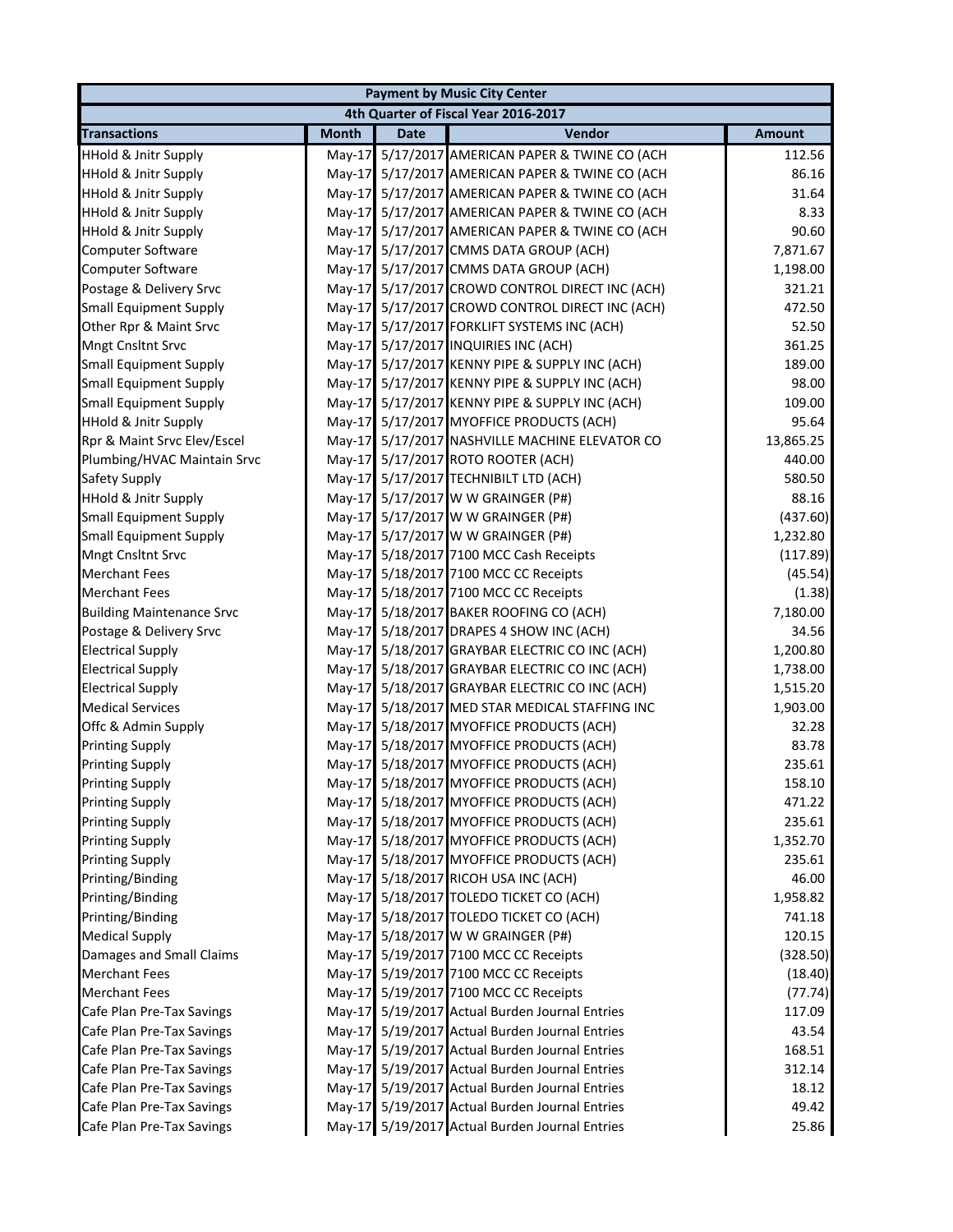|                                  |              |             | <b>Payment by Music City Center</b>             |               |
|----------------------------------|--------------|-------------|-------------------------------------------------|---------------|
|                                  |              |             | 4th Quarter of Fiscal Year 2016-2017            |               |
| <b>Transactions</b>              | <b>Month</b> | <b>Date</b> | Vendor                                          | <b>Amount</b> |
| <b>HHold &amp; Jnitr Supply</b>  |              |             | May-17 5/17/2017 AMERICAN PAPER & TWINE CO (ACH | 112.56        |
| <b>HHold &amp; Jnitr Supply</b>  |              |             | May-17 5/17/2017 AMERICAN PAPER & TWINE CO (ACH | 86.16         |
| <b>HHold &amp; Jnitr Supply</b>  |              |             | May-17 5/17/2017 AMERICAN PAPER & TWINE CO (ACH | 31.64         |
| <b>HHold &amp; Jnitr Supply</b>  |              |             | May-17 5/17/2017 AMERICAN PAPER & TWINE CO (ACH | 8.33          |
| <b>HHold &amp; Jnitr Supply</b>  |              |             | May-17 5/17/2017 AMERICAN PAPER & TWINE CO (ACH | 90.60         |
| Computer Software                |              |             | May-17 5/17/2017 CMMS DATA GROUP (ACH)          | 7,871.67      |
| <b>Computer Software</b>         |              |             | May-17 5/17/2017 CMMS DATA GROUP (ACH)          | 1,198.00      |
| Postage & Delivery Srvc          | $May-17$     |             | 5/17/2017 CROWD CONTROL DIRECT INC (ACH)        | 321.21        |
| <b>Small Equipment Supply</b>    |              |             | May-17 5/17/2017 CROWD CONTROL DIRECT INC (ACH) | 472.50        |
| Other Rpr & Maint Srvc           |              |             | May-17 5/17/2017 FORKLIFT SYSTEMS INC (ACH)     | 52.50         |
| Mngt Cnsltnt Srvc                |              |             | May-17 5/17/2017 INQUIRIES INC (ACH)            | 361.25        |
| <b>Small Equipment Supply</b>    |              |             | May-17 5/17/2017 KENNY PIPE & SUPPLY INC (ACH)  | 189.00        |
| <b>Small Equipment Supply</b>    |              |             | May-17 5/17/2017 KENNY PIPE & SUPPLY INC (ACH)  | 98.00         |
| <b>Small Equipment Supply</b>    |              |             | May-17 5/17/2017 KENNY PIPE & SUPPLY INC (ACH)  | 109.00        |
| <b>HHold &amp; Jnitr Supply</b>  |              |             | May-17 5/17/2017 MYOFFICE PRODUCTS (ACH)        | 95.64         |
| Rpr & Maint Srvc Elev/Escel      |              |             | May-17 5/17/2017 NASHVILLE MACHINE ELEVATOR CO  | 13,865.25     |
| Plumbing/HVAC Maintain Srvc      |              |             | May-17 5/17/2017 ROTO ROOTER (ACH)              | 440.00        |
| Safety Supply                    |              |             | May-17 5/17/2017 TECHNIBILT LTD (ACH)           | 580.50        |
| <b>HHold &amp; Jnitr Supply</b>  |              |             | May-17 5/17/2017 W W GRAINGER (P#)              | 88.16         |
| <b>Small Equipment Supply</b>    |              |             | May-17 5/17/2017 W W GRAINGER (P#)              | (437.60)      |
| <b>Small Equipment Supply</b>    |              |             | May-17 5/17/2017 W W GRAINGER (P#)              | 1,232.80      |
| <b>Mngt Cnsltnt Srvc</b>         |              |             | May-17 5/18/2017 7100 MCC Cash Receipts         | (117.89)      |
| <b>Merchant Fees</b>             |              |             | May-17 5/18/2017 7100 MCC CC Receipts           | (45.54)       |
| <b>Merchant Fees</b>             |              |             | May-17 5/18/2017 7100 MCC CC Receipts           | (1.38)        |
| <b>Building Maintenance Srvc</b> |              |             | May-17 5/18/2017 BAKER ROOFING CO (ACH)         | 7,180.00      |
| Postage & Delivery Srvc          |              |             | May-17 5/18/2017 DRAPES 4 SHOW INC (ACH)        | 34.56         |
| <b>Electrical Supply</b>         |              |             | May-17 5/18/2017 GRAYBAR ELECTRIC CO INC (ACH)  | 1,200.80      |
| <b>Electrical Supply</b>         |              |             | May-17 5/18/2017 GRAYBAR ELECTRIC CO INC (ACH)  | 1,738.00      |
| <b>Electrical Supply</b>         |              |             | May-17 5/18/2017 GRAYBAR ELECTRIC CO INC (ACH)  | 1,515.20      |
| <b>Medical Services</b>          |              |             | May-17 5/18/2017 MED STAR MEDICAL STAFFING INC  | 1,903.00      |
| Offc & Admin Supply              |              |             | May-17 5/18/2017 MYOFFICE PRODUCTS (ACH)        | 32.28         |
| <b>Printing Supply</b>           |              |             | May-17 5/18/2017 MYOFFICE PRODUCTS (ACH)        | 83.78         |
| <b>Printing Supply</b>           |              |             | May-17 5/18/2017 MYOFFICE PRODUCTS (ACH)        | 235.61        |
| <b>Printing Supply</b>           |              |             | May-17 5/18/2017 MYOFFICE PRODUCTS (ACH)        | 158.10        |
| <b>Printing Supply</b>           |              |             | May-17 5/18/2017 MYOFFICE PRODUCTS (ACH)        | 471.22        |
| <b>Printing Supply</b>           |              |             | May-17 5/18/2017 MYOFFICE PRODUCTS (ACH)        | 235.61        |
| <b>Printing Supply</b>           |              |             | May-17 5/18/2017 MYOFFICE PRODUCTS (ACH)        | 1,352.70      |
| <b>Printing Supply</b>           |              |             | May-17 5/18/2017 MYOFFICE PRODUCTS (ACH)        | 235.61        |
| Printing/Binding                 |              |             | May-17 5/18/2017 RICOH USA INC (ACH)            | 46.00         |
| Printing/Binding                 |              |             | May-17 5/18/2017 TOLEDO TICKET CO (ACH)         | 1,958.82      |
| Printing/Binding                 |              |             | May-17 5/18/2017 TOLEDO TICKET CO (ACH)         | 741.18        |
| <b>Medical Supply</b>            |              |             | May-17 5/18/2017 W W GRAINGER (P#)              | 120.15        |
| Damages and Small Claims         |              |             | May-17 5/19/2017 7100 MCC CC Receipts           | (328.50)      |
| <b>Merchant Fees</b>             |              |             | May-17 5/19/2017 7100 MCC CC Receipts           | (18.40)       |
| <b>Merchant Fees</b>             |              |             | May-17 5/19/2017 7100 MCC CC Receipts           | (77.74)       |
| Cafe Plan Pre-Tax Savings        |              |             | May-17 5/19/2017 Actual Burden Journal Entries  | 117.09        |
| Cafe Plan Pre-Tax Savings        |              |             | May-17 5/19/2017 Actual Burden Journal Entries  | 43.54         |
| Cafe Plan Pre-Tax Savings        |              |             | May-17 5/19/2017 Actual Burden Journal Entries  | 168.51        |
| Cafe Plan Pre-Tax Savings        |              |             | May-17 5/19/2017 Actual Burden Journal Entries  | 312.14        |
| Cafe Plan Pre-Tax Savings        |              |             | May-17 5/19/2017 Actual Burden Journal Entries  | 18.12         |
| Cafe Plan Pre-Tax Savings        |              |             | May-17 5/19/2017 Actual Burden Journal Entries  | 49.42         |
| Cafe Plan Pre-Tax Savings        |              |             | May-17 5/19/2017 Actual Burden Journal Entries  | 25.86         |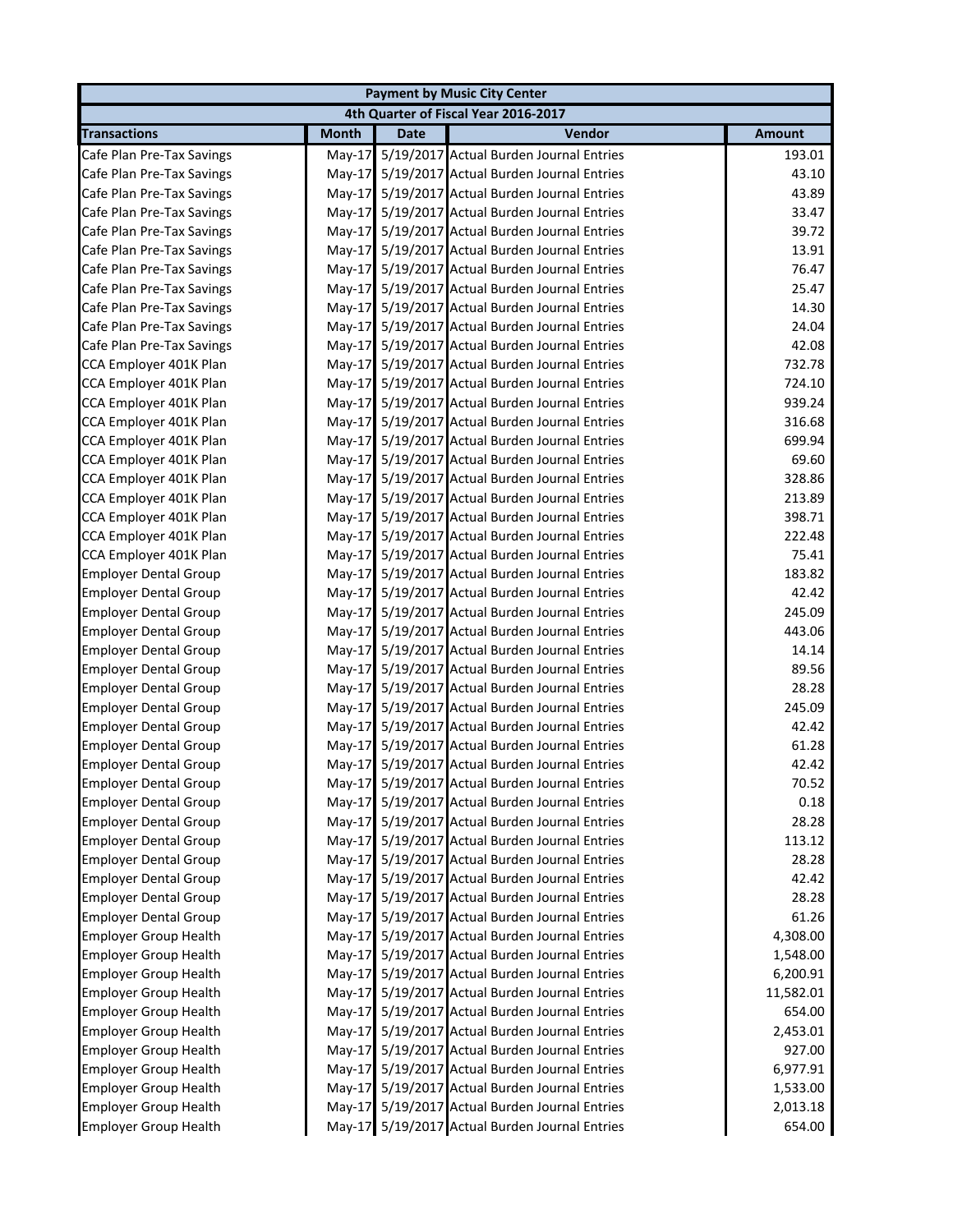|                              |              |             | <b>Payment by Music City Center</b>            |               |
|------------------------------|--------------|-------------|------------------------------------------------|---------------|
|                              |              |             | 4th Quarter of Fiscal Year 2016-2017           |               |
| <b>Transactions</b>          | <b>Month</b> | <b>Date</b> | Vendor                                         | <b>Amount</b> |
| Cafe Plan Pre-Tax Savings    | $May-17$     |             | 5/19/2017 Actual Burden Journal Entries        | 193.01        |
| Cafe Plan Pre-Tax Savings    |              |             | May-17 5/19/2017 Actual Burden Journal Entries | 43.10         |
| Cafe Plan Pre-Tax Savings    | $May-17$     |             | 5/19/2017 Actual Burden Journal Entries        | 43.89         |
| Cafe Plan Pre-Tax Savings    | $May-17$     |             | 5/19/2017 Actual Burden Journal Entries        | 33.47         |
| Cafe Plan Pre-Tax Savings    | $May-17$     |             | 5/19/2017 Actual Burden Journal Entries        | 39.72         |
| Cafe Plan Pre-Tax Savings    | $May-17$     |             | 5/19/2017 Actual Burden Journal Entries        | 13.91         |
| Cafe Plan Pre-Tax Savings    | $May-17$     |             | 5/19/2017 Actual Burden Journal Entries        | 76.47         |
| Cafe Plan Pre-Tax Savings    | $May-17$     |             | 5/19/2017 Actual Burden Journal Entries        | 25.47         |
| Cafe Plan Pre-Tax Savings    | May-17       |             | 5/19/2017 Actual Burden Journal Entries        | 14.30         |
| Cafe Plan Pre-Tax Savings    | $May-17$     |             | 5/19/2017 Actual Burden Journal Entries        | 24.04         |
| Cafe Plan Pre-Tax Savings    | $May-17$     |             | 5/19/2017 Actual Burden Journal Entries        | 42.08         |
| CCA Employer 401K Plan       | May-17       |             | 5/19/2017 Actual Burden Journal Entries        | 732.78        |
| CCA Employer 401K Plan       | $May-17$     |             | 5/19/2017 Actual Burden Journal Entries        | 724.10        |
| CCA Employer 401K Plan       | $May-17$     |             | 5/19/2017 Actual Burden Journal Entries        | 939.24        |
| CCA Employer 401K Plan       | $May-17$     |             | 5/19/2017 Actual Burden Journal Entries        | 316.68        |
| CCA Employer 401K Plan       | $May-17$     |             | 5/19/2017 Actual Burden Journal Entries        | 699.94        |
| CCA Employer 401K Plan       | $May-17$     |             | 5/19/2017 Actual Burden Journal Entries        | 69.60         |
| CCA Employer 401K Plan       | $May-17$     |             | 5/19/2017 Actual Burden Journal Entries        | 328.86        |
| CCA Employer 401K Plan       | $May-17$     |             | 5/19/2017 Actual Burden Journal Entries        | 213.89        |
| CCA Employer 401K Plan       | May-17       |             | 5/19/2017 Actual Burden Journal Entries        | 398.71        |
| CCA Employer 401K Plan       | $May-17$     |             | 5/19/2017 Actual Burden Journal Entries        | 222.48        |
| CCA Employer 401K Plan       | $May-17$     |             | 5/19/2017 Actual Burden Journal Entries        | 75.41         |
| <b>Employer Dental Group</b> | $May-17$     |             | 5/19/2017 Actual Burden Journal Entries        | 183.82        |
| <b>Employer Dental Group</b> | $May-17$     |             | 5/19/2017 Actual Burden Journal Entries        | 42.42         |
| <b>Employer Dental Group</b> | $May-17$     |             | 5/19/2017 Actual Burden Journal Entries        | 245.09        |
| <b>Employer Dental Group</b> |              |             | May-17 5/19/2017 Actual Burden Journal Entries | 443.06        |
| <b>Employer Dental Group</b> | $May-17$     |             | 5/19/2017 Actual Burden Journal Entries        | 14.14         |
| <b>Employer Dental Group</b> | $May-17$     |             | 5/19/2017 Actual Burden Journal Entries        | 89.56         |
| <b>Employer Dental Group</b> | $May-17$     |             | 5/19/2017 Actual Burden Journal Entries        | 28.28         |
| <b>Employer Dental Group</b> | $May-17$     |             | 5/19/2017 Actual Burden Journal Entries        | 245.09        |
| <b>Employer Dental Group</b> | $May-17$     |             | 5/19/2017 Actual Burden Journal Entries        | 42.42         |
| <b>Employer Dental Group</b> |              |             | May-17 5/19/2017 Actual Burden Journal Entries | 61.28         |
| <b>Employer Dental Group</b> |              |             | May-17 5/19/2017 Actual Burden Journal Entries | 42.42         |
| <b>Employer Dental Group</b> |              |             | May-17 5/19/2017 Actual Burden Journal Entries | 70.52         |
| <b>Employer Dental Group</b> | May-17       |             | 5/19/2017 Actual Burden Journal Entries        | 0.18          |
| <b>Employer Dental Group</b> | May-17       |             | 5/19/2017 Actual Burden Journal Entries        | 28.28         |
| <b>Employer Dental Group</b> | May-17       |             | 5/19/2017 Actual Burden Journal Entries        | 113.12        |
| <b>Employer Dental Group</b> | May-17       |             | 5/19/2017 Actual Burden Journal Entries        | 28.28         |
| <b>Employer Dental Group</b> | $Mav-17$     |             | 5/19/2017 Actual Burden Journal Entries        | 42.42         |
| <b>Employer Dental Group</b> | May-17       |             | 5/19/2017 Actual Burden Journal Entries        | 28.28         |
| <b>Employer Dental Group</b> | $May-17$     |             | 5/19/2017 Actual Burden Journal Entries        | 61.26         |
| <b>Employer Group Health</b> | May-17       |             | 5/19/2017 Actual Burden Journal Entries        | 4,308.00      |
| <b>Employer Group Health</b> | $May-17$     |             | 5/19/2017 Actual Burden Journal Entries        | 1,548.00      |
| <b>Employer Group Health</b> | $May-17$     |             | 5/19/2017 Actual Burden Journal Entries        | 6,200.91      |
| <b>Employer Group Health</b> | May-17       |             | 5/19/2017 Actual Burden Journal Entries        | 11,582.01     |
| <b>Employer Group Health</b> | $May-17$     |             | 5/19/2017 Actual Burden Journal Entries        | 654.00        |
| <b>Employer Group Health</b> | $May-17$     |             | 5/19/2017 Actual Burden Journal Entries        | 2,453.01      |
| <b>Employer Group Health</b> | $May-17$     |             | 5/19/2017 Actual Burden Journal Entries        | 927.00        |
| <b>Employer Group Health</b> | $May-17$     |             | 5/19/2017 Actual Burden Journal Entries        | 6,977.91      |
| <b>Employer Group Health</b> | $May-17$     |             | 5/19/2017 Actual Burden Journal Entries        | 1,533.00      |
| <b>Employer Group Health</b> |              |             | May-17 5/19/2017 Actual Burden Journal Entries | 2,013.18      |
| <b>Employer Group Health</b> |              |             | May-17 5/19/2017 Actual Burden Journal Entries | 654.00        |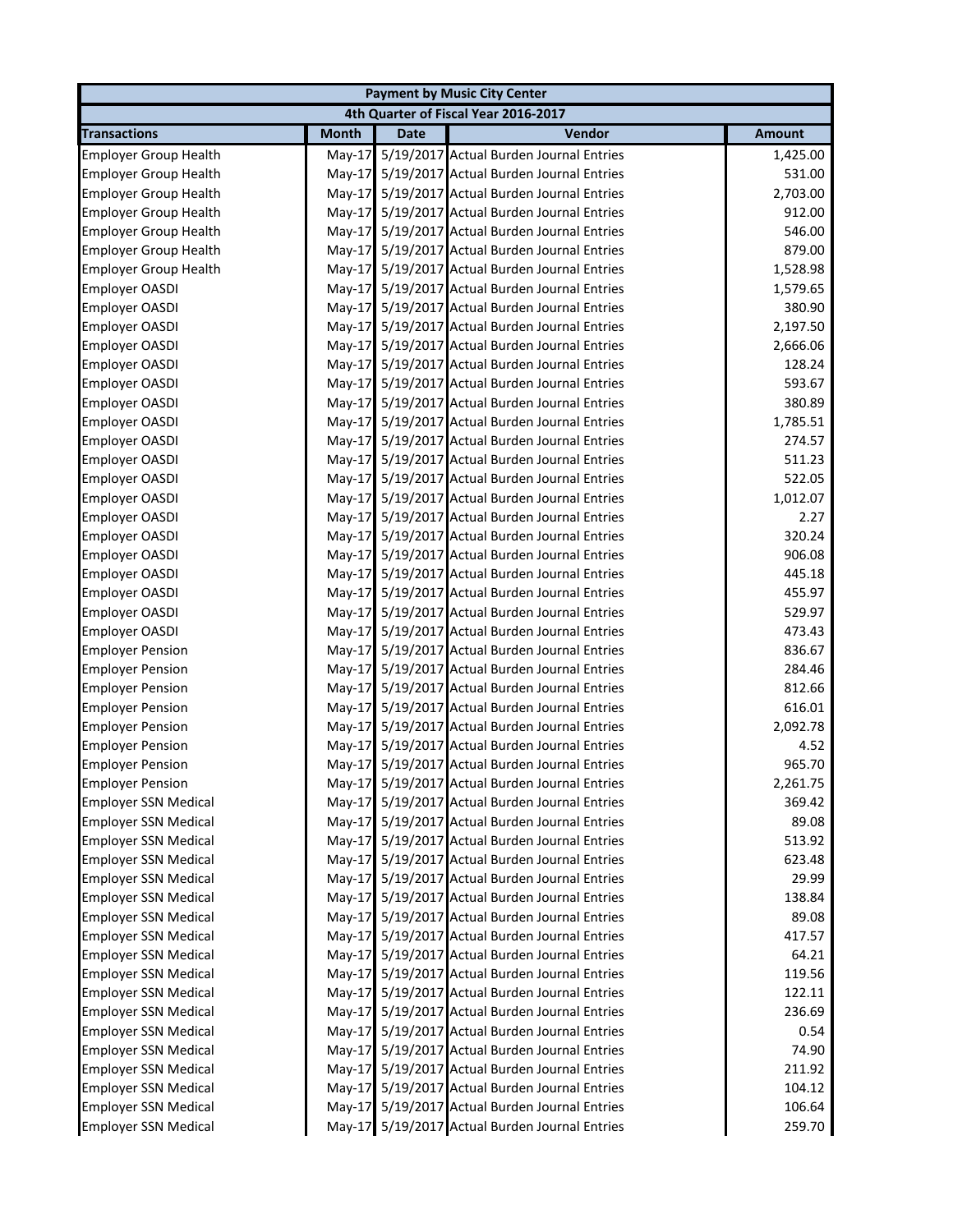|                              |              |             | <b>Payment by Music City Center</b>            |               |
|------------------------------|--------------|-------------|------------------------------------------------|---------------|
|                              |              |             | 4th Quarter of Fiscal Year 2016-2017           |               |
| <b>Transactions</b>          | <b>Month</b> | <b>Date</b> | Vendor                                         | <b>Amount</b> |
| <b>Employer Group Health</b> | $May-17$     |             | 5/19/2017 Actual Burden Journal Entries        | 1,425.00      |
| <b>Employer Group Health</b> |              |             | May-17 5/19/2017 Actual Burden Journal Entries | 531.00        |
| <b>Employer Group Health</b> |              |             | May-17 5/19/2017 Actual Burden Journal Entries | 2,703.00      |
| <b>Employer Group Health</b> | $May-17$     |             | 5/19/2017 Actual Burden Journal Entries        | 912.00        |
| <b>Employer Group Health</b> |              |             | May-17 5/19/2017 Actual Burden Journal Entries | 546.00        |
| <b>Employer Group Health</b> |              |             | May-17 5/19/2017 Actual Burden Journal Entries | 879.00        |
| <b>Employer Group Health</b> | $May-17$     |             | 5/19/2017 Actual Burden Journal Entries        | 1,528.98      |
| <b>Employer OASDI</b>        | $May-17$     |             | 5/19/2017 Actual Burden Journal Entries        | 1,579.65      |
| <b>Employer OASDI</b>        | $May-17$     |             | 5/19/2017 Actual Burden Journal Entries        | 380.90        |
| <b>Employer OASDI</b>        |              |             | May-17 5/19/2017 Actual Burden Journal Entries | 2,197.50      |
| <b>Employer OASDI</b>        | $May-17$     |             | 5/19/2017 Actual Burden Journal Entries        | 2,666.06      |
| <b>Employer OASDI</b>        |              |             | May-17 5/19/2017 Actual Burden Journal Entries | 128.24        |
| <b>Employer OASDI</b>        | $May-17$     |             | 5/19/2017 Actual Burden Journal Entries        | 593.67        |
| <b>Employer OASDI</b>        | $May-17$     |             | 5/19/2017 Actual Burden Journal Entries        | 380.89        |
| <b>Employer OASDI</b>        |              |             | May-17 5/19/2017 Actual Burden Journal Entries | 1,785.51      |
| <b>Employer OASDI</b>        | $May-17$     |             | 5/19/2017 Actual Burden Journal Entries        | 274.57        |
| <b>Employer OASDI</b>        |              |             | May-17 5/19/2017 Actual Burden Journal Entries | 511.23        |
| <b>Employer OASDI</b>        |              |             | May-17 5/19/2017 Actual Burden Journal Entries | 522.05        |
| <b>Employer OASDI</b>        |              |             | May-17 5/19/2017 Actual Burden Journal Entries | 1,012.07      |
| <b>Employer OASDI</b>        |              |             | May-17 5/19/2017 Actual Burden Journal Entries | 2.27          |
| <b>Employer OASDI</b>        |              |             | May-17 5/19/2017 Actual Burden Journal Entries | 320.24        |
| <b>Employer OASDI</b>        |              |             | May-17 5/19/2017 Actual Burden Journal Entries | 906.08        |
| <b>Employer OASDI</b>        |              |             | May-17 5/19/2017 Actual Burden Journal Entries | 445.18        |
| <b>Employer OASDI</b>        |              |             | May-17 5/19/2017 Actual Burden Journal Entries | 455.97        |
| <b>Employer OASDI</b>        |              |             | May-17 5/19/2017 Actual Burden Journal Entries | 529.97        |
| <b>Employer OASDI</b>        |              |             | May-17 5/19/2017 Actual Burden Journal Entries | 473.43        |
| <b>Employer Pension</b>      |              |             | May-17 5/19/2017 Actual Burden Journal Entries | 836.67        |
| <b>Employer Pension</b>      |              |             | May-17 5/19/2017 Actual Burden Journal Entries | 284.46        |
| <b>Employer Pension</b>      |              |             | May-17 5/19/2017 Actual Burden Journal Entries | 812.66        |
| <b>Employer Pension</b>      |              |             | May-17 5/19/2017 Actual Burden Journal Entries | 616.01        |
| <b>Employer Pension</b>      |              |             | May-17 5/19/2017 Actual Burden Journal Entries | 2,092.78      |
| <b>Employer Pension</b>      |              |             | May-17 5/19/2017 Actual Burden Journal Entries | 4.52          |
| <b>Employer Pension</b>      |              |             | May-17 5/19/2017 Actual Burden Journal Entries | 965.70        |
| <b>Employer Pension</b>      |              |             | May-17 5/19/2017 Actual Burden Journal Entries | 2,261.75      |
| <b>Employer SSN Medical</b>  |              |             | May-17 5/19/2017 Actual Burden Journal Entries | 369.42        |
| <b>Employer SSN Medical</b>  |              |             | May-17 5/19/2017 Actual Burden Journal Entries | 89.08         |
| <b>Employer SSN Medical</b>  |              |             | May-17 5/19/2017 Actual Burden Journal Entries | 513.92        |
| <b>Employer SSN Medical</b>  | $May-17$     |             | 5/19/2017 Actual Burden Journal Entries        | 623.48        |
| <b>Employer SSN Medical</b>  | $May-17$     |             | 5/19/2017 Actual Burden Journal Entries        | 29.99         |
| <b>Employer SSN Medical</b>  |              |             | May-17 5/19/2017 Actual Burden Journal Entries | 138.84        |
| <b>Employer SSN Medical</b>  | $May-17$     |             | 5/19/2017 Actual Burden Journal Entries        | 89.08         |
| <b>Employer SSN Medical</b>  |              |             | May-17 5/19/2017 Actual Burden Journal Entries | 417.57        |
| <b>Employer SSN Medical</b>  |              |             | May-17 5/19/2017 Actual Burden Journal Entries | 64.21         |
| <b>Employer SSN Medical</b>  | $May-17$     |             | 5/19/2017 Actual Burden Journal Entries        | 119.56        |
| <b>Employer SSN Medical</b>  |              |             | May-17 5/19/2017 Actual Burden Journal Entries | 122.11        |
| <b>Employer SSN Medical</b>  | $May-17$     |             | 5/19/2017 Actual Burden Journal Entries        | 236.69        |
| <b>Employer SSN Medical</b>  |              |             | May-17 5/19/2017 Actual Burden Journal Entries | 0.54          |
| <b>Employer SSN Medical</b>  |              |             | May-17 5/19/2017 Actual Burden Journal Entries | 74.90         |
| <b>Employer SSN Medical</b>  |              |             | May-17 5/19/2017 Actual Burden Journal Entries | 211.92        |
| <b>Employer SSN Medical</b>  |              |             | May-17 5/19/2017 Actual Burden Journal Entries | 104.12        |
| <b>Employer SSN Medical</b>  |              |             | May-17 5/19/2017 Actual Burden Journal Entries | 106.64        |
| <b>Employer SSN Medical</b>  |              |             | May-17 5/19/2017 Actual Burden Journal Entries | 259.70        |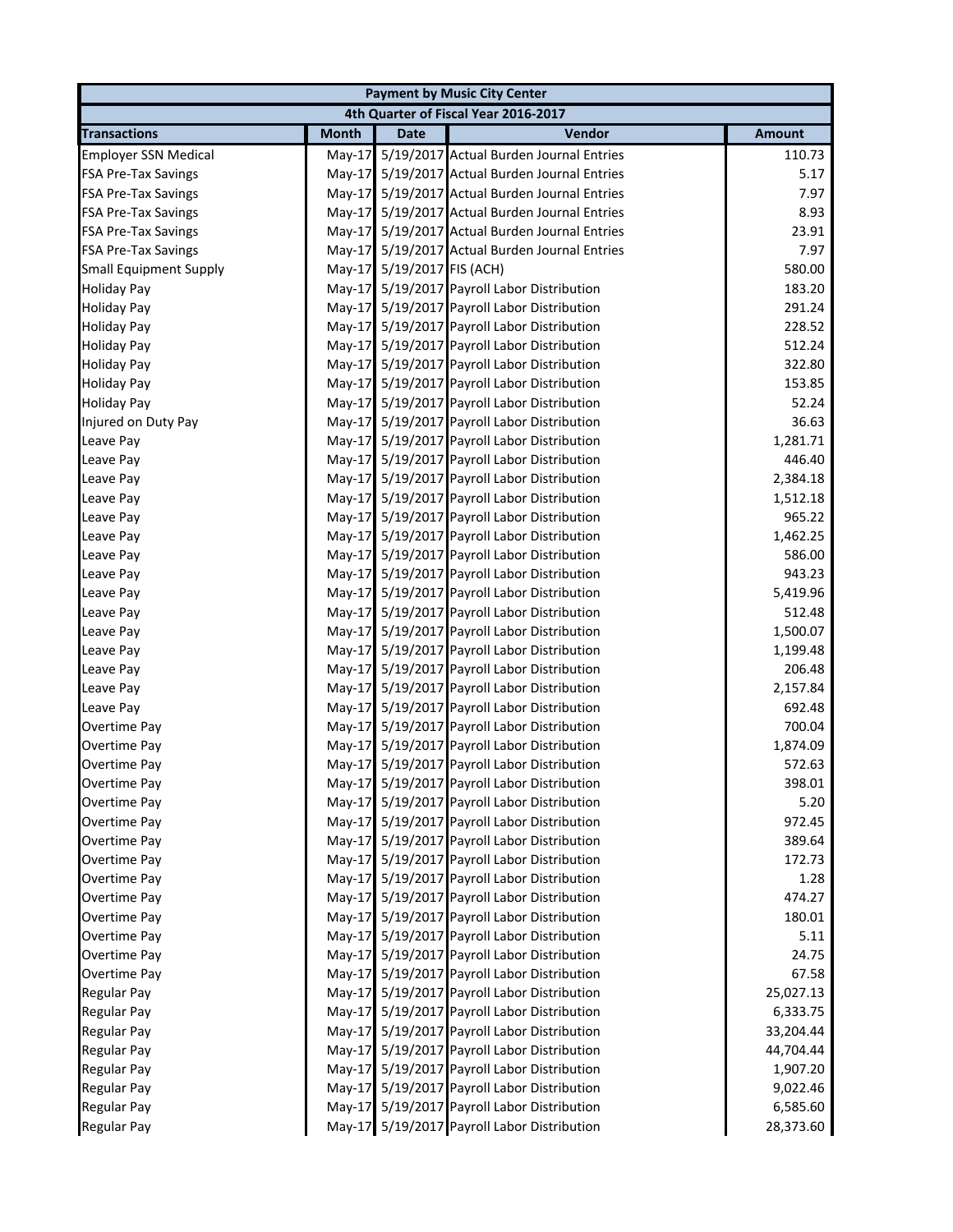|                               |              |                            | <b>Payment by Music City Center</b>            |               |
|-------------------------------|--------------|----------------------------|------------------------------------------------|---------------|
|                               |              |                            | 4th Quarter of Fiscal Year 2016-2017           |               |
| <b>Transactions</b>           | <b>Month</b> | <b>Date</b>                | Vendor                                         | <b>Amount</b> |
| <b>Employer SSN Medical</b>   | $May-17$     |                            | 5/19/2017 Actual Burden Journal Entries        | 110.73        |
| <b>FSA Pre-Tax Savings</b>    |              |                            | May-17 5/19/2017 Actual Burden Journal Entries | 5.17          |
| <b>FSA Pre-Tax Savings</b>    | $May-17$     |                            | 5/19/2017 Actual Burden Journal Entries        | 7.97          |
| <b>FSA Pre-Tax Savings</b>    | $May-17$     |                            | 5/19/2017 Actual Burden Journal Entries        | 8.93          |
| <b>FSA Pre-Tax Savings</b>    | $May-17$     |                            | 5/19/2017 Actual Burden Journal Entries        | 23.91         |
| <b>FSA Pre-Tax Savings</b>    |              |                            | May-17 5/19/2017 Actual Burden Journal Entries | 7.97          |
| <b>Small Equipment Supply</b> |              | May-17 5/19/2017 FIS (ACH) |                                                | 580.00        |
| <b>Holiday Pay</b>            |              |                            | May-17 5/19/2017 Payroll Labor Distribution    | 183.20        |
| <b>Holiday Pay</b>            |              |                            | May-17 5/19/2017 Payroll Labor Distribution    | 291.24        |
| <b>Holiday Pay</b>            |              |                            | May-17 5/19/2017 Payroll Labor Distribution    | 228.52        |
| <b>Holiday Pay</b>            |              |                            | May-17 5/19/2017 Payroll Labor Distribution    | 512.24        |
| <b>Holiday Pay</b>            |              |                            | May-17 5/19/2017 Payroll Labor Distribution    | 322.80        |
| <b>Holiday Pay</b>            |              |                            | May-17 5/19/2017 Payroll Labor Distribution    | 153.85        |
| <b>Holiday Pay</b>            |              |                            | May-17 5/19/2017 Payroll Labor Distribution    | 52.24         |
| Injured on Duty Pay           |              |                            | May-17 5/19/2017 Payroll Labor Distribution    | 36.63         |
| Leave Pav                     |              |                            | May-17 5/19/2017 Payroll Labor Distribution    | 1,281.71      |
| Leave Pay                     |              |                            | May-17 5/19/2017 Payroll Labor Distribution    | 446.40        |
| Leave Pay                     |              |                            | May-17 5/19/2017 Payroll Labor Distribution    | 2,384.18      |
| Leave Pay                     |              |                            | May-17 5/19/2017 Payroll Labor Distribution    | 1,512.18      |
| Leave Pay                     |              |                            | May-17 5/19/2017 Payroll Labor Distribution    | 965.22        |
| Leave Pay                     |              |                            | May-17 5/19/2017 Payroll Labor Distribution    | 1,462.25      |
| Leave Pay                     |              |                            | May-17 5/19/2017 Payroll Labor Distribution    | 586.00        |
| Leave Pay                     |              |                            | May-17 5/19/2017 Payroll Labor Distribution    | 943.23        |
| Leave Pay                     |              |                            | May-17 5/19/2017 Payroll Labor Distribution    | 5,419.96      |
| Leave Pay                     |              |                            | May-17 5/19/2017 Payroll Labor Distribution    | 512.48        |
| Leave Pay                     |              |                            | May-17 5/19/2017 Payroll Labor Distribution    | 1,500.07      |
| Leave Pay                     |              |                            | May-17 5/19/2017 Payroll Labor Distribution    | 1,199.48      |
| Leave Pay                     |              |                            | May-17 5/19/2017 Payroll Labor Distribution    | 206.48        |
| Leave Pay                     |              |                            | May-17 5/19/2017 Payroll Labor Distribution    | 2,157.84      |
| Leave Pay                     |              |                            | May-17 5/19/2017 Payroll Labor Distribution    | 692.48        |
| Overtime Pay                  |              |                            | May-17 5/19/2017 Payroll Labor Distribution    | 700.04        |
| Overtime Pay                  |              |                            | May-17 5/19/2017 Payroll Labor Distribution    | 1,874.09      |
| Overtime Pay                  |              |                            | May-17 5/19/2017 Payroll Labor Distribution    | 572.63        |
| Overtime Pay                  |              |                            | May-17 5/19/2017 Payroll Labor Distribution    | 398.01        |
| Overtime Pay                  |              |                            | May-17 5/19/2017 Payroll Labor Distribution    | 5.20          |
| Overtime Pay                  |              |                            | May-17 5/19/2017 Payroll Labor Distribution    | 972.45        |
| Overtime Pay                  |              |                            | May-17 5/19/2017 Payroll Labor Distribution    | 389.64        |
| Overtime Pay                  |              |                            | May-17 5/19/2017 Payroll Labor Distribution    | 172.73        |
| Overtime Pay                  | $May-17$     |                            | 5/19/2017 Payroll Labor Distribution           | 1.28          |
| Overtime Pay                  |              |                            | May-17 5/19/2017 Payroll Labor Distribution    | 474.27        |
| Overtime Pay                  |              |                            | May-17 5/19/2017 Payroll Labor Distribution    | 180.01        |
| Overtime Pay                  |              |                            | May-17 5/19/2017 Payroll Labor Distribution    | 5.11          |
| Overtime Pay                  |              |                            | May-17 5/19/2017 Payroll Labor Distribution    | 24.75         |
| Overtime Pay                  |              |                            | May-17 5/19/2017 Payroll Labor Distribution    | 67.58         |
| Regular Pay                   |              |                            | May-17 5/19/2017 Payroll Labor Distribution    | 25,027.13     |
| <b>Regular Pay</b>            |              |                            | May-17 5/19/2017 Payroll Labor Distribution    | 6,333.75      |
| <b>Regular Pay</b>            |              |                            | May-17 5/19/2017 Payroll Labor Distribution    | 33,204.44     |
| <b>Regular Pay</b>            |              |                            | May-17 5/19/2017 Payroll Labor Distribution    | 44,704.44     |
| <b>Regular Pay</b>            |              |                            | May-17 5/19/2017 Payroll Labor Distribution    | 1,907.20      |
| <b>Regular Pay</b>            |              |                            | May-17 5/19/2017 Payroll Labor Distribution    | 9,022.46      |
| <b>Regular Pay</b>            |              |                            | May-17 5/19/2017 Payroll Labor Distribution    | 6,585.60      |
| Regular Pay                   |              |                            | May-17 5/19/2017 Payroll Labor Distribution    | 28,373.60     |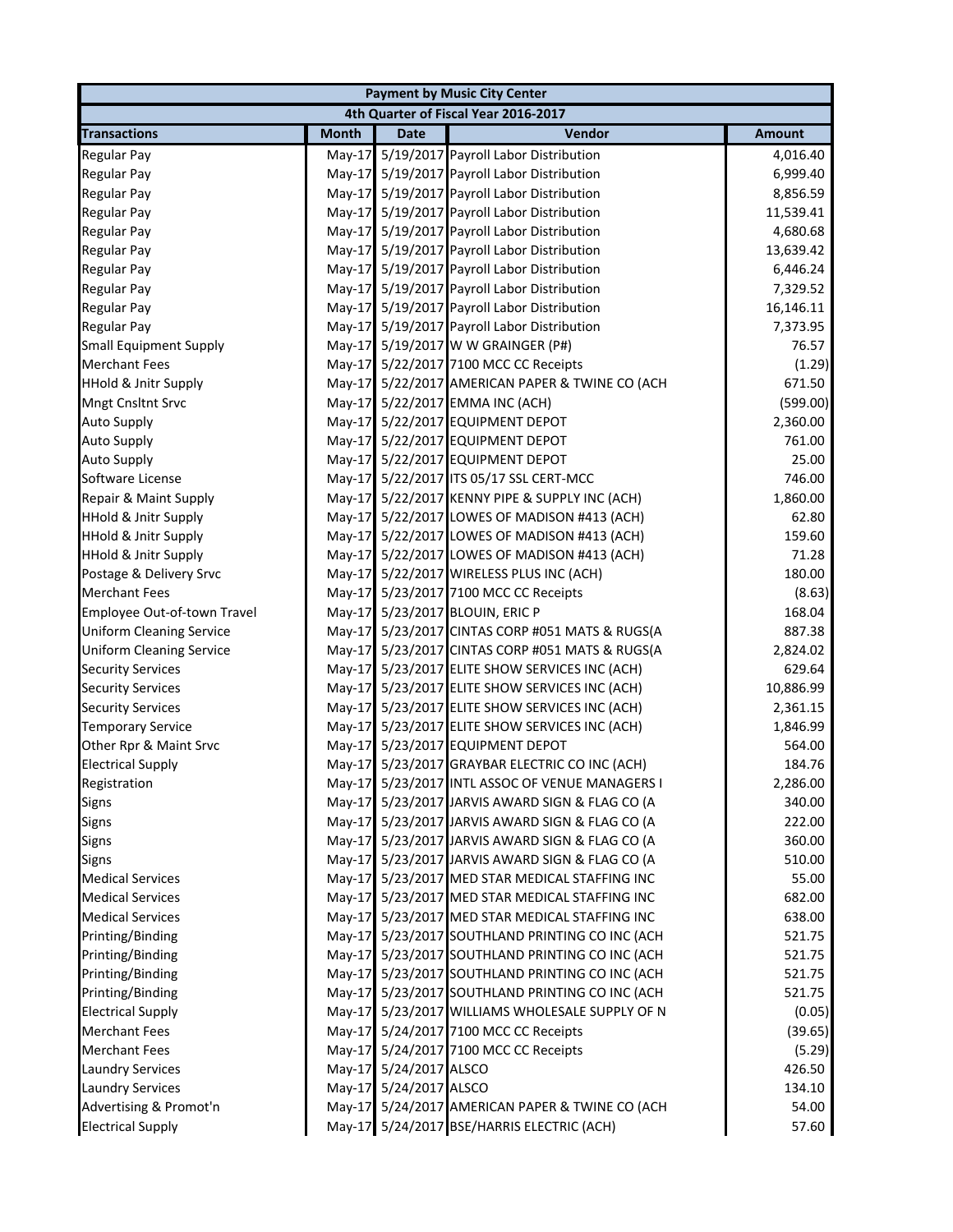| <b>Payment by Music City Center</b> |              |                        |                                                 |               |  |
|-------------------------------------|--------------|------------------------|-------------------------------------------------|---------------|--|
|                                     |              |                        | 4th Quarter of Fiscal Year 2016-2017            |               |  |
| <b>Transactions</b>                 | <b>Month</b> | <b>Date</b>            | Vendor                                          | <b>Amount</b> |  |
| <b>Regular Pay</b>                  |              |                        | May-17 5/19/2017 Payroll Labor Distribution     | 4,016.40      |  |
| <b>Regular Pay</b>                  |              |                        | May-17 5/19/2017 Payroll Labor Distribution     | 6,999.40      |  |
| <b>Regular Pay</b>                  | $May-17$     |                        | 5/19/2017 Payroll Labor Distribution            | 8,856.59      |  |
| <b>Regular Pay</b>                  |              |                        | May-17 5/19/2017 Payroll Labor Distribution     | 11,539.41     |  |
| <b>Regular Pay</b>                  |              |                        | May-17 5/19/2017 Payroll Labor Distribution     | 4,680.68      |  |
| <b>Regular Pay</b>                  |              |                        | May-17 5/19/2017 Payroll Labor Distribution     | 13,639.42     |  |
| <b>Regular Pay</b>                  |              |                        | May-17 5/19/2017 Payroll Labor Distribution     | 6,446.24      |  |
| <b>Regular Pay</b>                  |              |                        | May-17 5/19/2017 Payroll Labor Distribution     | 7,329.52      |  |
| <b>Regular Pay</b>                  |              |                        | May-17 5/19/2017 Payroll Labor Distribution     | 16,146.11     |  |
| <b>Regular Pay</b>                  |              |                        | May-17 5/19/2017 Payroll Labor Distribution     | 7,373.95      |  |
| <b>Small Equipment Supply</b>       |              |                        | May-17 5/19/2017 W W GRAINGER (P#)              | 76.57         |  |
| <b>Merchant Fees</b>                |              |                        | May-17 5/22/2017 7100 MCC CC Receipts           | (1.29)        |  |
| <b>HHold &amp; Jnitr Supply</b>     |              |                        | May-17 5/22/2017 AMERICAN PAPER & TWINE CO (ACH | 671.50        |  |
| <b>Mngt Cnsltnt Srvc</b>            |              |                        | May-17 5/22/2017 EMMA INC (ACH)                 | (599.00)      |  |
| <b>Auto Supply</b>                  |              |                        | May-17 5/22/2017 EQUIPMENT DEPOT                | 2,360.00      |  |
| <b>Auto Supply</b>                  |              |                        | May-17 5/22/2017 EQUIPMENT DEPOT                | 761.00        |  |
| <b>Auto Supply</b>                  |              |                        | May-17 5/22/2017 EQUIPMENT DEPOT                | 25.00         |  |
| Software License                    |              |                        | May-17 5/22/2017 ITS 05/17 SSL CERT-MCC         | 746.00        |  |
| Repair & Maint Supply               |              |                        | May-17 5/22/2017 KENNY PIPE & SUPPLY INC (ACH)  | 1,860.00      |  |
| <b>HHold &amp; Jnitr Supply</b>     |              |                        | May-17 5/22/2017 LOWES OF MADISON #413 (ACH)    | 62.80         |  |
| <b>HHold &amp; Jnitr Supply</b>     |              |                        | May-17 5/22/2017 LOWES OF MADISON #413 (ACH)    | 159.60        |  |
| <b>HHold &amp; Jnitr Supply</b>     |              |                        | May-17 5/22/2017 LOWES OF MADISON #413 (ACH)    | 71.28         |  |
| Postage & Delivery Srvc             |              |                        | May-17 5/22/2017 WIRELESS PLUS INC (ACH)        | 180.00        |  |
| <b>Merchant Fees</b>                |              |                        | May-17 5/23/2017 7100 MCC CC Receipts           | (8.63)        |  |
| Employee Out-of-town Travel         |              |                        | May-17 5/23/2017 BLOUIN, ERIC P                 | 168.04        |  |
| <b>Uniform Cleaning Service</b>     |              |                        | May-17 5/23/2017 CINTAS CORP #051 MATS & RUGS(A | 887.38        |  |
| <b>Uniform Cleaning Service</b>     |              |                        | May-17 5/23/2017 CINTAS CORP #051 MATS & RUGS(A | 2,824.02      |  |
| <b>Security Services</b>            | $May-17$     |                        | 5/23/2017 ELITE SHOW SERVICES INC (ACH)         | 629.64        |  |
| <b>Security Services</b>            |              |                        | May-17 5/23/2017 ELITE SHOW SERVICES INC (ACH)  | 10,886.99     |  |
| <b>Security Services</b>            |              |                        | May-17 5/23/2017 ELITE SHOW SERVICES INC (ACH)  | 2,361.15      |  |
| <b>Temporary Service</b>            |              |                        | May-17 5/23/2017 ELITE SHOW SERVICES INC (ACH)  | 1,846.99      |  |
| Other Rpr & Maint Srvc              |              |                        | May-17 5/23/2017 EQUIPMENT DEPOT                | 564.00        |  |
| <b>Electrical Supply</b>            |              |                        | May-17 5/23/2017 GRAYBAR ELECTRIC CO INC (ACH)  | 184.76        |  |
| Registration                        |              |                        | May-17 5/23/2017 INTL ASSOC OF VENUE MANAGERS I | 2,286.00      |  |
| <b>Signs</b>                        |              |                        | May-17 5/23/2017 JARVIS AWARD SIGN & FLAG CO (A | 340.00        |  |
| Signs                               |              |                        | May-17 5/23/2017 JARVIS AWARD SIGN & FLAG CO (A | 222.00        |  |
| Signs                               |              |                        | May-17 5/23/2017 JARVIS AWARD SIGN & FLAG CO (A | 360.00        |  |
| <b>Signs</b>                        |              |                        | May-17 5/23/2017 JARVIS AWARD SIGN & FLAG CO (A | 510.00        |  |
| <b>Medical Services</b>             |              |                        | May-17 5/23/2017 MED STAR MEDICAL STAFFING INC  | 55.00         |  |
| <b>Medical Services</b>             |              |                        | May-17 5/23/2017 MED STAR MEDICAL STAFFING INC  | 682.00        |  |
| <b>Medical Services</b>             |              |                        | May-17 5/23/2017 MED STAR MEDICAL STAFFING INC  | 638.00        |  |
| Printing/Binding                    |              |                        | May-17 5/23/2017 SOUTHLAND PRINTING CO INC (ACH | 521.75        |  |
| Printing/Binding                    |              |                        | May-17 5/23/2017 SOUTHLAND PRINTING CO INC (ACH | 521.75        |  |
| Printing/Binding                    |              |                        | May-17 5/23/2017 SOUTHLAND PRINTING CO INC (ACH | 521.75        |  |
| Printing/Binding                    |              |                        | May-17 5/23/2017 SOUTHLAND PRINTING CO INC (ACH | 521.75        |  |
| <b>Electrical Supply</b>            |              |                        | May-17 5/23/2017 WILLIAMS WHOLESALE SUPPLY OF N | (0.05)        |  |
| <b>Merchant Fees</b>                |              |                        | May-17 5/24/2017 7100 MCC CC Receipts           | (39.65)       |  |
| <b>Merchant Fees</b>                |              |                        | May-17 5/24/2017 7100 MCC CC Receipts           | (5.29)        |  |
| <b>Laundry Services</b>             |              | May-17 5/24/2017 ALSCO |                                                 | 426.50        |  |
| <b>Laundry Services</b>             |              | May-17 5/24/2017 ALSCO |                                                 | 134.10        |  |
| Advertising & Promot'n              |              |                        | May-17 5/24/2017 AMERICAN PAPER & TWINE CO (ACH | 54.00         |  |
| <b>Electrical Supply</b>            |              |                        | May-17 5/24/2017 BSE/HARRIS ELECTRIC (ACH)      | 57.60         |  |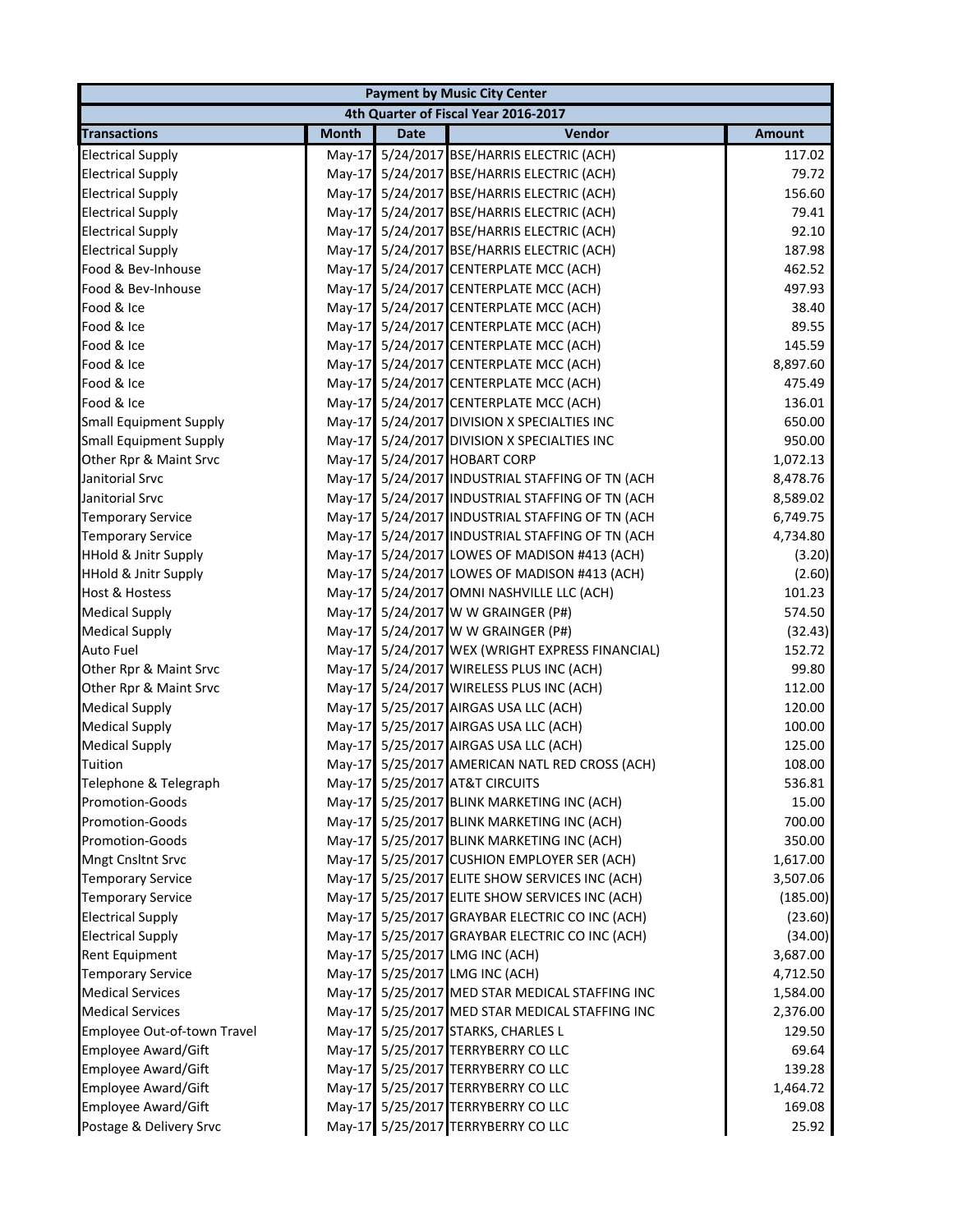| <b>Payment by Music City Center</b> |              |             |                                                 |               |  |
|-------------------------------------|--------------|-------------|-------------------------------------------------|---------------|--|
|                                     |              |             | 4th Quarter of Fiscal Year 2016-2017            |               |  |
| <b>Transactions</b>                 | <b>Month</b> | <b>Date</b> | Vendor                                          | <b>Amount</b> |  |
| <b>Electrical Supply</b>            |              |             | May-17 5/24/2017 BSE/HARRIS ELECTRIC (ACH)      | 117.02        |  |
| <b>Electrical Supply</b>            |              |             | May-17 5/24/2017 BSE/HARRIS ELECTRIC (ACH)      | 79.72         |  |
| <b>Electrical Supply</b>            |              |             | May-17 5/24/2017 BSE/HARRIS ELECTRIC (ACH)      | 156.60        |  |
| <b>Electrical Supply</b>            |              |             | May-17 5/24/2017 BSE/HARRIS ELECTRIC (ACH)      | 79.41         |  |
| <b>Electrical Supply</b>            |              |             | May-17 5/24/2017 BSE/HARRIS ELECTRIC (ACH)      | 92.10         |  |
| <b>Electrical Supply</b>            |              |             | May-17 5/24/2017 BSE/HARRIS ELECTRIC (ACH)      | 187.98        |  |
| Food & Bev-Inhouse                  |              |             | May-17 5/24/2017 CENTERPLATE MCC (ACH)          | 462.52        |  |
| Food & Bev-Inhouse                  |              |             | May-17 5/24/2017 CENTERPLATE MCC (ACH)          | 497.93        |  |
| Food & Ice                          |              |             | May-17 5/24/2017 CENTERPLATE MCC (ACH)          | 38.40         |  |
| Food & Ice                          |              |             | May-17 5/24/2017 CENTERPLATE MCC (ACH)          | 89.55         |  |
| Food & Ice                          |              |             | May-17 5/24/2017 CENTERPLATE MCC (ACH)          | 145.59        |  |
| Food & Ice                          |              |             | May-17 5/24/2017 CENTERPLATE MCC (ACH)          | 8,897.60      |  |
| Food & Ice                          |              |             | May-17 5/24/2017 CENTERPLATE MCC (ACH)          | 475.49        |  |
| Food & Ice                          |              |             | May-17 5/24/2017 CENTERPLATE MCC (ACH)          | 136.01        |  |
| <b>Small Equipment Supply</b>       |              |             | May-17 5/24/2017 DIVISION X SPECIALTIES INC     | 650.00        |  |
| <b>Small Equipment Supply</b>       |              |             | May-17 5/24/2017 DIVISION X SPECIALTIES INC     | 950.00        |  |
| Other Rpr & Maint Srvc              |              |             | May-17 5/24/2017 HOBART CORP                    | 1,072.13      |  |
| Janitorial Srvc                     |              |             | May-17 5/24/2017 INDUSTRIAL STAFFING OF TN (ACH | 8,478.76      |  |
| Janitorial Srvc                     |              |             | May-17 5/24/2017 INDUSTRIAL STAFFING OF TN (ACH | 8,589.02      |  |
| <b>Temporary Service</b>            |              |             | May-17 5/24/2017 INDUSTRIAL STAFFING OF TN (ACH | 6,749.75      |  |
| <b>Temporary Service</b>            |              |             | May-17 5/24/2017 INDUSTRIAL STAFFING OF TN (ACH | 4,734.80      |  |
| <b>HHold &amp; Jnitr Supply</b>     |              |             | May-17 5/24/2017 LOWES OF MADISON #413 (ACH)    | (3.20)        |  |
| <b>HHold &amp; Jnitr Supply</b>     |              |             | May-17 5/24/2017 LOWES OF MADISON #413 (ACH)    | (2.60)        |  |
| Host & Hostess                      |              |             | May-17 5/24/2017 OMNI NASHVILLE LLC (ACH)       | 101.23        |  |
| <b>Medical Supply</b>               |              |             | May-17 5/24/2017 W W GRAINGER (P#)              | 574.50        |  |
| <b>Medical Supply</b>               |              |             | May-17 5/24/2017 W W GRAINGER (P#)              | (32.43)       |  |
| <b>Auto Fuel</b>                    |              |             | May-17 5/24/2017 WEX (WRIGHT EXPRESS FINANCIAL) | 152.72        |  |
| Other Rpr & Maint Srvc              |              |             | May-17 5/24/2017 WIRELESS PLUS INC (ACH)        | 99.80         |  |
| Other Rpr & Maint Srvc              |              |             | May-17 5/24/2017 WIRELESS PLUS INC (ACH)        | 112.00        |  |
| <b>Medical Supply</b>               |              |             | May-17 5/25/2017 AIRGAS USA LLC (ACH)           | 120.00        |  |
| <b>Medical Supply</b>               |              |             | May-17 5/25/2017 AIRGAS USA LLC (ACH)           | 100.00        |  |
| <b>Medical Supply</b>               |              |             | May-17 5/25/2017 AIRGAS USA LLC (ACH)           | 125.00        |  |
| Tuition                             |              |             | May-17 5/25/2017 AMERICAN NATL RED CROSS (ACH)  | 108.00        |  |
| Telephone & Telegraph               |              |             | May-17 5/25/2017 AT&T CIRCUITS                  | 536.81        |  |
| Promotion-Goods                     |              |             | May-17 5/25/2017 BLINK MARKETING INC (ACH)      | 15.00         |  |
| <b>Promotion-Goods</b>              |              |             | May-17 5/25/2017 BLINK MARKETING INC (ACH)      | 700.00        |  |
| Promotion-Goods                     |              |             | May-17 5/25/2017 BLINK MARKETING INC (ACH)      | 350.00        |  |
| <b>Mngt Cnsltnt Srvc</b>            |              |             | May-17 5/25/2017 CUSHION EMPLOYER SER (ACH)     | 1,617.00      |  |
| <b>Temporary Service</b>            |              |             | May-17 5/25/2017 ELITE SHOW SERVICES INC (ACH)  | 3,507.06      |  |
| <b>Temporary Service</b>            |              |             | May-17 5/25/2017 ELITE SHOW SERVICES INC (ACH)  | (185.00)      |  |
| <b>Electrical Supply</b>            |              |             | May-17 5/25/2017 GRAYBAR ELECTRIC CO INC (ACH)  | (23.60)       |  |
| <b>Electrical Supply</b>            |              |             | May-17 5/25/2017 GRAYBAR ELECTRIC CO INC (ACH)  | (34.00)       |  |
| Rent Equipment                      |              |             | May-17 5/25/2017 LMG INC (ACH)                  | 3,687.00      |  |
| <b>Temporary Service</b>            |              |             | May-17 5/25/2017 LMG INC (ACH)                  | 4,712.50      |  |
| <b>Medical Services</b>             |              |             | May-17 5/25/2017 MED STAR MEDICAL STAFFING INC  | 1,584.00      |  |
| <b>Medical Services</b>             |              |             | May-17 5/25/2017 MED STAR MEDICAL STAFFING INC  | 2,376.00      |  |
| Employee Out-of-town Travel         |              |             | May-17 5/25/2017 STARKS, CHARLES L              | 129.50        |  |
| <b>Employee Award/Gift</b>          |              |             | May-17 5/25/2017 TERRYBERRY CO LLC              | 69.64         |  |
| <b>Employee Award/Gift</b>          |              |             | May-17 5/25/2017 TERRYBERRY CO LLC              | 139.28        |  |
| Employee Award/Gift                 |              |             | May-17 5/25/2017 TERRYBERRY CO LLC              | 1,464.72      |  |
| <b>Employee Award/Gift</b>          |              |             | May-17 5/25/2017 TERRYBERRY CO LLC              | 169.08        |  |
| Postage & Delivery Srvc             |              |             | May-17 5/25/2017 TERRYBERRY CO LLC              | 25.92         |  |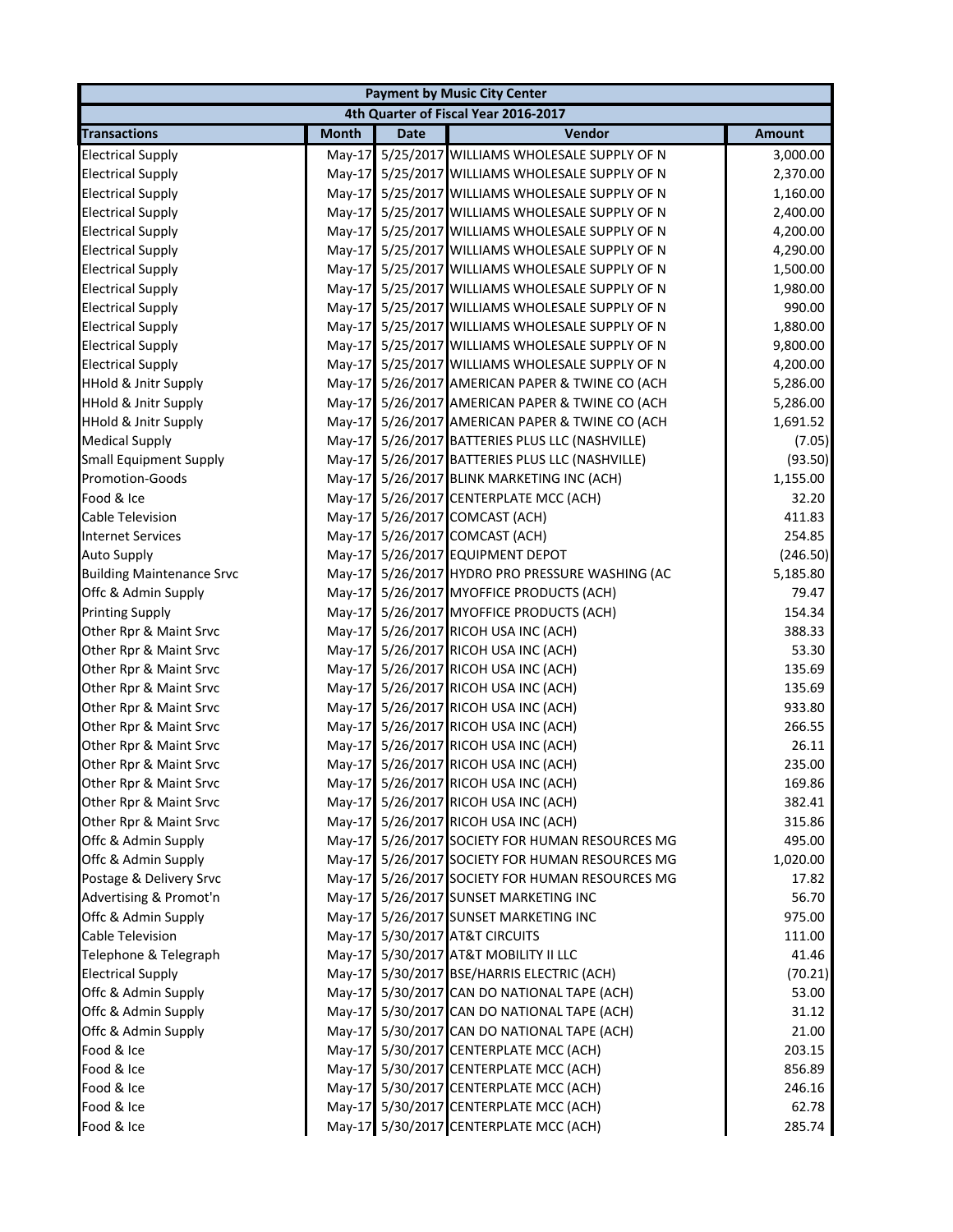|                                  | <b>Payment by Music City Center</b> |             |                                                 |               |  |  |
|----------------------------------|-------------------------------------|-------------|-------------------------------------------------|---------------|--|--|
|                                  |                                     |             | 4th Quarter of Fiscal Year 2016-2017            |               |  |  |
| <b>Transactions</b>              | <b>Month</b>                        | <b>Date</b> | Vendor                                          | <b>Amount</b> |  |  |
| <b>Electrical Supply</b>         | $May-17$                            |             | 5/25/2017 WILLIAMS WHOLESALE SUPPLY OF N        | 3,000.00      |  |  |
| <b>Electrical Supply</b>         |                                     |             | May-17 5/25/2017 WILLIAMS WHOLESALE SUPPLY OF N | 2,370.00      |  |  |
| <b>Electrical Supply</b>         |                                     |             | May-17 5/25/2017 WILLIAMS WHOLESALE SUPPLY OF N | 1,160.00      |  |  |
| <b>Electrical Supply</b>         |                                     |             | May-17 5/25/2017 WILLIAMS WHOLESALE SUPPLY OF N | 2,400.00      |  |  |
| <b>Electrical Supply</b>         | $May-17$                            |             | 5/25/2017 WILLIAMS WHOLESALE SUPPLY OF N        | 4,200.00      |  |  |
| <b>Electrical Supply</b>         | $May-17$                            |             | 5/25/2017 WILLIAMS WHOLESALE SUPPLY OF N        | 4,290.00      |  |  |
| <b>Electrical Supply</b>         | $May-17$                            |             | 5/25/2017 WILLIAMS WHOLESALE SUPPLY OF N        | 1,500.00      |  |  |
| <b>Electrical Supply</b>         |                                     |             | May-17 5/25/2017 WILLIAMS WHOLESALE SUPPLY OF N | 1,980.00      |  |  |
| <b>Electrical Supply</b>         |                                     |             | May-17 5/25/2017 WILLIAMS WHOLESALE SUPPLY OF N | 990.00        |  |  |
| <b>Electrical Supply</b>         |                                     |             | May-17 5/25/2017 WILLIAMS WHOLESALE SUPPLY OF N | 1,880.00      |  |  |
| <b>Electrical Supply</b>         | $May-17$                            |             | 5/25/2017 WILLIAMS WHOLESALE SUPPLY OF N        | 9,800.00      |  |  |
| <b>Electrical Supply</b>         |                                     |             | May-17 5/25/2017 WILLIAMS WHOLESALE SUPPLY OF N | 4,200.00      |  |  |
| <b>HHold &amp; Jnitr Supply</b>  |                                     |             | May-17 5/26/2017 AMERICAN PAPER & TWINE CO (ACH | 5,286.00      |  |  |
| <b>HHold &amp; Jnitr Supply</b>  | $May-17$                            |             | 5/26/2017 AMERICAN PAPER & TWINE CO (ACH        | 5,286.00      |  |  |
| <b>HHold &amp; Jnitr Supply</b>  |                                     |             | May-17 5/26/2017 AMERICAN PAPER & TWINE CO (ACH | 1,691.52      |  |  |
| <b>Medical Supply</b>            |                                     |             | May-17 5/26/2017 BATTERIES PLUS LLC (NASHVILLE) | (7.05)        |  |  |
| <b>Small Equipment Supply</b>    |                                     |             | May-17 5/26/2017 BATTERIES PLUS LLC (NASHVILLE) | (93.50)       |  |  |
| <b>Promotion-Goods</b>           |                                     |             | May-17 5/26/2017 BLINK MARKETING INC (ACH)      | 1,155.00      |  |  |
| Food & Ice                       |                                     |             | May-17 5/26/2017 CENTERPLATE MCC (ACH)          | 32.20         |  |  |
| <b>Cable Television</b>          |                                     |             | May-17 5/26/2017 COMCAST (ACH)                  | 411.83        |  |  |
| <b>Internet Services</b>         |                                     |             | May-17 5/26/2017 COMCAST (ACH)                  | 254.85        |  |  |
| <b>Auto Supply</b>               |                                     |             | May-17 5/26/2017 EQUIPMENT DEPOT                | (246.50)      |  |  |
| <b>Building Maintenance Srvc</b> |                                     |             | May-17 5/26/2017 HYDRO PRO PRESSURE WASHING (AC | 5,185.80      |  |  |
| Offc & Admin Supply              |                                     |             | May-17 5/26/2017 MYOFFICE PRODUCTS (ACH)        | 79.47         |  |  |
| <b>Printing Supply</b>           |                                     |             | May-17 5/26/2017 MYOFFICE PRODUCTS (ACH)        | 154.34        |  |  |
| Other Rpr & Maint Srvc           |                                     |             | May-17 5/26/2017 RICOH USA INC (ACH)            | 388.33        |  |  |
| Other Rpr & Maint Srvc           |                                     |             | May-17 5/26/2017 RICOH USA INC (ACH)            | 53.30         |  |  |
| Other Rpr & Maint Srvc           |                                     |             | May-17 5/26/2017 RICOH USA INC (ACH)            | 135.69        |  |  |
| Other Rpr & Maint Srvc           |                                     |             | May-17 5/26/2017 RICOH USA INC (ACH)            | 135.69        |  |  |
| Other Rpr & Maint Srvc           |                                     |             | May-17 5/26/2017 RICOH USA INC (ACH)            | 933.80        |  |  |
| Other Rpr & Maint Srvc           |                                     |             | May-17 5/26/2017 RICOH USA INC (ACH)            | 266.55        |  |  |
| Other Rpr & Maint Srvc           |                                     |             | May-17 5/26/2017 RICOH USA INC (ACH)            | 26.11         |  |  |
| Other Rpr & Maint Srvc           |                                     |             | May-17 5/26/2017 RICOH USA INC (ACH)            | 235.00        |  |  |
| Other Rpr & Maint Srvc           |                                     |             | May-17 5/26/2017 RICOH USA INC (ACH)            | 169.86        |  |  |
| Other Rpr & Maint Srvc           |                                     |             | May-17 5/26/2017 RICOH USA INC (ACH)            | 382.41        |  |  |
| Other Rpr & Maint Srvc           |                                     |             | May-17 5/26/2017 RICOH USA INC (ACH)            | 315.86        |  |  |
| Offc & Admin Supply              |                                     |             | May-17 5/26/2017 SOCIETY FOR HUMAN RESOURCES MG | 495.00        |  |  |
| Offc & Admin Supply              |                                     |             | May-17 5/26/2017 SOCIETY FOR HUMAN RESOURCES MG | 1,020.00      |  |  |
| Postage & Delivery Srvc          | $May-17$                            |             | 5/26/2017 SOCIETY FOR HUMAN RESOURCES MG        | 17.82         |  |  |
| Advertising & Promot'n           |                                     |             | May-17 5/26/2017 SUNSET MARKETING INC           | 56.70         |  |  |
| Offc & Admin Supply              |                                     |             | May-17 5/26/2017 SUNSET MARKETING INC           | 975.00        |  |  |
| Cable Television                 |                                     |             | May-17 5/30/2017 AT&T CIRCUITS                  | 111.00        |  |  |
| Telephone & Telegraph            |                                     |             | May-17 5/30/2017 AT&T MOBILITY II LLC           | 41.46         |  |  |
| <b>Electrical Supply</b>         |                                     |             | May-17 5/30/2017 BSE/HARRIS ELECTRIC (ACH)      | (70.21)       |  |  |
| Offc & Admin Supply              |                                     |             | May-17 5/30/2017 CAN DO NATIONAL TAPE (ACH)     | 53.00         |  |  |
| Offc & Admin Supply              |                                     |             | May-17 5/30/2017 CAN DO NATIONAL TAPE (ACH)     | 31.12         |  |  |
| Offc & Admin Supply              |                                     |             | May-17 5/30/2017 CAN DO NATIONAL TAPE (ACH)     | 21.00         |  |  |
| Food & Ice                       |                                     |             | May-17 5/30/2017 CENTERPLATE MCC (ACH)          | 203.15        |  |  |
| Food & Ice                       |                                     |             | May-17 5/30/2017 CENTERPLATE MCC (ACH)          | 856.89        |  |  |
| Food & Ice                       |                                     |             | May-17 5/30/2017 CENTERPLATE MCC (ACH)          | 246.16        |  |  |
| Food & Ice                       |                                     |             | May-17 5/30/2017 CENTERPLATE MCC (ACH)          | 62.78         |  |  |
| Food & Ice                       |                                     |             | May-17 5/30/2017 CENTERPLATE MCC (ACH)          | 285.74        |  |  |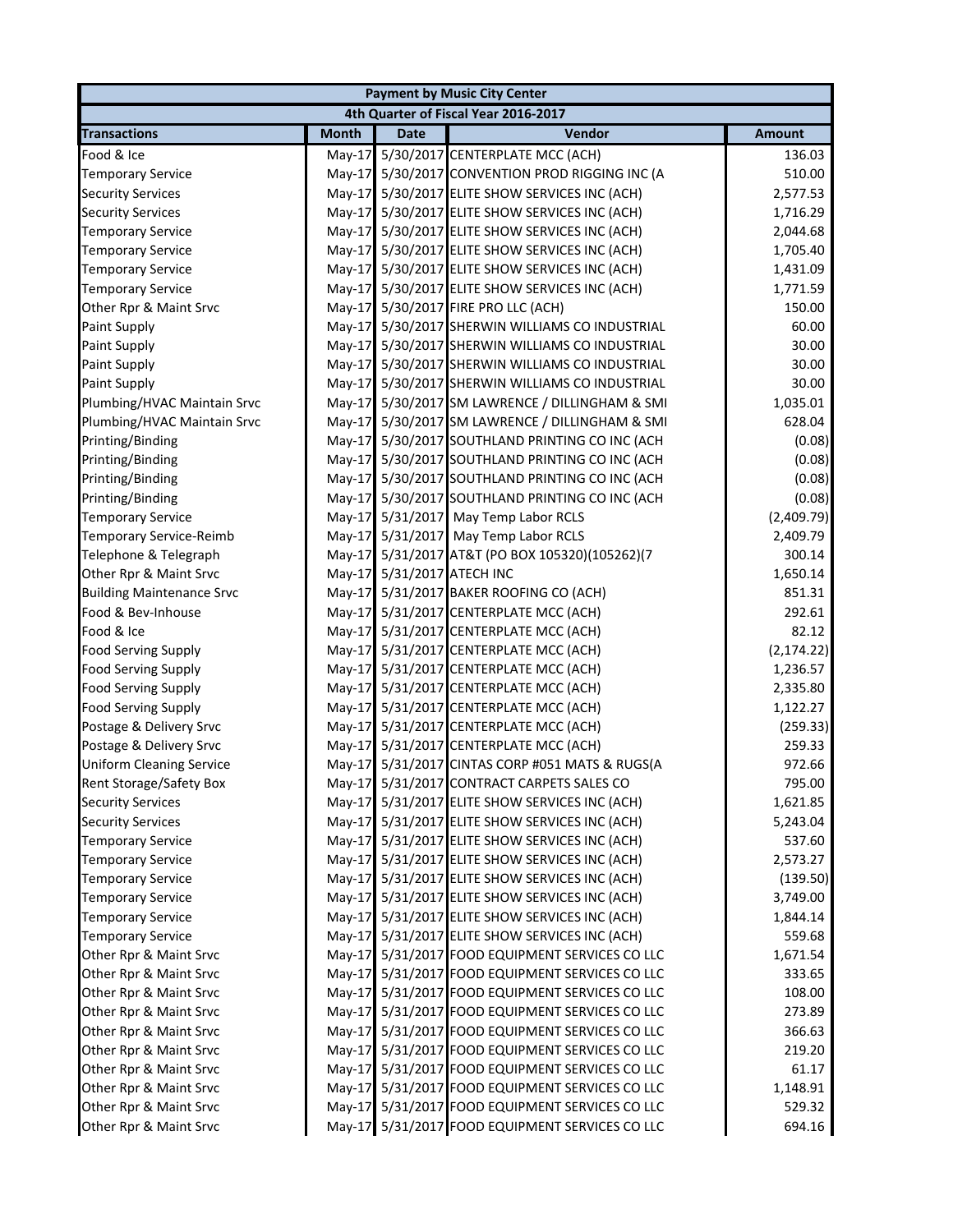| <b>Payment by Music City Center</b> |              |                            |                                                 |               |  |
|-------------------------------------|--------------|----------------------------|-------------------------------------------------|---------------|--|
|                                     |              |                            | 4th Quarter of Fiscal Year 2016-2017            |               |  |
| <b>Transactions</b>                 | <b>Month</b> | <b>Date</b>                | Vendor                                          | <b>Amount</b> |  |
| Food & Ice                          |              |                            | May-17 5/30/2017 CENTERPLATE MCC (ACH)          | 136.03        |  |
| <b>Temporary Service</b>            |              |                            | May-17 5/30/2017 CONVENTION PROD RIGGING INC (A | 510.00        |  |
| <b>Security Services</b>            |              |                            | May-17 5/30/2017 ELITE SHOW SERVICES INC (ACH)  | 2,577.53      |  |
| <b>Security Services</b>            |              |                            | May-17 5/30/2017 ELITE SHOW SERVICES INC (ACH)  | 1,716.29      |  |
| <b>Temporary Service</b>            |              |                            | May-17 5/30/2017 ELITE SHOW SERVICES INC (ACH)  | 2,044.68      |  |
| <b>Temporary Service</b>            |              |                            | May-17 5/30/2017 ELITE SHOW SERVICES INC (ACH)  | 1,705.40      |  |
| <b>Temporary Service</b>            |              |                            | May-17 5/30/2017 ELITE SHOW SERVICES INC (ACH)  | 1,431.09      |  |
| <b>Temporary Service</b>            |              |                            | May-17 5/30/2017 ELITE SHOW SERVICES INC (ACH)  | 1,771.59      |  |
| Other Rpr & Maint Srvc              |              |                            | May-17 5/30/2017 FIRE PRO LLC (ACH)             | 150.00        |  |
| <b>Paint Supply</b>                 |              |                            | May-17 5/30/2017 SHERWIN WILLIAMS CO INDUSTRIAL | 60.00         |  |
| <b>Paint Supply</b>                 |              |                            | May-17 5/30/2017 SHERWIN WILLIAMS CO INDUSTRIAL | 30.00         |  |
| <b>Paint Supply</b>                 |              |                            | May-17 5/30/2017 SHERWIN WILLIAMS CO INDUSTRIAL | 30.00         |  |
| <b>Paint Supply</b>                 |              |                            | May-17 5/30/2017 SHERWIN WILLIAMS CO INDUSTRIAL | 30.00         |  |
| Plumbing/HVAC Maintain Srvc         |              |                            | May-17 5/30/2017 SM LAWRENCE / DILLINGHAM & SMI | 1,035.01      |  |
| Plumbing/HVAC Maintain Srvc         |              |                            | May-17 5/30/2017 SM LAWRENCE / DILLINGHAM & SMI | 628.04        |  |
| Printing/Binding                    |              |                            | May-17 5/30/2017 SOUTHLAND PRINTING CO INC (ACH | (0.08)        |  |
| Printing/Binding                    |              |                            | May-17 5/30/2017 SOUTHLAND PRINTING CO INC (ACH | (0.08)        |  |
| Printing/Binding                    |              |                            | May-17 5/30/2017 SOUTHLAND PRINTING CO INC (ACH | (0.08)        |  |
| Printing/Binding                    |              |                            | May-17 5/30/2017 SOUTHLAND PRINTING CO INC (ACH | (0.08)        |  |
| <b>Temporary Service</b>            |              |                            | May-17 5/31/2017 May Temp Labor RCLS            | (2,409.79)    |  |
| Temporary Service-Reimb             |              |                            | May-17 5/31/2017 May Temp Labor RCLS            | 2,409.79      |  |
| Telephone & Telegraph               |              |                            | May-17 5/31/2017 AT&T (PO BOX 105320)(105262)(7 | 300.14        |  |
| Other Rpr & Maint Srvc              |              | May-17 5/31/2017 ATECH INC |                                                 | 1,650.14      |  |
| <b>Building Maintenance Srvc</b>    |              |                            | May-17 5/31/2017 BAKER ROOFING CO (ACH)         | 851.31        |  |
| Food & Bev-Inhouse                  |              |                            | May-17 5/31/2017 CENTERPLATE MCC (ACH)          | 292.61        |  |
| Food & Ice                          |              |                            | May-17 5/31/2017 CENTERPLATE MCC (ACH)          | 82.12         |  |
| <b>Food Serving Supply</b>          |              |                            | May-17 5/31/2017 CENTERPLATE MCC (ACH)          | (2, 174.22)   |  |
| <b>Food Serving Supply</b>          |              |                            | May-17 5/31/2017 CENTERPLATE MCC (ACH)          | 1,236.57      |  |
| <b>Food Serving Supply</b>          |              |                            | May-17 5/31/2017 CENTERPLATE MCC (ACH)          | 2,335.80      |  |
| <b>Food Serving Supply</b>          |              |                            | May-17 5/31/2017 CENTERPLATE MCC (ACH)          | 1,122.27      |  |
| Postage & Delivery Srvc             |              |                            | May-17 5/31/2017 CENTERPLATE MCC (ACH)          | (259.33)      |  |
| Postage & Delivery Srvc             |              |                            | May-17 5/31/2017 CENTERPLATE MCC (ACH)          | 259.33        |  |
| <b>Uniform Cleaning Service</b>     |              |                            | May-17 5/31/2017 CINTAS CORP #051 MATS & RUGS(A | 972.66        |  |
| Rent Storage/Safety Box             |              |                            | May-17 5/31/2017 CONTRACT CARPETS SALES CO      | 795.00        |  |
| <b>Security Services</b>            |              |                            | May-17 5/31/2017 ELITE SHOW SERVICES INC (ACH)  | 1,621.85      |  |
| <b>Security Services</b>            |              |                            | May-17 5/31/2017 ELITE SHOW SERVICES INC (ACH)  | 5,243.04      |  |
| <b>Temporary Service</b>            |              |                            | May-17 5/31/2017 ELITE SHOW SERVICES INC (ACH)  | 537.60        |  |
| <b>Temporary Service</b>            |              |                            | May-17 5/31/2017 ELITE SHOW SERVICES INC (ACH)  | 2,573.27      |  |
| <b>Temporary Service</b>            |              |                            | May-17 5/31/2017 ELITE SHOW SERVICES INC (ACH)  | (139.50)      |  |
| <b>Temporary Service</b>            |              |                            | May-17 5/31/2017 ELITE SHOW SERVICES INC (ACH)  | 3,749.00      |  |
| <b>Temporary Service</b>            |              |                            | May-17 5/31/2017 ELITE SHOW SERVICES INC (ACH)  | 1,844.14      |  |
| <b>Temporary Service</b>            |              |                            | May-17 5/31/2017 ELITE SHOW SERVICES INC (ACH)  | 559.68        |  |
| Other Rpr & Maint Srvc              |              |                            | May-17 5/31/2017 FOOD EQUIPMENT SERVICES CO LLC | 1,671.54      |  |
| Other Rpr & Maint Srvc              |              |                            | May-17 5/31/2017 FOOD EQUIPMENT SERVICES CO LLC | 333.65        |  |
| Other Rpr & Maint Srvc              |              |                            | May-17 5/31/2017 FOOD EQUIPMENT SERVICES CO LLC | 108.00        |  |
| Other Rpr & Maint Srvc              |              |                            | May-17 5/31/2017 FOOD EQUIPMENT SERVICES CO LLC | 273.89        |  |
| Other Rpr & Maint Srvc              |              |                            | May-17 5/31/2017 FOOD EQUIPMENT SERVICES CO LLC | 366.63        |  |
| Other Rpr & Maint Srvc              |              |                            | May-17 5/31/2017 FOOD EQUIPMENT SERVICES CO LLC | 219.20        |  |
| Other Rpr & Maint Srvc              |              |                            | May-17 5/31/2017 FOOD EQUIPMENT SERVICES CO LLC | 61.17         |  |
| Other Rpr & Maint Srvc              |              |                            | May-17 5/31/2017 FOOD EQUIPMENT SERVICES CO LLC | 1,148.91      |  |
| Other Rpr & Maint Srvc              |              |                            | May-17 5/31/2017 FOOD EQUIPMENT SERVICES CO LLC | 529.32        |  |
| Other Rpr & Maint Srvc              |              |                            | May-17 5/31/2017 FOOD EQUIPMENT SERVICES CO LLC | 694.16        |  |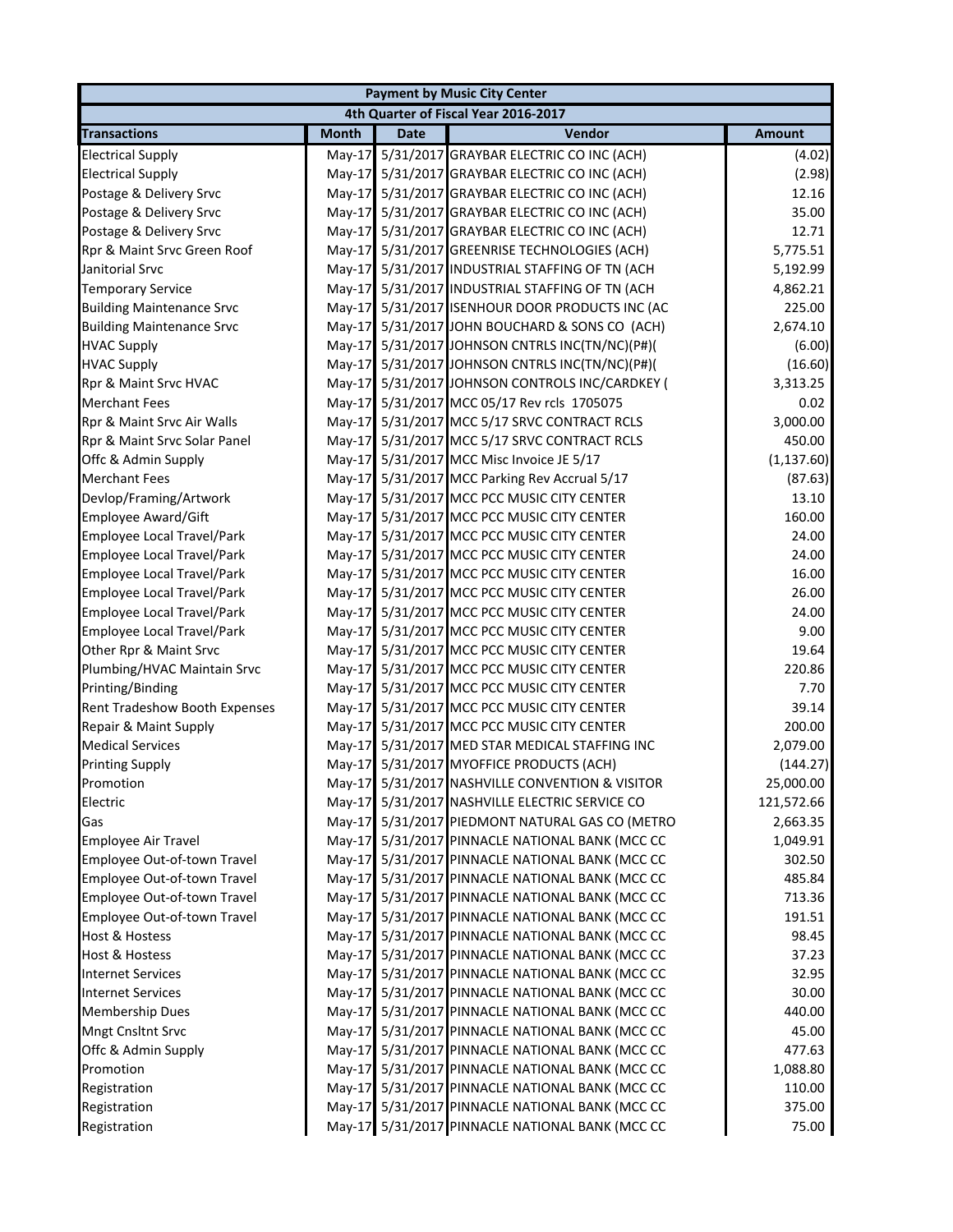|                                   |              |             | <b>Payment by Music City Center</b>             |               |
|-----------------------------------|--------------|-------------|-------------------------------------------------|---------------|
|                                   |              |             | 4th Quarter of Fiscal Year 2016-2017            |               |
| <b>Transactions</b>               | <b>Month</b> | <b>Date</b> | Vendor                                          | <b>Amount</b> |
| <b>Electrical Supply</b>          | $May-17$     |             | 5/31/2017 GRAYBAR ELECTRIC CO INC (ACH)         | (4.02)        |
| <b>Electrical Supply</b>          | $May-17$     |             | 5/31/2017 GRAYBAR ELECTRIC CO INC (ACH)         | (2.98)        |
| Postage & Delivery Srvc           | $May-17$     |             | 5/31/2017 GRAYBAR ELECTRIC CO INC (ACH)         | 12.16         |
| Postage & Delivery Srvc           | May-17       |             | 5/31/2017 GRAYBAR ELECTRIC CO INC (ACH)         | 35.00         |
| Postage & Delivery Srvc           | $May-17$     |             | 5/31/2017 GRAYBAR ELECTRIC CO INC (ACH)         | 12.71         |
| Rpr & Maint Srvc Green Roof       | May-17       |             | 5/31/2017 GREENRISE TECHNOLOGIES (ACH)          | 5,775.51      |
| Janitorial Srvc                   | May-17       |             | 5/31/2017 INDUSTRIAL STAFFING OF TN (ACH        | 5,192.99      |
| <b>Temporary Service</b>          | $May-17$     |             | 5/31/2017 INDUSTRIAL STAFFING OF TN (ACH        | 4,862.21      |
| <b>Building Maintenance Srvc</b>  | May-17       |             | 5/31/2017 ISENHOUR DOOR PRODUCTS INC (AC        | 225.00        |
| <b>Building Maintenance Srvc</b>  | May-17       |             | 5/31/2017 JOHN BOUCHARD & SONS CO (ACH)         | 2,674.10      |
| <b>HVAC Supply</b>                | $May-17$     |             | 5/31/2017 JOHNSON CNTRLS INC(TN/NC)(P#)(        | (6.00)        |
| <b>HVAC Supply</b>                | May-17       |             | 5/31/2017 JOHNSON CNTRLS INC(TN/NC)(P#)(        | (16.60)       |
| Rpr & Maint Srvc HVAC             | $May-17$     |             | 5/31/2017 JOHNSON CONTROLS INC/CARDKEY (        | 3,313.25      |
| <b>Merchant Fees</b>              | $May-17$     |             | 5/31/2017 MCC 05/17 Rev rcls 1705075            | 0.02          |
| Rpr & Maint Srvc Air Walls        | May-17       |             | 5/31/2017 MCC 5/17 SRVC CONTRACT RCLS           | 3,000.00      |
| Rpr & Maint Srvc Solar Panel      | $May-17$     |             | 5/31/2017 MCC 5/17 SRVC CONTRACT RCLS           | 450.00        |
| Offc & Admin Supply               | May-17       |             | 5/31/2017 MCC Misc Invoice JE 5/17              | (1, 137.60)   |
| <b>Merchant Fees</b>              | $May-17$     |             | 5/31/2017 MCC Parking Rev Accrual 5/17          | (87.63)       |
| Devlop/Framing/Artwork            | $May-17$     |             | 5/31/2017 MCC PCC MUSIC CITY CENTER             | 13.10         |
| <b>Employee Award/Gift</b>        | May-17       |             | 5/31/2017 MCC PCC MUSIC CITY CENTER             | 160.00        |
| Employee Local Travel/Park        | $May-17$     |             | 5/31/2017 MCC PCC MUSIC CITY CENTER             | 24.00         |
| Employee Local Travel/Park        | $May-17$     |             | 5/31/2017 MCC PCC MUSIC CITY CENTER             | 24.00         |
| Employee Local Travel/Park        | May-17       |             | 5/31/2017 MCC PCC MUSIC CITY CENTER             | 16.00         |
| <b>Employee Local Travel/Park</b> | May-17       |             | 5/31/2017 MCC PCC MUSIC CITY CENTER             | 26.00         |
| <b>Employee Local Travel/Park</b> | $May-17$     |             | 5/31/2017 MCC PCC MUSIC CITY CENTER             | 24.00         |
| <b>Employee Local Travel/Park</b> | May-17       |             | 5/31/2017 MCC PCC MUSIC CITY CENTER             | 9.00          |
| Other Rpr & Maint Srvc            | $May-17$     |             | 5/31/2017 MCC PCC MUSIC CITY CENTER             | 19.64         |
| Plumbing/HVAC Maintain Srvc       | $May-17$     |             | 5/31/2017 MCC PCC MUSIC CITY CENTER             | 220.86        |
| Printing/Binding                  | May-17       |             | 5/31/2017 MCC PCC MUSIC CITY CENTER             | 7.70          |
| Rent Tradeshow Booth Expenses     | $Mav-17$     |             | 5/31/2017 MCC PCC MUSIC CITY CENTER             | 39.14         |
| Repair & Maint Supply             | May-17       |             | 5/31/2017 MCC PCC MUSIC CITY CENTER             | 200.00        |
| <b>Medical Services</b>           | $Mav-17$     |             | 5/31/2017 MED STAR MEDICAL STAFFING INC         | 2,079.00      |
| <b>Printing Supply</b>            | May-17       |             | 5/31/2017 MYOFFICE PRODUCTS (ACH)               | (144.27)      |
| Promotion                         |              |             | May-17 5/31/2017 NASHVILLE CONVENTION & VISITOR | 25,000.00     |
| Electric                          |              |             | May-17 5/31/2017 NASHVILLE ELECTRIC SERVICE CO  | 121,572.66    |
| Gas                               |              |             | May-17 5/31/2017 PIEDMONT NATURAL GAS CO (METRO | 2,663.35      |
| <b>Employee Air Travel</b>        |              |             | May-17 5/31/2017 PINNACLE NATIONAL BANK (MCC CC | 1,049.91      |
| Employee Out-of-town Travel       | $May-17$     |             | 5/31/2017 PINNACLE NATIONAL BANK (MCC CC        | 302.50        |
| Employee Out-of-town Travel       | $May-17$     |             | 5/31/2017 PINNACLE NATIONAL BANK (MCC CC        | 485.84        |
| Employee Out-of-town Travel       | $May-17$     |             | 5/31/2017 PINNACLE NATIONAL BANK (MCC CC        | 713.36        |
| Employee Out-of-town Travel       | $May-17$     |             | 5/31/2017 PINNACLE NATIONAL BANK (MCC CC        | 191.51        |
| <b>Host &amp; Hostess</b>         |              |             | May-17 5/31/2017 PINNACLE NATIONAL BANK (MCC CC | 98.45         |
| <b>Host &amp; Hostess</b>         | $May-17$     |             | 5/31/2017 PINNACLE NATIONAL BANK (MCC CC        | 37.23         |
| <b>Internet Services</b>          | $May-17$     |             | 5/31/2017 PINNACLE NATIONAL BANK (MCC CC        | 32.95         |
| <b>Internet Services</b>          | $May-17$     |             | 5/31/2017 PINNACLE NATIONAL BANK (MCC CC        | 30.00         |
| <b>Membership Dues</b>            | $May-17$     |             | 5/31/2017 PINNACLE NATIONAL BANK (MCC CC        | 440.00        |
| Mngt Cnsltnt Srvc                 |              |             | May-17 5/31/2017 PINNACLE NATIONAL BANK (MCC CC | 45.00         |
| Offc & Admin Supply               |              |             | May-17 5/31/2017 PINNACLE NATIONAL BANK (MCC CC | 477.63        |
| Promotion                         |              |             | May-17 5/31/2017 PINNACLE NATIONAL BANK (MCC CC | 1,088.80      |
| Registration                      | $May-17$     |             | 5/31/2017 PINNACLE NATIONAL BANK (MCC CC        | 110.00        |
| Registration                      |              |             | May-17 5/31/2017 PINNACLE NATIONAL BANK (MCC CC | 375.00        |
| Registration                      |              |             | May-17 5/31/2017 PINNACLE NATIONAL BANK (MCC CC | 75.00         |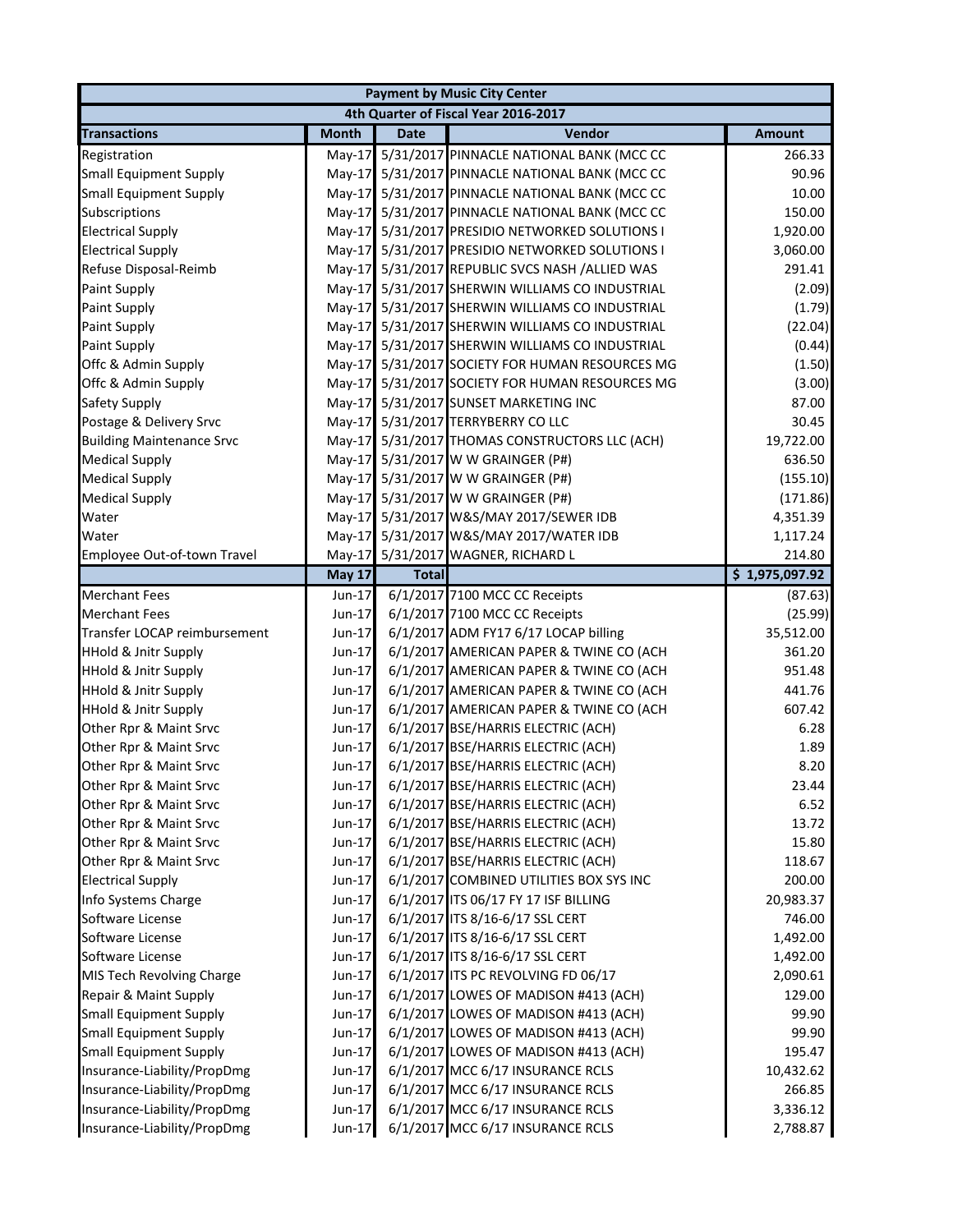|                                  |               |              | <b>Payment by Music City Center</b>      |                |
|----------------------------------|---------------|--------------|------------------------------------------|----------------|
|                                  |               |              | 4th Quarter of Fiscal Year 2016-2017     |                |
| <b>Transactions</b>              | <b>Month</b>  | <b>Date</b>  | Vendor                                   | <b>Amount</b>  |
| Registration                     | $May-17$      |              | 5/31/2017 PINNACLE NATIONAL BANK (MCC CC | 266.33         |
| <b>Small Equipment Supply</b>    | $Mav-17$      |              | 5/31/2017 PINNACLE NATIONAL BANK (MCC CC | 90.96          |
| <b>Small Equipment Supply</b>    | $May-17$      |              | 5/31/2017 PINNACLE NATIONAL BANK (MCC CC | 10.00          |
| Subscriptions                    | May-17        |              | 5/31/2017 PINNACLE NATIONAL BANK (MCC CC | 150.00         |
| <b>Electrical Supply</b>         | $May-17$      |              | 5/31/2017 PRESIDIO NETWORKED SOLUTIONS I | 1,920.00       |
| <b>Electrical Supply</b>         | May-17        |              | 5/31/2017 PRESIDIO NETWORKED SOLUTIONS I | 3,060.00       |
| Refuse Disposal-Reimb            | $May-17$      |              | 5/31/2017 REPUBLIC SVCS NASH /ALLIED WAS | 291.41         |
| Paint Supply                     | $May-17$      |              | 5/31/2017 SHERWIN WILLIAMS CO INDUSTRIAL | (2.09)         |
| Paint Supply                     | May-17        |              | 5/31/2017 SHERWIN WILLIAMS CO INDUSTRIAL | (1.79)         |
| Paint Supply                     | $May-17$      |              | 5/31/2017 SHERWIN WILLIAMS CO INDUSTRIAL | (22.04)        |
| Paint Supply                     | $May-17$      |              | 5/31/2017 SHERWIN WILLIAMS CO INDUSTRIAL | (0.44)         |
| Offc & Admin Supply              | $May-17$      |              | 5/31/2017 SOCIETY FOR HUMAN RESOURCES MG | (1.50)         |
| Offc & Admin Supply              | $May-17$      |              | 5/31/2017 SOCIETY FOR HUMAN RESOURCES MG | (3.00)         |
| Safety Supply                    | $May-17$      |              | 5/31/2017 SUNSET MARKETING INC           | 87.00          |
| Postage & Delivery Srvc          | $May-17$      |              | 5/31/2017 TERRYBERRY CO LLC              | 30.45          |
| <b>Building Maintenance Srvc</b> | $May-17$      |              | 5/31/2017 THOMAS CONSTRUCTORS LLC (ACH)  | 19,722.00      |
| <b>Medical Supply</b>            | May-17        |              | 5/31/2017 W W GRAINGER (P#)              | 636.50         |
| <b>Medical Supply</b>            |               |              | May-17 5/31/2017 W W GRAINGER (P#)       | (155.10)       |
| <b>Medical Supply</b>            |               |              | May-17 5/31/2017 W W GRAINGER (P#)       | (171.86)       |
| Water                            |               |              | May-17 5/31/2017 W&S/MAY 2017/SEWER IDB  | 4,351.39       |
| Water                            |               |              | May-17 5/31/2017 W&S/MAY 2017/WATER IDB  | 1,117.24       |
| Employee Out-of-town Travel      |               |              | May-17 5/31/2017 WAGNER, RICHARD L       | 214.80         |
|                                  | <b>May 17</b> | <b>Total</b> |                                          | \$1,975,097.92 |
| <b>Merchant Fees</b>             | Jun-17        |              | 6/1/2017 7100 MCC CC Receipts            | (87.63)        |
| <b>Merchant Fees</b>             | Jun-17        |              | 6/1/2017 7100 MCC CC Receipts            | (25.99)        |
| Transfer LOCAP reimbursement     | Jun-17        |              | 6/1/2017 ADM FY17 6/17 LOCAP billing     | 35,512.00      |
| <b>HHold &amp; Jnitr Supply</b>  | Jun-17        |              | 6/1/2017 AMERICAN PAPER & TWINE CO (ACH  | 361.20         |
| <b>HHold &amp; Jnitr Supply</b>  | Jun-17        |              | 6/1/2017 AMERICAN PAPER & TWINE CO (ACH  | 951.48         |
| <b>HHold &amp; Jnitr Supply</b>  | Jun-17        |              | 6/1/2017 AMERICAN PAPER & TWINE CO (ACH  | 441.76         |
| <b>HHold &amp; Jnitr Supply</b>  | Jun-17        |              | 6/1/2017 AMERICAN PAPER & TWINE CO (ACH  | 607.42         |
| Other Rpr & Maint Srvc           | Jun-17        |              | 6/1/2017 BSE/HARRIS ELECTRIC (ACH)       | 6.28           |
| Other Rpr & Maint Srvc           | Jun-17        |              | 6/1/2017 BSE/HARRIS ELECTRIC (ACH)       | 1.89           |
| Other Rpr & Maint Srvc           | Jun-17        |              | 6/1/2017 BSE/HARRIS ELECTRIC (ACH)       | 8.20           |
| Other Rpr & Maint Srvc           | Jun-17        |              | 6/1/2017 BSE/HARRIS ELECTRIC (ACH)       | 23.44          |
| Other Rpr & Maint Srvc           | Jun-17        |              | 6/1/2017 BSE/HARRIS ELECTRIC (ACH)       | 6.52           |
| Other Rpr & Maint Srvc           | Jun-17        |              | 6/1/2017 BSE/HARRIS ELECTRIC (ACH)       | 13.72          |
| Other Rpr & Maint Srvc           | Jun-17        |              | 6/1/2017 BSE/HARRIS ELECTRIC (ACH)       | 15.80          |
| Other Rpr & Maint Srvc           | $Jun-17$      |              | 6/1/2017 BSE/HARRIS ELECTRIC (ACH)       | 118.67         |
| <b>Electrical Supply</b>         | $Jun-17$      |              | 6/1/2017 COMBINED UTILITIES BOX SYS INC  | 200.00         |
| Info Systems Charge              | Jun-17        |              | 6/1/2017 ITS 06/17 FY 17 ISF BILLING     | 20,983.37      |
| Software License                 | Jun-17        |              | 6/1/2017 ITS 8/16-6/17 SSL CERT          | 746.00         |
| Software License                 | Jun-17        |              | 6/1/2017 ITS 8/16-6/17 SSL CERT          | 1,492.00       |
| Software License                 | Jun-17        |              | 6/1/2017 ITS 8/16-6/17 SSL CERT          | 1,492.00       |
| MIS Tech Revolving Charge        | Jun-17        |              | 6/1/2017 ITS PC REVOLVING FD 06/17       | 2,090.61       |
| Repair & Maint Supply            | Jun-17        |              | 6/1/2017 LOWES OF MADISON #413 (ACH)     | 129.00         |
| <b>Small Equipment Supply</b>    | Jun-17        |              | 6/1/2017 LOWES OF MADISON #413 (ACH)     | 99.90          |
| <b>Small Equipment Supply</b>    | Jun-17        |              | 6/1/2017 LOWES OF MADISON #413 (ACH)     | 99.90          |
| <b>Small Equipment Supply</b>    | Jun-17        |              | 6/1/2017 LOWES OF MADISON #413 (ACH)     | 195.47         |
| Insurance-Liability/PropDmg      | Jun-17        |              | 6/1/2017 MCC 6/17 INSURANCE RCLS         | 10,432.62      |
| Insurance-Liability/PropDmg      | Jun-17        |              | 6/1/2017 MCC 6/17 INSURANCE RCLS         | 266.85         |
| Insurance-Liability/PropDmg      | Jun-17        |              | 6/1/2017 MCC 6/17 INSURANCE RCLS         | 3,336.12       |
| Insurance-Liability/PropDmg      | Jun-17        |              | 6/1/2017 MCC 6/17 INSURANCE RCLS         | 2,788.87       |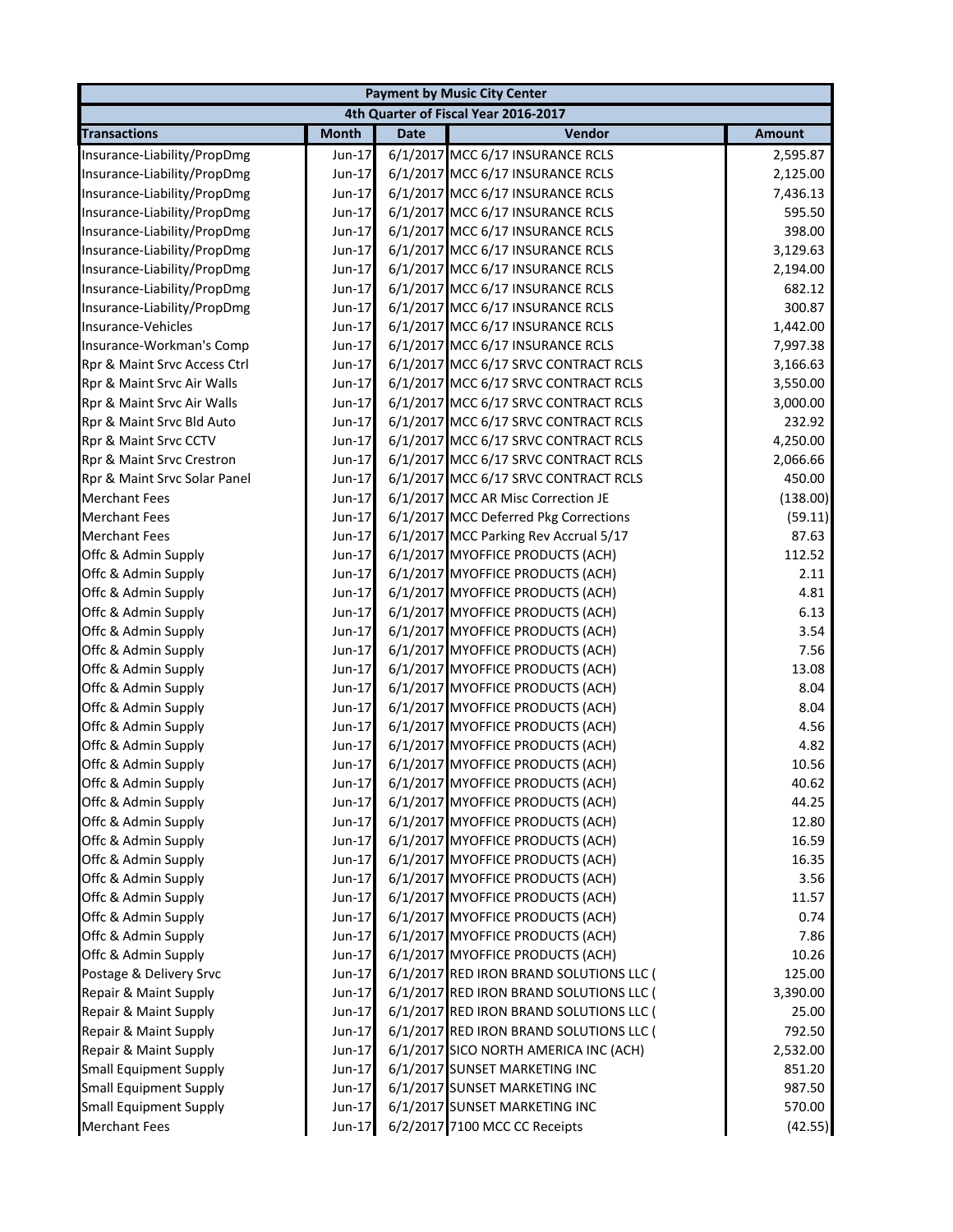|                                            |                  |             | <b>Payment by Music City Center</b>                                  |               |
|--------------------------------------------|------------------|-------------|----------------------------------------------------------------------|---------------|
|                                            |                  |             | 4th Quarter of Fiscal Year 2016-2017                                 |               |
| <b>Transactions</b>                        | <b>Month</b>     | <b>Date</b> | Vendor                                                               | <b>Amount</b> |
| Insurance-Liability/PropDmg                | Jun-17           |             | 6/1/2017 MCC 6/17 INSURANCE RCLS                                     | 2,595.87      |
| Insurance-Liability/PropDmg                | Jun-17           |             | 6/1/2017 MCC 6/17 INSURANCE RCLS                                     | 2,125.00      |
| Insurance-Liability/PropDmg                | Jun-17           |             | 6/1/2017 MCC 6/17 INSURANCE RCLS                                     | 7,436.13      |
| Insurance-Liability/PropDmg                | Jun-17           |             | 6/1/2017 MCC 6/17 INSURANCE RCLS                                     | 595.50        |
| Insurance-Liability/PropDmg                | Jun-17           |             | 6/1/2017 MCC 6/17 INSURANCE RCLS                                     | 398.00        |
| Insurance-Liability/PropDmg                | Jun-17           |             | 6/1/2017 MCC 6/17 INSURANCE RCLS                                     | 3,129.63      |
| Insurance-Liability/PropDmg                | Jun-17           |             | 6/1/2017 MCC 6/17 INSURANCE RCLS                                     | 2,194.00      |
| Insurance-Liability/PropDmg                | Jun-17           |             | 6/1/2017 MCC 6/17 INSURANCE RCLS                                     | 682.12        |
| Insurance-Liability/PropDmg                | Jun-17           |             | 6/1/2017 MCC 6/17 INSURANCE RCLS                                     | 300.87        |
| Insurance-Vehicles                         | Jun-17           |             | 6/1/2017 MCC 6/17 INSURANCE RCLS                                     | 1,442.00      |
| Insurance-Workman's Comp                   | $Jun-17$         |             | 6/1/2017 MCC 6/17 INSURANCE RCLS                                     | 7,997.38      |
| Rpr & Maint Srvc Access Ctrl               | Jun-17           |             | 6/1/2017 MCC 6/17 SRVC CONTRACT RCLS                                 | 3,166.63      |
| Rpr & Maint Srvc Air Walls                 | Jun-17           |             | 6/1/2017 MCC 6/17 SRVC CONTRACT RCLS                                 | 3,550.00      |
| Rpr & Maint Srvc Air Walls                 | Jun-17           |             | 6/1/2017 MCC 6/17 SRVC CONTRACT RCLS                                 | 3,000.00      |
| Rpr & Maint Srvc Bld Auto                  | Jun-17           |             | 6/1/2017 MCC 6/17 SRVC CONTRACT RCLS                                 | 232.92        |
| Rpr & Maint Srvc CCTV                      | Jun-17           |             | 6/1/2017 MCC 6/17 SRVC CONTRACT RCLS                                 | 4,250.00      |
| Rpr & Maint Srvc Crestron                  | Jun-17           |             | 6/1/2017 MCC 6/17 SRVC CONTRACT RCLS                                 | 2,066.66      |
| Rpr & Maint Srvc Solar Panel               | Jun-17           |             | 6/1/2017 MCC 6/17 SRVC CONTRACT RCLS                                 | 450.00        |
| <b>Merchant Fees</b>                       | Jun-17           |             | 6/1/2017 MCC AR Misc Correction JE                                   | (138.00)      |
| <b>Merchant Fees</b>                       | Jun-17           |             | 6/1/2017 MCC Deferred Pkg Corrections                                | (59.11)       |
| <b>Merchant Fees</b>                       | Jun-17           |             | 6/1/2017 MCC Parking Rev Accrual 5/17                                | 87.63         |
| Offc & Admin Supply                        | Jun-17           |             | 6/1/2017 MYOFFICE PRODUCTS (ACH)                                     | 112.52        |
| Offc & Admin Supply                        | Jun-17           |             | 6/1/2017 MYOFFICE PRODUCTS (ACH)                                     | 2.11          |
| Offc & Admin Supply                        | Jun-17           |             | 6/1/2017 MYOFFICE PRODUCTS (ACH)                                     | 4.81          |
| Offc & Admin Supply                        | Jun-17           |             | 6/1/2017 MYOFFICE PRODUCTS (ACH)                                     | 6.13          |
| Offc & Admin Supply                        | Jun-17           |             | 6/1/2017 MYOFFICE PRODUCTS (ACH)                                     | 3.54          |
| Offc & Admin Supply                        | Jun-17           |             | 6/1/2017 MYOFFICE PRODUCTS (ACH)                                     | 7.56          |
| Offc & Admin Supply                        | Jun-17           |             | 6/1/2017 MYOFFICE PRODUCTS (ACH)                                     | 13.08         |
| Offc & Admin Supply                        | Jun-17           |             | 6/1/2017 MYOFFICE PRODUCTS (ACH)                                     | 8.04          |
| Offc & Admin Supply                        | $Jun-17$         |             | 6/1/2017 MYOFFICE PRODUCTS (ACH)                                     | 8.04          |
| Offc & Admin Supply                        | Jun-17           |             | 6/1/2017 MYOFFICE PRODUCTS (ACH)                                     | 4.56          |
| Offc & Admin Supply                        | Jun-17           |             | 6/1/2017 MYOFFICE PRODUCTS (ACH)                                     | 4.82          |
| Offc & Admin Supply                        | Jun-17           |             | 6/1/2017 MYOFFICE PRODUCTS (ACH)                                     | 10.56         |
| Offc & Admin Supply                        | Jun-17           |             | 6/1/2017 MYOFFICE PRODUCTS (ACH)                                     | 40.62         |
| Offc & Admin Supply                        | Jun-17           |             | 6/1/2017 MYOFFICE PRODUCTS (ACH)                                     | 44.25         |
| Offc & Admin Supply                        | Jun-17           |             | 6/1/2017 MYOFFICE PRODUCTS (ACH)                                     | 12.80         |
| Offc & Admin Supply                        | Jun-17           |             | 6/1/2017 MYOFFICE PRODUCTS (ACH)                                     | 16.59         |
| Offc & Admin Supply                        | Jun-17           |             | 6/1/2017 MYOFFICE PRODUCTS (ACH)<br>6/1/2017 MYOFFICE PRODUCTS (ACH) | 16.35         |
| Offc & Admin Supply<br>Offc & Admin Supply | Jun-17           |             |                                                                      | 3.56          |
|                                            | Jun-17           |             | 6/1/2017 MYOFFICE PRODUCTS (ACH)<br>6/1/2017 MYOFFICE PRODUCTS (ACH) | 11.57<br>0.74 |
| Offc & Admin Supply<br>Offc & Admin Supply | Jun-17<br>Jun-17 |             | 6/1/2017 MYOFFICE PRODUCTS (ACH)                                     | 7.86          |
| Offc & Admin Supply                        | Jun-17           |             | 6/1/2017 MYOFFICE PRODUCTS (ACH)                                     | 10.26         |
| Postage & Delivery Srvc                    | Jun-17           |             | 6/1/2017 RED IRON BRAND SOLUTIONS LLC (                              | 125.00        |
| Repair & Maint Supply                      | Jun-17           |             | 6/1/2017 RED IRON BRAND SOLUTIONS LLC (                              | 3,390.00      |
| Repair & Maint Supply                      | Jun-17           |             | 6/1/2017 RED IRON BRAND SOLUTIONS LLC (                              | 25.00         |
| Repair & Maint Supply                      | Jun-17           |             | 6/1/2017 RED IRON BRAND SOLUTIONS LLC (                              | 792.50        |
| Repair & Maint Supply                      | Jun-17           |             | 6/1/2017 SICO NORTH AMERICA INC (ACH)                                | 2,532.00      |
| <b>Small Equipment Supply</b>              | Jun-17           |             | 6/1/2017 SUNSET MARKETING INC                                        | 851.20        |
| <b>Small Equipment Supply</b>              | Jun-17           |             | 6/1/2017 SUNSET MARKETING INC                                        | 987.50        |
| <b>Small Equipment Supply</b>              | Jun-17           |             | 6/1/2017 SUNSET MARKETING INC                                        | 570.00        |
| <b>Merchant Fees</b>                       | Jun-17           |             | 6/2/2017 7100 MCC CC Receipts                                        | (42.55)       |
|                                            |                  |             |                                                                      |               |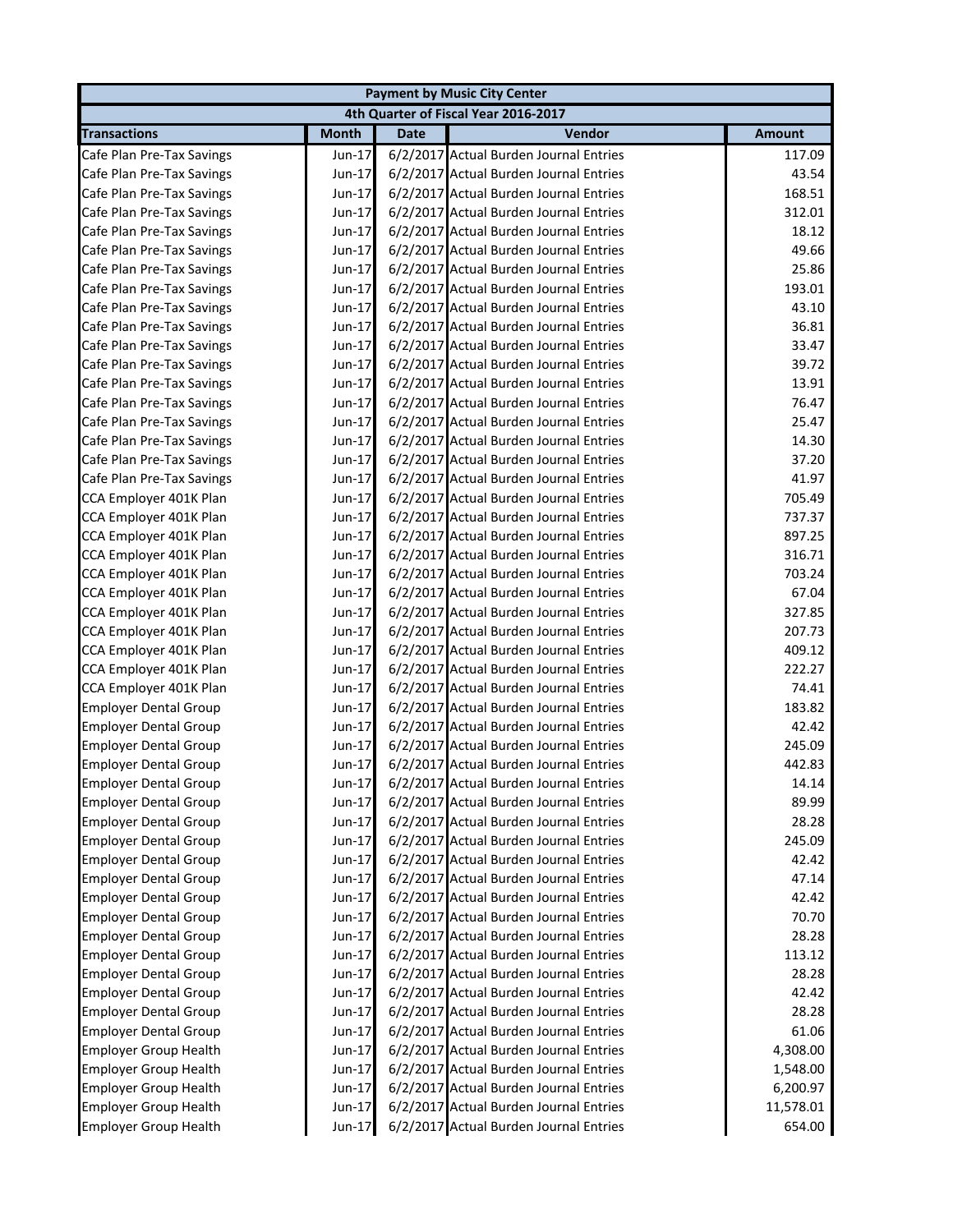|                              |              |             | <b>Payment by Music City Center</b>    |               |
|------------------------------|--------------|-------------|----------------------------------------|---------------|
|                              |              |             | 4th Quarter of Fiscal Year 2016-2017   |               |
| <b>Transactions</b>          | <b>Month</b> | <b>Date</b> | Vendor                                 | <b>Amount</b> |
| Cafe Plan Pre-Tax Savings    | Jun-17       |             | 6/2/2017 Actual Burden Journal Entries | 117.09        |
| Cafe Plan Pre-Tax Savings    | Jun-17       |             | 6/2/2017 Actual Burden Journal Entries | 43.54         |
| Cafe Plan Pre-Tax Savings    | $Jun-17$     |             | 6/2/2017 Actual Burden Journal Entries | 168.51        |
| Cafe Plan Pre-Tax Savings    | Jun-17       |             | 6/2/2017 Actual Burden Journal Entries | 312.01        |
| Cafe Plan Pre-Tax Savings    | Jun-17       |             | 6/2/2017 Actual Burden Journal Entries | 18.12         |
| Cafe Plan Pre-Tax Savings    | Jun-17       |             | 6/2/2017 Actual Burden Journal Entries | 49.66         |
| Cafe Plan Pre-Tax Savings    | $Jun-17$     |             | 6/2/2017 Actual Burden Journal Entries | 25.86         |
| Cafe Plan Pre-Tax Savings    | Jun-17       |             | 6/2/2017 Actual Burden Journal Entries | 193.01        |
| Cafe Plan Pre-Tax Savings    | Jun-17       |             | 6/2/2017 Actual Burden Journal Entries | 43.10         |
| Cafe Plan Pre-Tax Savings    | Jun-17       |             | 6/2/2017 Actual Burden Journal Entries | 36.81         |
| Cafe Plan Pre-Tax Savings    | Jun-17       |             | 6/2/2017 Actual Burden Journal Entries | 33.47         |
| Cafe Plan Pre-Tax Savings    | Jun-17       |             | 6/2/2017 Actual Burden Journal Entries | 39.72         |
| Cafe Plan Pre-Tax Savings    | Jun-17       |             | 6/2/2017 Actual Burden Journal Entries | 13.91         |
| Cafe Plan Pre-Tax Savings    | Jun-17       |             | 6/2/2017 Actual Burden Journal Entries | 76.47         |
| Cafe Plan Pre-Tax Savings    | Jun-17       |             | 6/2/2017 Actual Burden Journal Entries | 25.47         |
| Cafe Plan Pre-Tax Savings    | $Jun-17$     |             | 6/2/2017 Actual Burden Journal Entries | 14.30         |
| Cafe Plan Pre-Tax Savings    | Jun-17       |             | 6/2/2017 Actual Burden Journal Entries | 37.20         |
| Cafe Plan Pre-Tax Savings    | Jun-17       |             | 6/2/2017 Actual Burden Journal Entries | 41.97         |
| CCA Employer 401K Plan       | Jun-17       |             | 6/2/2017 Actual Burden Journal Entries | 705.49        |
| CCA Employer 401K Plan       | Jun-17       |             | 6/2/2017 Actual Burden Journal Entries | 737.37        |
| CCA Employer 401K Plan       | Jun-17       |             | 6/2/2017 Actual Burden Journal Entries | 897.25        |
| CCA Employer 401K Plan       | Jun-17       |             | 6/2/2017 Actual Burden Journal Entries | 316.71        |
| CCA Employer 401K Plan       | Jun-17       |             | 6/2/2017 Actual Burden Journal Entries | 703.24        |
| CCA Employer 401K Plan       | Jun-17       |             | 6/2/2017 Actual Burden Journal Entries | 67.04         |
| CCA Employer 401K Plan       | Jun-17       |             | 6/2/2017 Actual Burden Journal Entries | 327.85        |
| CCA Employer 401K Plan       | Jun-17       |             | 6/2/2017 Actual Burden Journal Entries | 207.73        |
| CCA Employer 401K Plan       | Jun-17       |             | 6/2/2017 Actual Burden Journal Entries | 409.12        |
| CCA Employer 401K Plan       | Jun-17       |             | 6/2/2017 Actual Burden Journal Entries | 222.27        |
| CCA Employer 401K Plan       | Jun-17       |             | 6/2/2017 Actual Burden Journal Entries | 74.41         |
| <b>Employer Dental Group</b> | $Jun-17$     |             | 6/2/2017 Actual Burden Journal Entries | 183.82        |
| <b>Employer Dental Group</b> | Jun-17       |             | 6/2/2017 Actual Burden Journal Entries | 42.42         |
| <b>Employer Dental Group</b> | Jun-17       |             | 6/2/2017 Actual Burden Journal Entries | 245.09        |
| <b>Employer Dental Group</b> | Jun-17       |             | 6/2/2017 Actual Burden Journal Entries | 442.83        |
| <b>Employer Dental Group</b> | Jun-17       |             | 6/2/2017 Actual Burden Journal Entries | 14.14         |
| <b>Employer Dental Group</b> | Jun-17       |             | 6/2/2017 Actual Burden Journal Entries | 89.99         |
| <b>Employer Dental Group</b> | Jun-17       |             | 6/2/2017 Actual Burden Journal Entries | 28.28         |
| <b>Employer Dental Group</b> | Jun-17       |             | 6/2/2017 Actual Burden Journal Entries | 245.09        |
| <b>Employer Dental Group</b> | Jun-17       |             | 6/2/2017 Actual Burden Journal Entries | 42.42         |
| <b>Employer Dental Group</b> | Jun-17       |             | 6/2/2017 Actual Burden Journal Entries | 47.14         |
| <b>Employer Dental Group</b> | Jun-17       |             | 6/2/2017 Actual Burden Journal Entries | 42.42         |
| <b>Employer Dental Group</b> | Jun-17       |             | 6/2/2017 Actual Burden Journal Entries | 70.70         |
| <b>Employer Dental Group</b> | Jun-17       |             | 6/2/2017 Actual Burden Journal Entries | 28.28         |
| <b>Employer Dental Group</b> | Jun-17       |             | 6/2/2017 Actual Burden Journal Entries | 113.12        |
| <b>Employer Dental Group</b> | Jun-17       |             | 6/2/2017 Actual Burden Journal Entries | 28.28         |
| <b>Employer Dental Group</b> | Jun-17       |             | 6/2/2017 Actual Burden Journal Entries | 42.42         |
| <b>Employer Dental Group</b> | Jun-17       |             | 6/2/2017 Actual Burden Journal Entries | 28.28         |
| <b>Employer Dental Group</b> | Jun-17       |             | 6/2/2017 Actual Burden Journal Entries | 61.06         |
| <b>Employer Group Health</b> | Jun-17       |             | 6/2/2017 Actual Burden Journal Entries | 4,308.00      |
| <b>Employer Group Health</b> | Jun-17       |             | 6/2/2017 Actual Burden Journal Entries | 1,548.00      |
| <b>Employer Group Health</b> | Jun-17       |             | 6/2/2017 Actual Burden Journal Entries | 6,200.97      |
| <b>Employer Group Health</b> | Jun-17       |             | 6/2/2017 Actual Burden Journal Entries | 11,578.01     |
| <b>Employer Group Health</b> | Jun-17       |             | 6/2/2017 Actual Burden Journal Entries | 654.00        |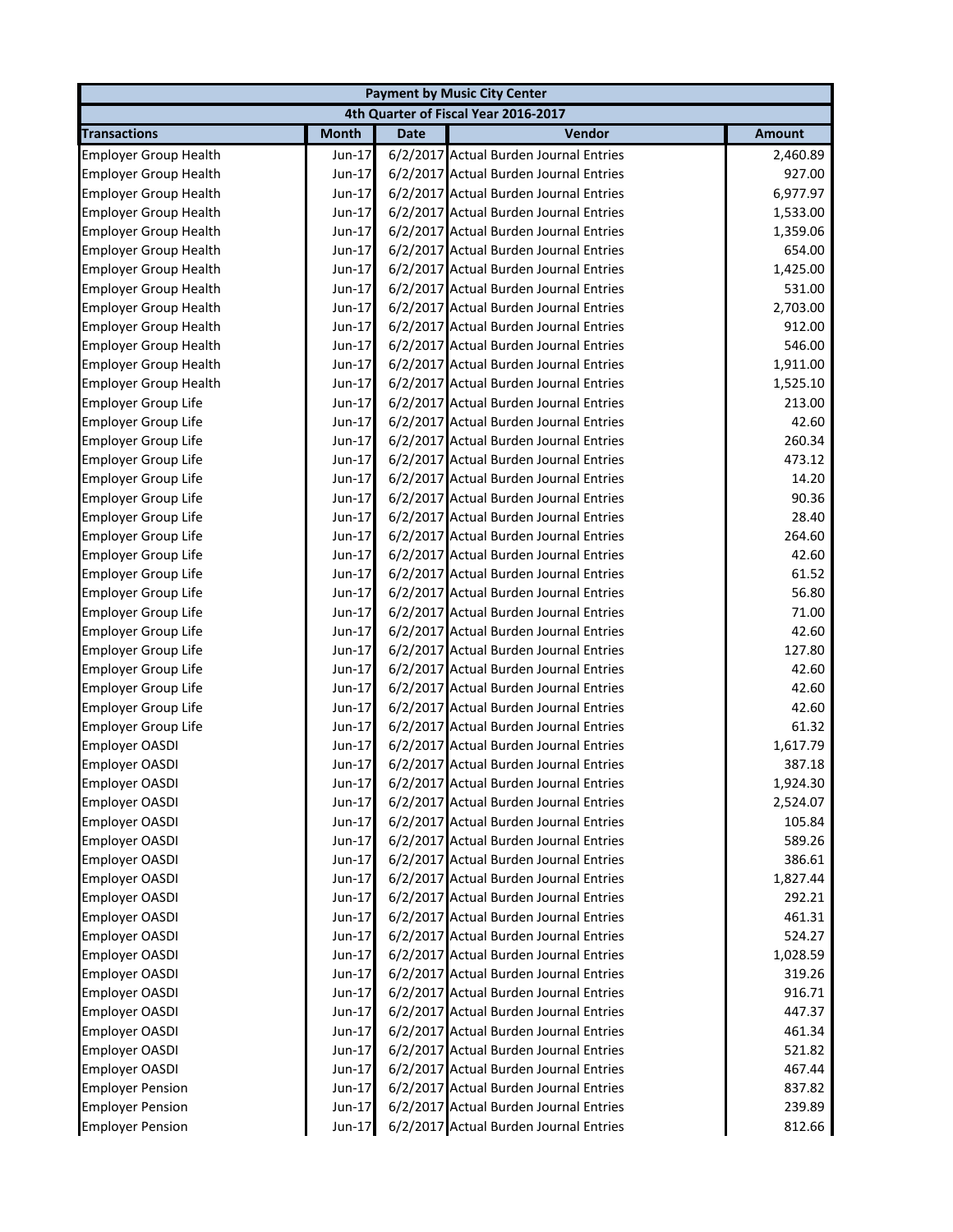|                              |              |             | <b>Payment by Music City Center</b>    |               |
|------------------------------|--------------|-------------|----------------------------------------|---------------|
|                              |              |             | 4th Quarter of Fiscal Year 2016-2017   |               |
| <b>Transactions</b>          | <b>Month</b> | <b>Date</b> | Vendor                                 | <b>Amount</b> |
| <b>Employer Group Health</b> | Jun-17       |             | 6/2/2017 Actual Burden Journal Entries | 2,460.89      |
| <b>Employer Group Health</b> | Jun-17       |             | 6/2/2017 Actual Burden Journal Entries | 927.00        |
| <b>Employer Group Health</b> | Jun-17       |             | 6/2/2017 Actual Burden Journal Entries | 6,977.97      |
| <b>Employer Group Health</b> | Jun-17       |             | 6/2/2017 Actual Burden Journal Entries | 1,533.00      |
| <b>Employer Group Health</b> | Jun-17       |             | 6/2/2017 Actual Burden Journal Entries | 1,359.06      |
| <b>Employer Group Health</b> | Jun-17       |             | 6/2/2017 Actual Burden Journal Entries | 654.00        |
| <b>Employer Group Health</b> | Jun-17       |             | 6/2/2017 Actual Burden Journal Entries | 1,425.00      |
| <b>Employer Group Health</b> | Jun-17       |             | 6/2/2017 Actual Burden Journal Entries | 531.00        |
| <b>Employer Group Health</b> | Jun-17       |             | 6/2/2017 Actual Burden Journal Entries | 2,703.00      |
| <b>Employer Group Health</b> | Jun-17       |             | 6/2/2017 Actual Burden Journal Entries | 912.00        |
| <b>Employer Group Health</b> | Jun-17       |             | 6/2/2017 Actual Burden Journal Entries | 546.00        |
| <b>Employer Group Health</b> | Jun-17       |             | 6/2/2017 Actual Burden Journal Entries | 1,911.00      |
| <b>Employer Group Health</b> | $Jun-17$     |             | 6/2/2017 Actual Burden Journal Entries | 1,525.10      |
| <b>Employer Group Life</b>   | $Jun-17$     |             | 6/2/2017 Actual Burden Journal Entries | 213.00        |
| <b>Employer Group Life</b>   | $Jun-17$     |             | 6/2/2017 Actual Burden Journal Entries | 42.60         |
| <b>Employer Group Life</b>   | Jun-17       |             | 6/2/2017 Actual Burden Journal Entries | 260.34        |
| <b>Employer Group Life</b>   | $Jun-17$     |             | 6/2/2017 Actual Burden Journal Entries | 473.12        |
| <b>Employer Group Life</b>   | Jun-17       |             | 6/2/2017 Actual Burden Journal Entries | 14.20         |
| Employer Group Life          | Jun-17       |             | 6/2/2017 Actual Burden Journal Entries | 90.36         |
| <b>Employer Group Life</b>   | Jun-17       |             | 6/2/2017 Actual Burden Journal Entries | 28.40         |
| <b>Employer Group Life</b>   | Jun-17       |             | 6/2/2017 Actual Burden Journal Entries | 264.60        |
| Employer Group Life          | Jun-17       |             | 6/2/2017 Actual Burden Journal Entries | 42.60         |
| <b>Employer Group Life</b>   | Jun-17       |             | 6/2/2017 Actual Burden Journal Entries | 61.52         |
| <b>Employer Group Life</b>   | Jun-17       |             | 6/2/2017 Actual Burden Journal Entries | 56.80         |
| <b>Employer Group Life</b>   | Jun-17       |             | 6/2/2017 Actual Burden Journal Entries | 71.00         |
| <b>Employer Group Life</b>   | Jun-17       |             | 6/2/2017 Actual Burden Journal Entries | 42.60         |
| <b>Employer Group Life</b>   | Jun-17       |             | 6/2/2017 Actual Burden Journal Entries | 127.80        |
| Employer Group Life          | Jun-17       |             | 6/2/2017 Actual Burden Journal Entries | 42.60         |
| Employer Group Life          | Jun-17       |             | 6/2/2017 Actual Burden Journal Entries | 42.60         |
| Employer Group Life          | Jun-17       |             | 6/2/2017 Actual Burden Journal Entries | 42.60         |
| <b>Employer Group Life</b>   | Jun-17       |             | 6/2/2017 Actual Burden Journal Entries | 61.32         |
| <b>Employer OASDI</b>        | Jun-17       |             | 6/2/2017 Actual Burden Journal Entries | 1,617.79      |
| <b>Employer OASDI</b>        | Jun-17       |             | 6/2/2017 Actual Burden Journal Entries | 387.18        |
| <b>Employer OASDI</b>        | Jun-17       |             | 6/2/2017 Actual Burden Journal Entries | 1,924.30      |
| <b>Employer OASDI</b>        | Jun-17       |             | 6/2/2017 Actual Burden Journal Entries | 2,524.07      |
| Employer OASDI               | Jun-17       |             | 6/2/2017 Actual Burden Journal Entries | 105.84        |
| <b>Employer OASDI</b>        | Jun-17       |             | 6/2/2017 Actual Burden Journal Entries | 589.26        |
| <b>Employer OASDI</b>        | Jun-17       |             | 6/2/2017 Actual Burden Journal Entries | 386.61        |
| <b>Employer OASDI</b>        | Jun-17       |             | 6/2/2017 Actual Burden Journal Entries | 1,827.44      |
| Employer OASDI               | Jun-17       |             | 6/2/2017 Actual Burden Journal Entries | 292.21        |
| Employer OASDI               | $Jun-17$     |             | 6/2/2017 Actual Burden Journal Entries | 461.31        |
| Employer OASDI               | Jun-17       |             | 6/2/2017 Actual Burden Journal Entries | 524.27        |
| Employer OASDI               | Jun-17       |             | 6/2/2017 Actual Burden Journal Entries | 1,028.59      |
| <b>Employer OASDI</b>        | Jun-17       |             | 6/2/2017 Actual Burden Journal Entries | 319.26        |
| Employer OASDI               | Jun-17       |             | 6/2/2017 Actual Burden Journal Entries | 916.71        |
| Employer OASDI               | Jun-17       |             | 6/2/2017 Actual Burden Journal Entries | 447.37        |
| Employer OASDI               | Jun-17       |             | 6/2/2017 Actual Burden Journal Entries | 461.34        |
| Employer OASDI               | Jun-17       |             | 6/2/2017 Actual Burden Journal Entries | 521.82        |
| <b>Employer OASDI</b>        | Jun-17       |             | 6/2/2017 Actual Burden Journal Entries | 467.44        |
| <b>Employer Pension</b>      | Jun-17       |             | 6/2/2017 Actual Burden Journal Entries | 837.82        |
| <b>Employer Pension</b>      | Jun-17       |             | 6/2/2017 Actual Burden Journal Entries | 239.89        |
| <b>Employer Pension</b>      | Jun-17       |             | 6/2/2017 Actual Burden Journal Entries | 812.66        |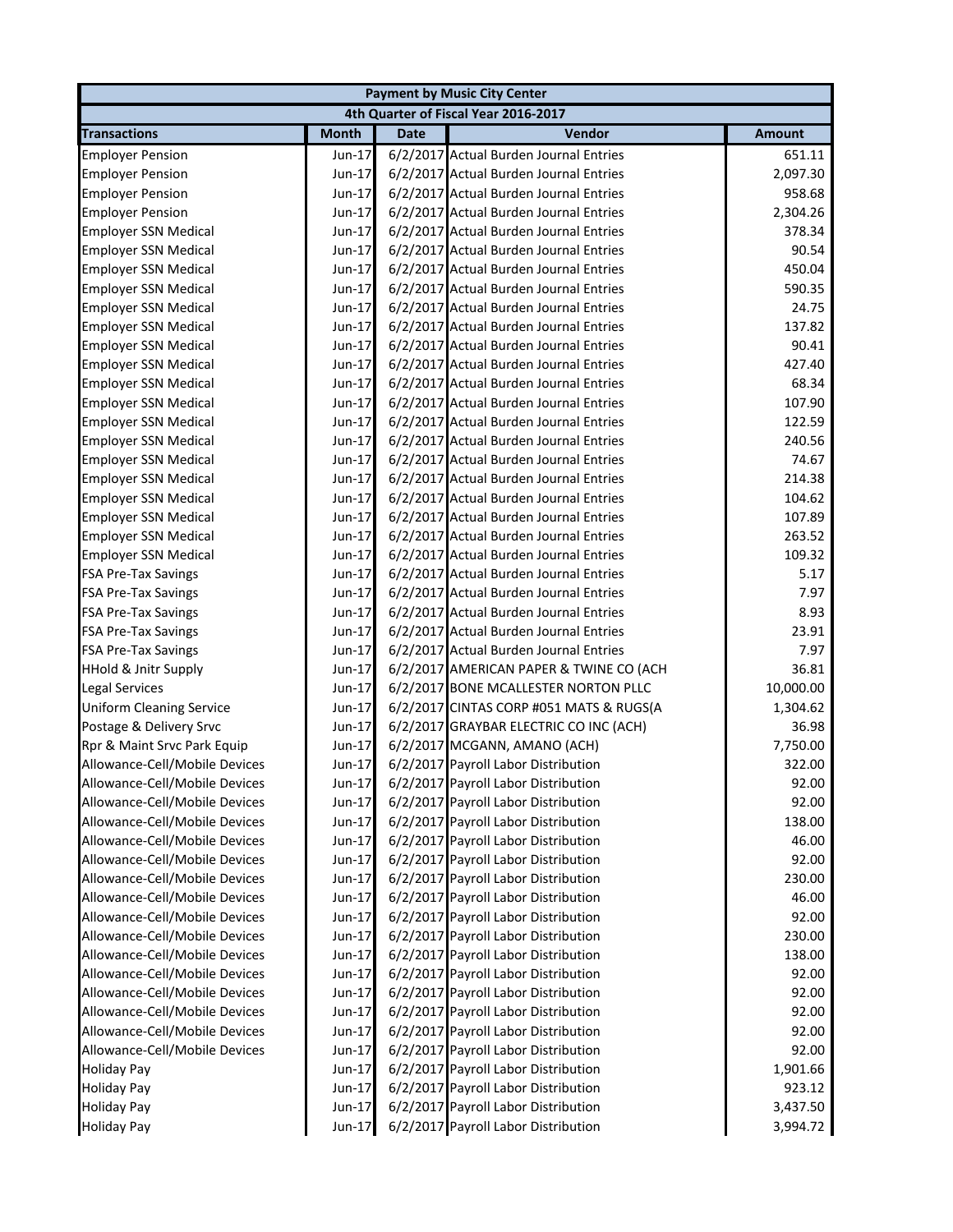|                                 |              |             | <b>Payment by Music City Center</b>     |               |
|---------------------------------|--------------|-------------|-----------------------------------------|---------------|
|                                 |              |             | 4th Quarter of Fiscal Year 2016-2017    |               |
| <b>Transactions</b>             | <b>Month</b> | <b>Date</b> | Vendor                                  | <b>Amount</b> |
| <b>Employer Pension</b>         | Jun-17       |             | 6/2/2017 Actual Burden Journal Entries  | 651.11        |
| <b>Employer Pension</b>         | Jun-17       |             | 6/2/2017 Actual Burden Journal Entries  | 2,097.30      |
| <b>Employer Pension</b>         | $Jun-17$     |             | 6/2/2017 Actual Burden Journal Entries  | 958.68        |
| <b>Employer Pension</b>         | Jun-17       |             | 6/2/2017 Actual Burden Journal Entries  | 2,304.26      |
| <b>Employer SSN Medical</b>     | Jun-17       |             | 6/2/2017 Actual Burden Journal Entries  | 378.34        |
| <b>Employer SSN Medical</b>     | Jun-17       |             | 6/2/2017 Actual Burden Journal Entries  | 90.54         |
| <b>Employer SSN Medical</b>     | Jun-17       |             | 6/2/2017 Actual Burden Journal Entries  | 450.04        |
| <b>Employer SSN Medical</b>     | Jun-17       |             | 6/2/2017 Actual Burden Journal Entries  | 590.35        |
| <b>Employer SSN Medical</b>     | Jun-17       |             | 6/2/2017 Actual Burden Journal Entries  | 24.75         |
| <b>Employer SSN Medical</b>     | Jun-17       |             | 6/2/2017 Actual Burden Journal Entries  | 137.82        |
| <b>Employer SSN Medical</b>     | Jun-17       |             | 6/2/2017 Actual Burden Journal Entries  | 90.41         |
| <b>Employer SSN Medical</b>     | Jun-17       |             | 6/2/2017 Actual Burden Journal Entries  | 427.40        |
| <b>Employer SSN Medical</b>     | Jun-17       |             | 6/2/2017 Actual Burden Journal Entries  | 68.34         |
| <b>Employer SSN Medical</b>     | Jun-17       |             | 6/2/2017 Actual Burden Journal Entries  | 107.90        |
| <b>Employer SSN Medical</b>     | $Jun-17$     |             | 6/2/2017 Actual Burden Journal Entries  | 122.59        |
| <b>Employer SSN Medical</b>     | Jun-17       |             | 6/2/2017 Actual Burden Journal Entries  | 240.56        |
| <b>Employer SSN Medical</b>     | Jun-17       |             | 6/2/2017 Actual Burden Journal Entries  | 74.67         |
| <b>Employer SSN Medical</b>     | Jun-17       |             | 6/2/2017 Actual Burden Journal Entries  | 214.38        |
| <b>Employer SSN Medical</b>     | Jun-17       |             | 6/2/2017 Actual Burden Journal Entries  | 104.62        |
| <b>Employer SSN Medical</b>     | Jun-17       |             | 6/2/2017 Actual Burden Journal Entries  | 107.89        |
| <b>Employer SSN Medical</b>     | Jun-17       |             | 6/2/2017 Actual Burden Journal Entries  | 263.52        |
| <b>Employer SSN Medical</b>     | Jun-17       |             | 6/2/2017 Actual Burden Journal Entries  | 109.32        |
| <b>FSA Pre-Tax Savings</b>      | Jun-17       |             | 6/2/2017 Actual Burden Journal Entries  | 5.17          |
| <b>FSA Pre-Tax Savings</b>      | Jun-17       |             | 6/2/2017 Actual Burden Journal Entries  | 7.97          |
| <b>FSA Pre-Tax Savings</b>      | Jun-17       |             | 6/2/2017 Actual Burden Journal Entries  | 8.93          |
| <b>FSA Pre-Tax Savings</b>      | Jun-17       |             | 6/2/2017 Actual Burden Journal Entries  | 23.91         |
| <b>FSA Pre-Tax Savings</b>      | Jun-17       |             | 6/2/2017 Actual Burden Journal Entries  | 7.97          |
| <b>HHold &amp; Jnitr Supply</b> | Jun-17       |             | 6/2/2017 AMERICAN PAPER & TWINE CO (ACH | 36.81         |
| <b>Legal Services</b>           | Jun-17       |             | 6/2/2017 BONE MCALLESTER NORTON PLLC    | 10,000.00     |
| <b>Uniform Cleaning Service</b> | Jun-17       |             | 6/2/2017 CINTAS CORP #051 MATS & RUGS(A | 1,304.62      |
| Postage & Delivery Srvc         | Jun-17       |             | 6/2/2017 GRAYBAR ELECTRIC CO INC (ACH)  | 36.98         |
| Rpr & Maint Srvc Park Equip     | Jun-17       |             | 6/2/2017 MCGANN, AMANO (ACH)            | 7,750.00      |
| Allowance-Cell/Mobile Devices   | Jun-17       |             | 6/2/2017 Payroll Labor Distribution     | 322.00        |
| Allowance-Cell/Mobile Devices   | Jun-17       |             | 6/2/2017 Payroll Labor Distribution     | 92.00         |
| Allowance-Cell/Mobile Devices   | Jun-17       |             | 6/2/2017 Payroll Labor Distribution     | 92.00         |
| Allowance-Cell/Mobile Devices   | Jun-17       |             | 6/2/2017 Payroll Labor Distribution     | 138.00        |
| Allowance-Cell/Mobile Devices   | Jun-17       |             | 6/2/2017 Payroll Labor Distribution     | 46.00         |
| Allowance-Cell/Mobile Devices   | Jun-17       |             | 6/2/2017 Payroll Labor Distribution     | 92.00         |
| Allowance-Cell/Mobile Devices   | $Jun-17$     |             | 6/2/2017 Payroll Labor Distribution     | 230.00        |
| Allowance-Cell/Mobile Devices   | Jun-17       |             | 6/2/2017 Payroll Labor Distribution     | 46.00         |
| Allowance-Cell/Mobile Devices   | Jun-17       |             | 6/2/2017 Payroll Labor Distribution     | 92.00         |
| Allowance-Cell/Mobile Devices   | Jun-17       |             | 6/2/2017 Payroll Labor Distribution     | 230.00        |
| Allowance-Cell/Mobile Devices   | Jun-17       |             | 6/2/2017 Payroll Labor Distribution     | 138.00        |
| Allowance-Cell/Mobile Devices   | Jun-17       |             | 6/2/2017 Payroll Labor Distribution     | 92.00         |
| Allowance-Cell/Mobile Devices   | Jun-17       |             | 6/2/2017 Payroll Labor Distribution     | 92.00         |
| Allowance-Cell/Mobile Devices   | Jun-17       |             | 6/2/2017 Payroll Labor Distribution     | 92.00         |
| Allowance-Cell/Mobile Devices   | Jun-17       |             | 6/2/2017 Payroll Labor Distribution     | 92.00         |
| Allowance-Cell/Mobile Devices   | Jun-17       |             | 6/2/2017 Payroll Labor Distribution     | 92.00         |
| <b>Holiday Pay</b>              | Jun-17       |             | 6/2/2017 Payroll Labor Distribution     | 1,901.66      |
| <b>Holiday Pay</b>              | Jun-17       |             | 6/2/2017 Payroll Labor Distribution     | 923.12        |
| <b>Holiday Pay</b>              | Jun-17       |             | 6/2/2017 Payroll Labor Distribution     | 3,437.50      |
| <b>Holiday Pay</b>              | Jun-17       |             | 6/2/2017 Payroll Labor Distribution     | 3,994.72      |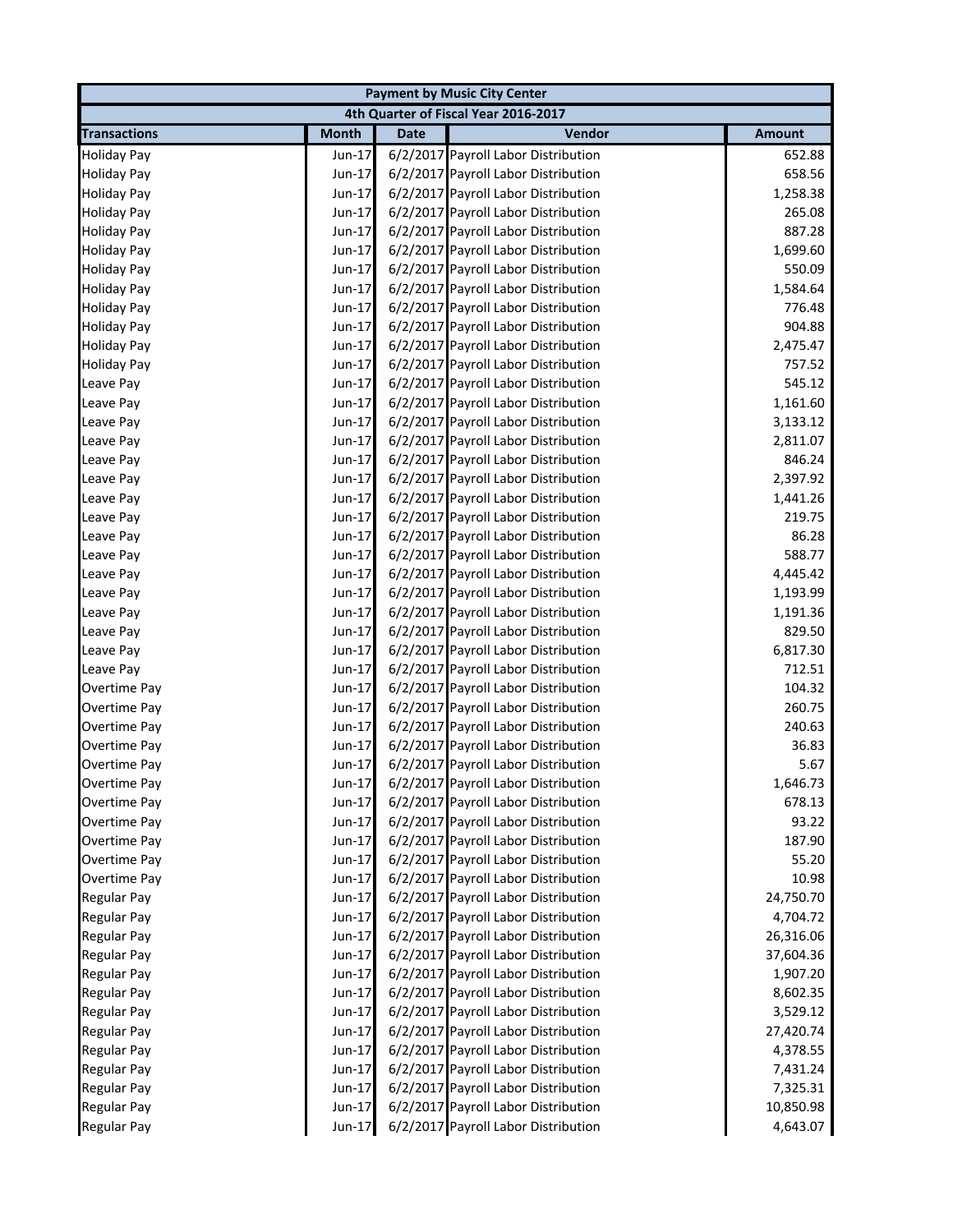|                     |                                      |             | <b>Payment by Music City Center</b> |               |  |  |
|---------------------|--------------------------------------|-------------|-------------------------------------|---------------|--|--|
|                     | 4th Quarter of Fiscal Year 2016-2017 |             |                                     |               |  |  |
| <b>Transactions</b> | <b>Month</b>                         | <b>Date</b> | Vendor                              | <b>Amount</b> |  |  |
| <b>Holiday Pay</b>  | Jun-17                               |             | 6/2/2017 Payroll Labor Distribution | 652.88        |  |  |
| <b>Holiday Pay</b>  | Jun-17                               |             | 6/2/2017 Payroll Labor Distribution | 658.56        |  |  |
| <b>Holiday Pay</b>  | $Jun-17$                             |             | 6/2/2017 Payroll Labor Distribution | 1,258.38      |  |  |
| <b>Holiday Pay</b>  | Jun-17                               |             | 6/2/2017 Payroll Labor Distribution | 265.08        |  |  |
| <b>Holiday Pay</b>  | Jun-17                               |             | 6/2/2017 Payroll Labor Distribution | 887.28        |  |  |
| <b>Holiday Pay</b>  | Jun-17                               |             | 6/2/2017 Payroll Labor Distribution | 1,699.60      |  |  |
| <b>Holiday Pay</b>  | Jun-17                               |             | 6/2/2017 Payroll Labor Distribution | 550.09        |  |  |
| <b>Holiday Pay</b>  | Jun-17                               |             | 6/2/2017 Payroll Labor Distribution | 1,584.64      |  |  |
| <b>Holiday Pay</b>  | Jun-17                               |             | 6/2/2017 Payroll Labor Distribution | 776.48        |  |  |
| <b>Holiday Pay</b>  | Jun-17                               |             | 6/2/2017 Payroll Labor Distribution | 904.88        |  |  |
| <b>Holiday Pay</b>  | $Jun-17$                             |             | 6/2/2017 Payroll Labor Distribution | 2,475.47      |  |  |
| <b>Holiday Pay</b>  | Jun-17                               |             | 6/2/2017 Payroll Labor Distribution | 757.52        |  |  |
| Leave Pay           | Jun-17                               |             | 6/2/2017 Payroll Labor Distribution | 545.12        |  |  |
| Leave Pay           | Jun-17                               |             | 6/2/2017 Payroll Labor Distribution | 1,161.60      |  |  |
| Leave Pay           | Jun-17                               |             | 6/2/2017 Payroll Labor Distribution | 3,133.12      |  |  |
| Leave Pay           | Jun-17                               |             | 6/2/2017 Payroll Labor Distribution | 2,811.07      |  |  |
| Leave Pav           | Jun-17                               |             | 6/2/2017 Payroll Labor Distribution | 846.24        |  |  |
| Leave Pay           | Jun-17                               |             | 6/2/2017 Payroll Labor Distribution | 2,397.92      |  |  |
| Leave Pay           | Jun-17                               |             | 6/2/2017 Payroll Labor Distribution | 1,441.26      |  |  |
| Leave Pay           | $Jun-17$                             |             | 6/2/2017 Payroll Labor Distribution | 219.75        |  |  |
| Leave Pay           | Jun-17                               |             | 6/2/2017 Payroll Labor Distribution | 86.28         |  |  |
| Leave Pay           | Jun-17                               |             | 6/2/2017 Payroll Labor Distribution | 588.77        |  |  |
| Leave Pay           | Jun-17                               |             | 6/2/2017 Payroll Labor Distribution | 4,445.42      |  |  |
| Leave Pay           | Jun-17                               |             | 6/2/2017 Payroll Labor Distribution | 1,193.99      |  |  |
| Leave Pay           | Jun-17                               |             | 6/2/2017 Payroll Labor Distribution | 1,191.36      |  |  |
| Leave Pay           | Jun-17                               |             | 6/2/2017 Payroll Labor Distribution | 829.50        |  |  |
| Leave Pay           | Jun-17                               |             | 6/2/2017 Payroll Labor Distribution | 6,817.30      |  |  |
| Leave Pay           | Jun-17                               |             | 6/2/2017 Payroll Labor Distribution | 712.51        |  |  |
| Overtime Pay        | Jun-17                               |             | 6/2/2017 Payroll Labor Distribution | 104.32        |  |  |
| Overtime Pay        | Jun-17                               |             | 6/2/2017 Payroll Labor Distribution | 260.75        |  |  |
| Overtime Pay        | Jun-17                               |             | 6/2/2017 Payroll Labor Distribution | 240.63        |  |  |
| Overtime Pay        | Jun-17                               |             | 6/2/2017 Payroll Labor Distribution | 36.83         |  |  |
| Overtime Pay        | Jun-17                               |             | 6/2/2017 Payroll Labor Distribution | 5.67          |  |  |
| Overtime Pay        | Jun-17                               |             | 6/2/2017 Payroll Labor Distribution | 1,646.73      |  |  |
| Overtime Pay        | Jun-17                               |             | 6/2/2017 Payroll Labor Distribution | 678.13        |  |  |
| Overtime Pay        | Jun-17                               |             | 6/2/2017 Payroll Labor Distribution | 93.22         |  |  |
| Overtime Pay        | Jun-17                               |             | 6/2/2017 Payroll Labor Distribution | 187.90        |  |  |
| Overtime Pay        | Jun-17                               |             | 6/2/2017 Payroll Labor Distribution | 55.20         |  |  |
| Overtime Pay        | Jun-17                               |             | 6/2/2017 Payroll Labor Distribution | 10.98         |  |  |
| Regular Pay         | Jun-17                               |             | 6/2/2017 Payroll Labor Distribution | 24,750.70     |  |  |
| Regular Pay         | Jun-17                               |             | 6/2/2017 Payroll Labor Distribution | 4,704.72      |  |  |
| Regular Pay         | Jun-17                               |             | 6/2/2017 Payroll Labor Distribution | 26,316.06     |  |  |
| <b>Regular Pay</b>  | Jun-17                               |             | 6/2/2017 Payroll Labor Distribution | 37,604.36     |  |  |
| <b>Regular Pay</b>  | $Jun-17$                             |             | 6/2/2017 Payroll Labor Distribution | 1,907.20      |  |  |
| <b>Regular Pay</b>  | Jun-17                               |             | 6/2/2017 Payroll Labor Distribution | 8,602.35      |  |  |
| <b>Regular Pay</b>  | Jun-17                               |             | 6/2/2017 Payroll Labor Distribution | 3,529.12      |  |  |
| <b>Regular Pay</b>  | Jun-17                               |             | 6/2/2017 Payroll Labor Distribution | 27,420.74     |  |  |
| <b>Regular Pay</b>  | Jun-17                               |             | 6/2/2017 Payroll Labor Distribution | 4,378.55      |  |  |
| <b>Regular Pay</b>  | Jun-17                               |             | 6/2/2017 Payroll Labor Distribution | 7,431.24      |  |  |
| <b>Regular Pay</b>  | Jun-17                               |             | 6/2/2017 Payroll Labor Distribution | 7,325.31      |  |  |
| <b>Regular Pay</b>  | Jun-17                               |             | 6/2/2017 Payroll Labor Distribution | 10,850.98     |  |  |
|                     |                                      |             |                                     |               |  |  |
| Regular Pay         | Jun-17                               |             | 6/2/2017 Payroll Labor Distribution | 4,643.07      |  |  |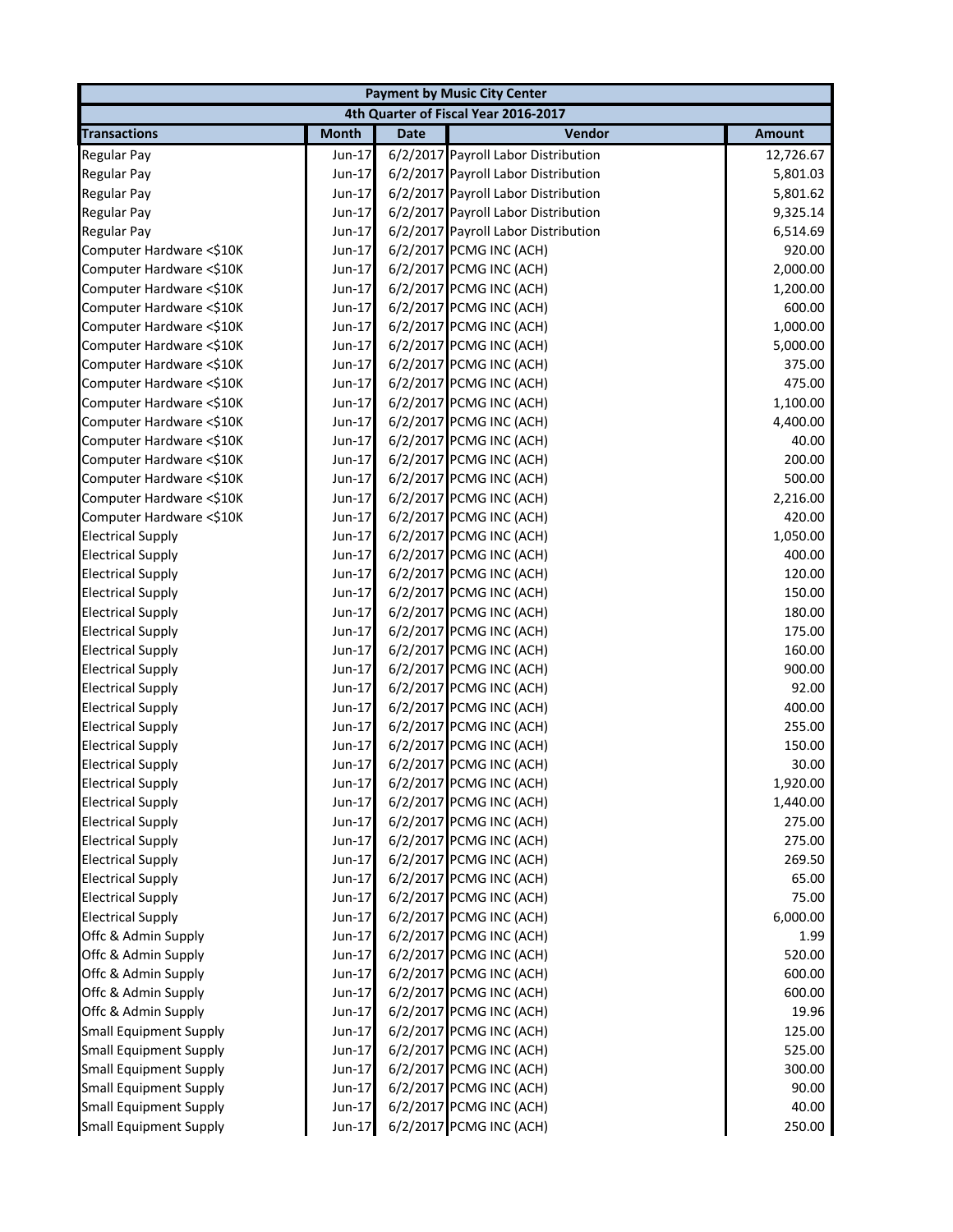|                               | <b>Payment by Music City Center</b>  |             |                                     |               |  |  |
|-------------------------------|--------------------------------------|-------------|-------------------------------------|---------------|--|--|
|                               | 4th Quarter of Fiscal Year 2016-2017 |             |                                     |               |  |  |
| <b>Transactions</b>           | <b>Month</b>                         | <b>Date</b> | Vendor                              | <b>Amount</b> |  |  |
| Regular Pay                   | Jun-17                               |             | 6/2/2017 Payroll Labor Distribution | 12,726.67     |  |  |
| Regular Pay                   | Jun-17                               |             | 6/2/2017 Payroll Labor Distribution | 5,801.03      |  |  |
| <b>Regular Pay</b>            | Jun-17                               |             | 6/2/2017 Payroll Labor Distribution | 5,801.62      |  |  |
| Regular Pay                   | Jun-17                               |             | 6/2/2017 Payroll Labor Distribution | 9,325.14      |  |  |
| Regular Pay                   | Jun-17                               |             | 6/2/2017 Payroll Labor Distribution | 6,514.69      |  |  |
| Computer Hardware <\$10K      | Jun-17                               |             | 6/2/2017 PCMG INC (ACH)             | 920.00        |  |  |
| Computer Hardware <\$10K      | Jun-17                               |             | 6/2/2017 PCMG INC (ACH)             | 2,000.00      |  |  |
| Computer Hardware <\$10K      | Jun-17                               |             | 6/2/2017 PCMG INC (ACH)             | 1,200.00      |  |  |
| Computer Hardware <\$10K      | Jun-17                               |             | 6/2/2017 PCMG INC (ACH)             | 600.00        |  |  |
| Computer Hardware <\$10K      | Jun-17                               |             | 6/2/2017 PCMG INC (ACH)             | 1,000.00      |  |  |
| Computer Hardware <\$10K      | Jun-17                               |             | 6/2/2017 PCMG INC (ACH)             | 5,000.00      |  |  |
| Computer Hardware <\$10K      | Jun-17                               |             | 6/2/2017 PCMG INC (ACH)             | 375.00        |  |  |
| Computer Hardware <\$10K      | Jun-17                               |             | 6/2/2017 PCMG INC (ACH)             | 475.00        |  |  |
| Computer Hardware <\$10K      | Jun-17                               |             | 6/2/2017 PCMG INC (ACH)             | 1,100.00      |  |  |
| Computer Hardware <\$10K      | Jun-17                               |             | 6/2/2017 PCMG INC (ACH)             | 4,400.00      |  |  |
| Computer Hardware <\$10K      | Jun-17                               |             | 6/2/2017 PCMG INC (ACH)             | 40.00         |  |  |
| Computer Hardware <\$10K      | Jun-17                               |             | 6/2/2017 PCMG INC (ACH)             | 200.00        |  |  |
| Computer Hardware <\$10K      | Jun-17                               |             | 6/2/2017 PCMG INC (ACH)             | 500.00        |  |  |
| Computer Hardware <\$10K      | Jun-17                               |             | 6/2/2017 PCMG INC (ACH)             | 2,216.00      |  |  |
| Computer Hardware <\$10K      | Jun-17                               |             | 6/2/2017 PCMG INC (ACH)             | 420.00        |  |  |
| <b>Electrical Supply</b>      | Jun-17                               |             | 6/2/2017 PCMG INC (ACH)             | 1,050.00      |  |  |
| <b>Electrical Supply</b>      | Jun-17                               |             | 6/2/2017 PCMG INC (ACH)             | 400.00        |  |  |
| <b>Electrical Supply</b>      | Jun-17                               |             | 6/2/2017 PCMG INC (ACH)             | 120.00        |  |  |
| <b>Electrical Supply</b>      | Jun-17                               |             | 6/2/2017 PCMG INC (ACH)             | 150.00        |  |  |
| <b>Electrical Supply</b>      | Jun-17                               |             | 6/2/2017 PCMG INC (ACH)             | 180.00        |  |  |
| <b>Electrical Supply</b>      | Jun-17                               |             | 6/2/2017 PCMG INC (ACH)             | 175.00        |  |  |
| <b>Electrical Supply</b>      | Jun-17                               |             | 6/2/2017 PCMG INC (ACH)             | 160.00        |  |  |
| <b>Electrical Supply</b>      | Jun-17                               |             | 6/2/2017 PCMG INC (ACH)             | 900.00        |  |  |
| <b>Electrical Supply</b>      | Jun-17                               |             | 6/2/2017 PCMG INC (ACH)             | 92.00         |  |  |
| <b>Electrical Supply</b>      | Jun-17                               |             | 6/2/2017 PCMG INC (ACH)             | 400.00        |  |  |
| <b>Electrical Supply</b>      | Jun-17                               |             | 6/2/2017 PCMG INC (ACH)             | 255.00        |  |  |
| <b>Electrical Supply</b>      | Jun-17                               |             | 6/2/2017 PCMG INC (ACH)             | 150.00        |  |  |
| <b>Electrical Supply</b>      | Jun-17                               |             | 6/2/2017 PCMG INC (ACH)             | 30.00         |  |  |
| <b>Electrical Supply</b>      | Jun-17                               |             | 6/2/2017 PCMG INC (ACH)             | 1,920.00      |  |  |
| <b>Electrical Supply</b>      | Jun-17                               |             | 6/2/2017 PCMG INC (ACH)             | 1,440.00      |  |  |
| <b>Electrical Supply</b>      | Jun-17                               |             | 6/2/2017 PCMG INC (ACH)             | 275.00        |  |  |
| <b>Electrical Supply</b>      | Jun-17                               |             | 6/2/2017 PCMG INC (ACH)             | 275.00        |  |  |
| <b>Electrical Supply</b>      | Jun-17                               |             | 6/2/2017 PCMG INC (ACH)             | 269.50        |  |  |
| <b>Electrical Supply</b>      | Jun-17                               |             | 6/2/2017 PCMG INC (ACH)             | 65.00         |  |  |
| <b>Electrical Supply</b>      | Jun-17                               |             | 6/2/2017 PCMG INC (ACH)             | 75.00         |  |  |
| <b>Electrical Supply</b>      | Jun-17                               |             | 6/2/2017 PCMG INC (ACH)             | 6,000.00      |  |  |
| Offc & Admin Supply           | Jun-17                               |             | 6/2/2017 PCMG INC (ACH)             | 1.99          |  |  |
| Offc & Admin Supply           | Jun-17                               |             | 6/2/2017 PCMG INC (ACH)             | 520.00        |  |  |
| Offc & Admin Supply           | Jun-17                               |             | 6/2/2017 PCMG INC (ACH)             | 600.00        |  |  |
| Offc & Admin Supply           | Jun-17                               |             | 6/2/2017 PCMG INC (ACH)             | 600.00        |  |  |
| Offc & Admin Supply           | Jun-17                               |             | 6/2/2017 PCMG INC (ACH)             | 19.96         |  |  |
| <b>Small Equipment Supply</b> | Jun-17                               |             | 6/2/2017 PCMG INC (ACH)             | 125.00        |  |  |
| <b>Small Equipment Supply</b> | Jun-17                               |             | 6/2/2017 PCMG INC (ACH)             | 525.00        |  |  |
| <b>Small Equipment Supply</b> | Jun-17                               |             | 6/2/2017 PCMG INC (ACH)             | 300.00        |  |  |
| <b>Small Equipment Supply</b> | Jun-17                               |             | 6/2/2017 PCMG INC (ACH)             | 90.00         |  |  |
| <b>Small Equipment Supply</b> | Jun-17                               |             | 6/2/2017 PCMG INC (ACH)             | 40.00         |  |  |
| <b>Small Equipment Supply</b> | Jun-17                               |             | 6/2/2017 PCMG INC (ACH)             | 250.00        |  |  |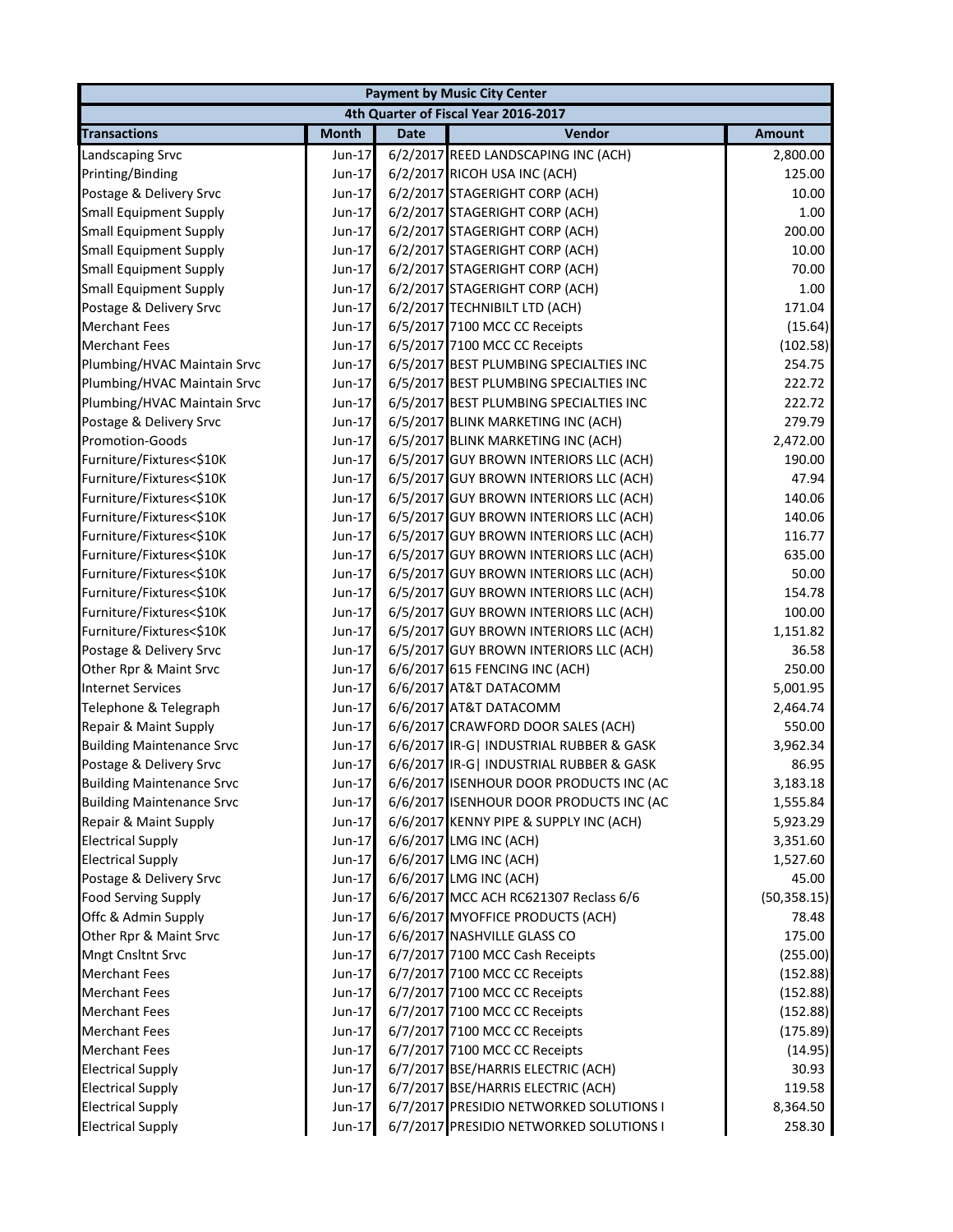|                                  |              |             | <b>Payment by Music City Center</b>      |               |
|----------------------------------|--------------|-------------|------------------------------------------|---------------|
|                                  |              |             | 4th Quarter of Fiscal Year 2016-2017     |               |
| <b>Transactions</b>              | <b>Month</b> | <b>Date</b> | Vendor                                   | <b>Amount</b> |
| Landscaping Srvc                 | Jun-17       |             | 6/2/2017 REED LANDSCAPING INC (ACH)      | 2,800.00      |
| Printing/Binding                 | Jun-17       |             | 6/2/2017 RICOH USA INC (ACH)             | 125.00        |
| Postage & Delivery Srvc          | Jun-17       |             | 6/2/2017 STAGERIGHT CORP (ACH)           | 10.00         |
| <b>Small Equipment Supply</b>    | Jun-17       |             | 6/2/2017 STAGERIGHT CORP (ACH)           | 1.00          |
| <b>Small Equipment Supply</b>    | Jun-17       |             | 6/2/2017 STAGERIGHT CORP (ACH)           | 200.00        |
| <b>Small Equipment Supply</b>    | Jun-17       |             | 6/2/2017 STAGERIGHT CORP (ACH)           | 10.00         |
| <b>Small Equipment Supply</b>    | Jun-17       |             | 6/2/2017 STAGERIGHT CORP (ACH)           | 70.00         |
| <b>Small Equipment Supply</b>    | Jun-17       |             | 6/2/2017 STAGERIGHT CORP (ACH)           | 1.00          |
| Postage & Delivery Srvc          | Jun-17       |             | 6/2/2017 TECHNIBILT LTD (ACH)            | 171.04        |
| <b>Merchant Fees</b>             | Jun-17       |             | 6/5/2017 7100 MCC CC Receipts            | (15.64)       |
| <b>Merchant Fees</b>             | Jun-17       |             | 6/5/2017 7100 MCC CC Receipts            | (102.58)      |
| Plumbing/HVAC Maintain Srvc      | Jun-17       |             | 6/5/2017 BEST PLUMBING SPECIALTIES INC   | 254.75        |
| Plumbing/HVAC Maintain Srvc      | Jun-17       |             | 6/5/2017 BEST PLUMBING SPECIALTIES INC   | 222.72        |
| Plumbing/HVAC Maintain Srvc      | Jun-17       |             | 6/5/2017 BEST PLUMBING SPECIALTIES INC   | 222.72        |
| Postage & Delivery Srvc          | Jun-17       |             | 6/5/2017 BLINK MARKETING INC (ACH)       | 279.79        |
| <b>Promotion-Goods</b>           | Jun-17       |             | 6/5/2017 BLINK MARKETING INC (ACH)       | 2,472.00      |
| Furniture/Fixtures<\$10K         | Jun-17       |             | 6/5/2017 GUY BROWN INTERIORS LLC (ACH)   | 190.00        |
| Furniture/Fixtures<\$10K         | Jun-17       |             | 6/5/2017 GUY BROWN INTERIORS LLC (ACH)   | 47.94         |
| Furniture/Fixtures<\$10K         | Jun-17       |             | 6/5/2017 GUY BROWN INTERIORS LLC (ACH)   | 140.06        |
| Furniture/Fixtures<\$10K         | Jun-17       |             | 6/5/2017 GUY BROWN INTERIORS LLC (ACH)   | 140.06        |
| Furniture/Fixtures<\$10K         | Jun-17       |             | 6/5/2017 GUY BROWN INTERIORS LLC (ACH)   | 116.77        |
| Furniture/Fixtures<\$10K         | Jun-17       |             | 6/5/2017 GUY BROWN INTERIORS LLC (ACH)   | 635.00        |
| Furniture/Fixtures<\$10K         | Jun-17       |             | 6/5/2017 GUY BROWN INTERIORS LLC (ACH)   | 50.00         |
| Furniture/Fixtures<\$10K         | Jun-17       |             | 6/5/2017 GUY BROWN INTERIORS LLC (ACH)   | 154.78        |
| Furniture/Fixtures<\$10K         | Jun-17       |             | 6/5/2017 GUY BROWN INTERIORS LLC (ACH)   | 100.00        |
| Furniture/Fixtures<\$10K         | Jun-17       |             | 6/5/2017 GUY BROWN INTERIORS LLC (ACH)   | 1,151.82      |
| Postage & Delivery Srvc          | Jun-17       |             | 6/5/2017 GUY BROWN INTERIORS LLC (ACH)   | 36.58         |
| Other Rpr & Maint Srvc           | Jun-17       |             | 6/6/2017 615 FENCING INC (ACH)           | 250.00        |
| <b>Internet Services</b>         | Jun-17       |             | 6/6/2017 AT&T DATACOMM                   | 5,001.95      |
| Telephone & Telegraph            | Jun-17       |             | 6/6/2017 AT&T DATACOMM                   | 2,464.74      |
| Repair & Maint Supply            | Jun-17       |             | 6/6/2017 CRAWFORD DOOR SALES (ACH)       | 550.00        |
| <b>Building Maintenance Srvc</b> | Jun-17       |             | 6/6/2017 IR-G   INDUSTRIAL RUBBER & GASK | 3,962.34      |
| Postage & Delivery Srvc          | Jun-17       |             | 6/6/2017 IR-G   INDUSTRIAL RUBBER & GASK | 86.95         |
| <b>Building Maintenance Srvc</b> | Jun-17       |             | 6/6/2017 ISENHOUR DOOR PRODUCTS INC (AC  | 3,183.18      |
| <b>Building Maintenance Srvc</b> | Jun-17       |             | 6/6/2017 ISENHOUR DOOR PRODUCTS INC (AC  | 1,555.84      |
| Repair & Maint Supply            | Jun-17       |             | 6/6/2017 KENNY PIPE & SUPPLY INC (ACH)   | 5,923.29      |
| <b>Electrical Supply</b>         | Jun-17       |             | 6/6/2017 LMG INC (ACH)                   | 3,351.60      |
| <b>Electrical Supply</b>         | Jun-17       |             | 6/6/2017 LMG INC (ACH)                   | 1,527.60      |
| Postage & Delivery Srvc          | Jun-17       |             | 6/6/2017 LMG INC (ACH)                   | 45.00         |
| <b>Food Serving Supply</b>       | Jun-17       |             | 6/6/2017 MCC ACH RC621307 Reclass 6/6    | (50, 358.15)  |
| Offc & Admin Supply              | Jun-17       |             | 6/6/2017 MYOFFICE PRODUCTS (ACH)         | 78.48         |
| Other Rpr & Maint Srvc           | Jun-17       |             | 6/6/2017 NASHVILLE GLASS CO              | 175.00        |
| <b>Mngt Cnsltnt Srvc</b>         | Jun-17       |             | 6/7/2017 7100 MCC Cash Receipts          | (255.00)      |
| <b>Merchant Fees</b>             | Jun-17       |             | 6/7/2017 7100 MCC CC Receipts            | (152.88)      |
| <b>Merchant Fees</b>             | Jun-17       |             | 6/7/2017 7100 MCC CC Receipts            | (152.88)      |
| <b>Merchant Fees</b>             | Jun-17       |             | 6/7/2017 7100 MCC CC Receipts            | (152.88)      |
| <b>Merchant Fees</b>             | Jun-17       |             | 6/7/2017 7100 MCC CC Receipts            | (175.89)      |
| <b>Merchant Fees</b>             | Jun-17       |             | 6/7/2017 7100 MCC CC Receipts            | (14.95)       |
| <b>Electrical Supply</b>         | Jun-17       |             | 6/7/2017 BSE/HARRIS ELECTRIC (ACH)       | 30.93         |
| <b>Electrical Supply</b>         | Jun-17       |             | 6/7/2017 BSE/HARRIS ELECTRIC (ACH)       | 119.58        |
| <b>Electrical Supply</b>         | Jun-17       |             | 6/7/2017 PRESIDIO NETWORKED SOLUTIONS I  | 8,364.50      |
| <b>Electrical Supply</b>         | Jun-17       |             | 6/7/2017 PRESIDIO NETWORKED SOLUTIONS I  | 258.30        |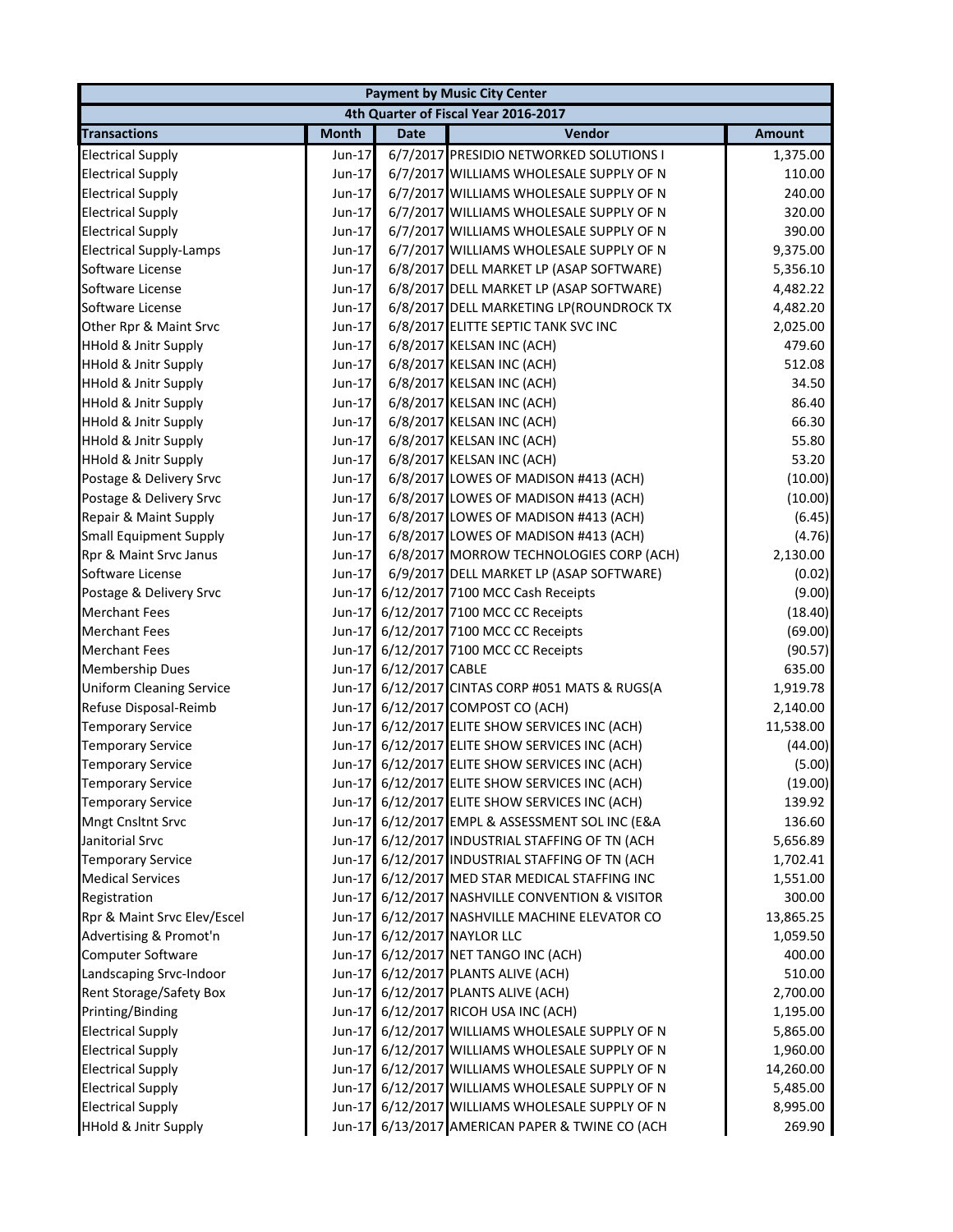|                                 | <b>Payment by Music City Center</b>  |                 |                                                 |               |  |  |  |
|---------------------------------|--------------------------------------|-----------------|-------------------------------------------------|---------------|--|--|--|
|                                 | 4th Quarter of Fiscal Year 2016-2017 |                 |                                                 |               |  |  |  |
| <b>Transactions</b>             | <b>Month</b>                         | <b>Date</b>     | Vendor                                          | <b>Amount</b> |  |  |  |
| <b>Electrical Supply</b>        | Jun-17                               |                 | 6/7/2017 PRESIDIO NETWORKED SOLUTIONS I         | 1,375.00      |  |  |  |
| <b>Electrical Supply</b>        | Jun-17                               |                 | 6/7/2017 WILLIAMS WHOLESALE SUPPLY OF N         | 110.00        |  |  |  |
| <b>Electrical Supply</b>        | Jun-17                               |                 | 6/7/2017 WILLIAMS WHOLESALE SUPPLY OF N         | 240.00        |  |  |  |
| <b>Electrical Supply</b>        | Jun-17                               |                 | 6/7/2017 WILLIAMS WHOLESALE SUPPLY OF N         | 320.00        |  |  |  |
| <b>Electrical Supply</b>        | Jun-17                               |                 | 6/7/2017 WILLIAMS WHOLESALE SUPPLY OF N         | 390.00        |  |  |  |
| <b>Electrical Supply-Lamps</b>  | Jun-17                               |                 | 6/7/2017 WILLIAMS WHOLESALE SUPPLY OF N         | 9,375.00      |  |  |  |
| Software License                | Jun-17                               |                 | 6/8/2017 DELL MARKET LP (ASAP SOFTWARE)         | 5,356.10      |  |  |  |
| Software License                | $Jun-17$                             |                 | 6/8/2017 DELL MARKET LP (ASAP SOFTWARE)         | 4,482.22      |  |  |  |
| Software License                | Jun-17                               |                 | 6/8/2017 DELL MARKETING LP(ROUNDROCK TX         | 4,482.20      |  |  |  |
| Other Rpr & Maint Srvc          | Jun-17                               |                 | 6/8/2017 ELITTE SEPTIC TANK SVC INC             | 2,025.00      |  |  |  |
| <b>HHold &amp; Jnitr Supply</b> | Jun-17                               |                 | 6/8/2017 KELSAN INC (ACH)                       | 479.60        |  |  |  |
| <b>HHold &amp; Jnitr Supply</b> | Jun-17                               |                 | 6/8/2017 KELSAN INC (ACH)                       | 512.08        |  |  |  |
| <b>HHold &amp; Jnitr Supply</b> | Jun-17                               |                 | 6/8/2017 KELSAN INC (ACH)                       | 34.50         |  |  |  |
| <b>HHold &amp; Jnitr Supply</b> | Jun-17                               |                 | 6/8/2017 KELSAN INC (ACH)                       | 86.40         |  |  |  |
| <b>HHold &amp; Jnitr Supply</b> | Jun-17                               |                 | 6/8/2017 KELSAN INC (ACH)                       | 66.30         |  |  |  |
| <b>HHold &amp; Jnitr Supply</b> | Jun-17                               |                 | 6/8/2017 KELSAN INC (ACH)                       | 55.80         |  |  |  |
| <b>HHold &amp; Jnitr Supply</b> | Jun-17                               |                 | 6/8/2017 KELSAN INC (ACH)                       | 53.20         |  |  |  |
| Postage & Delivery Srvc         | Jun-17                               |                 | 6/8/2017 LOWES OF MADISON #413 (ACH)            | (10.00)       |  |  |  |
| Postage & Delivery Srvc         | Jun-17                               |                 | 6/8/2017 LOWES OF MADISON #413 (ACH)            | (10.00)       |  |  |  |
| Repair & Maint Supply           | Jun-17                               |                 | 6/8/2017 LOWES OF MADISON #413 (ACH)            | (6.45)        |  |  |  |
| <b>Small Equipment Supply</b>   | Jun-17                               |                 | 6/8/2017 LOWES OF MADISON #413 (ACH)            | (4.76)        |  |  |  |
| Rpr & Maint Srvc Janus          | Jun-17                               |                 | 6/8/2017 MORROW TECHNOLOGIES CORP (ACH)         | 2,130.00      |  |  |  |
| Software License                | $Jun-17$                             |                 | 6/9/2017 DELL MARKET LP (ASAP SOFTWARE)         | (0.02)        |  |  |  |
| Postage & Delivery Srvc         | $Jun-17$                             |                 | 6/12/2017 7100 MCC Cash Receipts                | (9.00)        |  |  |  |
| <b>Merchant Fees</b>            | $Jun-17$                             |                 | 6/12/2017 7100 MCC CC Receipts                  | (18.40)       |  |  |  |
| <b>Merchant Fees</b>            | $Jun-17$                             |                 | 6/12/2017 7100 MCC CC Receipts                  | (69.00)       |  |  |  |
| <b>Merchant Fees</b>            |                                      |                 | Jun-17 6/12/2017 7100 MCC CC Receipts           | (90.57)       |  |  |  |
| <b>Membership Dues</b>          | Jun-17                               | 6/12/2017 CABLE |                                                 | 635.00        |  |  |  |
| <b>Uniform Cleaning Service</b> | Jun-17                               |                 | 6/12/2017 CINTAS CORP #051 MATS & RUGS(A        | 1,919.78      |  |  |  |
| Refuse Disposal-Reimb           | $Jun-17$                             |                 | 6/12/2017 COMPOST CO (ACH)                      | 2,140.00      |  |  |  |
| <b>Temporary Service</b>        |                                      |                 | Jun-17 6/12/2017 ELITE SHOW SERVICES INC (ACH)  | 11,538.00     |  |  |  |
| <b>Temporary Service</b>        | $Jun-17$                             |                 | 6/12/2017 ELITE SHOW SERVICES INC (ACH)         | (44.00)       |  |  |  |
| <b>Temporary Service</b>        |                                      |                 | Jun-17 6/12/2017 ELITE SHOW SERVICES INC (ACH)  | (5.00)        |  |  |  |
| <b>Temporary Service</b>        |                                      |                 | Jun-17 6/12/2017 ELITE SHOW SERVICES INC (ACH)  | (19.00)       |  |  |  |
| <b>Temporary Service</b>        |                                      |                 | Jun-17 6/12/2017 ELITE SHOW SERVICES INC (ACH)  | 139.92        |  |  |  |
| <b>Mngt Cnsltnt Srvc</b>        |                                      |                 | Jun-17 6/12/2017 EMPL & ASSESSMENT SOL INC (E&A | 136.60        |  |  |  |
| Janitorial Srvc                 |                                      |                 | Jun-17 6/12/2017 INDUSTRIAL STAFFING OF TN (ACH | 5,656.89      |  |  |  |
| <b>Temporary Service</b>        |                                      |                 | Jun-17 6/12/2017 INDUSTRIAL STAFFING OF TN (ACH | 1,702.41      |  |  |  |
| <b>Medical Services</b>         |                                      |                 | Jun-17 6/12/2017 MED STAR MEDICAL STAFFING INC  | 1,551.00      |  |  |  |
| Registration                    |                                      |                 | Jun-17 6/12/2017 NASHVILLE CONVENTION & VISITOR | 300.00        |  |  |  |
| Rpr & Maint Srvc Elev/Escel     |                                      |                 | Jun-17 6/12/2017 NASHVILLE MACHINE ELEVATOR CO  | 13,865.25     |  |  |  |
| Advertising & Promot'n          |                                      |                 | Jun-17 6/12/2017 NAYLOR LLC                     | 1,059.50      |  |  |  |
| Computer Software               |                                      |                 | Jun-17 6/12/2017 NET TANGO INC (ACH)            | 400.00        |  |  |  |
| Landscaping Srvc-Indoor         |                                      |                 | Jun-17 6/12/2017 PLANTS ALIVE (ACH)             | 510.00        |  |  |  |
| Rent Storage/Safety Box         |                                      |                 | Jun-17 6/12/2017 PLANTS ALIVE (ACH)             | 2,700.00      |  |  |  |
| Printing/Binding                |                                      |                 | Jun-17 6/12/2017 RICOH USA INC (ACH)            | 1,195.00      |  |  |  |
| <b>Electrical Supply</b>        |                                      |                 | Jun-17 6/12/2017 WILLIAMS WHOLESALE SUPPLY OF N | 5,865.00      |  |  |  |
| <b>Electrical Supply</b>        |                                      |                 | Jun-17 6/12/2017 WILLIAMS WHOLESALE SUPPLY OF N | 1,960.00      |  |  |  |
| <b>Electrical Supply</b>        | Jun-17                               |                 | 6/12/2017 WILLIAMS WHOLESALE SUPPLY OF N        | 14,260.00     |  |  |  |
| <b>Electrical Supply</b>        | Jun-17                               |                 | 6/12/2017 WILLIAMS WHOLESALE SUPPLY OF N        | 5,485.00      |  |  |  |
| <b>Electrical Supply</b>        |                                      |                 | Jun-17 6/12/2017 WILLIAMS WHOLESALE SUPPLY OF N | 8,995.00      |  |  |  |
| <b>HHold &amp; Jnitr Supply</b> |                                      |                 | Jun-17 6/13/2017 AMERICAN PAPER & TWINE CO (ACH | 269.90        |  |  |  |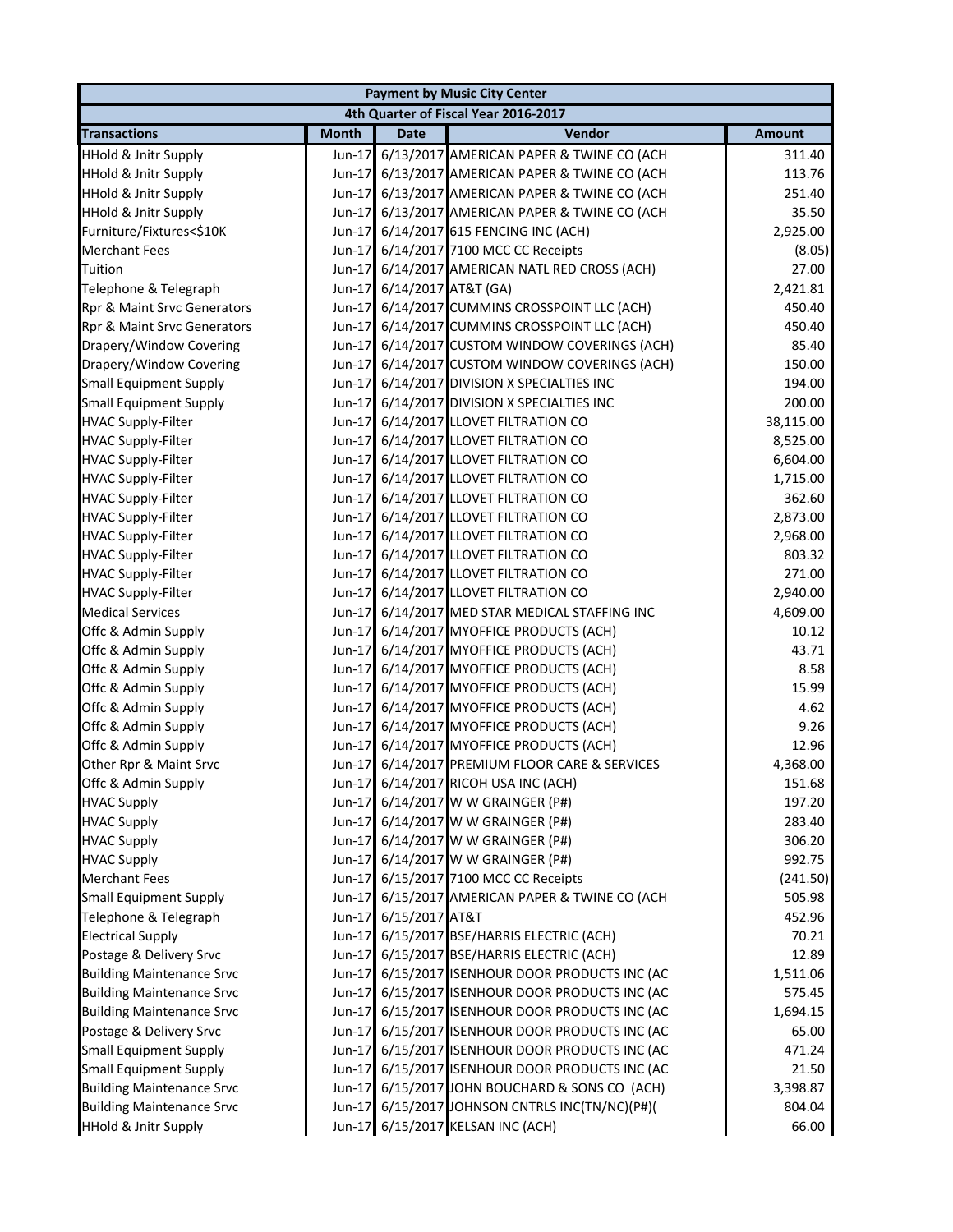| <b>Payment by Music City Center</b> |              |                            |                                                 |               |  |
|-------------------------------------|--------------|----------------------------|-------------------------------------------------|---------------|--|
|                                     |              |                            | 4th Quarter of Fiscal Year 2016-2017            |               |  |
| <b>Transactions</b>                 | <b>Month</b> | <b>Date</b>                | Vendor                                          | <b>Amount</b> |  |
| <b>HHold &amp; Jnitr Supply</b>     | Jun-17       |                            | 6/13/2017 AMERICAN PAPER & TWINE CO (ACH        | 311.40        |  |
| <b>HHold &amp; Jnitr Supply</b>     |              |                            | Jun-17 6/13/2017 AMERICAN PAPER & TWINE CO (ACH | 113.76        |  |
| <b>HHold &amp; Jnitr Supply</b>     | Jun-17       |                            | 6/13/2017 AMERICAN PAPER & TWINE CO (ACH        | 251.40        |  |
| <b>HHold &amp; Jnitr Supply</b>     | Jun-17       |                            | 6/13/2017 AMERICAN PAPER & TWINE CO (ACH        | 35.50         |  |
| Furniture/Fixtures<\$10K            |              |                            | Jun-17 6/14/2017 615 FENCING INC (ACH)          | 2,925.00      |  |
| <b>Merchant Fees</b>                |              |                            | Jun-17 6/14/2017 7100 MCC CC Receipts           | (8.05)        |  |
| Tuition                             |              |                            | Jun-17 6/14/2017 AMERICAN NATL RED CROSS (ACH)  | 27.00         |  |
| Telephone & Telegraph               |              | Jun-17 6/14/2017 AT&T (GA) |                                                 | 2,421.81      |  |
| Rpr & Maint Srvc Generators         |              |                            | Jun-17 6/14/2017 CUMMINS CROSSPOINT LLC (ACH)   | 450.40        |  |
| Rpr & Maint Srvc Generators         |              |                            | Jun-17 6/14/2017 CUMMINS CROSSPOINT LLC (ACH)   | 450.40        |  |
| Drapery/Window Covering             | $Jun-17$     |                            | 6/14/2017 CUSTOM WINDOW COVERINGS (ACH)         | 85.40         |  |
| Drapery/Window Covering             |              |                            | Jun-17 6/14/2017 CUSTOM WINDOW COVERINGS (ACH)  | 150.00        |  |
| <b>Small Equipment Supply</b>       |              |                            | Jun-17 6/14/2017 DIVISION X SPECIALTIES INC     | 194.00        |  |
| <b>Small Equipment Supply</b>       | Jun-17       |                            | 6/14/2017 DIVISION X SPECIALTIES INC            | 200.00        |  |
| <b>HVAC Supply-Filter</b>           |              |                            | Jun-17 6/14/2017 LLOVET FILTRATION CO           | 38,115.00     |  |
| <b>HVAC Supply-Filter</b>           | $Jun-17$     |                            | 6/14/2017 LLOVET FILTRATION CO                  | 8,525.00      |  |
| <b>HVAC Supply-Filter</b>           |              |                            | Jun-17 6/14/2017 LLOVET FILTRATION CO           | 6,604.00      |  |
| <b>HVAC Supply-Filter</b>           | Jun-17       |                            | 6/14/2017 LLOVET FILTRATION CO                  | 1,715.00      |  |
| <b>HVAC Supply-Filter</b>           | Jun-17       |                            | 6/14/2017 LLOVET FILTRATION CO                  | 362.60        |  |
| <b>HVAC Supply-Filter</b>           | $Jun-17$     |                            | 6/14/2017 LLOVET FILTRATION CO                  | 2,873.00      |  |
| <b>HVAC Supply-Filter</b>           | Jun-17       |                            | 6/14/2017 LLOVET FILTRATION CO                  | 2,968.00      |  |
| <b>HVAC Supply-Filter</b>           | $Jun-17$     |                            | 6/14/2017 LLOVET FILTRATION CO                  | 803.32        |  |
| <b>HVAC Supply-Filter</b>           |              |                            | Jun-17 6/14/2017 LLOVET FILTRATION CO           | 271.00        |  |
| <b>HVAC Supply-Filter</b>           | $Jun-17$     |                            | 6/14/2017 LLOVET FILTRATION CO                  | 2,940.00      |  |
| <b>Medical Services</b>             |              |                            | Jun-17 6/14/2017 MED STAR MEDICAL STAFFING INC  | 4,609.00      |  |
| Offc & Admin Supply                 |              |                            | Jun-17 6/14/2017 MYOFFICE PRODUCTS (ACH)        | 10.12         |  |
| Offc & Admin Supply                 |              |                            | Jun-17 6/14/2017 MYOFFICE PRODUCTS (ACH)        | 43.71         |  |
| Offc & Admin Supply                 |              |                            | Jun-17 6/14/2017 MYOFFICE PRODUCTS (ACH)        | 8.58          |  |
| Offc & Admin Supply                 |              |                            | Jun-17 6/14/2017 MYOFFICE PRODUCTS (ACH)        | 15.99         |  |
| Offc & Admin Supply                 |              |                            | Jun-17 6/14/2017 MYOFFICE PRODUCTS (ACH)        | 4.62          |  |
| Offc & Admin Supply                 |              |                            | Jun-17 6/14/2017 MYOFFICE PRODUCTS (ACH)        | 9.26          |  |
| Offc & Admin Supply                 |              |                            | Jun-17 6/14/2017 MYOFFICE PRODUCTS (ACH)        | 12.96         |  |
| Other Rpr & Maint Srvc              |              |                            | Jun-17 6/14/2017 PREMIUM FLOOR CARE & SERVICES  | 4,368.00      |  |
| Offc & Admin Supply                 |              |                            | Jun-17 6/14/2017 RICOH USA INC (ACH)            | 151.68        |  |
| <b>HVAC Supply</b>                  |              |                            | Jun-17 6/14/2017 W W GRAINGER (P#)              | 197.20        |  |
| <b>HVAC Supply</b>                  |              |                            | Jun-17 6/14/2017 W W GRAINGER (P#)              | 283.40        |  |
| <b>HVAC Supply</b>                  |              |                            | Jun-17 6/14/2017 W W GRAINGER (P#)              | 306.20        |  |
| <b>HVAC Supply</b>                  |              |                            | Jun-17 6/14/2017 W W GRAINGER (P#)              | 992.75        |  |
| <b>Merchant Fees</b>                |              |                            | Jun-17 6/15/2017 7100 MCC CC Receipts           | (241.50)      |  |
| <b>Small Equipment Supply</b>       |              |                            | Jun-17 6/15/2017 AMERICAN PAPER & TWINE CO (ACH | 505.98        |  |
| Telephone & Telegraph               |              | Jun-17 6/15/2017 AT&T      |                                                 | 452.96        |  |
| <b>Electrical Supply</b>            |              |                            | Jun-17 6/15/2017 BSE/HARRIS ELECTRIC (ACH)      | 70.21         |  |
| Postage & Delivery Srvc             |              |                            | Jun-17 6/15/2017 BSE/HARRIS ELECTRIC (ACH)      | 12.89         |  |
| <b>Building Maintenance Srvc</b>    |              |                            | Jun-17 6/15/2017 ISENHOUR DOOR PRODUCTS INC (AC | 1,511.06      |  |
| <b>Building Maintenance Srvc</b>    |              |                            | Jun-17 6/15/2017 ISENHOUR DOOR PRODUCTS INC (AC | 575.45        |  |
| <b>Building Maintenance Srvc</b>    |              |                            | Jun-17 6/15/2017 ISENHOUR DOOR PRODUCTS INC (AC | 1,694.15      |  |
| Postage & Delivery Srvc             |              |                            | Jun-17 6/15/2017 ISENHOUR DOOR PRODUCTS INC (AC | 65.00         |  |
| <b>Small Equipment Supply</b>       |              |                            | Jun-17 6/15/2017 ISENHOUR DOOR PRODUCTS INC (AC | 471.24        |  |
| <b>Small Equipment Supply</b>       |              |                            | Jun-17 6/15/2017 ISENHOUR DOOR PRODUCTS INC (AC | 21.50         |  |
| <b>Building Maintenance Srvc</b>    |              |                            | Jun-17 6/15/2017 JOHN BOUCHARD & SONS CO (ACH)  | 3,398.87      |  |
| <b>Building Maintenance Srvc</b>    |              |                            | Jun-17 6/15/2017 JOHNSON CNTRLS INC(TN/NC)(P#)( | 804.04        |  |
| <b>HHold &amp; Jnitr Supply</b>     |              |                            | Jun-17 6/15/2017 KELSAN INC (ACH)               | 66.00         |  |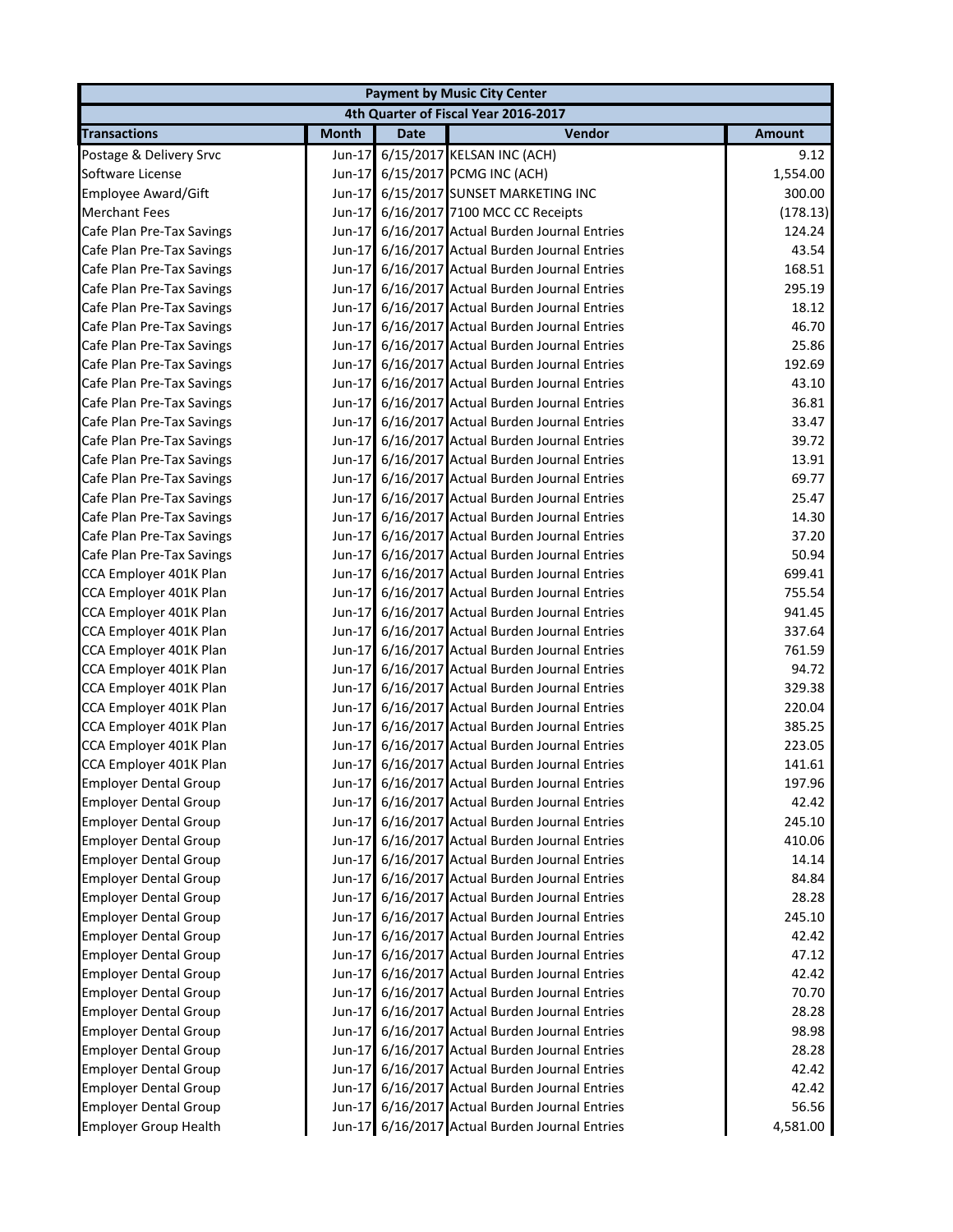|                              |              |             | <b>Payment by Music City Center</b>            |               |
|------------------------------|--------------|-------------|------------------------------------------------|---------------|
|                              |              |             | 4th Quarter of Fiscal Year 2016-2017           |               |
| <b>Transactions</b>          | <b>Month</b> | <b>Date</b> | Vendor                                         | <b>Amount</b> |
| Postage & Delivery Srvc      | Jun-17       |             | 6/15/2017 KELSAN INC (ACH)                     | 9.12          |
| Software License             | $Jun-17$     |             | 6/15/2017 PCMG INC (ACH)                       | 1,554.00      |
| <b>Employee Award/Gift</b>   | $Jun-17$     |             | 6/15/2017 SUNSET MARKETING INC                 | 300.00        |
| <b>Merchant Fees</b>         | $Jun-17$     |             | 6/16/2017 7100 MCC CC Receipts                 | (178.13)      |
| Cafe Plan Pre-Tax Savings    | $Jun-17$     |             | 6/16/2017 Actual Burden Journal Entries        | 124.24        |
| Cafe Plan Pre-Tax Savings    | $Jun-17$     |             | 6/16/2017 Actual Burden Journal Entries        | 43.54         |
| Cafe Plan Pre-Tax Savings    | $Jun-17$     |             | 6/16/2017 Actual Burden Journal Entries        | 168.51        |
| Cafe Plan Pre-Tax Savings    | $Jun-17$     |             | 6/16/2017 Actual Burden Journal Entries        | 295.19        |
| Cafe Plan Pre-Tax Savings    | $Jun-17$     |             | 6/16/2017 Actual Burden Journal Entries        | 18.12         |
| Cafe Plan Pre-Tax Savings    | $Jun-17$     |             | 6/16/2017 Actual Burden Journal Entries        | 46.70         |
| Cafe Plan Pre-Tax Savings    | $Jun-17$     |             | 6/16/2017 Actual Burden Journal Entries        | 25.86         |
| Cafe Plan Pre-Tax Savings    | $Jun-17$     |             | 6/16/2017 Actual Burden Journal Entries        | 192.69        |
| Cafe Plan Pre-Tax Savings    | $Jun-17$     |             | 6/16/2017 Actual Burden Journal Entries        | 43.10         |
| Cafe Plan Pre-Tax Savings    | Jun-17       |             | 6/16/2017 Actual Burden Journal Entries        | 36.81         |
| Cafe Plan Pre-Tax Savings    | $Jun-17$     |             | 6/16/2017 Actual Burden Journal Entries        | 33.47         |
| Cafe Plan Pre-Tax Savings    | $Jun-17$     |             | 6/16/2017 Actual Burden Journal Entries        | 39.72         |
| Cafe Plan Pre-Tax Savings    |              |             | Jun-17 6/16/2017 Actual Burden Journal Entries | 13.91         |
| Cafe Plan Pre-Tax Savings    | $Jun-17$     |             | 6/16/2017 Actual Burden Journal Entries        | 69.77         |
| Cafe Plan Pre-Tax Savings    | Jun-17       |             | 6/16/2017 Actual Burden Journal Entries        | 25.47         |
| Cafe Plan Pre-Tax Savings    | $Jun-17$     |             | 6/16/2017 Actual Burden Journal Entries        | 14.30         |
| Cafe Plan Pre-Tax Savings    | $Jun-17$     |             | 6/16/2017 Actual Burden Journal Entries        | 37.20         |
| Cafe Plan Pre-Tax Savings    | Jun-17       |             | 6/16/2017 Actual Burden Journal Entries        | 50.94         |
| CCA Employer 401K Plan       | $Jun-17$     |             | 6/16/2017 Actual Burden Journal Entries        | 699.41        |
| CCA Employer 401K Plan       | $Jun-17$     |             | 6/16/2017 Actual Burden Journal Entries        | 755.54        |
| CCA Employer 401K Plan       | $Jun-17$     |             | 6/16/2017 Actual Burden Journal Entries        | 941.45        |
| CCA Employer 401K Plan       | $Jun-17$     |             | 6/16/2017 Actual Burden Journal Entries        | 337.64        |
| CCA Employer 401K Plan       | $Jun-17$     |             | 6/16/2017 Actual Burden Journal Entries        | 761.59        |
| CCA Employer 401K Plan       | $Jun-17$     |             | 6/16/2017 Actual Burden Journal Entries        | 94.72         |
| CCA Employer 401K Plan       | $Jun-17$     |             | 6/16/2017 Actual Burden Journal Entries        | 329.38        |
| CCA Employer 401K Plan       |              |             | Jun-17 6/16/2017 Actual Burden Journal Entries | 220.04        |
| CCA Employer 401K Plan       |              |             | Jun-17 6/16/2017 Actual Burden Journal Entries | 385.25        |
| CCA Employer 401K Plan       |              |             | Jun-17 6/16/2017 Actual Burden Journal Entries | 223.05        |
| CCA Employer 401K Plan       |              |             | Jun-17 6/16/2017 Actual Burden Journal Entries | 141.61        |
| <b>Employer Dental Group</b> |              |             | Jun-17 6/16/2017 Actual Burden Journal Entries | 197.96        |
| <b>Employer Dental Group</b> | Jun-17       |             | 6/16/2017 Actual Burden Journal Entries        | 42.42         |
| <b>Employer Dental Group</b> | $Jun-17$     |             | 6/16/2017 Actual Burden Journal Entries        | 245.10        |
| <b>Employer Dental Group</b> | $Jun-17$     |             | 6/16/2017 Actual Burden Journal Entries        | 410.06        |
| <b>Employer Dental Group</b> | $Jun-17$     |             | 6/16/2017 Actual Burden Journal Entries        | 14.14         |
| <b>Employer Dental Group</b> | Jun-17       |             | 6/16/2017 Actual Burden Journal Entries        | 84.84         |
| <b>Employer Dental Group</b> | $Jun-17$     |             | 6/16/2017 Actual Burden Journal Entries        | 28.28         |
| <b>Employer Dental Group</b> | $Jun-17$     |             | 6/16/2017 Actual Burden Journal Entries        | 245.10        |
| <b>Employer Dental Group</b> | $Jun-17$     |             | 6/16/2017 Actual Burden Journal Entries        | 42.42         |
| <b>Employer Dental Group</b> | $Jun-17$     |             | 6/16/2017 Actual Burden Journal Entries        | 47.12         |
| <b>Employer Dental Group</b> | Jun-17       |             | 6/16/2017 Actual Burden Journal Entries        | 42.42         |
| <b>Employer Dental Group</b> | Jun-17       |             | 6/16/2017 Actual Burden Journal Entries        | 70.70         |
| <b>Employer Dental Group</b> | Jun-17       |             | 6/16/2017 Actual Burden Journal Entries        | 28.28         |
| <b>Employer Dental Group</b> | $Jun-17$     |             | 6/16/2017 Actual Burden Journal Entries        | 98.98         |
| <b>Employer Dental Group</b> | $Jun-17$     |             | 6/16/2017 Actual Burden Journal Entries        | 28.28         |
| <b>Employer Dental Group</b> | $Jun-17$     |             | 6/16/2017 Actual Burden Journal Entries        | 42.42         |
| <b>Employer Dental Group</b> | $Jun-17$     |             | 6/16/2017 Actual Burden Journal Entries        | 42.42         |
| <b>Employer Dental Group</b> | $Jun-17$     |             | 6/16/2017 Actual Burden Journal Entries        | 56.56         |
| <b>Employer Group Health</b> |              |             | Jun-17 6/16/2017 Actual Burden Journal Entries | 4,581.00      |
|                              |              |             |                                                |               |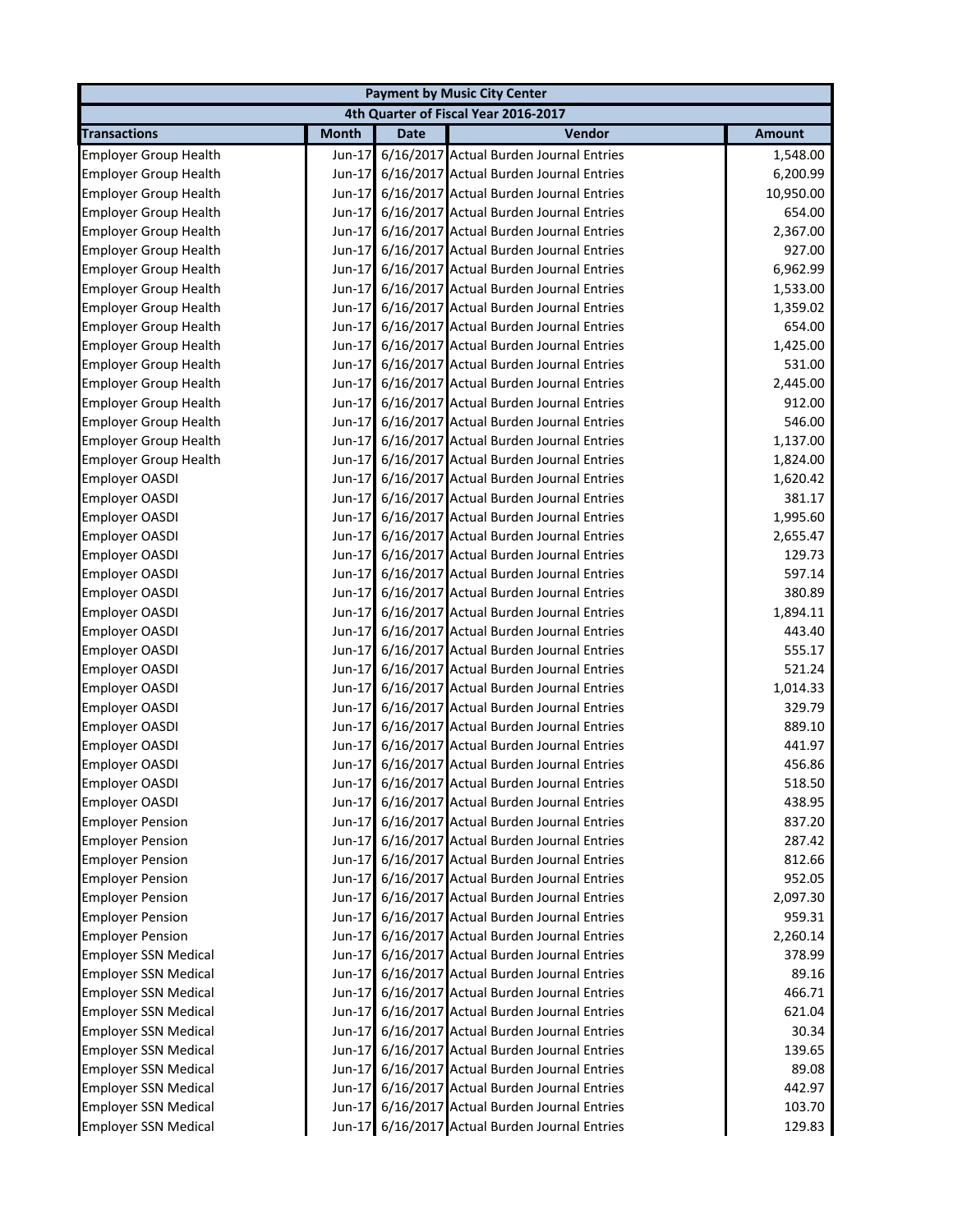| <b>Payment by Music City Center</b> |              |             |                                                |               |  |
|-------------------------------------|--------------|-------------|------------------------------------------------|---------------|--|
|                                     |              |             | 4th Quarter of Fiscal Year 2016-2017           |               |  |
| <b>Transactions</b>                 | <b>Month</b> | <b>Date</b> | Vendor                                         | <b>Amount</b> |  |
| <b>Employer Group Health</b>        | Jun-17       |             | 6/16/2017 Actual Burden Journal Entries        | 1,548.00      |  |
| <b>Employer Group Health</b>        | $Jun-17$     |             | 6/16/2017 Actual Burden Journal Entries        | 6,200.99      |  |
| <b>Employer Group Health</b>        | $Jun-17$     |             | 6/16/2017 Actual Burden Journal Entries        | 10,950.00     |  |
| <b>Employer Group Health</b>        | Jun-17       |             | 6/16/2017 Actual Burden Journal Entries        | 654.00        |  |
| <b>Employer Group Health</b>        | $Jun-17$     |             | 6/16/2017 Actual Burden Journal Entries        | 2,367.00      |  |
| <b>Employer Group Health</b>        | $Jun-17$     |             | 6/16/2017 Actual Burden Journal Entries        | 927.00        |  |
| <b>Employer Group Health</b>        | Jun-17       |             | 6/16/2017 Actual Burden Journal Entries        | 6,962.99      |  |
| <b>Employer Group Health</b>        | Jun-17       |             | 6/16/2017 Actual Burden Journal Entries        | 1,533.00      |  |
| <b>Employer Group Health</b>        | Jun-17       |             | 6/16/2017 Actual Burden Journal Entries        | 1,359.02      |  |
| <b>Employer Group Health</b>        | Jun-17       |             | 6/16/2017 Actual Burden Journal Entries        | 654.00        |  |
| <b>Employer Group Health</b>        | $Jun-17$     |             | 6/16/2017 Actual Burden Journal Entries        | 1,425.00      |  |
| <b>Employer Group Health</b>        | $Jun-17$     |             | 6/16/2017 Actual Burden Journal Entries        | 531.00        |  |
| <b>Employer Group Health</b>        | $Jun-17$     |             | 6/16/2017 Actual Burden Journal Entries        | 2,445.00      |  |
| <b>Employer Group Health</b>        | Jun-17       |             | 6/16/2017 Actual Burden Journal Entries        | 912.00        |  |
| <b>Employer Group Health</b>        |              |             | Jun-17 6/16/2017 Actual Burden Journal Entries | 546.00        |  |
| <b>Employer Group Health</b>        | $Jun-17$     |             | 6/16/2017 Actual Burden Journal Entries        | 1,137.00      |  |
| <b>Employer Group Health</b>        |              |             | Jun-17 6/16/2017 Actual Burden Journal Entries | 1,824.00      |  |
| Employer OASDI                      | $Jun-17$     |             | 6/16/2017 Actual Burden Journal Entries        | 1,620.42      |  |
| <b>Employer OASDI</b>               | $Jun-17$     |             | 6/16/2017 Actual Burden Journal Entries        | 381.17        |  |
| Employer OASDI                      |              |             | Jun-17 6/16/2017 Actual Burden Journal Entries | 1,995.60      |  |
| Employer OASDI                      | $Jun-17$     |             | 6/16/2017 Actual Burden Journal Entries        | 2,655.47      |  |
| Employer OASDI                      | $Jun-17$     |             | 6/16/2017 Actual Burden Journal Entries        | 129.73        |  |
| Employer OASDI                      | $Jun-17$     |             | 6/16/2017 Actual Burden Journal Entries        | 597.14        |  |
| Employer OASDI                      | $Jun-17$     |             | 6/16/2017 Actual Burden Journal Entries        | 380.89        |  |
| Employer OASDI                      |              |             | Jun-17 6/16/2017 Actual Burden Journal Entries | 1,894.11      |  |
| Employer OASDI                      |              |             | Jun-17 6/16/2017 Actual Burden Journal Entries | 443.40        |  |
| <b>Employer OASDI</b>               |              |             | Jun-17 6/16/2017 Actual Burden Journal Entries | 555.17        |  |
| <b>Employer OASDI</b>               |              |             | Jun-17 6/16/2017 Actual Burden Journal Entries | 521.24        |  |
| <b>Employer OASDI</b>               |              |             | Jun-17 6/16/2017 Actual Burden Journal Entries | 1,014.33      |  |
| <b>Employer OASDI</b>               |              |             | Jun-17 6/16/2017 Actual Burden Journal Entries | 329.79        |  |
| <b>Employer OASDI</b>               |              |             | Jun-17 6/16/2017 Actual Burden Journal Entries | 889.10        |  |
| <b>Employer OASDI</b>               |              |             | Jun-17 6/16/2017 Actual Burden Journal Entries | 441.97        |  |
| <b>Employer OASDI</b>               |              |             | Jun-17 6/16/2017 Actual Burden Journal Entries | 456.86        |  |
| Employer OASDI                      |              |             | Jun-17 6/16/2017 Actual Burden Journal Entries | 518.50        |  |
| <b>Employer OASDI</b>               |              |             | Jun-17 6/16/2017 Actual Burden Journal Entries | 438.95        |  |
| <b>Employer Pension</b>             | $Jun-17$     |             | 6/16/2017 Actual Burden Journal Entries        | 837.20        |  |
| <b>Employer Pension</b>             |              |             | Jun-17 6/16/2017 Actual Burden Journal Entries | 287.42        |  |
| <b>Employer Pension</b>             |              |             | Jun-17 6/16/2017 Actual Burden Journal Entries | 812.66        |  |
| <b>Employer Pension</b>             |              |             | Jun-17 6/16/2017 Actual Burden Journal Entries | 952.05        |  |
| <b>Employer Pension</b>             |              |             | Jun-17 6/16/2017 Actual Burden Journal Entries | 2,097.30      |  |
| <b>Employer Pension</b>             |              |             | Jun-17 6/16/2017 Actual Burden Journal Entries | 959.31        |  |
| <b>Employer Pension</b>             |              |             | Jun-17 6/16/2017 Actual Burden Journal Entries | 2,260.14      |  |
| <b>Employer SSN Medical</b>         |              |             | Jun-17 6/16/2017 Actual Burden Journal Entries | 378.99        |  |
| <b>Employer SSN Medical</b>         |              |             | Jun-17 6/16/2017 Actual Burden Journal Entries | 89.16         |  |
| <b>Employer SSN Medical</b>         |              |             | Jun-17 6/16/2017 Actual Burden Journal Entries | 466.71        |  |
| <b>Employer SSN Medical</b>         |              |             | Jun-17 6/16/2017 Actual Burden Journal Entries | 621.04        |  |
| <b>Employer SSN Medical</b>         |              |             | Jun-17 6/16/2017 Actual Burden Journal Entries | 30.34         |  |
| <b>Employer SSN Medical</b>         |              |             | Jun-17 6/16/2017 Actual Burden Journal Entries | 139.65        |  |
|                                     |              |             |                                                |               |  |
| <b>Employer SSN Medical</b>         |              |             | Jun-17 6/16/2017 Actual Burden Journal Entries | 89.08         |  |
| <b>Employer SSN Medical</b>         |              |             | Jun-17 6/16/2017 Actual Burden Journal Entries | 442.97        |  |
| <b>Employer SSN Medical</b>         |              |             | Jun-17 6/16/2017 Actual Burden Journal Entries | 103.70        |  |
| <b>Employer SSN Medical</b>         |              |             | Jun-17 6/16/2017 Actual Burden Journal Entries | 129.83        |  |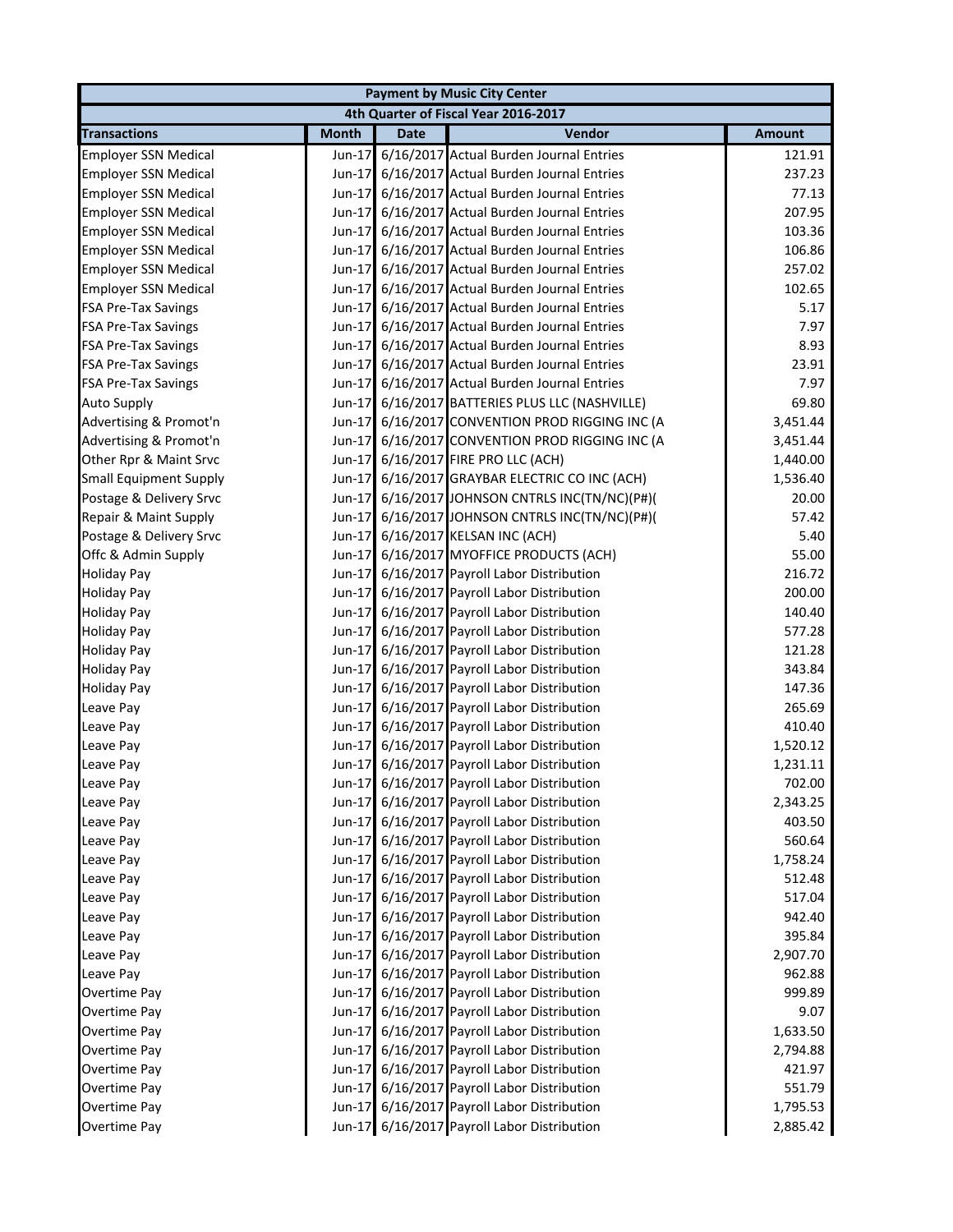|                               |              | <b>Payment by Music City Center</b> |                                                 |               |  |  |
|-------------------------------|--------------|-------------------------------------|-------------------------------------------------|---------------|--|--|
|                               |              |                                     | 4th Quarter of Fiscal Year 2016-2017            |               |  |  |
| <b>Transactions</b>           | <b>Month</b> | <b>Date</b>                         | Vendor                                          | <b>Amount</b> |  |  |
| <b>Employer SSN Medical</b>   | $Jun-17$     |                                     | 6/16/2017 Actual Burden Journal Entries         | 121.91        |  |  |
| <b>Employer SSN Medical</b>   |              |                                     | Jun-17 6/16/2017 Actual Burden Journal Entries  | 237.23        |  |  |
| <b>Employer SSN Medical</b>   | $Jun-17$     |                                     | 6/16/2017 Actual Burden Journal Entries         | 77.13         |  |  |
| <b>Employer SSN Medical</b>   | $Jun-17$     |                                     | 6/16/2017 Actual Burden Journal Entries         | 207.95        |  |  |
| <b>Employer SSN Medical</b>   | $Jun-17$     |                                     | 6/16/2017 Actual Burden Journal Entries         | 103.36        |  |  |
| <b>Employer SSN Medical</b>   | Jun-17       |                                     | 6/16/2017 Actual Burden Journal Entries         | 106.86        |  |  |
| <b>Employer SSN Medical</b>   | $Jun-17$     |                                     | 6/16/2017 Actual Burden Journal Entries         | 257.02        |  |  |
| <b>Employer SSN Medical</b>   | $Jun-17$     |                                     | 6/16/2017 Actual Burden Journal Entries         | 102.65        |  |  |
| <b>FSA Pre-Tax Savings</b>    |              |                                     | Jun-17 6/16/2017 Actual Burden Journal Entries  | 5.17          |  |  |
| <b>FSA Pre-Tax Savings</b>    |              |                                     | Jun-17 6/16/2017 Actual Burden Journal Entries  | 7.97          |  |  |
| <b>FSA Pre-Tax Savings</b>    |              |                                     | Jun-17 6/16/2017 Actual Burden Journal Entries  | 8.93          |  |  |
| <b>FSA Pre-Tax Savings</b>    |              |                                     | Jun-17 6/16/2017 Actual Burden Journal Entries  | 23.91         |  |  |
| <b>FSA Pre-Tax Savings</b>    |              |                                     | Jun-17 6/16/2017 Actual Burden Journal Entries  | 7.97          |  |  |
| <b>Auto Supply</b>            |              |                                     | Jun-17 6/16/2017 BATTERIES PLUS LLC (NASHVILLE) | 69.80         |  |  |
| Advertising & Promot'n        |              |                                     | Jun-17 6/16/2017 CONVENTION PROD RIGGING INC (A | 3,451.44      |  |  |
| Advertising & Promot'n        |              |                                     | Jun-17 6/16/2017 CONVENTION PROD RIGGING INC (A | 3,451.44      |  |  |
| Other Rpr & Maint Srvc        |              |                                     | Jun-17 6/16/2017 FIRE PRO LLC (ACH)             | 1,440.00      |  |  |
| <b>Small Equipment Supply</b> |              |                                     | Jun-17 6/16/2017 GRAYBAR ELECTRIC CO INC (ACH)  | 1,536.40      |  |  |
| Postage & Delivery Srvc       |              |                                     | Jun-17 6/16/2017 JOHNSON CNTRLS INC(TN/NC)(P#)( | 20.00         |  |  |
| Repair & Maint Supply         |              |                                     | Jun-17 6/16/2017 JOHNSON CNTRLS INC(TN/NC)(P#)( | 57.42         |  |  |
| Postage & Delivery Srvc       |              |                                     | Jun-17 6/16/2017 KELSAN INC (ACH)               | 5.40          |  |  |
| Offc & Admin Supply           |              |                                     | Jun-17 6/16/2017 MYOFFICE PRODUCTS (ACH)        | 55.00         |  |  |
| <b>Holiday Pay</b>            |              |                                     | Jun-17 6/16/2017 Payroll Labor Distribution     | 216.72        |  |  |
| <b>Holiday Pay</b>            |              |                                     | Jun-17 6/16/2017 Payroll Labor Distribution     | 200.00        |  |  |
| <b>Holiday Pay</b>            |              |                                     | Jun-17 6/16/2017 Payroll Labor Distribution     | 140.40        |  |  |
| <b>Holiday Pay</b>            |              |                                     | Jun-17 6/16/2017 Payroll Labor Distribution     | 577.28        |  |  |
| <b>Holiday Pay</b>            |              |                                     | Jun-17 6/16/2017 Payroll Labor Distribution     | 121.28        |  |  |
| <b>Holiday Pay</b>            |              |                                     | Jun-17 6/16/2017 Payroll Labor Distribution     | 343.84        |  |  |
| <b>Holiday Pay</b>            |              |                                     | Jun-17 6/16/2017 Payroll Labor Distribution     | 147.36        |  |  |
| Leave Pay                     |              |                                     | Jun-17 6/16/2017 Payroll Labor Distribution     | 265.69        |  |  |
| Leave Pay                     |              |                                     | Jun-17 6/16/2017 Payroll Labor Distribution     | 410.40        |  |  |
| Leave Pay                     |              |                                     | Jun-17 6/16/2017 Payroll Labor Distribution     | 1,520.12      |  |  |
| Leave Pay                     |              |                                     | Jun-17 6/16/2017 Payroll Labor Distribution     | 1,231.11      |  |  |
| Leave Pay                     |              |                                     | Jun-17 6/16/2017 Payroll Labor Distribution     | 702.00        |  |  |
| Leave Pay                     |              |                                     | Jun-17 6/16/2017 Payroll Labor Distribution     | 2,343.25      |  |  |
| Leave Pay                     |              |                                     | Jun-17 6/16/2017 Payroll Labor Distribution     | 403.50        |  |  |
| Leave Pay                     |              |                                     | Jun-17 6/16/2017 Payroll Labor Distribution     | 560.64        |  |  |
| Leave Pay                     |              |                                     | Jun-17 6/16/2017 Payroll Labor Distribution     | 1,758.24      |  |  |
| Leave Pay                     |              |                                     | Jun-17 6/16/2017 Payroll Labor Distribution     | 512.48        |  |  |
| Leave Pay                     |              |                                     | Jun-17 6/16/2017 Payroll Labor Distribution     | 517.04        |  |  |
| Leave Pay                     |              |                                     | Jun-17 6/16/2017 Payroll Labor Distribution     | 942.40        |  |  |
| Leave Pay                     |              |                                     | Jun-17 6/16/2017 Payroll Labor Distribution     | 395.84        |  |  |
| Leave Pay                     |              |                                     | Jun-17 6/16/2017 Payroll Labor Distribution     | 2,907.70      |  |  |
| Leave Pay                     |              |                                     | Jun-17 6/16/2017 Payroll Labor Distribution     | 962.88        |  |  |
| Overtime Pay                  |              |                                     | Jun-17 6/16/2017 Payroll Labor Distribution     | 999.89        |  |  |
| Overtime Pay                  |              |                                     | Jun-17 6/16/2017 Payroll Labor Distribution     | 9.07          |  |  |
| Overtime Pay                  |              |                                     | Jun-17 6/16/2017 Payroll Labor Distribution     | 1,633.50      |  |  |
| Overtime Pay                  |              |                                     | Jun-17 6/16/2017 Payroll Labor Distribution     | 2,794.88      |  |  |
| Overtime Pay                  |              |                                     | Jun-17 6/16/2017 Payroll Labor Distribution     | 421.97        |  |  |
| Overtime Pay                  |              |                                     | Jun-17 6/16/2017 Payroll Labor Distribution     | 551.79        |  |  |
| Overtime Pay                  |              |                                     | Jun-17 6/16/2017 Payroll Labor Distribution     | 1,795.53      |  |  |
| Overtime Pay                  |              |                                     | Jun-17 6/16/2017 Payroll Labor Distribution     | 2,885.42      |  |  |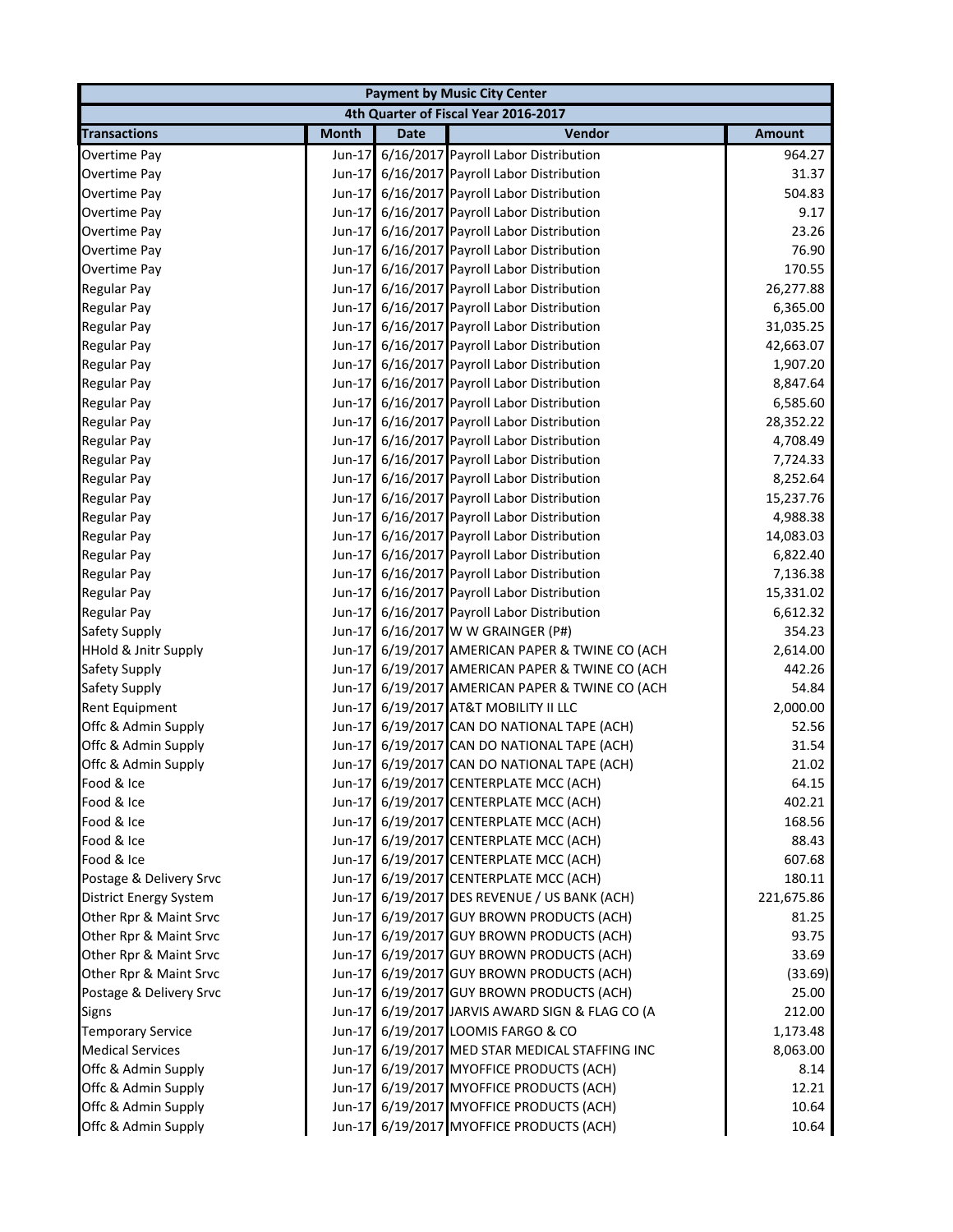| <b>Payment by Music City Center</b> |              |             |                                                 |               |
|-------------------------------------|--------------|-------------|-------------------------------------------------|---------------|
|                                     |              |             | 4th Quarter of Fiscal Year 2016-2017            |               |
| <b>Transactions</b>                 | <b>Month</b> | <b>Date</b> | Vendor                                          | <b>Amount</b> |
| Overtime Pay                        |              |             | Jun-17 6/16/2017 Payroll Labor Distribution     | 964.27        |
| Overtime Pay                        |              |             | Jun-17 6/16/2017 Payroll Labor Distribution     | 31.37         |
| Overtime Pay                        |              |             | Jun-17 6/16/2017 Payroll Labor Distribution     | 504.83        |
| Overtime Pay                        |              |             | Jun-17 6/16/2017 Payroll Labor Distribution     | 9.17          |
| Overtime Pay                        |              |             | Jun-17 6/16/2017 Payroll Labor Distribution     | 23.26         |
| Overtime Pay                        |              |             | Jun-17 6/16/2017 Payroll Labor Distribution     | 76.90         |
| Overtime Pay                        |              |             | Jun-17 6/16/2017 Payroll Labor Distribution     | 170.55        |
| <b>Regular Pay</b>                  |              |             | Jun-17 6/16/2017 Payroll Labor Distribution     | 26,277.88     |
| <b>Regular Pay</b>                  |              |             | Jun-17 6/16/2017 Payroll Labor Distribution     | 6,365.00      |
| <b>Regular Pay</b>                  |              |             | Jun-17 6/16/2017 Payroll Labor Distribution     | 31,035.25     |
| <b>Regular Pay</b>                  |              |             | Jun-17 6/16/2017 Payroll Labor Distribution     | 42,663.07     |
| <b>Regular Pay</b>                  |              |             | Jun-17 6/16/2017 Payroll Labor Distribution     | 1,907.20      |
| <b>Regular Pay</b>                  |              |             | Jun-17 6/16/2017 Payroll Labor Distribution     | 8,847.64      |
| <b>Regular Pay</b>                  | Jun-17       |             | 6/16/2017 Payroll Labor Distribution            | 6,585.60      |
| <b>Regular Pay</b>                  |              |             | Jun-17 6/16/2017 Payroll Labor Distribution     | 28,352.22     |
| <b>Regular Pay</b>                  |              |             | Jun-17 6/16/2017 Payroll Labor Distribution     | 4,708.49      |
| <b>Regular Pay</b>                  |              |             | Jun-17 6/16/2017 Payroll Labor Distribution     | 7,724.33      |
| <b>Regular Pay</b>                  |              |             | Jun-17 6/16/2017 Payroll Labor Distribution     | 8,252.64      |
| <b>Regular Pay</b>                  |              |             | Jun-17 6/16/2017 Payroll Labor Distribution     | 15,237.76     |
| <b>Regular Pay</b>                  |              |             | Jun-17 6/16/2017 Payroll Labor Distribution     | 4,988.38      |
| <b>Regular Pay</b>                  |              |             | Jun-17 6/16/2017 Payroll Labor Distribution     | 14,083.03     |
| <b>Regular Pay</b>                  |              |             | Jun-17 6/16/2017 Payroll Labor Distribution     | 6,822.40      |
| <b>Regular Pay</b>                  |              |             | Jun-17 6/16/2017 Payroll Labor Distribution     | 7,136.38      |
| <b>Regular Pay</b>                  |              |             | Jun-17 6/16/2017 Payroll Labor Distribution     | 15,331.02     |
| <b>Regular Pay</b>                  |              |             | Jun-17 6/16/2017 Payroll Labor Distribution     | 6,612.32      |
| Safety Supply                       |              |             | Jun-17 6/16/2017 W W GRAINGER (P#)              | 354.23        |
| HHold & Jnitr Supply                |              |             | Jun-17 6/19/2017 AMERICAN PAPER & TWINE CO (ACH | 2,614.00      |
| Safety Supply                       |              |             | Jun-17 6/19/2017 AMERICAN PAPER & TWINE CO (ACH | 442.26        |
| Safety Supply                       |              |             | Jun-17 6/19/2017 AMERICAN PAPER & TWINE CO (ACH | 54.84         |
| Rent Equipment                      |              |             | Jun-17 6/19/2017 AT&T MOBILITY II LLC           | 2,000.00      |
| Offc & Admin Supply                 |              |             | Jun-17 6/19/2017 CAN DO NATIONAL TAPE (ACH)     | 52.56         |
| Offc & Admin Supply                 |              |             | Jun-17 6/19/2017 CAN DO NATIONAL TAPE (ACH)     | 31.54         |
| Offc & Admin Supply                 |              |             | Jun-17 6/19/2017 CAN DO NATIONAL TAPE (ACH)     | 21.02         |
| Food & Ice                          |              |             | Jun-17 6/19/2017 CENTERPLATE MCC (ACH)          | 64.15         |
| Food & Ice                          |              |             | Jun-17 6/19/2017 CENTERPLATE MCC (ACH)          | 402.21        |
| Food & Ice                          |              |             | Jun-17 6/19/2017 CENTERPLATE MCC (ACH)          | 168.56        |
| Food & Ice                          |              |             | Jun-17 6/19/2017 CENTERPLATE MCC (ACH)          | 88.43         |
| Food & Ice                          |              |             | Jun-17 6/19/2017 CENTERPLATE MCC (ACH)          | 607.68        |
| Postage & Delivery Srvc             |              |             | Jun-17 6/19/2017 CENTERPLATE MCC (ACH)          | 180.11        |
| <b>District Energy System</b>       |              |             | Jun-17 6/19/2017 DES REVENUE / US BANK (ACH)    | 221,675.86    |
| Other Rpr & Maint Srvc              |              |             | Jun-17 6/19/2017 GUY BROWN PRODUCTS (ACH)       | 81.25         |
| Other Rpr & Maint Srvc              |              |             | Jun-17 6/19/2017 GUY BROWN PRODUCTS (ACH)       | 93.75         |
| Other Rpr & Maint Srvc              |              |             | Jun-17 6/19/2017 GUY BROWN PRODUCTS (ACH)       | 33.69         |
| Other Rpr & Maint Srvc              |              |             | Jun-17 6/19/2017 GUY BROWN PRODUCTS (ACH)       | (33.69)       |
| Postage & Delivery Srvc             |              |             | Jun-17 6/19/2017 GUY BROWN PRODUCTS (ACH)       | 25.00         |
| <b>Signs</b>                        |              |             | Jun-17 6/19/2017 JARVIS AWARD SIGN & FLAG CO (A | 212.00        |
| <b>Temporary Service</b>            |              |             | Jun-17 6/19/2017 LOOMIS FARGO & CO              | 1,173.48      |
| <b>Medical Services</b>             |              |             | Jun-17 6/19/2017 MED STAR MEDICAL STAFFING INC  | 8,063.00      |
| Offc & Admin Supply                 |              |             | Jun-17 6/19/2017 MYOFFICE PRODUCTS (ACH)        | 8.14          |
| Offc & Admin Supply                 |              |             | Jun-17 6/19/2017 MYOFFICE PRODUCTS (ACH)        | 12.21         |
| Offc & Admin Supply                 |              |             | Jun-17 6/19/2017 MYOFFICE PRODUCTS (ACH)        | 10.64         |
| Offc & Admin Supply                 |              |             | Jun-17 6/19/2017 MYOFFICE PRODUCTS (ACH)        | 10.64         |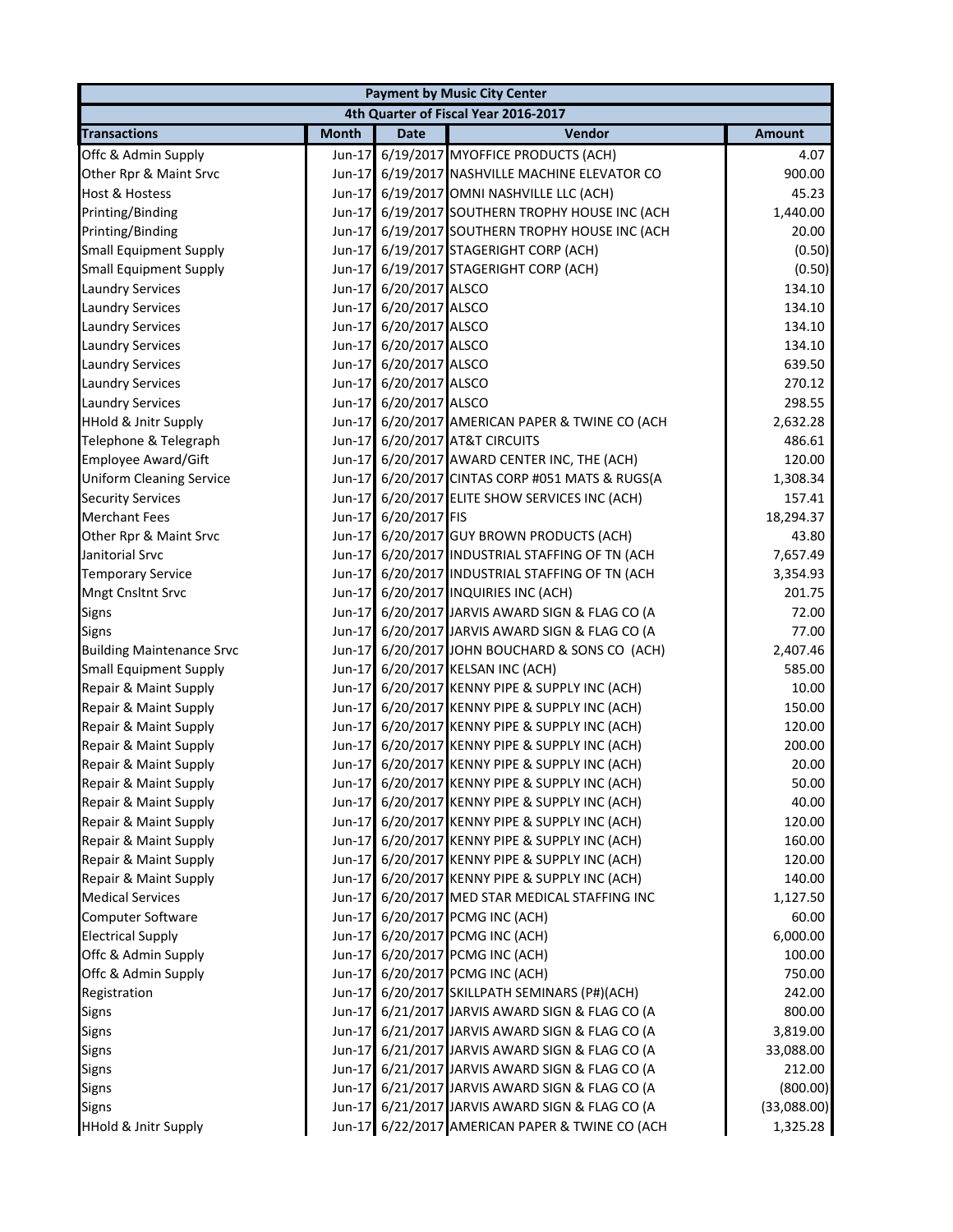|                                  | <b>Payment by Music City Center</b> |                 |                                                 |               |  |
|----------------------------------|-------------------------------------|-----------------|-------------------------------------------------|---------------|--|
|                                  |                                     |                 | 4th Quarter of Fiscal Year 2016-2017            |               |  |
| <b>Transactions</b>              | <b>Month</b>                        | <b>Date</b>     | Vendor                                          | <b>Amount</b> |  |
| Offc & Admin Supply              | Jun-17                              |                 | 6/19/2017 MYOFFICE PRODUCTS (ACH)               | 4.07          |  |
| Other Rpr & Maint Srvc           | Jun-17                              |                 | 6/19/2017 NASHVILLE MACHINE ELEVATOR CO         | 900.00        |  |
| Host & Hostess                   | Jun-17                              |                 | 6/19/2017 OMNI NASHVILLE LLC (ACH)              | 45.23         |  |
| Printing/Binding                 | Jun-17                              |                 | 6/19/2017 SOUTHERN TROPHY HOUSE INC (ACH        | 1,440.00      |  |
| Printing/Binding                 | Jun-17                              |                 | 6/19/2017 SOUTHERN TROPHY HOUSE INC (ACH        | 20.00         |  |
| <b>Small Equipment Supply</b>    | Jun-17                              |                 | 6/19/2017 STAGERIGHT CORP (ACH)                 | (0.50)        |  |
| <b>Small Equipment Supply</b>    | Jun-17                              |                 | 6/19/2017 STAGERIGHT CORP (ACH)                 | (0.50)        |  |
| <b>Laundry Services</b>          | Jun-17                              | 6/20/2017 ALSCO |                                                 | 134.10        |  |
| <b>Laundry Services</b>          | Jun-17                              | 6/20/2017 ALSCO |                                                 | 134.10        |  |
| <b>Laundry Services</b>          | Jun-17                              | 6/20/2017 ALSCO |                                                 | 134.10        |  |
| <b>Laundry Services</b>          | Jun-17                              | 6/20/2017 ALSCO |                                                 | 134.10        |  |
| <b>Laundry Services</b>          | Jun-17                              | 6/20/2017 ALSCO |                                                 | 639.50        |  |
| <b>Laundry Services</b>          | Jun-17                              | 6/20/2017 ALSCO |                                                 | 270.12        |  |
| <b>Laundry Services</b>          | Jun-17                              | 6/20/2017 ALSCO |                                                 | 298.55        |  |
| <b>HHold &amp; Jnitr Supply</b>  | Jun-17                              |                 | 6/20/2017 AMERICAN PAPER & TWINE CO (ACH        | 2,632.28      |  |
| Telephone & Telegraph            | Jun-17                              |                 | 6/20/2017 AT&T CIRCUITS                         | 486.61        |  |
| Employee Award/Gift              | Jun-17                              |                 | 6/20/2017 AWARD CENTER INC, THE (ACH)           | 120.00        |  |
| <b>Uniform Cleaning Service</b>  | Jun-17                              |                 | 6/20/2017 CINTAS CORP #051 MATS & RUGS(A        | 1,308.34      |  |
| <b>Security Services</b>         | Jun-17                              |                 | 6/20/2017 ELITE SHOW SERVICES INC (ACH)         | 157.41        |  |
| <b>Merchant Fees</b>             | Jun-17                              | 6/20/2017 FIS   |                                                 | 18,294.37     |  |
| Other Rpr & Maint Srvc           | Jun-17                              |                 | 6/20/2017 GUY BROWN PRODUCTS (ACH)              | 43.80         |  |
| Janitorial Srvc                  | Jun-17                              |                 | 6/20/2017 INDUSTRIAL STAFFING OF TN (ACH        | 7,657.49      |  |
| <b>Temporary Service</b>         | Jun-17                              |                 | 6/20/2017 INDUSTRIAL STAFFING OF TN (ACH        | 3,354.93      |  |
| Mngt Cnsltnt Srvc                | Jun-17                              |                 | 6/20/2017 INQUIRIES INC (ACH)                   | 201.75        |  |
| Signs                            | Jun-17                              |                 | 6/20/2017 JARVIS AWARD SIGN & FLAG CO (A        | 72.00         |  |
| <b>Signs</b>                     | Jun-17                              |                 | 6/20/2017 JARVIS AWARD SIGN & FLAG CO (A        | 77.00         |  |
| <b>Building Maintenance Srvc</b> | Jun-17                              |                 | 6/20/2017 JOHN BOUCHARD & SONS CO (ACH)         | 2,407.46      |  |
| <b>Small Equipment Supply</b>    | Jun-17                              |                 | 6/20/2017 KELSAN INC (ACH)                      | 585.00        |  |
| Repair & Maint Supply            | Jun-17                              |                 | 6/20/2017 KENNY PIPE & SUPPLY INC (ACH)         | 10.00         |  |
| Repair & Maint Supply            | Jun-17                              |                 | 6/20/2017 KENNY PIPE & SUPPLY INC (ACH)         | 150.00        |  |
| Repair & Maint Supply            | Jun-17                              |                 | 6/20/2017 KENNY PIPE & SUPPLY INC (ACH)         | 120.00        |  |
| Repair & Maint Supply            | Jun-17                              |                 | 6/20/2017 KENNY PIPE & SUPPLY INC (ACH)         | 200.00        |  |
| Repair & Maint Supply            |                                     |                 | Jun-17 6/20/2017 KENNY PIPE & SUPPLY INC (ACH)  | 20.00         |  |
| Repair & Maint Supply            |                                     |                 | Jun-17 6/20/2017 KENNY PIPE & SUPPLY INC (ACH)  | 50.00         |  |
| Repair & Maint Supply            |                                     |                 | Jun-17 6/20/2017 KENNY PIPE & SUPPLY INC (ACH)  | 40.00         |  |
| Repair & Maint Supply            |                                     |                 | Jun-17 6/20/2017 KENNY PIPE & SUPPLY INC (ACH)  | 120.00        |  |
| Repair & Maint Supply            |                                     |                 | Jun-17 6/20/2017 KENNY PIPE & SUPPLY INC (ACH)  | 160.00        |  |
| Repair & Maint Supply            |                                     |                 | Jun-17 6/20/2017 KENNY PIPE & SUPPLY INC (ACH)  | 120.00        |  |
| Repair & Maint Supply            | Jun-17                              |                 | 6/20/2017 KENNY PIPE & SUPPLY INC (ACH)         | 140.00        |  |
| <b>Medical Services</b>          |                                     |                 | Jun-17 6/20/2017 MED STAR MEDICAL STAFFING INC  | 1,127.50      |  |
| Computer Software                |                                     |                 | Jun-17 6/20/2017 PCMG INC (ACH)                 | 60.00         |  |
| <b>Electrical Supply</b>         |                                     |                 | Jun-17 6/20/2017 PCMG INC (ACH)                 | 6,000.00      |  |
| Offc & Admin Supply              |                                     |                 | Jun-17 6/20/2017 PCMG INC (ACH)                 | 100.00        |  |
| Offc & Admin Supply              |                                     |                 | Jun-17 6/20/2017 PCMG INC (ACH)                 | 750.00        |  |
| Registration                     |                                     |                 | Jun-17 6/20/2017 SKILLPATH SEMINARS (P#)(ACH)   | 242.00        |  |
| Signs                            |                                     |                 | Jun-17 6/21/2017 JARVIS AWARD SIGN & FLAG CO (A | 800.00        |  |
| Signs                            | Jun-17                              |                 | 6/21/2017 JARVIS AWARD SIGN & FLAG CO (A        | 3,819.00      |  |
| Signs                            |                                     |                 | Jun-17 6/21/2017 JARVIS AWARD SIGN & FLAG CO (A | 33,088.00     |  |
| Signs                            |                                     |                 | Jun-17 6/21/2017 JARVIS AWARD SIGN & FLAG CO (A | 212.00        |  |
| Signs                            |                                     |                 | Jun-17 6/21/2017 JARVIS AWARD SIGN & FLAG CO (A | (800.00)      |  |
| Signs                            |                                     |                 | Jun-17 6/21/2017 JARVIS AWARD SIGN & FLAG CO (A | (33,088.00)   |  |
| HHold & Jnitr Supply             | Jun-17                              |                 | 6/22/2017 AMERICAN PAPER & TWINE CO (ACH        | 1,325.28      |  |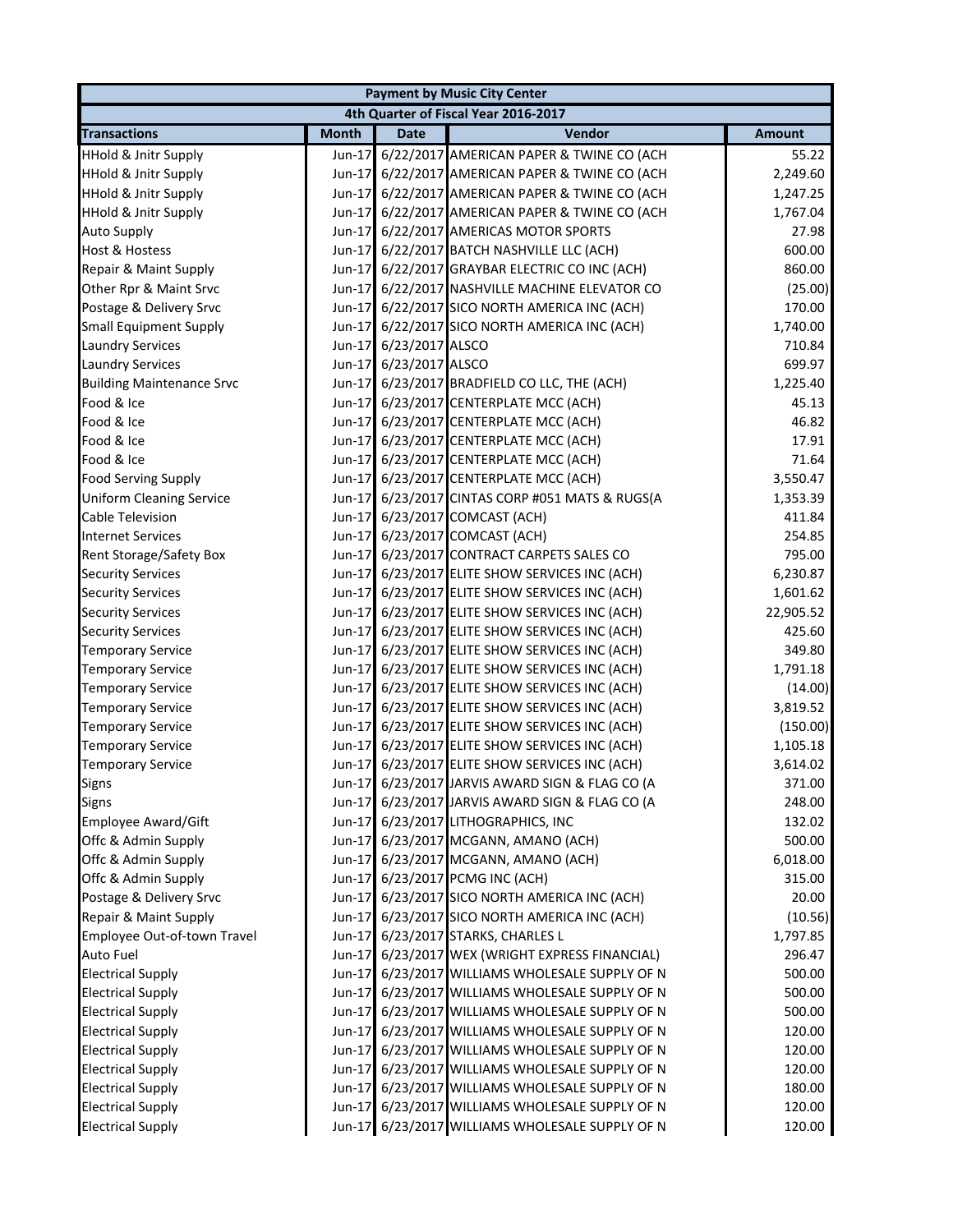|                                  |              |                        | <b>Payment by Music City Center</b>             |               |
|----------------------------------|--------------|------------------------|-------------------------------------------------|---------------|
|                                  |              |                        | 4th Quarter of Fiscal Year 2016-2017            |               |
| <b>Transactions</b>              | <b>Month</b> | <b>Date</b>            | Vendor                                          | <b>Amount</b> |
| <b>HHold &amp; Jnitr Supply</b>  | Jun-17       |                        | 6/22/2017 AMERICAN PAPER & TWINE CO (ACH        | 55.22         |
| <b>HHold &amp; Jnitr Supply</b>  |              |                        | Jun-17 6/22/2017 AMERICAN PAPER & TWINE CO (ACH | 2,249.60      |
| <b>HHold &amp; Jnitr Supply</b>  |              |                        | Jun-17 6/22/2017 AMERICAN PAPER & TWINE CO (ACH | 1,247.25      |
| <b>HHold &amp; Jnitr Supply</b>  | $Jun-17$     |                        | 6/22/2017 AMERICAN PAPER & TWINE CO (ACH        | 1,767.04      |
| <b>Auto Supply</b>               |              |                        | Jun-17 6/22/2017 AMERICAS MOTOR SPORTS          | 27.98         |
| <b>Host &amp; Hostess</b>        |              |                        | Jun-17 6/22/2017 BATCH NASHVILLE LLC (ACH)      | 600.00        |
| Repair & Maint Supply            |              |                        | Jun-17 6/22/2017 GRAYBAR ELECTRIC CO INC (ACH)  | 860.00        |
| Other Rpr & Maint Srvc           | $Jun-17$     |                        | 6/22/2017 NASHVILLE MACHINE ELEVATOR CO         | (25.00)       |
| Postage & Delivery Srvc          |              |                        | Jun-17 6/22/2017 SICO NORTH AMERICA INC (ACH)   | 170.00        |
| <b>Small Equipment Supply</b>    |              |                        | Jun-17 6/22/2017 SICO NORTH AMERICA INC (ACH)   | 1,740.00      |
| <b>Laundry Services</b>          |              | Jun-17 6/23/2017 ALSCO |                                                 | 710.84        |
| <b>Laundry Services</b>          |              | Jun-17 6/23/2017 ALSCO |                                                 | 699.97        |
| <b>Building Maintenance Srvc</b> |              |                        | Jun-17 6/23/2017 BRADFIELD CO LLC, THE (ACH)    | 1,225.40      |
| Food & Ice                       |              |                        | Jun-17 6/23/2017 CENTERPLATE MCC (ACH)          | 45.13         |
| Food & Ice                       |              |                        | Jun-17 6/23/2017 CENTERPLATE MCC (ACH)          | 46.82         |
| Food & Ice                       |              |                        | Jun-17 6/23/2017 CENTERPLATE MCC (ACH)          | 17.91         |
| Food & Ice                       |              |                        | Jun-17 6/23/2017 CENTERPLATE MCC (ACH)          | 71.64         |
| <b>Food Serving Supply</b>       |              |                        | Jun-17 6/23/2017 CENTERPLATE MCC (ACH)          | 3,550.47      |
| <b>Uniform Cleaning Service</b>  | Jun-17       |                        | 6/23/2017 CINTAS CORP #051 MATS & RUGS(A        | 1,353.39      |
| Cable Television                 | $Jun-17$     |                        | 6/23/2017 COMCAST (ACH)                         | 411.84        |
| <b>Internet Services</b>         | $Jun-17$     |                        | 6/23/2017 COMCAST (ACH)                         | 254.85        |
| Rent Storage/Safety Box          |              |                        | Jun-17 6/23/2017 CONTRACT CARPETS SALES CO      | 795.00        |
| <b>Security Services</b>         |              |                        | Jun-17 6/23/2017 ELITE SHOW SERVICES INC (ACH)  | 6,230.87      |
| <b>Security Services</b>         |              |                        | Jun-17 6/23/2017 ELITE SHOW SERVICES INC (ACH)  | 1,601.62      |
| <b>Security Services</b>         |              |                        | Jun-17 6/23/2017 ELITE SHOW SERVICES INC (ACH)  | 22,905.52     |
| <b>Security Services</b>         |              |                        | Jun-17 6/23/2017 ELITE SHOW SERVICES INC (ACH)  | 425.60        |
| <b>Temporary Service</b>         |              |                        | Jun-17 6/23/2017 ELITE SHOW SERVICES INC (ACH)  | 349.80        |
| <b>Temporary Service</b>         |              |                        | Jun-17 6/23/2017 ELITE SHOW SERVICES INC (ACH)  | 1,791.18      |
| <b>Temporary Service</b>         |              |                        | Jun-17 6/23/2017 ELITE SHOW SERVICES INC (ACH)  | (14.00)       |
| <b>Temporary Service</b>         |              |                        | Jun-17 6/23/2017 ELITE SHOW SERVICES INC (ACH)  | 3,819.52      |
| <b>Temporary Service</b>         |              |                        | Jun-17 6/23/2017 ELITE SHOW SERVICES INC (ACH)  | (150.00)      |
| <b>Temporary Service</b>         |              |                        | Jun-17 6/23/2017 ELITE SHOW SERVICES INC (ACH)  | 1,105.18      |
| <b>Temporary Service</b>         |              |                        | Jun-17 6/23/2017 ELITE SHOW SERVICES INC (ACH)  | 3,614.02      |
| Signs                            |              |                        | Jun-17 6/23/2017 JARVIS AWARD SIGN & FLAG CO (A | 371.00        |
| <b>Signs</b>                     |              |                        | Jun-17 6/23/2017 JARVIS AWARD SIGN & FLAG CO (A | 248.00        |
| <b>Employee Award/Gift</b>       |              |                        | Jun-17 6/23/2017 LITHOGRAPHICS, INC             | 132.02        |
| Offc & Admin Supply              |              |                        | Jun-17 6/23/2017 MCGANN, AMANO (ACH)            | 500.00        |
| Offc & Admin Supply              |              |                        | Jun-17 6/23/2017 MCGANN, AMANO (ACH)            | 6,018.00      |
| Offc & Admin Supply              |              |                        | Jun-17 6/23/2017 PCMG INC (ACH)                 | 315.00        |
| Postage & Delivery Srvc          |              |                        | Jun-17 6/23/2017 SICO NORTH AMERICA INC (ACH)   | 20.00         |
| Repair & Maint Supply            |              |                        | Jun-17 6/23/2017 SICO NORTH AMERICA INC (ACH)   | (10.56)       |
| Employee Out-of-town Travel      |              |                        | Jun-17 6/23/2017 STARKS, CHARLES L              | 1,797.85      |
| <b>Auto Fuel</b>                 | $Jun-17$     |                        | 6/23/2017 WEX (WRIGHT EXPRESS FINANCIAL)        | 296.47        |
| <b>Electrical Supply</b>         | $Jun-17$     |                        | 6/23/2017 WILLIAMS WHOLESALE SUPPLY OF N        | 500.00        |
| <b>Electrical Supply</b>         |              |                        | Jun-17 6/23/2017 WILLIAMS WHOLESALE SUPPLY OF N | 500.00        |
| <b>Electrical Supply</b>         | $Jun-17$     |                        | 6/23/2017 WILLIAMS WHOLESALE SUPPLY OF N        | 500.00        |
| <b>Electrical Supply</b>         | $Jun-17$     |                        | 6/23/2017 WILLIAMS WHOLESALE SUPPLY OF N        | 120.00        |
| <b>Electrical Supply</b>         |              |                        | Jun-17 6/23/2017 WILLIAMS WHOLESALE SUPPLY OF N | 120.00        |
| <b>Electrical Supply</b>         | $Jun-17$     |                        | 6/23/2017 WILLIAMS WHOLESALE SUPPLY OF N        | 120.00        |
| <b>Electrical Supply</b>         | $Jun-17$     |                        | 6/23/2017 WILLIAMS WHOLESALE SUPPLY OF N        | 180.00        |
| <b>Electrical Supply</b>         | $Jun-17$     |                        | 6/23/2017 WILLIAMS WHOLESALE SUPPLY OF N        | 120.00        |
| <b>Electrical Supply</b>         |              |                        | Jun-17 6/23/2017 WILLIAMS WHOLESALE SUPPLY OF N | 120.00        |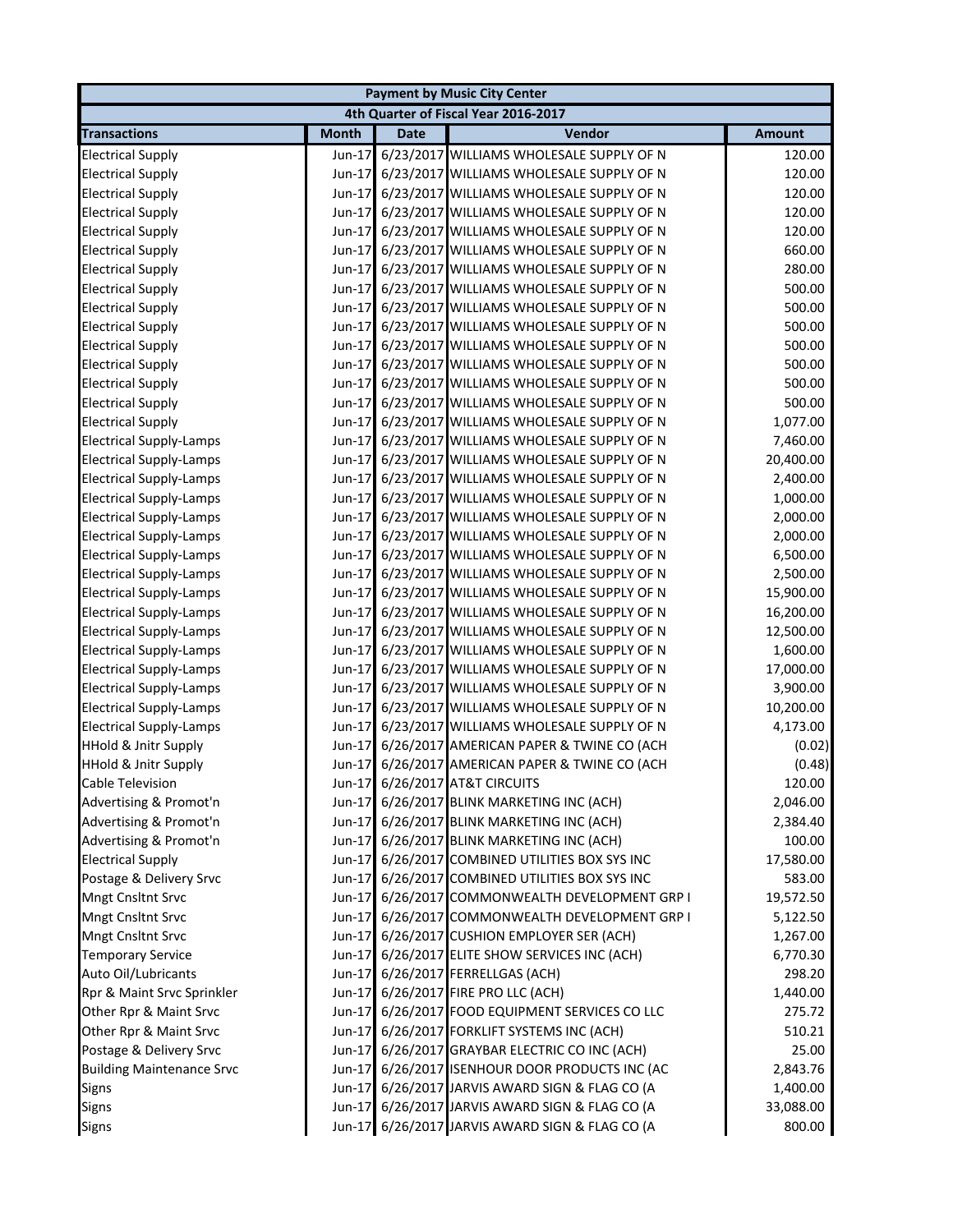|                                  |              |             | <b>Payment by Music City Center</b>             |               |
|----------------------------------|--------------|-------------|-------------------------------------------------|---------------|
|                                  |              |             | 4th Quarter of Fiscal Year 2016-2017            |               |
| <b>Transactions</b>              | <b>Month</b> | <b>Date</b> | Vendor                                          | <b>Amount</b> |
| <b>Electrical Supply</b>         | Jun-17       |             | 6/23/2017 WILLIAMS WHOLESALE SUPPLY OF N        | 120.00        |
| <b>Electrical Supply</b>         | Jun-17       |             | 6/23/2017 WILLIAMS WHOLESALE SUPPLY OF N        | 120.00        |
| <b>Electrical Supply</b>         | Jun-17       |             | 6/23/2017 WILLIAMS WHOLESALE SUPPLY OF N        | 120.00        |
| <b>Electrical Supply</b>         | Jun-17       |             | 6/23/2017 WILLIAMS WHOLESALE SUPPLY OF N        | 120.00        |
| <b>Electrical Supply</b>         | Jun-17       |             | 6/23/2017 WILLIAMS WHOLESALE SUPPLY OF N        | 120.00        |
| <b>Electrical Supply</b>         | Jun-17       |             | 6/23/2017 WILLIAMS WHOLESALE SUPPLY OF N        | 660.00        |
| <b>Electrical Supply</b>         | Jun-17       |             | 6/23/2017 WILLIAMS WHOLESALE SUPPLY OF N        | 280.00        |
| <b>Electrical Supply</b>         | Jun-17       |             | 6/23/2017 WILLIAMS WHOLESALE SUPPLY OF N        | 500.00        |
| <b>Electrical Supply</b>         | Jun-17       |             | 6/23/2017 WILLIAMS WHOLESALE SUPPLY OF N        | 500.00        |
| <b>Electrical Supply</b>         | Jun-17       |             | 6/23/2017 WILLIAMS WHOLESALE SUPPLY OF N        | 500.00        |
| <b>Electrical Supply</b>         | Jun-17       |             | 6/23/2017 WILLIAMS WHOLESALE SUPPLY OF N        | 500.00        |
| <b>Electrical Supply</b>         | Jun-17       |             | 6/23/2017 WILLIAMS WHOLESALE SUPPLY OF N        | 500.00        |
| <b>Electrical Supply</b>         | Jun-17       |             | 6/23/2017 WILLIAMS WHOLESALE SUPPLY OF N        | 500.00        |
| <b>Electrical Supply</b>         | Jun-17       |             | 6/23/2017 WILLIAMS WHOLESALE SUPPLY OF N        | 500.00        |
| <b>Electrical Supply</b>         | Jun-17       |             | 6/23/2017 WILLIAMS WHOLESALE SUPPLY OF N        | 1,077.00      |
| <b>Electrical Supply-Lamps</b>   | Jun-17       |             | 6/23/2017 WILLIAMS WHOLESALE SUPPLY OF N        | 7,460.00      |
| <b>Electrical Supply-Lamps</b>   | Jun-17       |             | 6/23/2017 WILLIAMS WHOLESALE SUPPLY OF N        | 20,400.00     |
| <b>Electrical Supply-Lamps</b>   | Jun-17       |             | 6/23/2017 WILLIAMS WHOLESALE SUPPLY OF N        | 2,400.00      |
| <b>Electrical Supply-Lamps</b>   | Jun-17       |             | 6/23/2017 WILLIAMS WHOLESALE SUPPLY OF N        | 1,000.00      |
| <b>Electrical Supply-Lamps</b>   | Jun-17       |             | 6/23/2017 WILLIAMS WHOLESALE SUPPLY OF N        | 2,000.00      |
| <b>Electrical Supply-Lamps</b>   | Jun-17       |             | 6/23/2017 WILLIAMS WHOLESALE SUPPLY OF N        | 2,000.00      |
| <b>Electrical Supply-Lamps</b>   | Jun-17       |             | 6/23/2017 WILLIAMS WHOLESALE SUPPLY OF N        | 6,500.00      |
| <b>Electrical Supply-Lamps</b>   | Jun-17       |             | 6/23/2017 WILLIAMS WHOLESALE SUPPLY OF N        | 2,500.00      |
| <b>Electrical Supply-Lamps</b>   | Jun-17       |             | 6/23/2017 WILLIAMS WHOLESALE SUPPLY OF N        | 15,900.00     |
| <b>Electrical Supply-Lamps</b>   | Jun-17       |             | 6/23/2017 WILLIAMS WHOLESALE SUPPLY OF N        | 16,200.00     |
| <b>Electrical Supply-Lamps</b>   | Jun-17       |             | 6/23/2017 WILLIAMS WHOLESALE SUPPLY OF N        | 12,500.00     |
| <b>Electrical Supply-Lamps</b>   | Jun-17       |             | 6/23/2017 WILLIAMS WHOLESALE SUPPLY OF N        | 1,600.00      |
| <b>Electrical Supply-Lamps</b>   | Jun-17       |             | 6/23/2017 WILLIAMS WHOLESALE SUPPLY OF N        | 17,000.00     |
| <b>Electrical Supply-Lamps</b>   | Jun-17       |             | 6/23/2017 WILLIAMS WHOLESALE SUPPLY OF N        | 3,900.00      |
| <b>Electrical Supply-Lamps</b>   | Jun-17       |             | 6/23/2017 WILLIAMS WHOLESALE SUPPLY OF N        | 10,200.00     |
| <b>Electrical Supply-Lamps</b>   | Jun-17       |             | 6/23/2017 WILLIAMS WHOLESALE SUPPLY OF N        | 4,173.00      |
| <b>HHold &amp; Jnitr Supply</b>  | Jun-17       |             | 6/26/2017 AMERICAN PAPER & TWINE CO (ACH        | (0.02)        |
| <b>HHold &amp; Jnitr Supply</b>  |              |             | Jun-17 6/26/2017 AMERICAN PAPER & TWINE CO (ACH | (0.48)        |
| Cable Television                 |              |             | Jun-17 6/26/2017 AT&T CIRCUITS                  | 120.00        |
| Advertising & Promot'n           |              |             | Jun-17 6/26/2017 BLINK MARKETING INC (ACH)      | 2,046.00      |
| Advertising & Promot'n           |              |             | Jun-17 6/26/2017 BLINK MARKETING INC (ACH)      | 2,384.40      |
| Advertising & Promot'n           |              |             | Jun-17 6/26/2017 BLINK MARKETING INC (ACH)      | 100.00        |
| <b>Electrical Supply</b>         |              |             | Jun-17 6/26/2017 COMBINED UTILITIES BOX SYS INC | 17,580.00     |
| Postage & Delivery Srvc          |              |             | Jun-17 6/26/2017 COMBINED UTILITIES BOX SYS INC | 583.00        |
| <b>Mngt Cnsltnt Srvc</b>         |              |             | Jun-17 6/26/2017 COMMONWEALTH DEVELOPMENT GRP I | 19,572.50     |
| <b>Mngt Cnsltnt Srvc</b>         |              |             | Jun-17 6/26/2017 COMMONWEALTH DEVELOPMENT GRP I | 5,122.50      |
| <b>Mngt Cnsltnt Srvc</b>         |              |             | Jun-17 6/26/2017 CUSHION EMPLOYER SER (ACH)     | 1,267.00      |
| <b>Temporary Service</b>         |              |             | Jun-17 6/26/2017 ELITE SHOW SERVICES INC (ACH)  | 6,770.30      |
| Auto Oil/Lubricants              |              |             | Jun-17 6/26/2017 FERRELLGAS (ACH)               | 298.20        |
| Rpr & Maint Srvc Sprinkler       |              |             | Jun-17 6/26/2017 FIRE PRO LLC (ACH)             | 1,440.00      |
| Other Rpr & Maint Srvc           |              |             | Jun-17 6/26/2017 FOOD EQUIPMENT SERVICES CO LLC | 275.72        |
| Other Rpr & Maint Srvc           |              |             | Jun-17 6/26/2017 FORKLIFT SYSTEMS INC (ACH)     | 510.21        |
| Postage & Delivery Srvc          |              |             | Jun-17 6/26/2017 GRAYBAR ELECTRIC CO INC (ACH)  | 25.00         |
| <b>Building Maintenance Srvc</b> |              |             | Jun-17 6/26/2017 ISENHOUR DOOR PRODUCTS INC (AC | 2,843.76      |
| <b>Signs</b>                     |              |             | Jun-17 6/26/2017 JARVIS AWARD SIGN & FLAG CO (A | 1,400.00      |
| Signs                            |              |             | Jun-17 6/26/2017 JARVIS AWARD SIGN & FLAG CO (A | 33,088.00     |
| <b>Signs</b>                     |              |             | Jun-17 6/26/2017 JARVIS AWARD SIGN & FLAG CO (A | 800.00        |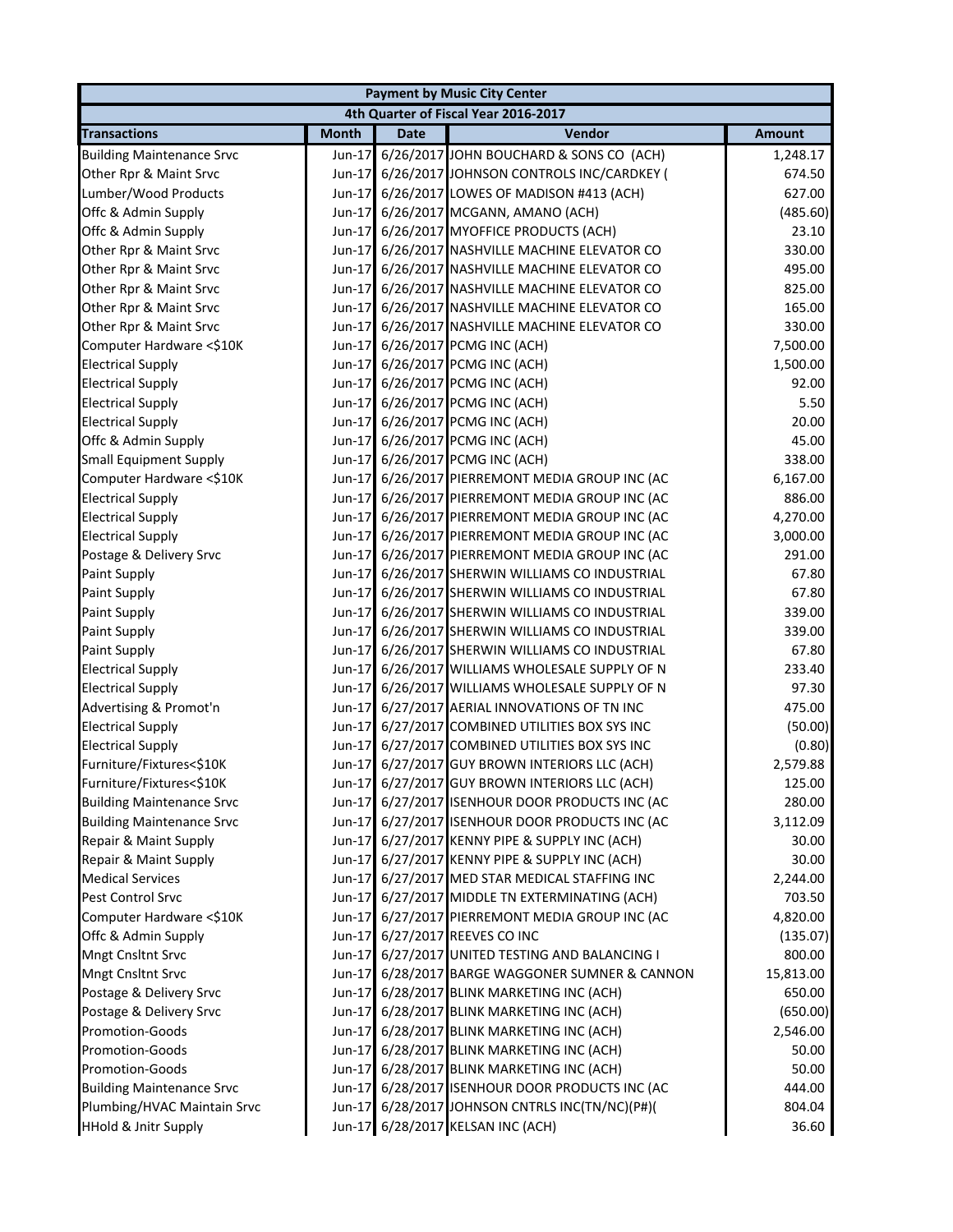|                                  |              |             | <b>Payment by Music City Center</b>             |               |
|----------------------------------|--------------|-------------|-------------------------------------------------|---------------|
|                                  |              |             | 4th Quarter of Fiscal Year 2016-2017            |               |
| <b>Transactions</b>              | <b>Month</b> | <b>Date</b> | Vendor                                          | <b>Amount</b> |
| <b>Building Maintenance Srvc</b> | Jun-17       |             | 6/26/2017 JOHN BOUCHARD & SONS CO (ACH)         | 1,248.17      |
| Other Rpr & Maint Srvc           |              |             | Jun-17 6/26/2017 JOHNSON CONTROLS INC/CARDKEY ( | 674.50        |
| Lumber/Wood Products             | Jun-17       |             | 6/26/2017 LOWES OF MADISON #413 (ACH)           | 627.00        |
| Offc & Admin Supply              | Jun-17       |             | 6/26/2017 MCGANN, AMANO (ACH)                   | (485.60)      |
| Offc & Admin Supply              | Jun-17       |             | 6/26/2017 MYOFFICE PRODUCTS (ACH)               | 23.10         |
| Other Rpr & Maint Srvc           | Jun-17       |             | 6/26/2017 NASHVILLE MACHINE ELEVATOR CO         | 330.00        |
| Other Rpr & Maint Srvc           | Jun-17       |             | 6/26/2017 NASHVILLE MACHINE ELEVATOR CO         | 495.00        |
| Other Rpr & Maint Srvc           | Jun-17       |             | 6/26/2017 NASHVILLE MACHINE ELEVATOR CO         | 825.00        |
| Other Rpr & Maint Srvc           | Jun-17       |             | 6/26/2017 NASHVILLE MACHINE ELEVATOR CO         | 165.00        |
| Other Rpr & Maint Srvc           | Jun-17       |             | 6/26/2017 NASHVILLE MACHINE ELEVATOR CO         | 330.00        |
| Computer Hardware <\$10K         |              |             | Jun-17 6/26/2017 PCMG INC (ACH)                 | 7,500.00      |
| <b>Electrical Supply</b>         |              |             | Jun-17 6/26/2017 PCMG INC (ACH)                 | 1,500.00      |
| <b>Electrical Supply</b>         |              |             | Jun-17 6/26/2017 PCMG INC (ACH)                 | 92.00         |
| <b>Electrical Supply</b>         |              |             | Jun-17 6/26/2017 PCMG INC (ACH)                 | 5.50          |
| <b>Electrical Supply</b>         |              |             | Jun-17 6/26/2017 PCMG INC (ACH)                 | 20.00         |
| Offc & Admin Supply              |              |             | Jun-17 6/26/2017 PCMG INC (ACH)                 | 45.00         |
| <b>Small Equipment Supply</b>    |              |             | Jun-17 6/26/2017 PCMG INC (ACH)                 | 338.00        |
| Computer Hardware <\$10K         |              |             | Jun-17 6/26/2017 PIERREMONT MEDIA GROUP INC (AC | 6,167.00      |
| <b>Electrical Supply</b>         | Jun-17       |             | 6/26/2017 PIERREMONT MEDIA GROUP INC (AC        | 886.00        |
| <b>Electrical Supply</b>         | Jun-17       |             | 6/26/2017 PIERREMONT MEDIA GROUP INC (AC        | 4,270.00      |
| <b>Electrical Supply</b>         | Jun-17       |             | 6/26/2017 PIERREMONT MEDIA GROUP INC (AC        | 3,000.00      |
| Postage & Delivery Srvc          | Jun-17       |             | 6/26/2017 PIERREMONT MEDIA GROUP INC (AC        | 291.00        |
| <b>Paint Supply</b>              | Jun-17       |             | 6/26/2017 SHERWIN WILLIAMS CO INDUSTRIAL        | 67.80         |
| Paint Supply                     | Jun-17       |             | 6/26/2017 SHERWIN WILLIAMS CO INDUSTRIAL        | 67.80         |
| Paint Supply                     | Jun-17       |             | 6/26/2017 SHERWIN WILLIAMS CO INDUSTRIAL        | 339.00        |
| Paint Supply                     | Jun-17       |             | 6/26/2017 SHERWIN WILLIAMS CO INDUSTRIAL        | 339.00        |
| Paint Supply                     |              |             | Jun-17 6/26/2017 SHERWIN WILLIAMS CO INDUSTRIAL | 67.80         |
| <b>Electrical Supply</b>         | Jun-17       |             | 6/26/2017 WILLIAMS WHOLESALE SUPPLY OF N        | 233.40        |
| <b>Electrical Supply</b>         | Jun-17       |             | 6/26/2017 WILLIAMS WHOLESALE SUPPLY OF N        | 97.30         |
| Advertising & Promot'n           | Jun-17       |             | 6/27/2017 AERIAL INNOVATIONS OF TN INC          | 475.00        |
| <b>Electrical Supply</b>         | Jun-17       |             | 6/27/2017 COMBINED UTILITIES BOX SYS INC        | (50.00)       |
| <b>Electrical Supply</b>         | $Jun-17$     |             | 6/27/2017 COMBINED UTILITIES BOX SYS INC        | (0.80)        |
| Furniture/Fixtures<\$10K         |              |             | Jun-17 6/27/2017 GUY BROWN INTERIORS LLC (ACH)  | 2,579.88      |
| Furniture/Fixtures<\$10K         |              |             | Jun-17 6/27/2017 GUY BROWN INTERIORS LLC (ACH)  | 125.00        |
| <b>Building Maintenance Srvc</b> |              |             | Jun-17 6/27/2017 ISENHOUR DOOR PRODUCTS INC (AC | 280.00        |
| <b>Building Maintenance Srvc</b> |              |             | Jun-17 6/27/2017 ISENHOUR DOOR PRODUCTS INC (AC | 3,112.09      |
| Repair & Maint Supply            |              |             | Jun-17 6/27/2017 KENNY PIPE & SUPPLY INC (ACH)  | 30.00         |
| Repair & Maint Supply            |              |             | Jun-17 6/27/2017 KENNY PIPE & SUPPLY INC (ACH)  | 30.00         |
| <b>Medical Services</b>          |              |             | Jun-17 6/27/2017 MED STAR MEDICAL STAFFING INC  | 2,244.00      |
| Pest Control Srvc                |              |             | Jun-17 6/27/2017 MIDDLE TN EXTERMINATING (ACH)  | 703.50        |
| Computer Hardware <\$10K         |              |             | Jun-17 6/27/2017 PIERREMONT MEDIA GROUP INC (AC | 4,820.00      |
| Offc & Admin Supply              |              |             | Jun-17 6/27/2017 REEVES CO INC                  | (135.07)      |
| Mngt Cnsltnt Srvc                |              |             | Jun-17 6/27/2017 UNITED TESTING AND BALANCING I | 800.00        |
| Mngt Cnsltnt Srvc                | $Jun-17$     |             | 6/28/2017 BARGE WAGGONER SUMNER & CANNON        | 15,813.00     |
| Postage & Delivery Srvc          |              |             | Jun-17 6/28/2017 BLINK MARKETING INC (ACH)      | 650.00        |
| Postage & Delivery Srvc          |              |             | Jun-17 6/28/2017 BLINK MARKETING INC (ACH)      | (650.00)      |
| Promotion-Goods                  |              |             | Jun-17 6/28/2017 BLINK MARKETING INC (ACH)      | 2,546.00      |
| <b>Promotion-Goods</b>           |              |             | Jun-17 6/28/2017 BLINK MARKETING INC (ACH)      | 50.00         |
| <b>Promotion-Goods</b>           |              |             | Jun-17 6/28/2017 BLINK MARKETING INC (ACH)      | 50.00         |
| <b>Building Maintenance Srvc</b> |              |             | Jun-17 6/28/2017 ISENHOUR DOOR PRODUCTS INC (AC | 444.00        |
| Plumbing/HVAC Maintain Srvc      |              |             | Jun-17 6/28/2017 JOHNSON CNTRLS INC(TN/NC)(P#)( | 804.04        |
| <b>HHold &amp; Jnitr Supply</b>  |              |             | Jun-17 6/28/2017 KELSAN INC (ACH)               | 36.60         |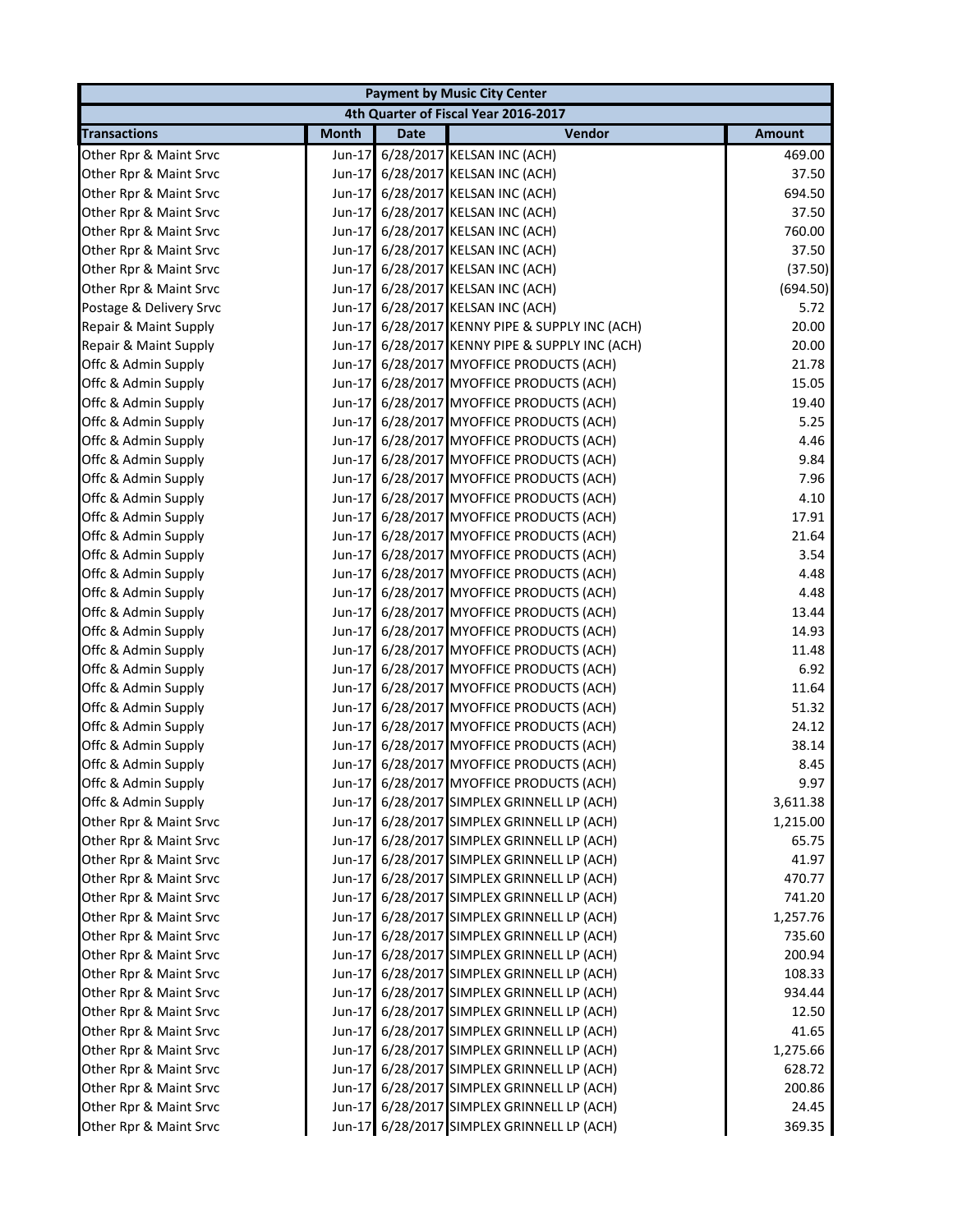|                         | <b>Payment by Music City Center</b> |             |                                                |               |  |  |
|-------------------------|-------------------------------------|-------------|------------------------------------------------|---------------|--|--|
|                         |                                     |             | 4th Quarter of Fiscal Year 2016-2017           |               |  |  |
| <b>Transactions</b>     | <b>Month</b>                        | <b>Date</b> | Vendor                                         | <b>Amount</b> |  |  |
| Other Rpr & Maint Srvc  | Jun-17                              |             | 6/28/2017 KELSAN INC (ACH)                     | 469.00        |  |  |
| Other Rpr & Maint Srvc  |                                     |             | Jun-17 6/28/2017 KELSAN INC (ACH)              | 37.50         |  |  |
| Other Rpr & Maint Srvc  |                                     |             | Jun-17 6/28/2017 KELSAN INC (ACH)              | 694.50        |  |  |
| Other Rpr & Maint Srvc  |                                     |             | Jun-17 6/28/2017 KELSAN INC (ACH)              | 37.50         |  |  |
| Other Rpr & Maint Srvc  |                                     |             | Jun-17 6/28/2017 KELSAN INC (ACH)              | 760.00        |  |  |
| Other Rpr & Maint Srvc  |                                     |             | Jun-17 6/28/2017 KELSAN INC (ACH)              | 37.50         |  |  |
| Other Rpr & Maint Srvc  |                                     |             | Jun-17 6/28/2017 KELSAN INC (ACH)              | (37.50)       |  |  |
| Other Rpr & Maint Srvc  |                                     |             | Jun-17 6/28/2017 KELSAN INC (ACH)              | (694.50)      |  |  |
| Postage & Delivery Srvc |                                     |             | Jun-17 6/28/2017 KELSAN INC (ACH)              | 5.72          |  |  |
| Repair & Maint Supply   |                                     |             | Jun-17 6/28/2017 KENNY PIPE & SUPPLY INC (ACH) | 20.00         |  |  |
| Repair & Maint Supply   |                                     |             | Jun-17 6/28/2017 KENNY PIPE & SUPPLY INC (ACH) | 20.00         |  |  |
| Offc & Admin Supply     |                                     |             | Jun-17 6/28/2017 MYOFFICE PRODUCTS (ACH)       | 21.78         |  |  |
| Offc & Admin Supply     |                                     |             | Jun-17 6/28/2017 MYOFFICE PRODUCTS (ACH)       | 15.05         |  |  |
| Offc & Admin Supply     |                                     |             | Jun-17 6/28/2017 MYOFFICE PRODUCTS (ACH)       | 19.40         |  |  |
| Offc & Admin Supply     |                                     |             | Jun-17 6/28/2017 MYOFFICE PRODUCTS (ACH)       | 5.25          |  |  |
| Offc & Admin Supply     |                                     |             | Jun-17 6/28/2017 MYOFFICE PRODUCTS (ACH)       | 4.46          |  |  |
| Offc & Admin Supply     |                                     |             | Jun-17 6/28/2017 MYOFFICE PRODUCTS (ACH)       | 9.84          |  |  |
| Offc & Admin Supply     |                                     |             | Jun-17 6/28/2017 MYOFFICE PRODUCTS (ACH)       | 7.96          |  |  |
| Offc & Admin Supply     | $Jun-17$                            |             | 6/28/2017 MYOFFICE PRODUCTS (ACH)              | 4.10          |  |  |
| Offc & Admin Supply     |                                     |             | Jun-17 6/28/2017 MYOFFICE PRODUCTS (ACH)       | 17.91         |  |  |
| Offc & Admin Supply     |                                     |             | Jun-17 6/28/2017 MYOFFICE PRODUCTS (ACH)       | 21.64         |  |  |
| Offc & Admin Supply     | Jun-17                              |             | 6/28/2017 MYOFFICE PRODUCTS (ACH)              | 3.54          |  |  |
| Offc & Admin Supply     | $Jun-17$                            |             | 6/28/2017 MYOFFICE PRODUCTS (ACH)              | 4.48          |  |  |
| Offc & Admin Supply     | $Jun-17$                            |             | 6/28/2017 MYOFFICE PRODUCTS (ACH)              | 4.48          |  |  |
| Offc & Admin Supply     |                                     |             | Jun-17 6/28/2017 MYOFFICE PRODUCTS (ACH)       | 13.44         |  |  |
| Offc & Admin Supply     |                                     |             | Jun-17 6/28/2017 MYOFFICE PRODUCTS (ACH)       | 14.93         |  |  |
| Offc & Admin Supply     |                                     |             | Jun-17 6/28/2017 MYOFFICE PRODUCTS (ACH)       | 11.48         |  |  |
| Offc & Admin Supply     |                                     |             | Jun-17 6/28/2017 MYOFFICE PRODUCTS (ACH)       | 6.92          |  |  |
| Offc & Admin Supply     |                                     |             | Jun-17 6/28/2017 MYOFFICE PRODUCTS (ACH)       | 11.64         |  |  |
| Offc & Admin Supply     |                                     |             | Jun-17 6/28/2017 MYOFFICE PRODUCTS (ACH)       | 51.32         |  |  |
| Offc & Admin Supply     |                                     |             | Jun-17 6/28/2017 MYOFFICE PRODUCTS (ACH)       | 24.12         |  |  |
| Offc & Admin Supply     |                                     |             | Jun-17 6/28/2017 MYOFFICE PRODUCTS (ACH)       | 38.14         |  |  |
| Offc & Admin Supply     |                                     |             | Jun-17 6/28/2017 MYOFFICE PRODUCTS (ACH)       | 8.45          |  |  |
| Offc & Admin Supply     |                                     |             | Jun-17 6/28/2017 MYOFFICE PRODUCTS (ACH)       | 9.97          |  |  |
| Offc & Admin Supply     |                                     |             | Jun-17 6/28/2017 SIMPLEX GRINNELL LP (ACH)     | 3,611.38      |  |  |
| Other Rpr & Maint Srvc  |                                     |             | Jun-17 6/28/2017 SIMPLEX GRINNELL LP (ACH)     | 1,215.00      |  |  |
| Other Rpr & Maint Srvc  |                                     |             | Jun-17 6/28/2017 SIMPLEX GRINNELL LP (ACH)     | 65.75         |  |  |
| Other Rpr & Maint Srvc  |                                     |             | Jun-17 6/28/2017 SIMPLEX GRINNELL LP (ACH)     | 41.97         |  |  |
| Other Rpr & Maint Srvc  |                                     |             | Jun-17 6/28/2017 SIMPLEX GRINNELL LP (ACH)     | 470.77        |  |  |
| Other Rpr & Maint Srvc  |                                     |             | Jun-17 6/28/2017 SIMPLEX GRINNELL LP (ACH)     | 741.20        |  |  |
| Other Rpr & Maint Srvc  |                                     |             | Jun-17 6/28/2017 SIMPLEX GRINNELL LP (ACH)     | 1,257.76      |  |  |
| Other Rpr & Maint Srvc  |                                     |             | Jun-17 6/28/2017 SIMPLEX GRINNELL LP (ACH)     | 735.60        |  |  |
| Other Rpr & Maint Srvc  |                                     |             | Jun-17 6/28/2017 SIMPLEX GRINNELL LP (ACH)     | 200.94        |  |  |
| Other Rpr & Maint Srvc  |                                     |             | Jun-17 6/28/2017 SIMPLEX GRINNELL LP (ACH)     | 108.33        |  |  |
| Other Rpr & Maint Srvc  |                                     |             | Jun-17 6/28/2017 SIMPLEX GRINNELL LP (ACH)     | 934.44        |  |  |
| Other Rpr & Maint Srvc  |                                     |             | Jun-17 6/28/2017 SIMPLEX GRINNELL LP (ACH)     | 12.50         |  |  |
| Other Rpr & Maint Srvc  |                                     |             | Jun-17 6/28/2017 SIMPLEX GRINNELL LP (ACH)     | 41.65         |  |  |
| Other Rpr & Maint Srvc  |                                     |             | Jun-17 6/28/2017 SIMPLEX GRINNELL LP (ACH)     | 1,275.66      |  |  |
| Other Rpr & Maint Srvc  |                                     |             | Jun-17 6/28/2017 SIMPLEX GRINNELL LP (ACH)     | 628.72        |  |  |
| Other Rpr & Maint Srvc  |                                     |             | Jun-17 6/28/2017 SIMPLEX GRINNELL LP (ACH)     | 200.86        |  |  |
| Other Rpr & Maint Srvc  |                                     |             | Jun-17 6/28/2017 SIMPLEX GRINNELL LP (ACH)     | 24.45         |  |  |
| Other Rpr & Maint Srvc  |                                     |             | Jun-17 6/28/2017 SIMPLEX GRINNELL LP (ACH)     | 369.35        |  |  |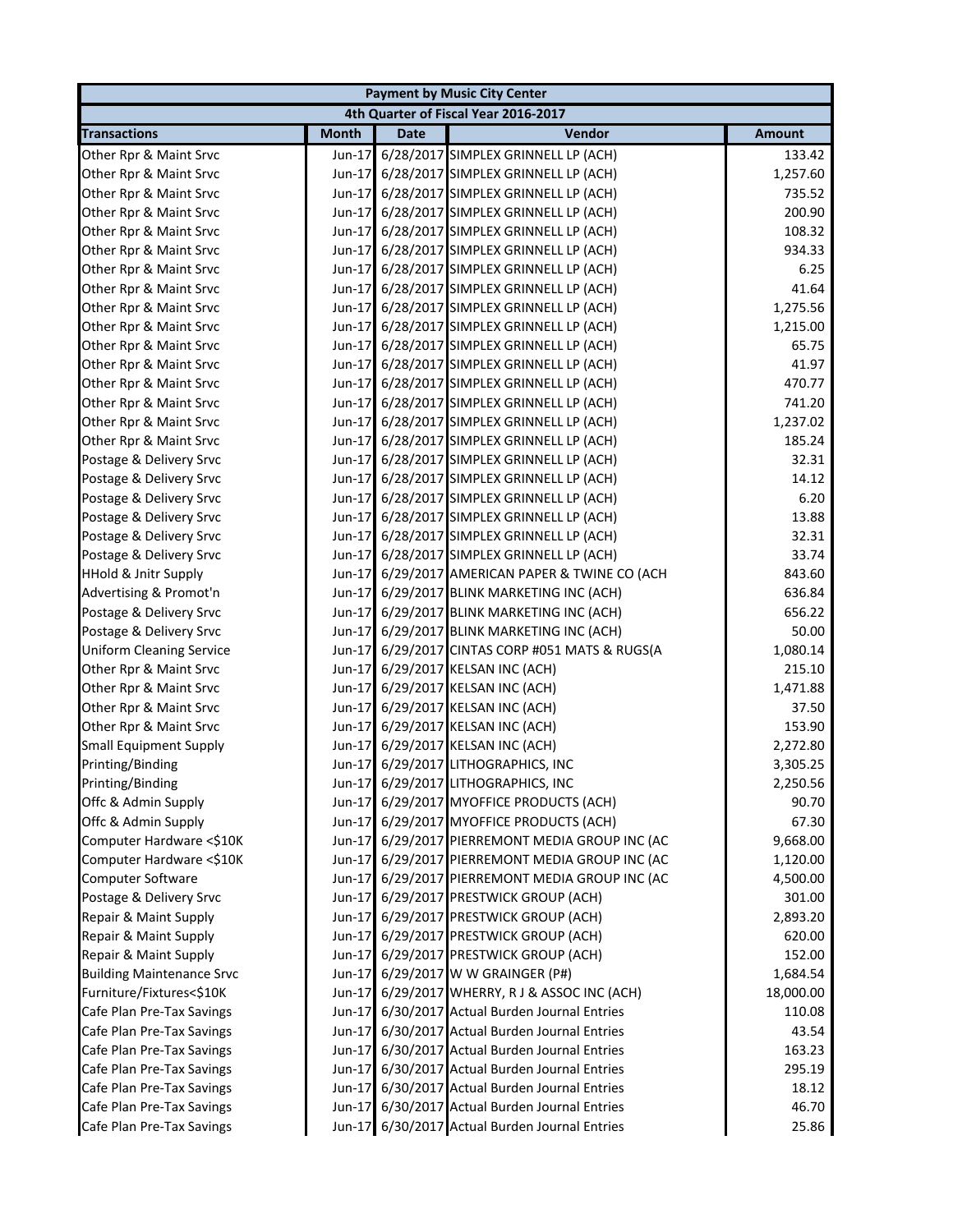|                                  |              |      | <b>Payment by Music City Center</b>             |               |
|----------------------------------|--------------|------|-------------------------------------------------|---------------|
|                                  |              |      | 4th Quarter of Fiscal Year 2016-2017            |               |
| <b>Transactions</b>              | <b>Month</b> | Date | Vendor                                          | <b>Amount</b> |
| Other Rpr & Maint Srvc           | Jun-17       |      | 6/28/2017 SIMPLEX GRINNELL LP (ACH)             | 133.42        |
| Other Rpr & Maint Srvc           | Jun-17       |      | 6/28/2017 SIMPLEX GRINNELL LP (ACH)             | 1,257.60      |
| Other Rpr & Maint Srvc           | Jun-17       |      | 6/28/2017 SIMPLEX GRINNELL LP (ACH)             | 735.52        |
| Other Rpr & Maint Srvc           | Jun-17       |      | 6/28/2017 SIMPLEX GRINNELL LP (ACH)             | 200.90        |
| Other Rpr & Maint Srvc           | Jun-17       |      | 6/28/2017 SIMPLEX GRINNELL LP (ACH)             | 108.32        |
| Other Rpr & Maint Srvc           |              |      | Jun-17 6/28/2017 SIMPLEX GRINNELL LP (ACH)      | 934.33        |
| Other Rpr & Maint Srvc           |              |      | Jun-17 6/28/2017 SIMPLEX GRINNELL LP (ACH)      | 6.25          |
| Other Rpr & Maint Srvc           | $Jun-17$     |      | 6/28/2017 SIMPLEX GRINNELL LP (ACH)             | 41.64         |
| Other Rpr & Maint Srvc           |              |      | Jun-17 6/28/2017 SIMPLEX GRINNELL LP (ACH)      | 1,275.56      |
| Other Rpr & Maint Srvc           | $Jun-17$     |      | 6/28/2017 SIMPLEX GRINNELL LP (ACH)             | 1,215.00      |
| Other Rpr & Maint Srvc           | Jun-17       |      | 6/28/2017 SIMPLEX GRINNELL LP (ACH)             | 65.75         |
| Other Rpr & Maint Srvc           | Jun-17       |      | 6/28/2017 SIMPLEX GRINNELL LP (ACH)             | 41.97         |
| Other Rpr & Maint Srvc           | $Jun-17$     |      | 6/28/2017 SIMPLEX GRINNELL LP (ACH)             | 470.77        |
| Other Rpr & Maint Srvc           |              |      | Jun-17 6/28/2017 SIMPLEX GRINNELL LP (ACH)      | 741.20        |
| Other Rpr & Maint Srvc           |              |      | Jun-17 6/28/2017 SIMPLEX GRINNELL LP (ACH)      | 1,237.02      |
| Other Rpr & Maint Srvc           |              |      | Jun-17 6/28/2017 SIMPLEX GRINNELL LP (ACH)      | 185.24        |
| Postage & Delivery Srvc          |              |      | Jun-17 6/28/2017 SIMPLEX GRINNELL LP (ACH)      | 32.31         |
| Postage & Delivery Srvc          |              |      | Jun-17 6/28/2017 SIMPLEX GRINNELL LP (ACH)      | 14.12         |
| Postage & Delivery Srvc          |              |      | Jun-17 6/28/2017 SIMPLEX GRINNELL LP (ACH)      | 6.20          |
| Postage & Delivery Srvc          |              |      | Jun-17 6/28/2017 SIMPLEX GRINNELL LP (ACH)      | 13.88         |
| Postage & Delivery Srvc          |              |      | Jun-17 6/28/2017 SIMPLEX GRINNELL LP (ACH)      | 32.31         |
| Postage & Delivery Srvc          |              |      | Jun-17 6/28/2017 SIMPLEX GRINNELL LP (ACH)      | 33.74         |
| <b>HHold &amp; Jnitr Supply</b>  |              |      | Jun-17 6/29/2017 AMERICAN PAPER & TWINE CO (ACH | 843.60        |
| Advertising & Promot'n           | Jun-17       |      | 6/29/2017 BLINK MARKETING INC (ACH)             | 636.84        |
| Postage & Delivery Srvc          | Jun-17       |      | 6/29/2017 BLINK MARKETING INC (ACH)             | 656.22        |
| Postage & Delivery Srvc          | $Jun-17$     |      | 6/29/2017 BLINK MARKETING INC (ACH)             | 50.00         |
| <b>Uniform Cleaning Service</b>  |              |      | Jun-17 6/29/2017 CINTAS CORP #051 MATS & RUGS(A | 1,080.14      |
| Other Rpr & Maint Srvc           |              |      | Jun-17 6/29/2017 KELSAN INC (ACH)               | 215.10        |
| Other Rpr & Maint Srvc           |              |      | Jun-17 6/29/2017 KELSAN INC (ACH)               | 1,471.88      |
| Other Rpr & Maint Srvc           |              |      | Jun-17 6/29/2017 KELSAN INC (ACH)               | 37.50         |
| Other Rpr & Maint Srvc           |              |      | Jun-17 6/29/2017 KELSAN INC (ACH)               | 153.90        |
| <b>Small Equipment Supply</b>    |              |      | Jun-17 6/29/2017 KELSAN INC (ACH)               | 2,272.80      |
| Printing/Binding                 |              |      | Jun-17 6/29/2017 LITHOGRAPHICS, INC             | 3,305.25      |
| Printing/Binding                 |              |      | Jun-17 6/29/2017 LITHOGRAPHICS, INC             | 2,250.56      |
| Offc & Admin Supply              |              |      | Jun-17 6/29/2017 MYOFFICE PRODUCTS (ACH)        | 90.70         |
| Offc & Admin Supply              |              |      | Jun-17 6/29/2017 MYOFFICE PRODUCTS (ACH)        | 67.30         |
| Computer Hardware <\$10K         |              |      | Jun-17 6/29/2017 PIERREMONT MEDIA GROUP INC (AC | 9,668.00      |
| Computer Hardware <\$10K         |              |      | Jun-17 6/29/2017 PIERREMONT MEDIA GROUP INC (AC | 1,120.00      |
| Computer Software                |              |      | Jun-17 6/29/2017 PIERREMONT MEDIA GROUP INC (AC | 4,500.00      |
| Postage & Delivery Srvc          |              |      | Jun-17 6/29/2017 PRESTWICK GROUP (ACH)          | 301.00        |
| Repair & Maint Supply            |              |      | Jun-17 6/29/2017 PRESTWICK GROUP (ACH)          | 2,893.20      |
| Repair & Maint Supply            |              |      | Jun-17 6/29/2017 PRESTWICK GROUP (ACH)          | 620.00        |
| Repair & Maint Supply            |              |      | Jun-17 6/29/2017 PRESTWICK GROUP (ACH)          | 152.00        |
| <b>Building Maintenance Srvc</b> |              |      | Jun-17 6/29/2017 W W GRAINGER (P#)              | 1,684.54      |
| Furniture/Fixtures<\$10K         |              |      | Jun-17 6/29/2017 WHERRY, R J & ASSOC INC (ACH)  | 18,000.00     |
| Cafe Plan Pre-Tax Savings        |              |      | Jun-17 6/30/2017 Actual Burden Journal Entries  | 110.08        |
| Cafe Plan Pre-Tax Savings        |              |      | Jun-17 6/30/2017 Actual Burden Journal Entries  | 43.54         |
| Cafe Plan Pre-Tax Savings        |              |      | Jun-17 6/30/2017 Actual Burden Journal Entries  | 163.23        |
| Cafe Plan Pre-Tax Savings        |              |      | Jun-17 6/30/2017 Actual Burden Journal Entries  | 295.19        |
| Cafe Plan Pre-Tax Savings        |              |      | Jun-17 6/30/2017 Actual Burden Journal Entries  | 18.12         |
| Cafe Plan Pre-Tax Savings        |              |      | Jun-17 6/30/2017 Actual Burden Journal Entries  | 46.70         |
| Cafe Plan Pre-Tax Savings        |              |      | Jun-17 6/30/2017 Actual Burden Journal Entries  | 25.86         |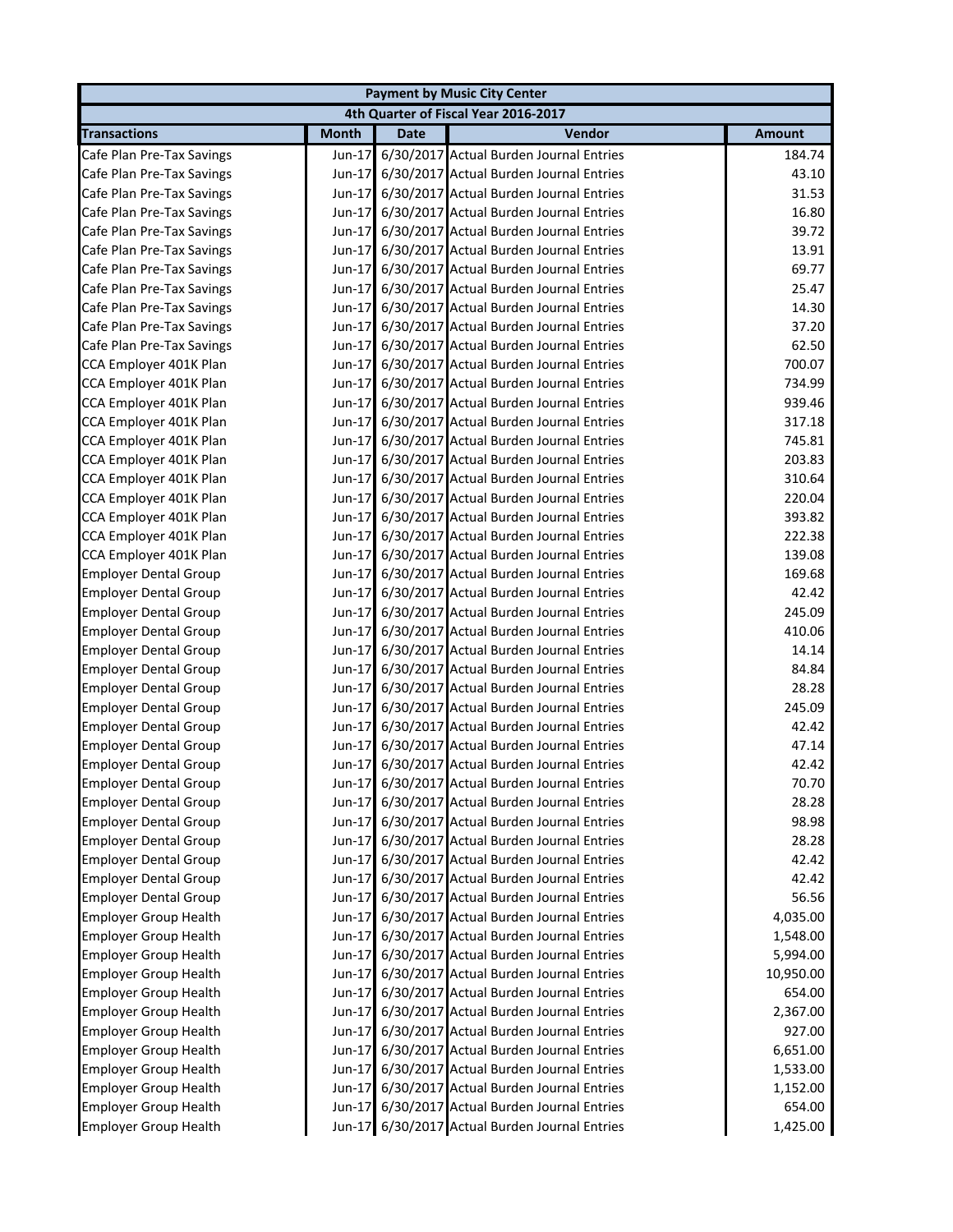|                              |              |             | <b>Payment by Music City Center</b>            |               |
|------------------------------|--------------|-------------|------------------------------------------------|---------------|
|                              |              |             | 4th Quarter of Fiscal Year 2016-2017           |               |
| <b>Transactions</b>          | <b>Month</b> | <b>Date</b> | Vendor                                         | <b>Amount</b> |
| Cafe Plan Pre-Tax Savings    | Jun-17       |             | 6/30/2017 Actual Burden Journal Entries        | 184.74        |
| Cafe Plan Pre-Tax Savings    |              |             | Jun-17 6/30/2017 Actual Burden Journal Entries | 43.10         |
| Cafe Plan Pre-Tax Savings    | Jun-17       |             | 6/30/2017 Actual Burden Journal Entries        | 31.53         |
| Cafe Plan Pre-Tax Savings    | $Jun-17$     |             | 6/30/2017 Actual Burden Journal Entries        | 16.80         |
| Cafe Plan Pre-Tax Savings    | $Jun-17$     |             | 6/30/2017 Actual Burden Journal Entries        | 39.72         |
| Cafe Plan Pre-Tax Savings    | Jun-17       |             | 6/30/2017 Actual Burden Journal Entries        | 13.91         |
| Cafe Plan Pre-Tax Savings    | $Jun-17$     |             | 6/30/2017 Actual Burden Journal Entries        | 69.77         |
| Cafe Plan Pre-Tax Savings    | $Jun-17$     |             | 6/30/2017 Actual Burden Journal Entries        | 25.47         |
| Cafe Plan Pre-Tax Savings    | $Jun-17$     |             | 6/30/2017 Actual Burden Journal Entries        | 14.30         |
| Cafe Plan Pre-Tax Savings    | $Jun-17$     |             | 6/30/2017 Actual Burden Journal Entries        | 37.20         |
| Cafe Plan Pre-Tax Savings    | $Jun-17$     |             | 6/30/2017 Actual Burden Journal Entries        | 62.50         |
| CCA Employer 401K Plan       | $Jun-17$     |             | 6/30/2017 Actual Burden Journal Entries        | 700.07        |
| CCA Employer 401K Plan       | $Jun-17$     |             | 6/30/2017 Actual Burden Journal Entries        | 734.99        |
| CCA Employer 401K Plan       | Jun-17       |             | 6/30/2017 Actual Burden Journal Entries        | 939.46        |
| CCA Employer 401K Plan       |              |             | Jun-17 6/30/2017 Actual Burden Journal Entries | 317.18        |
| CCA Employer 401K Plan       | $Jun-17$     |             | 6/30/2017 Actual Burden Journal Entries        | 745.81        |
| CCA Employer 401K Plan       |              |             | Jun-17 6/30/2017 Actual Burden Journal Entries | 203.83        |
| CCA Employer 401K Plan       |              |             | Jun-17 6/30/2017 Actual Burden Journal Entries | 310.64        |
| CCA Employer 401K Plan       | Jun-17       |             | 6/30/2017 Actual Burden Journal Entries        | 220.04        |
| CCA Employer 401K Plan       |              |             | Jun-17 6/30/2017 Actual Burden Journal Entries | 393.82        |
| CCA Employer 401K Plan       | $Jun-17$     |             | 6/30/2017 Actual Burden Journal Entries        | 222.38        |
| CCA Employer 401K Plan       | Jun-17       |             | 6/30/2017 Actual Burden Journal Entries        | 139.08        |
| <b>Employer Dental Group</b> | $Jun-17$     |             | 6/30/2017 Actual Burden Journal Entries        | 169.68        |
| <b>Employer Dental Group</b> | $Jun-17$     |             | 6/30/2017 Actual Burden Journal Entries        | 42.42         |
| <b>Employer Dental Group</b> | $Jun-17$     |             | 6/30/2017 Actual Burden Journal Entries        | 245.09        |
| <b>Employer Dental Group</b> | $Jun-17$     |             | 6/30/2017 Actual Burden Journal Entries        | 410.06        |
| <b>Employer Dental Group</b> |              |             | Jun-17 6/30/2017 Actual Burden Journal Entries | 14.14         |
| <b>Employer Dental Group</b> | Jun-17       |             | 6/30/2017 Actual Burden Journal Entries        | 84.84         |
| <b>Employer Dental Group</b> |              |             | Jun-17 6/30/2017 Actual Burden Journal Entries | 28.28         |
| <b>Employer Dental Group</b> |              |             | Jun-17 6/30/2017 Actual Burden Journal Entries | 245.09        |
| <b>Employer Dental Group</b> |              |             | Jun-17 6/30/2017 Actual Burden Journal Entries | 42.42         |
| <b>Employer Dental Group</b> |              |             | Jun-17 6/30/2017 Actual Burden Journal Entries | 47.14         |
| <b>Employer Dental Group</b> |              |             | Jun-17 6/30/2017 Actual Burden Journal Entries | 42.42         |
| <b>Employer Dental Group</b> |              |             | Jun-17 6/30/2017 Actual Burden Journal Entries | 70.70         |
| <b>Employer Dental Group</b> |              |             | Jun-17 6/30/2017 Actual Burden Journal Entries | 28.28         |
| <b>Employer Dental Group</b> | Jun-17       |             | 6/30/2017 Actual Burden Journal Entries        | 98.98         |
| <b>Employer Dental Group</b> |              |             | Jun-17 6/30/2017 Actual Burden Journal Entries | 28.28         |
| <b>Employer Dental Group</b> | $Jun-17$     |             | 6/30/2017 Actual Burden Journal Entries        | 42.42         |
| <b>Employer Dental Group</b> | $Jun-17$     |             | 6/30/2017 Actual Burden Journal Entries        | 42.42         |
| <b>Employer Dental Group</b> |              |             | Jun-17 6/30/2017 Actual Burden Journal Entries | 56.56         |
| <b>Employer Group Health</b> |              |             | Jun-17 6/30/2017 Actual Burden Journal Entries | 4,035.00      |
| <b>Employer Group Health</b> |              |             | Jun-17 6/30/2017 Actual Burden Journal Entries | 1,548.00      |
| <b>Employer Group Health</b> |              |             | Jun-17 6/30/2017 Actual Burden Journal Entries | 5,994.00      |
| <b>Employer Group Health</b> |              |             | Jun-17 6/30/2017 Actual Burden Journal Entries | 10,950.00     |
| <b>Employer Group Health</b> |              |             | Jun-17 6/30/2017 Actual Burden Journal Entries | 654.00        |
| <b>Employer Group Health</b> |              |             | Jun-17 6/30/2017 Actual Burden Journal Entries | 2,367.00      |
| <b>Employer Group Health</b> | $Jun-17$     |             | 6/30/2017 Actual Burden Journal Entries        | 927.00        |
| <b>Employer Group Health</b> |              |             | Jun-17 6/30/2017 Actual Burden Journal Entries | 6,651.00      |
| <b>Employer Group Health</b> |              |             | Jun-17 6/30/2017 Actual Burden Journal Entries | 1,533.00      |
| <b>Employer Group Health</b> | $Jun-17$     |             | 6/30/2017 Actual Burden Journal Entries        | 1,152.00      |
| <b>Employer Group Health</b> | $Jun-17$     |             | 6/30/2017 Actual Burden Journal Entries        | 654.00        |
| <b>Employer Group Health</b> |              |             | Jun-17 6/30/2017 Actual Burden Journal Entries | 1,425.00      |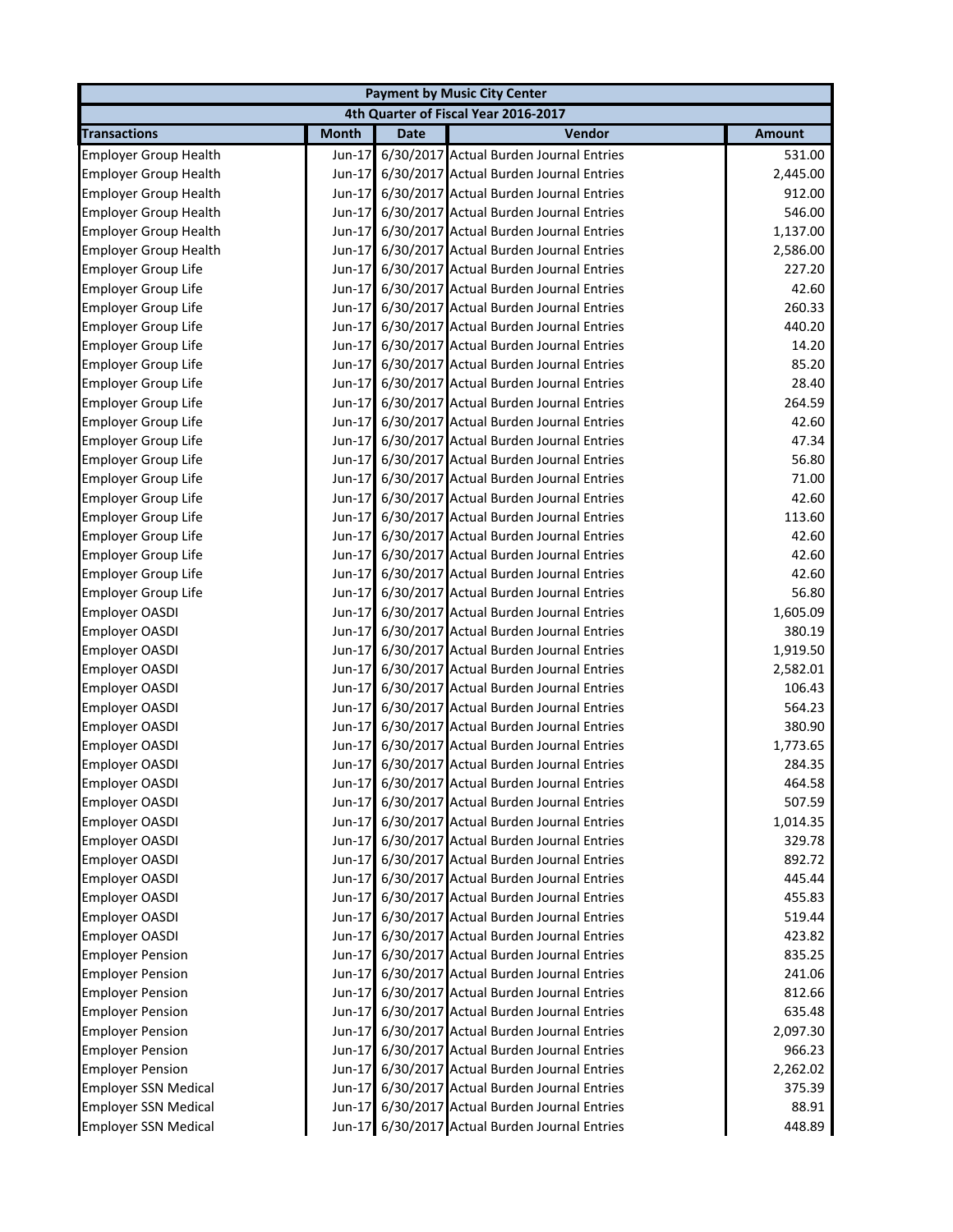| <b>Payment by Music City Center</b>     |                      |             |                                                |                    |  |
|-----------------------------------------|----------------------|-------------|------------------------------------------------|--------------------|--|
| 4th Quarter of Fiscal Year 2016-2017    |                      |             |                                                |                    |  |
| <b>Transactions</b>                     | <b>Month</b>         | <b>Date</b> | Vendor                                         | <b>Amount</b>      |  |
| <b>Employer Group Health</b>            | Jun-17               |             | 6/30/2017 Actual Burden Journal Entries        | 531.00             |  |
| <b>Employer Group Health</b>            | $Jun-17$             |             | 6/30/2017 Actual Burden Journal Entries        | 2,445.00           |  |
| <b>Employer Group Health</b>            | $Jun-17$             |             | 6/30/2017 Actual Burden Journal Entries        | 912.00             |  |
| <b>Employer Group Health</b>            | Jun-17               |             | 6/30/2017 Actual Burden Journal Entries        | 546.00             |  |
| <b>Employer Group Health</b>            | Jun-17               |             | 6/30/2017 Actual Burden Journal Entries        | 1,137.00           |  |
| <b>Employer Group Health</b>            | $Jun-17$             |             | 6/30/2017 Actual Burden Journal Entries        | 2,586.00           |  |
| <b>Employer Group Life</b>              | Jun-17               |             | 6/30/2017 Actual Burden Journal Entries        | 227.20             |  |
| Employer Group Life                     | Jun-17               |             | 6/30/2017 Actual Burden Journal Entries        | 42.60              |  |
| <b>Employer Group Life</b>              | $Jun-17$             |             | 6/30/2017 Actual Burden Journal Entries        | 260.33             |  |
| <b>Employer Group Life</b>              | Jun-17               |             | 6/30/2017 Actual Burden Journal Entries        | 440.20             |  |
| <b>Employer Group Life</b>              | Jun-17               |             | 6/30/2017 Actual Burden Journal Entries        | 14.20              |  |
| <b>Employer Group Life</b>              |                      |             | Jun-17 6/30/2017 Actual Burden Journal Entries | 85.20              |  |
| <b>Employer Group Life</b>              | $Jun-17$             |             | 6/30/2017 Actual Burden Journal Entries        | 28.40              |  |
| <b>Employer Group Life</b>              | $Jun-17$             |             | 6/30/2017 Actual Burden Journal Entries        | 264.59             |  |
| <b>Employer Group Life</b>              | $Jun-17$             |             | 6/30/2017 Actual Burden Journal Entries        | 42.60              |  |
| <b>Employer Group Life</b>              | $Jun-17$             |             | 6/30/2017 Actual Burden Journal Entries        | 47.34              |  |
| <b>Employer Group Life</b>              |                      |             | Jun-17 6/30/2017 Actual Burden Journal Entries | 56.80              |  |
| Employer Group Life                     | $Jun-17$             |             | 6/30/2017 Actual Burden Journal Entries        | 71.00              |  |
| <b>Employer Group Life</b>              | $Jun-17$             |             | 6/30/2017 Actual Burden Journal Entries        | 42.60              |  |
| <b>Employer Group Life</b>              | $Jun-17$             |             | 6/30/2017 Actual Burden Journal Entries        | 113.60             |  |
| <b>Employer Group Life</b>              | $Jun-17$             |             | 6/30/2017 Actual Burden Journal Entries        | 42.60              |  |
| Employer Group Life                     | $Jun-17$             |             | 6/30/2017 Actual Burden Journal Entries        | 42.60              |  |
| <b>Employer Group Life</b>              | $Jun-17$             |             | 6/30/2017 Actual Burden Journal Entries        | 42.60              |  |
| <b>Employer Group Life</b>              | $Jun-17$             |             | 6/30/2017 Actual Burden Journal Entries        | 56.80              |  |
|                                         |                      |             | 6/30/2017 Actual Burden Journal Entries        | 1,605.09           |  |
| <b>Employer OASDI</b><br>Employer OASDI | $Jun-17$<br>$Jun-17$ |             | 6/30/2017 Actual Burden Journal Entries        | 380.19             |  |
|                                         |                      |             |                                                |                    |  |
| <b>Employer OASDI</b>                   | $Jun-17$             |             | 6/30/2017 Actual Burden Journal Entries        | 1,919.50           |  |
| Employer OASDI                          | $Jun-17$             |             | 6/30/2017 Actual Burden Journal Entries        | 2,582.01<br>106.43 |  |
| Employer OASDI                          | $Jun-17$             |             | 6/30/2017 Actual Burden Journal Entries        |                    |  |
| <b>Employer OASDI</b>                   | $Jun-17$             |             | 6/30/2017 Actual Burden Journal Entries        | 564.23             |  |
| <b>Employer OASDI</b>                   | $Jun-17$             |             | 6/30/2017 Actual Burden Journal Entries        | 380.90             |  |
| <b>Employer OASDI</b>                   | $Jun-17$             |             | 6/30/2017 Actual Burden Journal Entries        | 1,773.65           |  |
| <b>Employer OASDI</b>                   |                      |             | Jun-17 6/30/2017 Actual Burden Journal Entries | 284.35             |  |
| <b>Employer OASDI</b>                   |                      |             | Jun-17 6/30/2017 Actual Burden Journal Entries | 464.58             |  |
| <b>Employer OASDI</b>                   |                      |             | Jun-17 6/30/2017 Actual Burden Journal Entries | 507.59             |  |
| <b>Employer OASDI</b>                   |                      |             | Jun-17 6/30/2017 Actual Burden Journal Entries | 1,014.35           |  |
| <b>Employer OASDI</b>                   |                      |             | Jun-17 6/30/2017 Actual Burden Journal Entries | 329.78             |  |
| <b>Employer OASDI</b>                   |                      |             | Jun-17 6/30/2017 Actual Burden Journal Entries | 892.72             |  |
| <b>Employer OASDI</b>                   |                      |             | Jun-17 6/30/2017 Actual Burden Journal Entries | 445.44             |  |
| <b>Employer OASDI</b>                   |                      |             | Jun-17 6/30/2017 Actual Burden Journal Entries | 455.83             |  |
| Employer OASDI                          |                      |             | Jun-17 6/30/2017 Actual Burden Journal Entries | 519.44             |  |
| Employer OASDI                          |                      |             | Jun-17 6/30/2017 Actual Burden Journal Entries | 423.82             |  |
| <b>Employer Pension</b>                 |                      |             | Jun-17 6/30/2017 Actual Burden Journal Entries | 835.25             |  |
| <b>Employer Pension</b>                 | $Jun-17$             |             | 6/30/2017 Actual Burden Journal Entries        | 241.06             |  |
| <b>Employer Pension</b>                 |                      |             | Jun-17 6/30/2017 Actual Burden Journal Entries | 812.66             |  |
| <b>Employer Pension</b>                 |                      |             | Jun-17 6/30/2017 Actual Burden Journal Entries | 635.48             |  |
| <b>Employer Pension</b>                 |                      |             | Jun-17 6/30/2017 Actual Burden Journal Entries | 2,097.30           |  |
| <b>Employer Pension</b>                 |                      |             | Jun-17 6/30/2017 Actual Burden Journal Entries | 966.23             |  |
| <b>Employer Pension</b>                 |                      |             | Jun-17 6/30/2017 Actual Burden Journal Entries | 2,262.02           |  |
| <b>Employer SSN Medical</b>             |                      |             | Jun-17 6/30/2017 Actual Burden Journal Entries | 375.39             |  |
| <b>Employer SSN Medical</b>             |                      |             | Jun-17 6/30/2017 Actual Burden Journal Entries | 88.91              |  |
| <b>Employer SSN Medical</b>             |                      |             | Jun-17 6/30/2017 Actual Burden Journal Entries | 448.89             |  |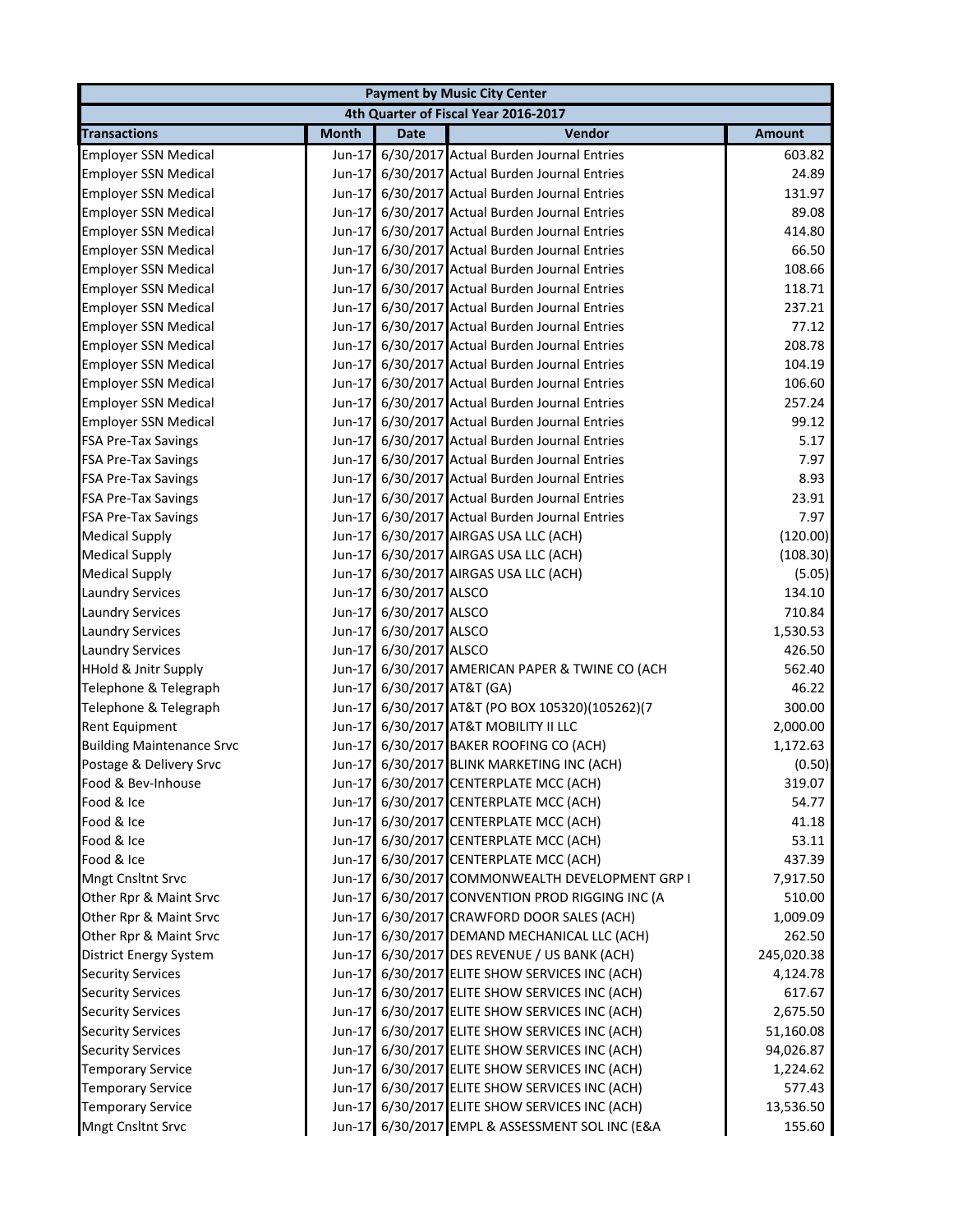| <b>Payment by Music City Center</b>  |              |                            |                                                 |               |  |
|--------------------------------------|--------------|----------------------------|-------------------------------------------------|---------------|--|
| 4th Quarter of Fiscal Year 2016-2017 |              |                            |                                                 |               |  |
| <b>Transactions</b>                  | <b>Month</b> | <b>Date</b>                | Vendor                                          | <b>Amount</b> |  |
| <b>Employer SSN Medical</b>          | Jun-17       |                            | 6/30/2017 Actual Burden Journal Entries         | 603.82        |  |
| <b>Employer SSN Medical</b>          |              |                            | Jun-17 6/30/2017 Actual Burden Journal Entries  | 24.89         |  |
| <b>Employer SSN Medical</b>          |              |                            | Jun-17 6/30/2017 Actual Burden Journal Entries  | 131.97        |  |
| <b>Employer SSN Medical</b>          | Jun-17       |                            | 6/30/2017 Actual Burden Journal Entries         | 89.08         |  |
| <b>Employer SSN Medical</b>          |              |                            | Jun-17 6/30/2017 Actual Burden Journal Entries  | 414.80        |  |
| <b>Employer SSN Medical</b>          |              |                            | Jun-17 6/30/2017 Actual Burden Journal Entries  | 66.50         |  |
| <b>Employer SSN Medical</b>          |              |                            | Jun-17 6/30/2017 Actual Burden Journal Entries  | 108.66        |  |
| <b>Employer SSN Medical</b>          | $Jun-17$     |                            | 6/30/2017 Actual Burden Journal Entries         | 118.71        |  |
| <b>Employer SSN Medical</b>          | Jun-17       |                            | 6/30/2017 Actual Burden Journal Entries         | 237.21        |  |
| <b>Employer SSN Medical</b>          | Jun-17       |                            | 6/30/2017 Actual Burden Journal Entries         | 77.12         |  |
| <b>Employer SSN Medical</b>          | $Jun-17$     |                            | 6/30/2017 Actual Burden Journal Entries         | 208.78        |  |
| <b>Employer SSN Medical</b>          |              |                            | Jun-17 6/30/2017 Actual Burden Journal Entries  | 104.19        |  |
| <b>Employer SSN Medical</b>          |              |                            | Jun-17 6/30/2017 Actual Burden Journal Entries  | 106.60        |  |
| <b>Employer SSN Medical</b>          | $Jun-17$     |                            | 6/30/2017 Actual Burden Journal Entries         | 257.24        |  |
| <b>Employer SSN Medical</b>          |              |                            | Jun-17 6/30/2017 Actual Burden Journal Entries  | 99.12         |  |
| <b>FSA Pre-Tax Savings</b>           |              |                            | Jun-17 6/30/2017 Actual Burden Journal Entries  | 5.17          |  |
| <b>FSA Pre-Tax Savings</b>           |              |                            | Jun-17 6/30/2017 Actual Burden Journal Entries  | 7.97          |  |
| <b>FSA Pre-Tax Savings</b>           |              |                            | Jun-17 6/30/2017 Actual Burden Journal Entries  | 8.93          |  |
| <b>FSA Pre-Tax Savings</b>           |              |                            | Jun-17 6/30/2017 Actual Burden Journal Entries  | 23.91         |  |
| <b>FSA Pre-Tax Savings</b>           |              |                            | Jun-17 6/30/2017 Actual Burden Journal Entries  | 7.97          |  |
| <b>Medical Supply</b>                |              |                            | Jun-17 6/30/2017 AIRGAS USA LLC (ACH)           | (120.00)      |  |
| <b>Medical Supply</b>                | Jun-17       |                            | 6/30/2017 AIRGAS USA LLC (ACH)                  | (108.30)      |  |
| <b>Medical Supply</b>                | Jun-17       |                            | 6/30/2017 AIRGAS USA LLC (ACH)                  | (5.05)        |  |
| <b>Laundry Services</b>              | Jun-17       | 6/30/2017 ALSCO            |                                                 | 134.10        |  |
| <b>Laundry Services</b>              | Jun-17       | 6/30/2017 ALSCO            |                                                 | 710.84        |  |
| <b>Laundry Services</b>              | Jun-17       | 6/30/2017 ALSCO            |                                                 | 1,530.53      |  |
| <b>Laundry Services</b>              |              | Jun-17 6/30/2017 ALSCO     |                                                 | 426.50        |  |
| <b>HHold &amp; Jnitr Supply</b>      |              |                            | Jun-17 6/30/2017 AMERICAN PAPER & TWINE CO (ACH | 562.40        |  |
| Telephone & Telegraph                |              | Jun-17 6/30/2017 AT&T (GA) |                                                 | 46.22         |  |
| Telephone & Telegraph                |              |                            | Jun-17 6/30/2017 AT&T (PO BOX 105320)(105262)(7 | 300.00        |  |
| Rent Equipment                       |              |                            | Jun-17 6/30/2017 AT&T MOBILITY II LLC           | 2,000.00      |  |
| <b>Building Maintenance Srvc</b>     |              |                            | Jun-17 6/30/2017 BAKER ROOFING CO (ACH)         | 1,172.63      |  |
| Postage & Delivery Srvc              |              |                            | Jun-17 6/30/2017 BLINK MARKETING INC (ACH)      | (0.50)        |  |
| Food & Bev-Inhouse                   |              |                            | Jun-17 6/30/2017 CENTERPLATE MCC (ACH)          | 319.07        |  |
| Food & Ice                           |              |                            | Jun-17 6/30/2017 CENTERPLATE MCC (ACH)          | 54.77         |  |
| Food & Ice                           |              |                            | Jun-17 6/30/2017 CENTERPLATE MCC (ACH)          | 41.18         |  |
| Food & Ice                           |              |                            | Jun-17 6/30/2017 CENTERPLATE MCC (ACH)          | 53.11         |  |
| Food & Ice                           |              |                            | Jun-17 6/30/2017 CENTERPLATE MCC (ACH)          | 437.39        |  |
| Mngt Cnsltnt Srvc                    |              |                            | Jun-17 6/30/2017 COMMONWEALTH DEVELOPMENT GRP I | 7,917.50      |  |
| Other Rpr & Maint Srvc               |              |                            | Jun-17 6/30/2017 CONVENTION PROD RIGGING INC (A | 510.00        |  |
| Other Rpr & Maint Srvc               |              |                            | Jun-17 6/30/2017 CRAWFORD DOOR SALES (ACH)      | 1,009.09      |  |
| Other Rpr & Maint Srvc               |              |                            | Jun-17 6/30/2017 DEMAND MECHANICAL LLC (ACH)    | 262.50        |  |
| District Energy System               |              |                            | Jun-17 6/30/2017 DES REVENUE / US BANK (ACH)    | 245,020.38    |  |
| <b>Security Services</b>             |              |                            | Jun-17 6/30/2017 ELITE SHOW SERVICES INC (ACH)  | 4,124.78      |  |
| <b>Security Services</b>             |              |                            | Jun-17 6/30/2017 ELITE SHOW SERVICES INC (ACH)  | 617.67        |  |
| <b>Security Services</b>             |              |                            | Jun-17 6/30/2017 ELITE SHOW SERVICES INC (ACH)  | 2,675.50      |  |
| <b>Security Services</b>             |              |                            | Jun-17 6/30/2017 ELITE SHOW SERVICES INC (ACH)  | 51,160.08     |  |
| <b>Security Services</b>             |              |                            | Jun-17 6/30/2017 ELITE SHOW SERVICES INC (ACH)  | 94,026.87     |  |
| <b>Temporary Service</b>             |              |                            | Jun-17 6/30/2017 ELITE SHOW SERVICES INC (ACH)  | 1,224.62      |  |
| <b>Temporary Service</b>             |              |                            | Jun-17 6/30/2017 ELITE SHOW SERVICES INC (ACH)  | 577.43        |  |
| <b>Temporary Service</b>             |              |                            | Jun-17 6/30/2017 ELITE SHOW SERVICES INC (ACH)  | 13,536.50     |  |
| Mngt Cnsltnt Srvc                    |              |                            | Jun-17 6/30/2017 EMPL & ASSESSMENT SOL INC (E&A | 155.60        |  |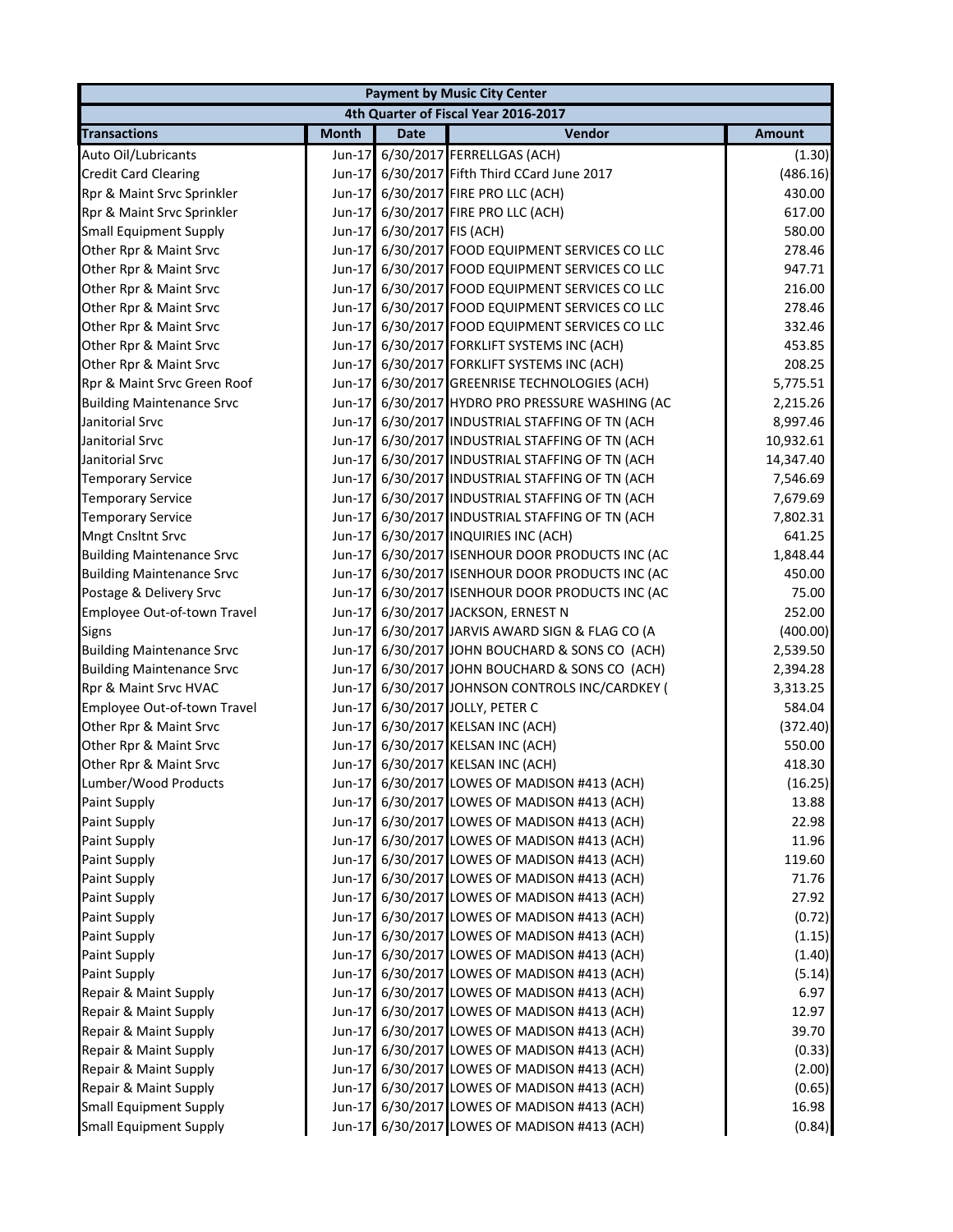| <b>Payment by Music City Center</b>  |              |                            |                                                 |               |  |
|--------------------------------------|--------------|----------------------------|-------------------------------------------------|---------------|--|
| 4th Quarter of Fiscal Year 2016-2017 |              |                            |                                                 |               |  |
| <b>Transactions</b>                  | <b>Month</b> | <b>Date</b>                | Vendor                                          | <b>Amount</b> |  |
| Auto Oil/Lubricants                  | Jun-17       |                            | 6/30/2017 FERRELLGAS (ACH)                      | (1.30)        |  |
| <b>Credit Card Clearing</b>          |              |                            | Jun-17 6/30/2017 Fifth Third CCard June 2017    | (486.16)      |  |
| Rpr & Maint Srvc Sprinkler           |              |                            | Jun-17 6/30/2017 FIRE PRO LLC (ACH)             | 430.00        |  |
| Rpr & Maint Srvc Sprinkler           |              |                            | Jun-17 6/30/2017 FIRE PRO LLC (ACH)             | 617.00        |  |
| <b>Small Equipment Supply</b>        |              | Jun-17 6/30/2017 FIS (ACH) |                                                 | 580.00        |  |
| Other Rpr & Maint Srvc               |              |                            | Jun-17 6/30/2017 FOOD EQUIPMENT SERVICES CO LLC | 278.46        |  |
| Other Rpr & Maint Srvc               |              |                            | Jun-17 6/30/2017 FOOD EQUIPMENT SERVICES CO LLC | 947.71        |  |
| Other Rpr & Maint Srvc               |              |                            | Jun-17 6/30/2017 FOOD EQUIPMENT SERVICES CO LLC | 216.00        |  |
| Other Rpr & Maint Srvc               |              |                            | Jun-17 6/30/2017 FOOD EQUIPMENT SERVICES CO LLC | 278.46        |  |
| Other Rpr & Maint Srvc               |              |                            | Jun-17 6/30/2017 FOOD EQUIPMENT SERVICES CO LLC | 332.46        |  |
| Other Rpr & Maint Srvc               |              |                            | Jun-17 6/30/2017 FORKLIFT SYSTEMS INC (ACH)     | 453.85        |  |
| Other Rpr & Maint Srvc               |              |                            | Jun-17 6/30/2017 FORKLIFT SYSTEMS INC (ACH)     | 208.25        |  |
| Rpr & Maint Srvc Green Roof          |              |                            | Jun-17 6/30/2017 GREENRISE TECHNOLOGIES (ACH)   | 5,775.51      |  |
| <b>Building Maintenance Srvc</b>     |              |                            | Jun-17 6/30/2017 HYDRO PRO PRESSURE WASHING (AC | 2,215.26      |  |
| Janitorial Srvc                      |              |                            | Jun-17 6/30/2017 INDUSTRIAL STAFFING OF TN (ACH | 8,997.46      |  |
| Janitorial Srvc                      |              |                            | Jun-17 6/30/2017 INDUSTRIAL STAFFING OF TN (ACH | 10,932.61     |  |
| Janitorial Srvc                      |              |                            | Jun-17 6/30/2017 INDUSTRIAL STAFFING OF TN (ACH | 14,347.40     |  |
| <b>Temporary Service</b>             |              |                            | Jun-17 6/30/2017 INDUSTRIAL STAFFING OF TN (ACH | 7,546.69      |  |
| <b>Temporary Service</b>             |              |                            | Jun-17 6/30/2017 INDUSTRIAL STAFFING OF TN (ACH | 7,679.69      |  |
| <b>Temporary Service</b>             |              |                            | Jun-17 6/30/2017 INDUSTRIAL STAFFING OF TN (ACH | 7,802.31      |  |
| <b>Mngt Cnsltnt Srvc</b>             | $Jun-17$     |                            | 6/30/2017 INQUIRIES INC (ACH)                   | 641.25        |  |
| <b>Building Maintenance Srvc</b>     | $Jun-17$     |                            | 6/30/2017 ISENHOUR DOOR PRODUCTS INC (AC        | 1,848.44      |  |
| <b>Building Maintenance Srvc</b>     | $Jun-17$     |                            | 6/30/2017 ISENHOUR DOOR PRODUCTS INC (AC        | 450.00        |  |
| Postage & Delivery Srvc              | $Jun-17$     |                            | 6/30/2017 ISENHOUR DOOR PRODUCTS INC (AC        | 75.00         |  |
| Employee Out-of-town Travel          | $Jun-17$     |                            | 6/30/2017 JACKSON, ERNEST N                     | 252.00        |  |
| <b>Signs</b>                         | $Jun-17$     |                            | 6/30/2017 JARVIS AWARD SIGN & FLAG CO (A        | (400.00)      |  |
| <b>Building Maintenance Srvc</b>     |              |                            | Jun-17 6/30/2017 JOHN BOUCHARD & SONS CO (ACH)  | 2,539.50      |  |
| <b>Building Maintenance Srvc</b>     |              |                            | Jun-17 6/30/2017 JOHN BOUCHARD & SONS CO (ACH)  | 2,394.28      |  |
| Rpr & Maint Srvc HVAC                |              |                            | Jun-17 6/30/2017 JOHNSON CONTROLS INC/CARDKEY ( | 3,313.25      |  |
| Employee Out-of-town Travel          |              |                            | Jun-17 6/30/2017 JOLLY, PETER C                 | 584.04        |  |
| Other Rpr & Maint Srvc               |              |                            | Jun-17 6/30/2017 KELSAN INC (ACH)               | (372.40)      |  |
| Other Rpr & Maint Srvc               |              |                            | Jun-17 6/30/2017 KELSAN INC (ACH)               | 550.00        |  |
| Other Rpr & Maint Srvc               |              |                            | Jun-17 6/30/2017 KELSAN INC (ACH)               | 418.30        |  |
| Lumber/Wood Products                 |              |                            | Jun-17 6/30/2017 LOWES OF MADISON #413 (ACH)    | (16.25)       |  |
| <b>Paint Supply</b>                  |              |                            | Jun-17 6/30/2017 LOWES OF MADISON #413 (ACH)    | 13.88         |  |
| Paint Supply                         |              |                            | Jun-17 6/30/2017 LOWES OF MADISON #413 (ACH)    | 22.98         |  |
| <b>Paint Supply</b>                  |              |                            | Jun-17 6/30/2017 LOWES OF MADISON #413 (ACH)    | 11.96         |  |
| <b>Paint Supply</b>                  |              |                            | Jun-17 6/30/2017 LOWES OF MADISON #413 (ACH)    | 119.60        |  |
| Paint Supply                         |              |                            | Jun-17 6/30/2017 LOWES OF MADISON #413 (ACH)    | 71.76         |  |
| <b>Paint Supply</b>                  |              |                            | Jun-17 6/30/2017 LOWES OF MADISON #413 (ACH)    | 27.92         |  |
| Paint Supply                         |              |                            | Jun-17 6/30/2017 LOWES OF MADISON #413 (ACH)    | (0.72)        |  |
| <b>Paint Supply</b>                  |              |                            | Jun-17 6/30/2017 LOWES OF MADISON #413 (ACH)    | (1.15)        |  |
| Paint Supply                         |              |                            | Jun-17 6/30/2017 LOWES OF MADISON #413 (ACH)    | (1.40)        |  |
| Paint Supply                         |              |                            | Jun-17 6/30/2017 LOWES OF MADISON #413 (ACH)    | (5.14)        |  |
| Repair & Maint Supply                |              |                            | Jun-17 6/30/2017 LOWES OF MADISON #413 (ACH)    | 6.97          |  |
| Repair & Maint Supply                | $Jun-17$     |                            | 6/30/2017 LOWES OF MADISON #413 (ACH)           | 12.97         |  |
| Repair & Maint Supply                | $Jun-17$     |                            | 6/30/2017 LOWES OF MADISON #413 (ACH)           | 39.70         |  |
| Repair & Maint Supply                | $Jun-17$     |                            | 6/30/2017 LOWES OF MADISON #413 (ACH)           | (0.33)        |  |
| Repair & Maint Supply                | $Jun-17$     |                            | 6/30/2017 LOWES OF MADISON #413 (ACH)           | (2.00)        |  |
| Repair & Maint Supply                | Jun-17       |                            | 6/30/2017 LOWES OF MADISON #413 (ACH)           | (0.65)        |  |
| <b>Small Equipment Supply</b>        | Jun-17       |                            | 6/30/2017 LOWES OF MADISON #413 (ACH)           | 16.98         |  |
| <b>Small Equipment Supply</b>        | Jun-17       |                            | 6/30/2017 LOWES OF MADISON #413 (ACH)           | (0.84)        |  |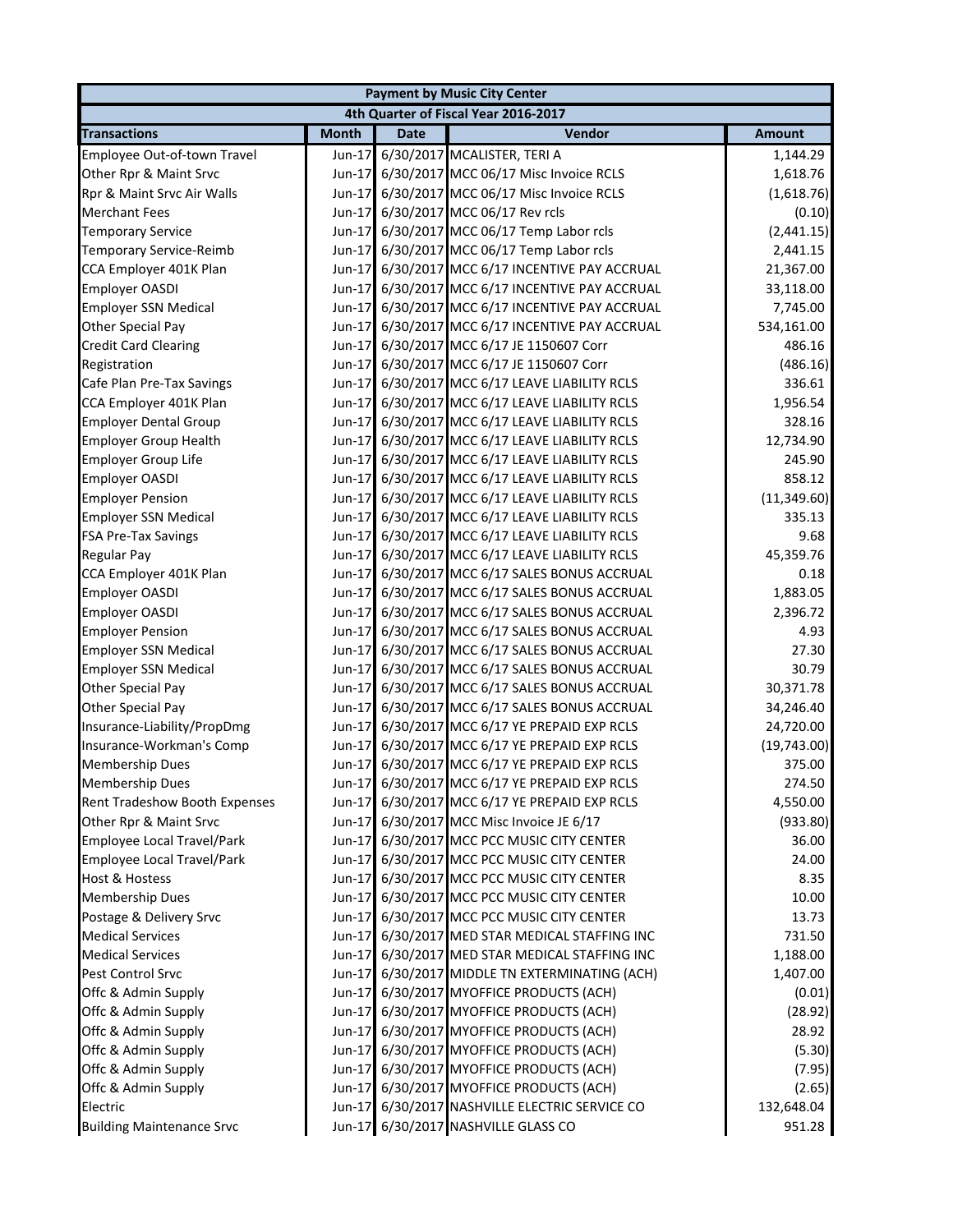| <b>Payment by Music City Center</b>  |              |             |                                                |               |  |
|--------------------------------------|--------------|-------------|------------------------------------------------|---------------|--|
| 4th Quarter of Fiscal Year 2016-2017 |              |             |                                                |               |  |
| <b>Transactions</b>                  | <b>Month</b> | <b>Date</b> | Vendor                                         | <b>Amount</b> |  |
| Employee Out-of-town Travel          | Jun-17       |             | 6/30/2017 MCALISTER, TERI A                    | 1,144.29      |  |
| Other Rpr & Maint Srvc               |              |             | Jun-17 6/30/2017 MCC 06/17 Misc Invoice RCLS   | 1,618.76      |  |
| Rpr & Maint Srvc Air Walls           | Jun-17       |             | 6/30/2017 MCC 06/17 Misc Invoice RCLS          | (1,618.76)    |  |
| <b>Merchant Fees</b>                 | Jun-17       |             | 6/30/2017 MCC 06/17 Rev rcls                   | (0.10)        |  |
| <b>Temporary Service</b>             | Jun-17       |             | 6/30/2017 MCC 06/17 Temp Labor rcls            | (2,441.15)    |  |
| Temporary Service-Reimb              | Jun-17       |             | 6/30/2017 MCC 06/17 Temp Labor rcls            | 2,441.15      |  |
| CCA Employer 401K Plan               | Jun-17       |             | 6/30/2017 MCC 6/17 INCENTIVE PAY ACCRUAL       | 21,367.00     |  |
| <b>Employer OASDI</b>                | $Jun-17$     |             | 6/30/2017 MCC 6/17 INCENTIVE PAY ACCRUAL       | 33,118.00     |  |
| <b>Employer SSN Medical</b>          | Jun-17       |             | 6/30/2017 MCC 6/17 INCENTIVE PAY ACCRUAL       | 7,745.00      |  |
| Other Special Pay                    | Jun-17       |             | 6/30/2017 MCC 6/17 INCENTIVE PAY ACCRUAL       | 534,161.00    |  |
| <b>Credit Card Clearing</b>          | Jun-17       |             | 6/30/2017 MCC 6/17 JE 1150607 Corr             | 486.16        |  |
| Registration                         | Jun-17       |             | 6/30/2017 MCC 6/17 JE 1150607 Corr             | (486.16)      |  |
| Cafe Plan Pre-Tax Savings            | Jun-17       |             | 6/30/2017 MCC 6/17 LEAVE LIABILITY RCLS        | 336.61        |  |
| CCA Employer 401K Plan               | Jun-17       |             | 6/30/2017 MCC 6/17 LEAVE LIABILITY RCLS        | 1,956.54      |  |
| <b>Employer Dental Group</b>         |              |             | Jun-17 6/30/2017 MCC 6/17 LEAVE LIABILITY RCLS | 328.16        |  |
| <b>Employer Group Health</b>         | Jun-17       |             | 6/30/2017 MCC 6/17 LEAVE LIABILITY RCLS        | 12,734.90     |  |
| <b>Employer Group Life</b>           |              |             | Jun-17 6/30/2017 MCC 6/17 LEAVE LIABILITY RCLS | 245.90        |  |
| <b>Employer OASDI</b>                |              |             | Jun-17 6/30/2017 MCC 6/17 LEAVE LIABILITY RCLS | 858.12        |  |
| <b>Employer Pension</b>              | Jun-17       |             | 6/30/2017 MCC 6/17 LEAVE LIABILITY RCLS        | (11, 349.60)  |  |
| <b>Employer SSN Medical</b>          | Jun-17       |             | 6/30/2017 MCC 6/17 LEAVE LIABILITY RCLS        | 335.13        |  |
| <b>FSA Pre-Tax Savings</b>           | Jun-17       |             | 6/30/2017 MCC 6/17 LEAVE LIABILITY RCLS        | 9.68          |  |
| <b>Regular Pay</b>                   | Jun-17       |             | 6/30/2017 MCC 6/17 LEAVE LIABILITY RCLS        | 45,359.76     |  |
| CCA Employer 401K Plan               | Jun-17       |             | 6/30/2017 MCC 6/17 SALES BONUS ACCRUAL         | 0.18          |  |
| <b>Employer OASDI</b>                | Jun-17       |             | 6/30/2017 MCC 6/17 SALES BONUS ACCRUAL         | 1,883.05      |  |
| <b>Employer OASDI</b>                | Jun-17       |             | 6/30/2017 MCC 6/17 SALES BONUS ACCRUAL         | 2,396.72      |  |
| <b>Employer Pension</b>              | Jun-17       |             | 6/30/2017 MCC 6/17 SALES BONUS ACCRUAL         | 4.93          |  |
| <b>Employer SSN Medical</b>          |              |             | Jun-17 6/30/2017 MCC 6/17 SALES BONUS ACCRUAL  | 27.30         |  |
| <b>Employer SSN Medical</b>          | Jun-17       |             | 6/30/2017 MCC 6/17 SALES BONUS ACCRUAL         | 30.79         |  |
| Other Special Pay                    |              |             | Jun-17 6/30/2017 MCC 6/17 SALES BONUS ACCRUAL  | 30,371.78     |  |
| Other Special Pay                    | Jun-17       |             | 6/30/2017 MCC 6/17 SALES BONUS ACCRUAL         | 34,246.40     |  |
| Insurance-Liability/PropDmg          |              |             | Jun-17 6/30/2017 MCC 6/17 YE PREPAID EXP RCLS  | 24,720.00     |  |
| Insurance-Workman's Comp             | Jun-17       |             | 6/30/2017 MCC 6/17 YE PREPAID EXP RCLS         | (19,743.00)   |  |
| <b>Membership Dues</b>               |              |             | Jun-17 6/30/2017 MCC 6/17 YE PREPAID EXP RCLS  | 375.00        |  |
| <b>Membership Dues</b>               |              |             | Jun-17 6/30/2017 MCC 6/17 YE PREPAID EXP RCLS  | 274.50        |  |
| Rent Tradeshow Booth Expenses        |              |             | Jun-17 6/30/2017 MCC 6/17 YE PREPAID EXP RCLS  | 4,550.00      |  |
| Other Rpr & Maint Srvc               |              |             | Jun-17 6/30/2017 MCC Misc Invoice JE 6/17      | (933.80)      |  |
| <b>Employee Local Travel/Park</b>    |              |             | Jun-17 6/30/2017 MCC PCC MUSIC CITY CENTER     | 36.00         |  |
| <b>Employee Local Travel/Park</b>    |              |             | Jun-17 6/30/2017 MCC PCC MUSIC CITY CENTER     | 24.00         |  |
| <b>Host &amp; Hostess</b>            |              |             | Jun-17 6/30/2017 MCC PCC MUSIC CITY CENTER     | 8.35          |  |
| <b>Membership Dues</b>               |              |             | Jun-17 6/30/2017 MCC PCC MUSIC CITY CENTER     | 10.00         |  |
| Postage & Delivery Srvc              |              |             | Jun-17 6/30/2017 MCC PCC MUSIC CITY CENTER     | 13.73         |  |
| <b>Medical Services</b>              |              |             | Jun-17 6/30/2017 MED STAR MEDICAL STAFFING INC | 731.50        |  |
| <b>Medical Services</b>              |              |             | Jun-17 6/30/2017 MED STAR MEDICAL STAFFING INC | 1,188.00      |  |
| Pest Control Srvc                    |              |             | Jun-17 6/30/2017 MIDDLE TN EXTERMINATING (ACH) | 1,407.00      |  |
| Offc & Admin Supply                  |              |             | Jun-17 6/30/2017 MYOFFICE PRODUCTS (ACH)       | (0.01)        |  |
| Offc & Admin Supply                  |              |             | Jun-17 6/30/2017 MYOFFICE PRODUCTS (ACH)       | (28.92)       |  |
| Offc & Admin Supply                  |              |             | Jun-17 6/30/2017 MYOFFICE PRODUCTS (ACH)       | 28.92         |  |
| Offc & Admin Supply                  |              |             | Jun-17 6/30/2017 MYOFFICE PRODUCTS (ACH)       | (5.30)        |  |
| Offc & Admin Supply                  |              |             | Jun-17 6/30/2017 MYOFFICE PRODUCTS (ACH)       | (7.95)        |  |
| Offc & Admin Supply                  |              |             | Jun-17 6/30/2017 MYOFFICE PRODUCTS (ACH)       | (2.65)        |  |
| Electric                             |              |             | Jun-17 6/30/2017 NASHVILLE ELECTRIC SERVICE CO | 132,648.04    |  |
| <b>Building Maintenance Srvc</b>     |              |             | Jun-17 6/30/2017 NASHVILLE GLASS CO            | 951.28        |  |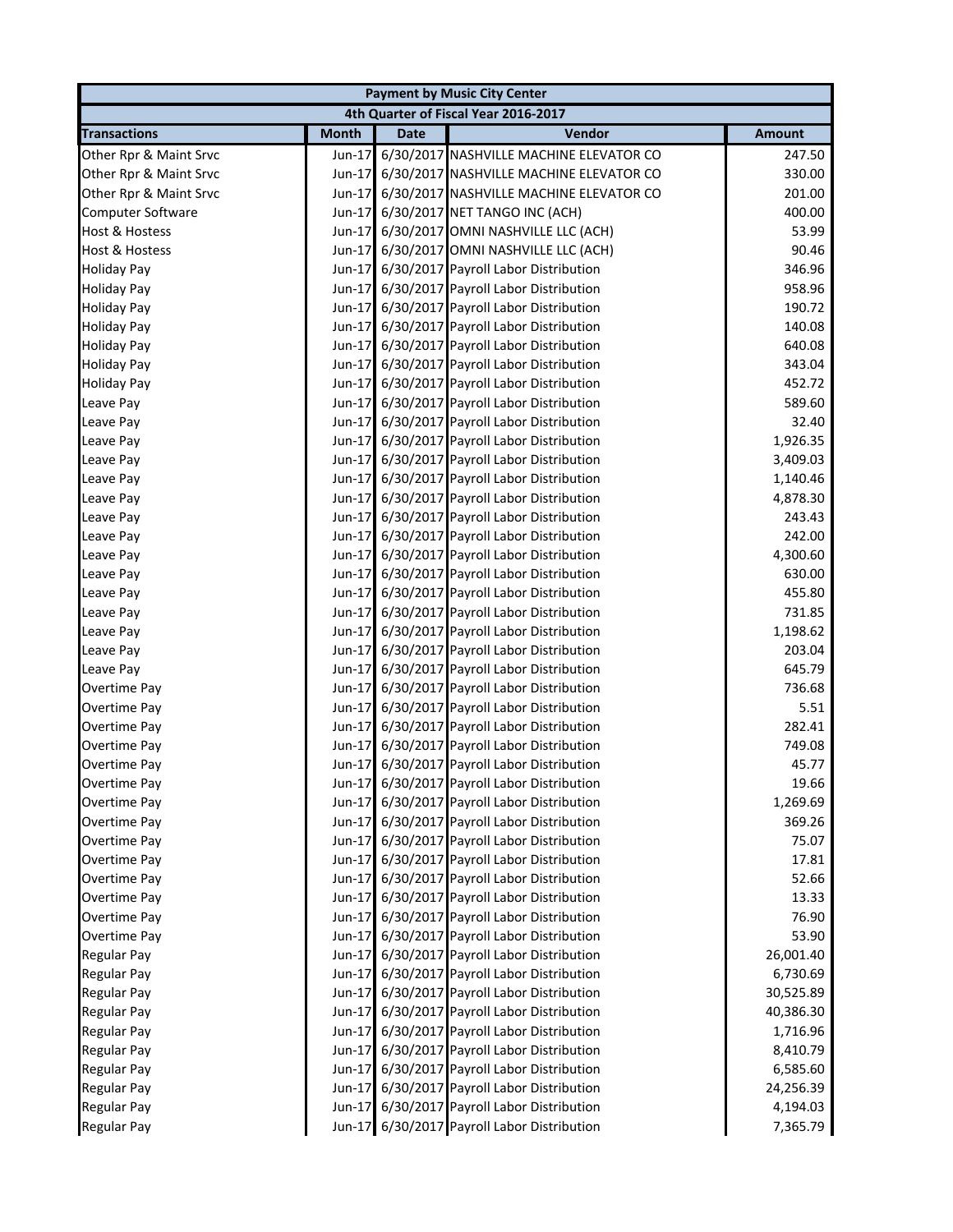| <b>Payment by Music City Center</b>  |              |             |                                                |               |  |
|--------------------------------------|--------------|-------------|------------------------------------------------|---------------|--|
| 4th Quarter of Fiscal Year 2016-2017 |              |             |                                                |               |  |
| <b>Transactions</b>                  | <b>Month</b> | <b>Date</b> | Vendor                                         | <b>Amount</b> |  |
| Other Rpr & Maint Srvc               | Jun-17       |             | 6/30/2017 NASHVILLE MACHINE ELEVATOR CO        | 247.50        |  |
| Other Rpr & Maint Srvc               |              |             | Jun-17 6/30/2017 NASHVILLE MACHINE ELEVATOR CO | 330.00        |  |
| Other Rpr & Maint Srvc               | $Jun-17$     |             | 6/30/2017 NASHVILLE MACHINE ELEVATOR CO        | 201.00        |  |
| Computer Software                    | $Jun-17$     |             | 6/30/2017 NET TANGO INC (ACH)                  | 400.00        |  |
| <b>Host &amp; Hostess</b>            | Jun-17       |             | 6/30/2017 OMNI NASHVILLE LLC (ACH)             | 53.99         |  |
| <b>Host &amp; Hostess</b>            | Jun-17       |             | 6/30/2017 OMNI NASHVILLE LLC (ACH)             | 90.46         |  |
| <b>Holiday Pay</b>                   | $Jun-17$     |             | 6/30/2017 Payroll Labor Distribution           | 346.96        |  |
| <b>Holiday Pay</b>                   | $Jun-17$     |             | 6/30/2017 Payroll Labor Distribution           | 958.96        |  |
| <b>Holiday Pay</b>                   |              |             | Jun-17 6/30/2017 Payroll Labor Distribution    | 190.72        |  |
| <b>Holiday Pay</b>                   |              |             | Jun-17 6/30/2017 Payroll Labor Distribution    | 140.08        |  |
| <b>Holiday Pay</b>                   |              |             | Jun-17 6/30/2017 Payroll Labor Distribution    | 640.08        |  |
| <b>Holiday Pay</b>                   |              |             | Jun-17 6/30/2017 Payroll Labor Distribution    | 343.04        |  |
| <b>Holiday Pay</b>                   |              |             | Jun-17 6/30/2017 Payroll Labor Distribution    | 452.72        |  |
| Leave Pay                            |              |             | Jun-17 6/30/2017 Payroll Labor Distribution    | 589.60        |  |
| Leave Pay                            |              |             | Jun-17 6/30/2017 Payroll Labor Distribution    | 32.40         |  |
| Leave Pay                            |              |             | Jun-17 6/30/2017 Payroll Labor Distribution    | 1,926.35      |  |
| Leave Pay                            |              |             | Jun-17 6/30/2017 Payroll Labor Distribution    | 3,409.03      |  |
| Leave Pay                            |              |             | Jun-17 6/30/2017 Payroll Labor Distribution    | 1,140.46      |  |
| Leave Pay                            |              |             | Jun-17 6/30/2017 Payroll Labor Distribution    | 4,878.30      |  |
| Leave Pay                            |              |             | Jun-17 6/30/2017 Payroll Labor Distribution    | 243.43        |  |
| Leave Pay                            |              |             | Jun-17 6/30/2017 Payroll Labor Distribution    | 242.00        |  |
| Leave Pay                            |              |             | Jun-17 6/30/2017 Payroll Labor Distribution    | 4,300.60      |  |
| Leave Pay                            |              |             | Jun-17 6/30/2017 Payroll Labor Distribution    | 630.00        |  |
| Leave Pay                            |              |             | Jun-17 6/30/2017 Payroll Labor Distribution    | 455.80        |  |
| Leave Pay                            |              |             | Jun-17 6/30/2017 Payroll Labor Distribution    | 731.85        |  |
| Leave Pay                            |              |             | Jun-17 6/30/2017 Payroll Labor Distribution    | 1,198.62      |  |
| Leave Pay                            |              |             | Jun-17 6/30/2017 Payroll Labor Distribution    | 203.04        |  |
| Leave Pay                            |              |             | Jun-17 6/30/2017 Payroll Labor Distribution    | 645.79        |  |
| Overtime Pay                         |              |             | Jun-17 6/30/2017 Payroll Labor Distribution    | 736.68        |  |
| Overtime Pay                         |              |             | Jun-17 6/30/2017 Payroll Labor Distribution    | 5.51          |  |
| Overtime Pay                         |              |             | Jun-17 6/30/2017 Payroll Labor Distribution    | 282.41        |  |
| Overtime Pay                         |              |             | Jun-17 6/30/2017 Payroll Labor Distribution    | 749.08        |  |
| Overtime Pay                         |              |             | Jun-17 6/30/2017 Payroll Labor Distribution    | 45.77         |  |
| Overtime Pay                         |              |             | Jun-17 6/30/2017 Payroll Labor Distribution    | 19.66         |  |
| Overtime Pay                         |              |             | Jun-17 6/30/2017 Payroll Labor Distribution    | 1,269.69      |  |
| Overtime Pay                         |              |             | Jun-17 6/30/2017 Payroll Labor Distribution    | 369.26        |  |
| Overtime Pay                         |              |             | Jun-17 6/30/2017 Payroll Labor Distribution    | 75.07         |  |
| Overtime Pay                         |              |             | Jun-17 6/30/2017 Payroll Labor Distribution    | 17.81         |  |
| Overtime Pay                         |              |             | Jun-17 6/30/2017 Payroll Labor Distribution    | 52.66         |  |
| Overtime Pay                         |              |             | Jun-17 6/30/2017 Payroll Labor Distribution    | 13.33         |  |
| Overtime Pay                         |              |             | Jun-17 6/30/2017 Payroll Labor Distribution    | 76.90         |  |
| Overtime Pay                         |              |             | Jun-17 6/30/2017 Payroll Labor Distribution    | 53.90         |  |
| Regular Pay                          |              |             | Jun-17 6/30/2017 Payroll Labor Distribution    | 26,001.40     |  |
| <b>Regular Pay</b>                   |              |             | Jun-17 6/30/2017 Payroll Labor Distribution    | 6,730.69      |  |
| <b>Regular Pay</b>                   |              |             | Jun-17 6/30/2017 Payroll Labor Distribution    | 30,525.89     |  |
| <b>Regular Pay</b>                   |              |             | Jun-17 6/30/2017 Payroll Labor Distribution    | 40,386.30     |  |
| <b>Regular Pay</b>                   |              |             | Jun-17 6/30/2017 Payroll Labor Distribution    | 1,716.96      |  |
| <b>Regular Pay</b>                   |              |             | Jun-17 6/30/2017 Payroll Labor Distribution    | 8,410.79      |  |
| <b>Regular Pay</b>                   |              |             | Jun-17 6/30/2017 Payroll Labor Distribution    | 6,585.60      |  |
| <b>Regular Pay</b>                   |              |             | Jun-17 6/30/2017 Payroll Labor Distribution    | 24,256.39     |  |
| <b>Regular Pay</b>                   |              |             | Jun-17 6/30/2017 Payroll Labor Distribution    | 4,194.03      |  |
| Regular Pay                          |              |             | Jun-17 6/30/2017 Payroll Labor Distribution    | 7,365.79      |  |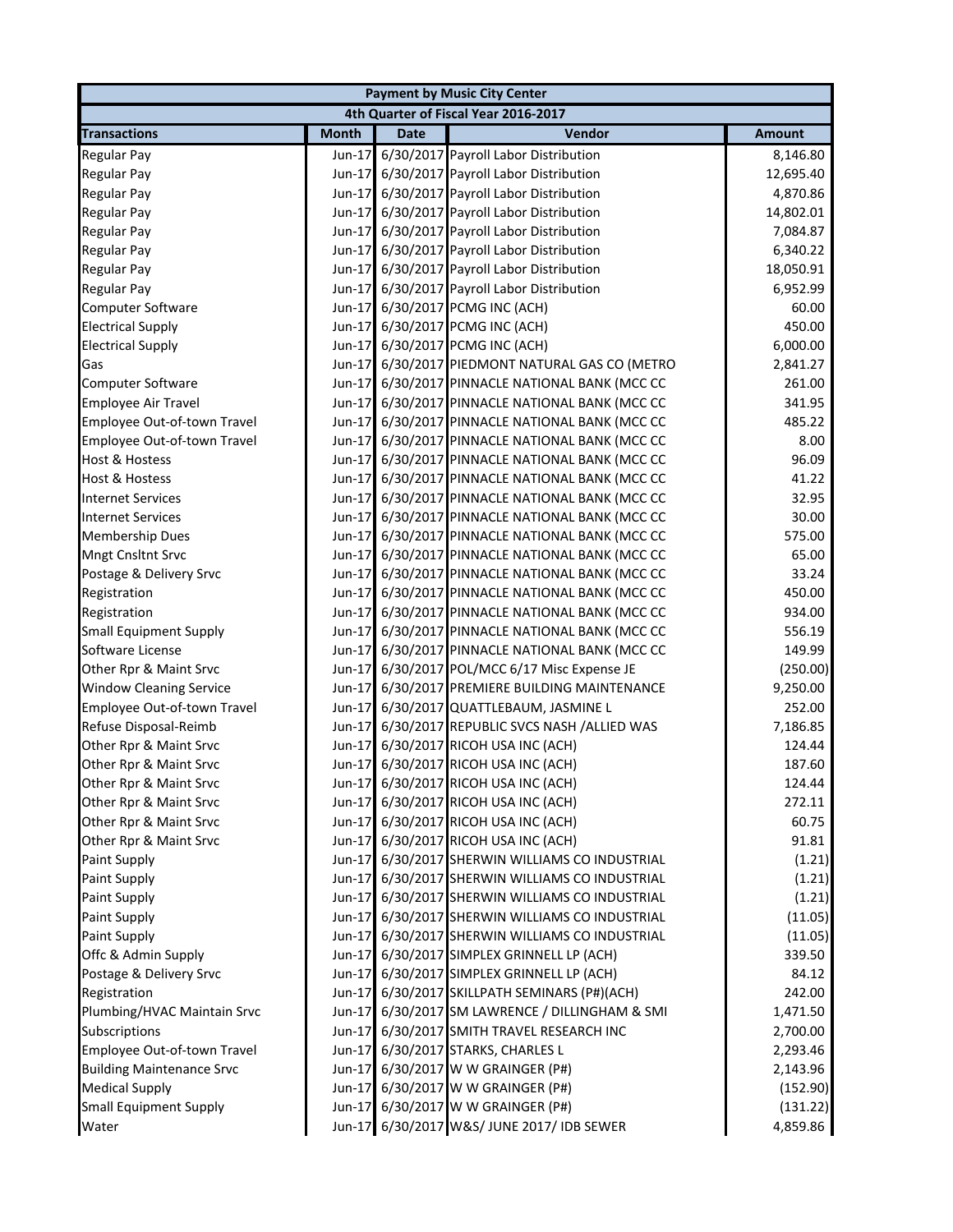| <b>Payment by Music City Center</b>  |              |             |                                                 |               |  |
|--------------------------------------|--------------|-------------|-------------------------------------------------|---------------|--|
| 4th Quarter of Fiscal Year 2016-2017 |              |             |                                                 |               |  |
| <b>Transactions</b>                  | <b>Month</b> | <b>Date</b> | Vendor                                          | <b>Amount</b> |  |
| <b>Regular Pay</b>                   |              |             | Jun-17 6/30/2017 Payroll Labor Distribution     | 8,146.80      |  |
| <b>Regular Pay</b>                   |              |             | Jun-17 6/30/2017 Payroll Labor Distribution     | 12,695.40     |  |
| <b>Regular Pay</b>                   |              |             | Jun-17 6/30/2017 Payroll Labor Distribution     | 4,870.86      |  |
| <b>Regular Pay</b>                   |              |             | Jun-17 6/30/2017 Payroll Labor Distribution     | 14,802.01     |  |
| <b>Regular Pay</b>                   |              |             | Jun-17 6/30/2017 Payroll Labor Distribution     | 7,084.87      |  |
| <b>Regular Pay</b>                   |              |             | Jun-17 6/30/2017 Payroll Labor Distribution     | 6,340.22      |  |
| <b>Regular Pay</b>                   |              |             | Jun-17 6/30/2017 Payroll Labor Distribution     | 18,050.91     |  |
| <b>Regular Pay</b>                   |              |             | Jun-17 6/30/2017 Payroll Labor Distribution     | 6,952.99      |  |
| Computer Software                    |              |             | Jun-17 6/30/2017 PCMG INC (ACH)                 | 60.00         |  |
| <b>Electrical Supply</b>             |              |             | Jun-17 6/30/2017 PCMG INC (ACH)                 | 450.00        |  |
| <b>Electrical Supply</b>             |              |             | Jun-17 6/30/2017 PCMG INC (ACH)                 | 6,000.00      |  |
| Gas                                  |              |             | Jun-17 6/30/2017 PIEDMONT NATURAL GAS CO (METRO | 2,841.27      |  |
| <b>Computer Software</b>             |              |             | Jun-17 6/30/2017 PINNACLE NATIONAL BANK (MCC CC | 261.00        |  |
| <b>Employee Air Travel</b>           |              |             | Jun-17 6/30/2017 PINNACLE NATIONAL BANK (MCC CC | 341.95        |  |
| Employee Out-of-town Travel          |              |             | Jun-17 6/30/2017 PINNACLE NATIONAL BANK (MCC CC | 485.22        |  |
| Employee Out-of-town Travel          | $Jun-17$     |             | 6/30/2017 PINNACLE NATIONAL BANK (MCC CC        | 8.00          |  |
| <b>Host &amp; Hostess</b>            | $Jun-17$     |             | 6/30/2017 PINNACLE NATIONAL BANK (MCC CC        | 96.09         |  |
| <b>Host &amp; Hostess</b>            | $Jun-17$     |             | 6/30/2017 PINNACLE NATIONAL BANK (MCC CC        | 41.22         |  |
| <b>Internet Services</b>             | Jun-17       |             | 6/30/2017 PINNACLE NATIONAL BANK (MCC CC        | 32.95         |  |
| <b>Internet Services</b>             | $Jun-17$     |             | 6/30/2017 PINNACLE NATIONAL BANK (MCC CC        | 30.00         |  |
| <b>Membership Dues</b>               |              |             | Jun-17 6/30/2017 PINNACLE NATIONAL BANK (MCC CC | 575.00        |  |
| <b>Mngt Cnsltnt Srvc</b>             |              |             | Jun-17 6/30/2017 PINNACLE NATIONAL BANK (MCC CC | 65.00         |  |
| Postage & Delivery Srvc              |              |             | Jun-17 6/30/2017 PINNACLE NATIONAL BANK (MCC CC | 33.24         |  |
| Registration                         |              |             | Jun-17 6/30/2017 PINNACLE NATIONAL BANK (MCC CC | 450.00        |  |
| Registration                         |              |             | Jun-17 6/30/2017 PINNACLE NATIONAL BANK (MCC CC | 934.00        |  |
| <b>Small Equipment Supply</b>        |              |             | Jun-17 6/30/2017 PINNACLE NATIONAL BANK (MCC CC | 556.19        |  |
| Software License                     |              |             | Jun-17 6/30/2017 PINNACLE NATIONAL BANK (MCC CC | 149.99        |  |
| Other Rpr & Maint Srvc               |              |             | Jun-17 6/30/2017 POL/MCC 6/17 Misc Expense JE   | (250.00)      |  |
| <b>Window Cleaning Service</b>       |              |             | Jun-17 6/30/2017 PREMIERE BUILDING MAINTENANCE  | 9,250.00      |  |
| Employee Out-of-town Travel          |              |             | Jun-17 6/30/2017 QUATTLEBAUM, JASMINE L         | 252.00        |  |
| Refuse Disposal-Reimb                |              |             | Jun-17 6/30/2017 REPUBLIC SVCS NASH /ALLIED WAS | 7,186.85      |  |
| Other Rpr & Maint Srvc               |              |             | Jun-17 6/30/2017 RICOH USA INC (ACH)            | 124.44        |  |
| Other Rpr & Maint Srvc               |              |             | Jun-17 6/30/2017 RICOH USA INC (ACH)            | 187.60        |  |
| Other Rpr & Maint Srvc               |              |             | Jun-17 6/30/2017 RICOH USA INC (ACH)            | 124.44        |  |
| Other Rpr & Maint Srvc               |              |             | Jun-17 6/30/2017 RICOH USA INC (ACH)            | 272.11        |  |
| Other Rpr & Maint Srvc               |              |             | Jun-17 6/30/2017 RICOH USA INC (ACH)            | 60.75         |  |
| Other Rpr & Maint Srvc               |              |             | Jun-17 6/30/2017 RICOH USA INC (ACH)            | 91.81         |  |
| <b>Paint Supply</b>                  |              |             | Jun-17 6/30/2017 SHERWIN WILLIAMS CO INDUSTRIAL | (1.21)        |  |
| Paint Supply                         |              |             | Jun-17 6/30/2017 SHERWIN WILLIAMS CO INDUSTRIAL | (1.21)        |  |
| <b>Paint Supply</b>                  |              |             | Jun-17 6/30/2017 SHERWIN WILLIAMS CO INDUSTRIAL | (1.21)        |  |
| <b>Paint Supply</b>                  |              |             | Jun-17 6/30/2017 SHERWIN WILLIAMS CO INDUSTRIAL | (11.05)       |  |
| Paint Supply                         |              |             | Jun-17 6/30/2017 SHERWIN WILLIAMS CO INDUSTRIAL | (11.05)       |  |
| Offc & Admin Supply                  |              |             | Jun-17 6/30/2017 SIMPLEX GRINNELL LP (ACH)      | 339.50        |  |
| Postage & Delivery Srvc              |              |             | Jun-17 6/30/2017 SIMPLEX GRINNELL LP (ACH)      | 84.12         |  |
| Registration                         |              |             | Jun-17 6/30/2017 SKILLPATH SEMINARS (P#)(ACH)   | 242.00        |  |
| Plumbing/HVAC Maintain Srvc          |              |             | Jun-17 6/30/2017 SM LAWRENCE / DILLINGHAM & SMI | 1,471.50      |  |
| Subscriptions                        |              |             | Jun-17 6/30/2017 SMITH TRAVEL RESEARCH INC      | 2,700.00      |  |
| Employee Out-of-town Travel          |              |             | Jun-17 6/30/2017 STARKS, CHARLES L              | 2,293.46      |  |
| <b>Building Maintenance Srvc</b>     |              |             | Jun-17 6/30/2017 W W GRAINGER (P#)              | 2,143.96      |  |
| <b>Medical Supply</b>                |              |             | Jun-17 6/30/2017 W W GRAINGER (P#)              | (152.90)      |  |
| <b>Small Equipment Supply</b>        |              |             | Jun-17 6/30/2017 W W GRAINGER (P#)              | (131.22)      |  |
| Water                                |              |             | Jun-17 6/30/2017 W&S/ JUNE 2017/ IDB SEWER      | 4,859.86      |  |